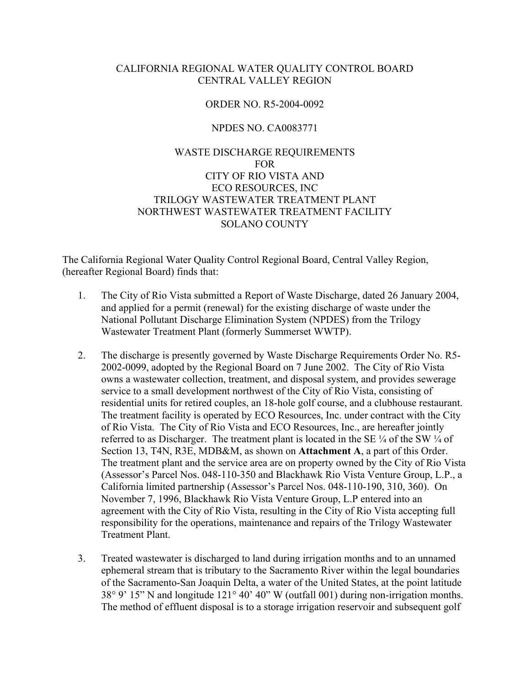### CALIFORNIA REGIONAL WATER QUALITY CONTROL BOARD CENTRAL VALLEY REGION

### ORDER NO. R5-2004-0092

#### NPDES NO. CA0083771

## WASTE DISCHARGE REQUIREMENTS FOR CITY OF RIO VISTA AND ECO RESOURCES, INC TRILOGY WASTEWATER TREATMENT PLANT NORTHWEST WASTEWATER TREATMENT FACILITY SOLANO COUNTY

The California Regional Water Quality Control Regional Board, Central Valley Region, (hereafter Regional Board) finds that:

- 1. The City of Rio Vista submitted a Report of Waste Discharge, dated 26 January 2004, and applied for a permit (renewal) for the existing discharge of waste under the National Pollutant Discharge Elimination System (NPDES) from the Trilogy Wastewater Treatment Plant (formerly Summerset WWTP).
- 2. The discharge is presently governed by Waste Discharge Requirements Order No. R5- 2002-0099, adopted by the Regional Board on 7 June 2002. The City of Rio Vista owns a wastewater collection, treatment, and disposal system, and provides sewerage service to a small development northwest of the City of Rio Vista, consisting of residential units for retired couples, an 18-hole golf course, and a clubhouse restaurant. The treatment facility is operated by ECO Resources, Inc. under contract with the City of Rio Vista. The City of Rio Vista and ECO Resources, Inc., are hereafter jointly referred to as Discharger. The treatment plant is located in the SE ¼ of the SW ¼ of Section 13, T4N, R3E, MDB&M, as shown on **Attachment A**, a part of this Order. The treatment plant and the service area are on property owned by the City of Rio Vista (Assessor's Parcel Nos. 048-110-350 and Blackhawk Rio Vista Venture Group, L.P., a California limited partnership (Assessor's Parcel Nos. 048-110-190, 310, 360). On November 7, 1996, Blackhawk Rio Vista Venture Group, L.P entered into an agreement with the City of Rio Vista, resulting in the City of Rio Vista accepting full responsibility for the operations, maintenance and repairs of the Trilogy Wastewater Treatment Plant.
- 3. Treated wastewater is discharged to land during irrigation months and to an unnamed ephemeral stream that is tributary to the Sacramento River within the legal boundaries of the Sacramento-San Joaquin Delta, a water of the United States, at the point latitude 38° 9' 15" N and longitude 121° 40' 40" W (outfall 001) during non-irrigation months. The method of effluent disposal is to a storage irrigation reservoir and subsequent golf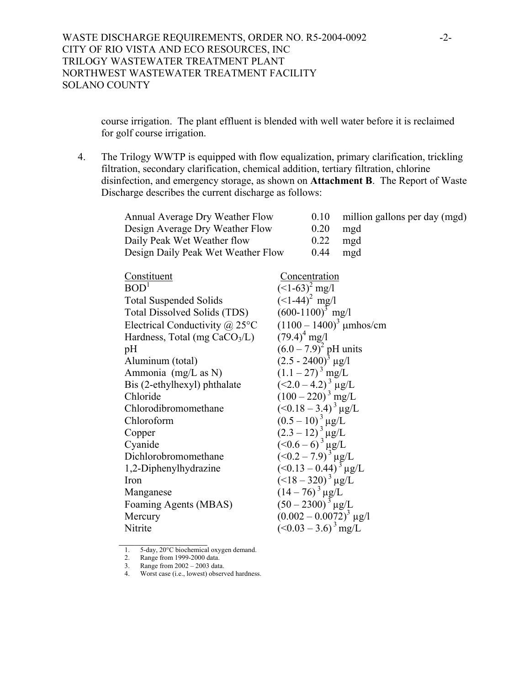course irrigation. The plant effluent is blended with well water before it is reclaimed for golf course irrigation.

4. The Trilogy WWTP is equipped with flow equalization, primary clarification, trickling filtration, secondary clarification, chemical addition, tertiary filtration, chlorine disinfection, and emergency storage, as shown on **Attachment B**. The Report of Waste Discharge describes the current discharge as follows:

| Annual Average Dry Weather Flow       |                                                                      | 0.10                             | million gallons per day (mgd) |
|---------------------------------------|----------------------------------------------------------------------|----------------------------------|-------------------------------|
| Design Average Dry Weather Flow       |                                                                      | 0.20                             | mgd                           |
| Daily Peak Wet Weather flow           |                                                                      | 0.22                             | mgd                           |
| Design Daily Peak Wet Weather Flow    |                                                                      | 0.44                             | mgd                           |
|                                       |                                                                      |                                  |                               |
| Constituent                           |                                                                      | Concentration                    |                               |
| BOD <sup>1</sup>                      | $(<1-63)^2$ mg/l                                                     |                                  |                               |
| <b>Total Suspended Solids</b>         | $(<1-44)^2$ mg/l                                                     |                                  |                               |
| Total Dissolved Solids (TDS)          | $(600-1100)^3$ mg/l                                                  |                                  |                               |
| Electrical Conductivity $\omega$ 25°C |                                                                      |                                  | $(1100 - 1400)^3$ µmhos/cm    |
| Hardness, Total (mg $CaCO3/L$ )       | $(79.4)^4$ mg/l                                                      |                                  |                               |
| pH                                    | $(6.0 - 7.9)^2$ pH units                                             |                                  |                               |
| Aluminum (total)                      | $(2.5 - 2400)^3$ µg/l                                                |                                  |                               |
| Ammonia (mg/L as N)                   | $(1.1-27)^3$ mg/L                                                    |                                  |                               |
| Bis (2-ethylhexyl) phthalate          | $(<2.0-4.2)^{3}$ µg/L                                                |                                  |                               |
| Chloride                              | $(100 - 220)^3$ mg/L                                                 |                                  |                               |
| Chlorodibromomethane                  | $(<0.18-3.4)^{3}$ µg/L                                               |                                  |                               |
| Chloroform                            |                                                                      |                                  |                               |
| Copper                                |                                                                      |                                  |                               |
| Cyanide                               | $(0.5-10)^3 \mu g/L$<br>$(2.3-12)^3 \mu g/L$<br>$(<0.6-6)^3 \mu g/L$ |                                  |                               |
| Dichlorobromomethane                  | $(50.2 - 7.9)^{3} \mu g/L$<br>(50.13 – 0.44) <sup>3</sup> $\mu g/L$  |                                  |                               |
| 1,2-Diphenylhydrazine                 |                                                                      |                                  |                               |
| Iron                                  | $(<18-320)^{3}$ µg/L                                                 |                                  |                               |
| Manganese                             | $(14-76)^3 \mu g/L$                                                  |                                  |                               |
| Foaming Agents (MBAS)                 | $(50-2300)^3$ µg/L                                                   |                                  |                               |
| Mercury                               | $(0.002 - 0.0072)^3$ µg/l                                            |                                  |                               |
| Nitrite                               |                                                                      | $(<0.03 - 3.6$ <sup>3</sup> mg/L |                               |
|                                       |                                                                      |                                  |                               |

<sup>1. 5-</sup>day, 20°C biochemical oxygen demand.

<sup>2.</sup> Range from 1999-2000 data.

<sup>3.</sup> Range from 2002 – 2003 data.

<sup>4.</sup> Worst case (i.e., lowest) observed hardness.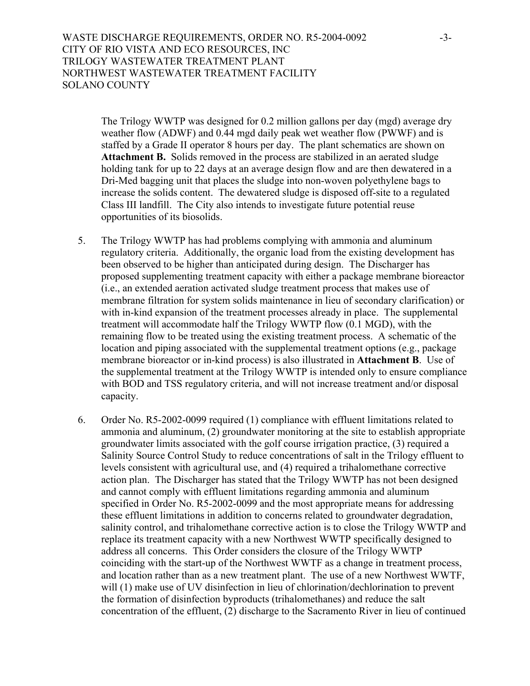WASTE DISCHARGE REQUIREMENTS, ORDER NO. R5-2004-0092 -3-CITY OF RIO VISTA AND ECO RESOURCES, INC TRILOGY WASTEWATER TREATMENT PLANT NORTHWEST WASTEWATER TREATMENT FACILITY SOLANO COUNTY

The Trilogy WWTP was designed for 0.2 million gallons per day (mgd) average dry weather flow (ADWF) and 0.44 mgd daily peak wet weather flow (PWWF) and is staffed by a Grade II operator 8 hours per day. The plant schematics are shown on **Attachment B.** Solids removed in the process are stabilized in an aerated sludge holding tank for up to 22 days at an average design flow and are then dewatered in a Dri-Med bagging unit that places the sludge into non-woven polyethylene bags to increase the solids content. The dewatered sludge is disposed off-site to a regulated Class III landfill. The City also intends to investigate future potential reuse opportunities of its biosolids.

- 5. The Trilogy WWTP has had problems complying with ammonia and aluminum regulatory criteria. Additionally, the organic load from the existing development has been observed to be higher than anticipated during design. The Discharger has proposed supplementing treatment capacity with either a package membrane bioreactor (i.e., an extended aeration activated sludge treatment process that makes use of membrane filtration for system solids maintenance in lieu of secondary clarification) or with in-kind expansion of the treatment processes already in place. The supplemental treatment will accommodate half the Trilogy WWTP flow (0.1 MGD), with the remaining flow to be treated using the existing treatment process. A schematic of the location and piping associated with the supplemental treatment options (e.g., package membrane bioreactor or in-kind process) is also illustrated in **Attachment B**. Use of the supplemental treatment at the Trilogy WWTP is intended only to ensure compliance with BOD and TSS regulatory criteria, and will not increase treatment and/or disposal capacity.
- 6. Order No. R5-2002-0099 required (1) compliance with effluent limitations related to ammonia and aluminum, (2) groundwater monitoring at the site to establish appropriate groundwater limits associated with the golf course irrigation practice, (3) required a Salinity Source Control Study to reduce concentrations of salt in the Trilogy effluent to levels consistent with agricultural use, and (4) required a trihalomethane corrective action plan. The Discharger has stated that the Trilogy WWTP has not been designed and cannot comply with effluent limitations regarding ammonia and aluminum specified in Order No. R5-2002-0099 and the most appropriate means for addressing these effluent limitations in addition to concerns related to groundwater degradation, salinity control, and trihalomethane corrective action is to close the Trilogy WWTP and replace its treatment capacity with a new Northwest WWTP specifically designed to address all concerns. This Order considers the closure of the Trilogy WWTP coinciding with the start-up of the Northwest WWTF as a change in treatment process, and location rather than as a new treatment plant. The use of a new Northwest WWTF, will (1) make use of UV disinfection in lieu of chlorination/dechlorination to prevent the formation of disinfection byproducts (trihalomethanes) and reduce the salt concentration of the effluent, (2) discharge to the Sacramento River in lieu of continued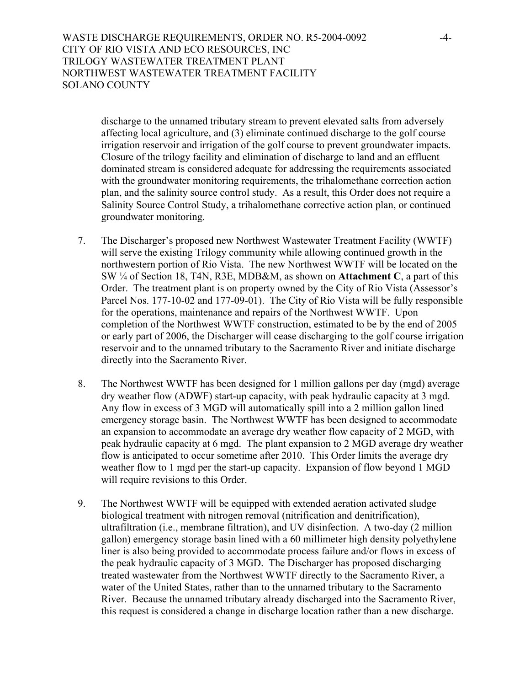WASTE DISCHARGE REQUIREMENTS, ORDER NO. R5-2004-0092 -4-CITY OF RIO VISTA AND ECO RESOURCES, INC TRILOGY WASTEWATER TREATMENT PLANT NORTHWEST WASTEWATER TREATMENT FACILITY SOLANO COUNTY

discharge to the unnamed tributary stream to prevent elevated salts from adversely affecting local agriculture, and (3) eliminate continued discharge to the golf course irrigation reservoir and irrigation of the golf course to prevent groundwater impacts. Closure of the trilogy facility and elimination of discharge to land and an effluent dominated stream is considered adequate for addressing the requirements associated with the groundwater monitoring requirements, the trihalomethane correction action plan, and the salinity source control study. As a result, this Order does not require a Salinity Source Control Study, a trihalomethane corrective action plan, or continued groundwater monitoring.

- 7. The Discharger's proposed new Northwest Wastewater Treatment Facility (WWTF) will serve the existing Trilogy community while allowing continued growth in the northwestern portion of Rio Vista. The new Northwest WWTF will be located on the SW ¼ of Section 18, T4N, R3E, MDB&M, as shown on **Attachment C**, a part of this Order. The treatment plant is on property owned by the City of Rio Vista (Assessor's Parcel Nos. 177-10-02 and 177-09-01). The City of Rio Vista will be fully responsible for the operations, maintenance and repairs of the Northwest WWTF. Upon completion of the Northwest WWTF construction, estimated to be by the end of 2005 or early part of 2006, the Discharger will cease discharging to the golf course irrigation reservoir and to the unnamed tributary to the Sacramento River and initiate discharge directly into the Sacramento River.
- 8. The Northwest WWTF has been designed for 1 million gallons per day (mgd) average dry weather flow (ADWF) start-up capacity, with peak hydraulic capacity at 3 mgd. Any flow in excess of 3 MGD will automatically spill into a 2 million gallon lined emergency storage basin. The Northwest WWTF has been designed to accommodate an expansion to accommodate an average dry weather flow capacity of 2 MGD, with peak hydraulic capacity at 6 mgd. The plant expansion to 2 MGD average dry weather flow is anticipated to occur sometime after 2010. This Order limits the average dry weather flow to 1 mgd per the start-up capacity. Expansion of flow beyond 1 MGD will require revisions to this Order.
- 9. The Northwest WWTF will be equipped with extended aeration activated sludge biological treatment with nitrogen removal (nitrification and denitrification), ultrafiltration (i.e., membrane filtration), and UV disinfection. A two-day (2 million gallon) emergency storage basin lined with a 60 millimeter high density polyethylene liner is also being provided to accommodate process failure and/or flows in excess of the peak hydraulic capacity of 3 MGD.The Discharger has proposed discharging treated wastewater from the Northwest WWTF directly to the Sacramento River, a water of the United States, rather than to the unnamed tributary to the Sacramento River. Because the unnamed tributary already discharged into the Sacramento River, this request is considered a change in discharge location rather than a new discharge.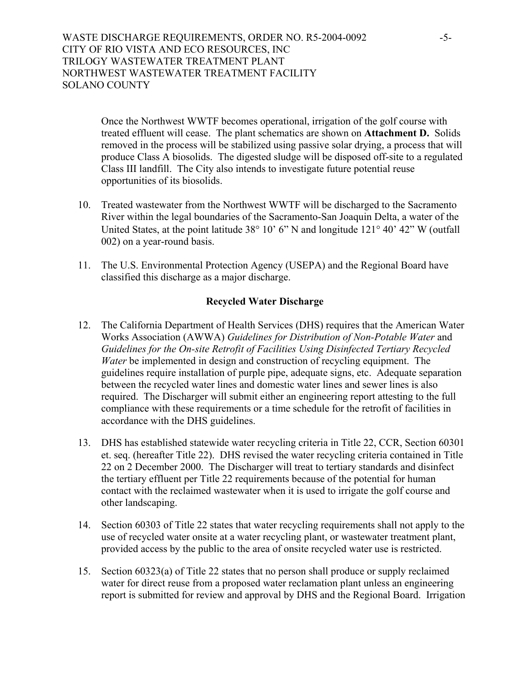WASTE DISCHARGE REQUIREMENTS, ORDER NO. R5-2004-0092 -5- CITY OF RIO VISTA AND ECO RESOURCES, INC TRILOGY WASTEWATER TREATMENT PLANT NORTHWEST WASTEWATER TREATMENT FACILITY SOLANO COUNTY

Once the Northwest WWTF becomes operational, irrigation of the golf course with treated effluent will cease. The plant schematics are shown on **Attachment D.** Solids removed in the process will be stabilized using passive solar drying, a process that will produce Class A biosolids. The digested sludge will be disposed off-site to a regulated Class III landfill. The City also intends to investigate future potential reuse opportunities of its biosolids.

- 10. Treated wastewater from the Northwest WWTF will be discharged to the Sacramento River within the legal boundaries of the Sacramento-San Joaquin Delta, a water of the United States, at the point latitude 38° 10' 6" N and longitude 121° 40' 42" W (outfall 002) on a year-round basis.
- 11. The U.S. Environmental Protection Agency (USEPA) and the Regional Board have classified this discharge as a major discharge.

### **Recycled Water Discharge**

- 12. The California Department of Health Services (DHS) requires that the American Water Works Association (AWWA) *Guidelines for Distribution of Non-Potable Water* and *Guidelines for the On-site Retrofit of Facilities Using Disinfected Tertiary Recycled Water* be implemented in design and construction of recycling equipment. The guidelines require installation of purple pipe, adequate signs, etc. Adequate separation between the recycled water lines and domestic water lines and sewer lines is also required. The Discharger will submit either an engineering report attesting to the full compliance with these requirements or a time schedule for the retrofit of facilities in accordance with the DHS guidelines.
- 13. DHS has established statewide water recycling criteria in Title 22, CCR, Section 60301 et. seq. (hereafter Title 22). DHS revised the water recycling criteria contained in Title 22 on 2 December 2000. The Discharger will treat to tertiary standards and disinfect the tertiary effluent per Title 22 requirements because of the potential for human contact with the reclaimed wastewater when it is used to irrigate the golf course and other landscaping.
- 14. Section 60303 of Title 22 states that water recycling requirements shall not apply to the use of recycled water onsite at a water recycling plant, or wastewater treatment plant, provided access by the public to the area of onsite recycled water use is restricted.
- 15. Section 60323(a) of Title 22 states that no person shall produce or supply reclaimed water for direct reuse from a proposed water reclamation plant unless an engineering report is submitted for review and approval by DHS and the Regional Board. Irrigation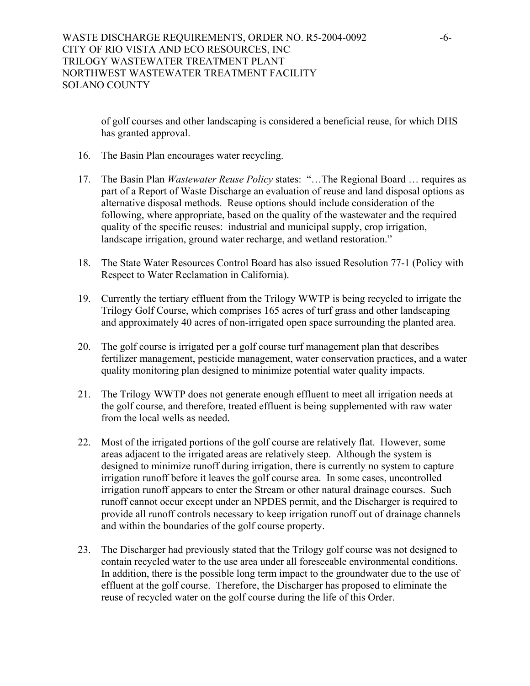of golf courses and other landscaping is considered a beneficial reuse, for which DHS has granted approval.

- 16. The Basin Plan encourages water recycling.
- 17. The Basin Plan *Wastewater Reuse Policy* states: "…The Regional Board … requires as part of a Report of Waste Discharge an evaluation of reuse and land disposal options as alternative disposal methods. Reuse options should include consideration of the following, where appropriate, based on the quality of the wastewater and the required quality of the specific reuses: industrial and municipal supply, crop irrigation, landscape irrigation, ground water recharge, and wetland restoration."
- 18. The State Water Resources Control Board has also issued Resolution 77-1 (Policy with Respect to Water Reclamation in California).
- 19. Currently the tertiary effluent from the Trilogy WWTP is being recycled to irrigate the Trilogy Golf Course, which comprises 165 acres of turf grass and other landscaping and approximately 40 acres of non-irrigated open space surrounding the planted area.
- 20. The golf course is irrigated per a golf course turf management plan that describes fertilizer management, pesticide management, water conservation practices, and a water quality monitoring plan designed to minimize potential water quality impacts.
- 21. The Trilogy WWTP does not generate enough effluent to meet all irrigation needs at the golf course, and therefore, treated effluent is being supplemented with raw water from the local wells as needed.
- 22. Most of the irrigated portions of the golf course are relatively flat. However, some areas adjacent to the irrigated areas are relatively steep. Although the system is designed to minimize runoff during irrigation, there is currently no system to capture irrigation runoff before it leaves the golf course area. In some cases, uncontrolled irrigation runoff appears to enter the Stream or other natural drainage courses. Such runoff cannot occur except under an NPDES permit, and the Discharger is required to provide all runoff controls necessary to keep irrigation runoff out of drainage channels and within the boundaries of the golf course property.
- 23. The Discharger had previously stated that the Trilogy golf course was not designed to contain recycled water to the use area under all foreseeable environmental conditions. In addition, there is the possible long term impact to the groundwater due to the use of effluent at the golf course. Therefore, the Discharger has proposed to eliminate the reuse of recycled water on the golf course during the life of this Order.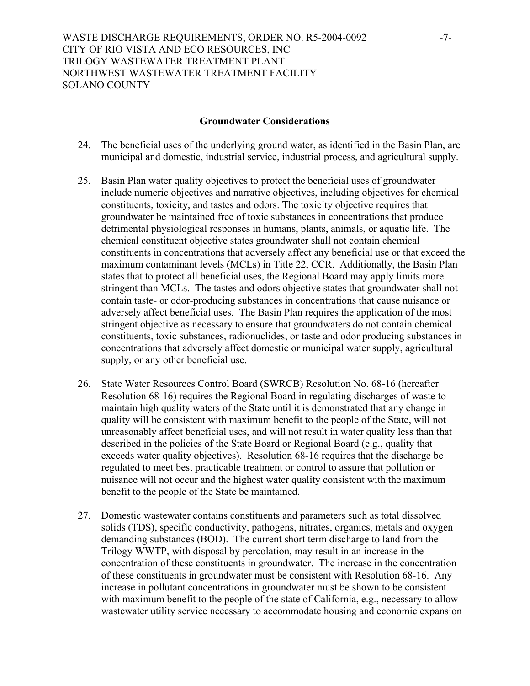## WASTE DISCHARGE REQUIREMENTS, ORDER NO. R5-2004-0092 -7-CITY OF RIO VISTA AND ECO RESOURCES, INC TRILOGY WASTEWATER TREATMENT PLANT NORTHWEST WASTEWATER TREATMENT FACILITY SOLANO COUNTY

### **Groundwater Considerations**

- 24. The beneficial uses of the underlying ground water, as identified in the Basin Plan, are municipal and domestic, industrial service, industrial process, and agricultural supply.
- 25. Basin Plan water quality objectives to protect the beneficial uses of groundwater include numeric objectives and narrative objectives, including objectives for chemical constituents, toxicity, and tastes and odors. The toxicity objective requires that groundwater be maintained free of toxic substances in concentrations that produce detrimental physiological responses in humans, plants, animals, or aquatic life. The chemical constituent objective states groundwater shall not contain chemical constituents in concentrations that adversely affect any beneficial use or that exceed the maximum contaminant levels (MCLs) in Title 22, CCR. Additionally, the Basin Plan states that to protect all beneficial uses, the Regional Board may apply limits more stringent than MCLs. The tastes and odors objective states that groundwater shall not contain taste- or odor-producing substances in concentrations that cause nuisance or adversely affect beneficial uses. The Basin Plan requires the application of the most stringent objective as necessary to ensure that groundwaters do not contain chemical constituents, toxic substances, radionuclides, or taste and odor producing substances in concentrations that adversely affect domestic or municipal water supply, agricultural supply, or any other beneficial use.
- 26. State Water Resources Control Board (SWRCB) Resolution No. 68-16 (hereafter Resolution 68-16) requires the Regional Board in regulating discharges of waste to maintain high quality waters of the State until it is demonstrated that any change in quality will be consistent with maximum benefit to the people of the State, will not unreasonably affect beneficial uses, and will not result in water quality less than that described in the policies of the State Board or Regional Board (e.g., quality that exceeds water quality objectives). Resolution 68-16 requires that the discharge be regulated to meet best practicable treatment or control to assure that pollution or nuisance will not occur and the highest water quality consistent with the maximum benefit to the people of the State be maintained.
- 27. Domestic wastewater contains constituents and parameters such as total dissolved solids (TDS), specific conductivity, pathogens, nitrates, organics, metals and oxygen demanding substances (BOD). The current short term discharge to land from the Trilogy WWTP, with disposal by percolation, may result in an increase in the concentration of these constituents in groundwater. The increase in the concentration of these constituents in groundwater must be consistent with Resolution 68-16. Any increase in pollutant concentrations in groundwater must be shown to be consistent with maximum benefit to the people of the state of California, e.g., necessary to allow wastewater utility service necessary to accommodate housing and economic expansion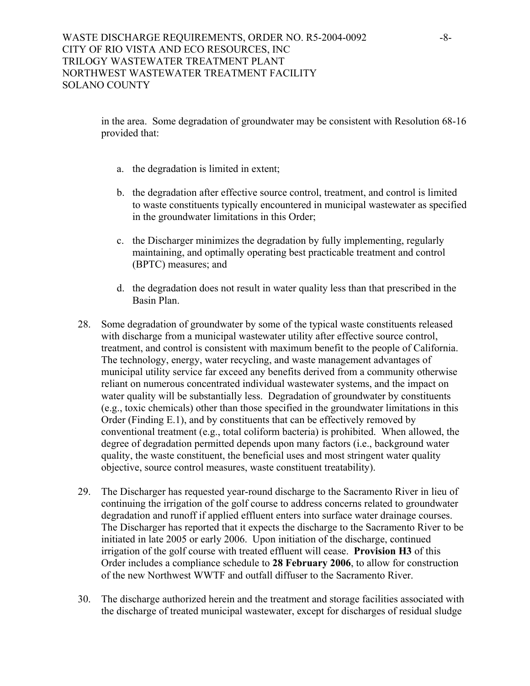in the area. Some degradation of groundwater may be consistent with Resolution 68-16 provided that:

- a. the degradation is limited in extent;
- b. the degradation after effective source control, treatment, and control is limited to waste constituents typically encountered in municipal wastewater as specified in the groundwater limitations in this Order;
- c. the Discharger minimizes the degradation by fully implementing, regularly maintaining, and optimally operating best practicable treatment and control (BPTC) measures; and
- d. the degradation does not result in water quality less than that prescribed in the Basin Plan.
- 28. Some degradation of groundwater by some of the typical waste constituents released with discharge from a municipal wastewater utility after effective source control, treatment, and control is consistent with maximum benefit to the people of California. The technology, energy, water recycling, and waste management advantages of municipal utility service far exceed any benefits derived from a community otherwise reliant on numerous concentrated individual wastewater systems, and the impact on water quality will be substantially less. Degradation of groundwater by constituents (e.g., toxic chemicals) other than those specified in the groundwater limitations in this Order (Finding E.1), and by constituents that can be effectively removed by conventional treatment (e.g., total coliform bacteria) is prohibited. When allowed, the degree of degradation permitted depends upon many factors (i.e., background water quality, the waste constituent, the beneficial uses and most stringent water quality objective, source control measures, waste constituent treatability).
- 29. The Discharger has requested year-round discharge to the Sacramento River in lieu of continuing the irrigation of the golf course to address concerns related to groundwater degradation and runoff if applied effluent enters into surface water drainage courses. The Discharger has reported that it expects the discharge to the Sacramento River to be initiated in late 2005 or early 2006. Upon initiation of the discharge, continued irrigation of the golf course with treated effluent will cease. **Provision H3** of this Order includes a compliance schedule to **28 February 2006**, to allow for construction of the new Northwest WWTF and outfall diffuser to the Sacramento River.
- 30. The discharge authorized herein and the treatment and storage facilities associated with the discharge of treated municipal wastewater, except for discharges of residual sludge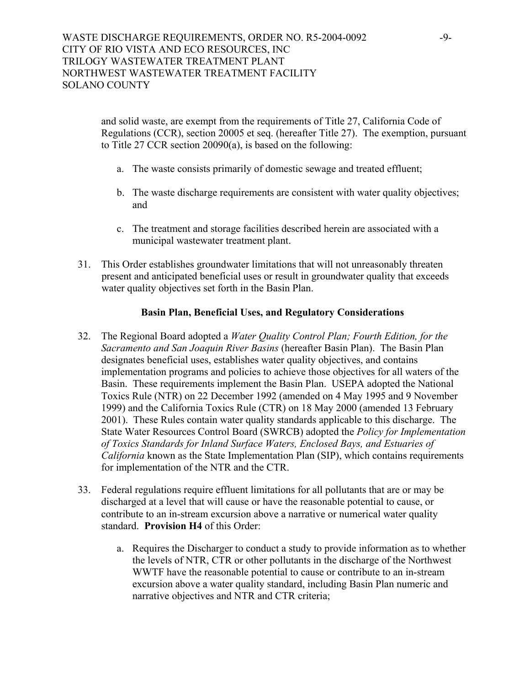and solid waste, are exempt from the requirements of Title 27, California Code of Regulations (CCR), section 20005 et seq. (hereafter Title 27). The exemption, pursuant to Title 27 CCR section 20090(a), is based on the following:

- a. The waste consists primarily of domestic sewage and treated effluent;
- b. The waste discharge requirements are consistent with water quality objectives; and
- c. The treatment and storage facilities described herein are associated with a municipal wastewater treatment plant.
- 31. This Order establishes groundwater limitations that will not unreasonably threaten present and anticipated beneficial uses or result in groundwater quality that exceeds water quality objectives set forth in the Basin Plan.

### **Basin Plan, Beneficial Uses, and Regulatory Considerations**

- 32. The Regional Board adopted a *Water Quality Control Plan; Fourth Edition, for the Sacramento and San Joaquin River Basins* (hereafter Basin Plan). The Basin Plan designates beneficial uses, establishes water quality objectives, and contains implementation programs and policies to achieve those objectives for all waters of the Basin. These requirements implement the Basin Plan. USEPA adopted the National Toxics Rule (NTR) on 22 December 1992 (amended on 4 May 1995 and 9 November 1999) and the California Toxics Rule (CTR) on 18 May 2000 (amended 13 February 2001). These Rules contain water quality standards applicable to this discharge. The State Water Resources Control Board (SWRCB) adopted the *Policy for Implementation of Toxics Standards for Inland Surface Waters, Enclosed Bays, and Estuaries of California* known as the State Implementation Plan (SIP), which contains requirements for implementation of the NTR and the CTR.
- 33. Federal regulations require effluent limitations for all pollutants that are or may be discharged at a level that will cause or have the reasonable potential to cause, or contribute to an in-stream excursion above a narrative or numerical water quality standard. **Provision H4** of this Order:
	- a. Requires the Discharger to conduct a study to provide information as to whether the levels of NTR, CTR or other pollutants in the discharge of the Northwest WWTF have the reasonable potential to cause or contribute to an in-stream excursion above a water quality standard, including Basin Plan numeric and narrative objectives and NTR and CTR criteria;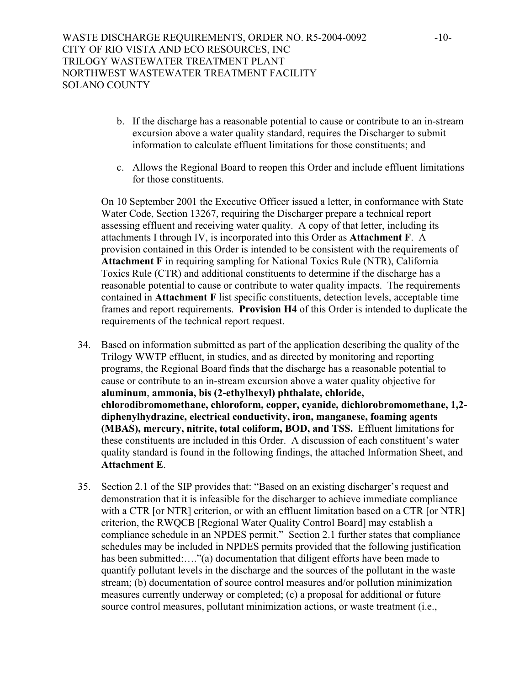- b. If the discharge has a reasonable potential to cause or contribute to an in-stream excursion above a water quality standard, requires the Discharger to submit information to calculate effluent limitations for those constituents; and
- c. Allows the Regional Board to reopen this Order and include effluent limitations for those constituents.

On 10 September 2001 the Executive Officer issued a letter, in conformance with State Water Code, Section 13267, requiring the Discharger prepare a technical report assessing effluent and receiving water quality. A copy of that letter, including its attachments I through IV, is incorporated into this Order as **Attachment F**. A provision contained in this Order is intended to be consistent with the requirements of **Attachment F** in requiring sampling for National Toxics Rule (NTR), California Toxics Rule (CTR) and additional constituents to determine if the discharge has a reasonable potential to cause or contribute to water quality impacts. The requirements contained in **Attachment F** list specific constituents, detection levels, acceptable time frames and report requirements. **Provision H4** of this Order is intended to duplicate the requirements of the technical report request.

- 34. Based on information submitted as part of the application describing the quality of the Trilogy WWTP effluent, in studies, and as directed by monitoring and reporting programs, the Regional Board finds that the discharge has a reasonable potential to cause or contribute to an in-stream excursion above a water quality objective for **aluminum**, **ammonia, bis (2-ethylhexyl) phthalate, chloride, chlorodibromomethane, chloroform, copper, cyanide, dichlorobromomethane, 1,2 diphenylhydrazine, electrical conductivity, iron, manganese, foaming agents (MBAS), mercury, nitrite, total coliform, BOD, and TSS.** Effluent limitations for these constituents are included in this Order. A discussion of each constituent's water quality standard is found in the following findings, the attached Information Sheet, and **Attachment E**.
- 35. Section 2.1 of the SIP provides that: "Based on an existing discharger's request and demonstration that it is infeasible for the discharger to achieve immediate compliance with a CTR [or NTR] criterion, or with an effluent limitation based on a CTR [or NTR] criterion, the RWQCB [Regional Water Quality Control Board] may establish a compliance schedule in an NPDES permit." Section 2.1 further states that compliance schedules may be included in NPDES permits provided that the following justification has been submitted:...."(a) documentation that diligent efforts have been made to quantify pollutant levels in the discharge and the sources of the pollutant in the waste stream; (b) documentation of source control measures and/or pollution minimization measures currently underway or completed; (c) a proposal for additional or future source control measures, pollutant minimization actions, or waste treatment (i.e.,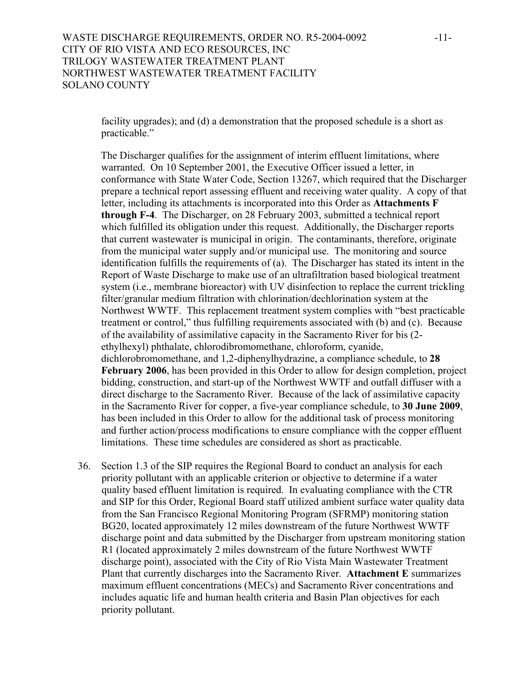facility upgrades); and (d) a demonstration that the proposed schedule is a short as practicable."

The Discharger qualifies for the assignment of interim effluent limitations, where warranted. On 10 September 2001, the Executive Officer issued a letter, in conformance with State Water Code, Section 13267, which required that the Discharger prepare a technical report assessing effluent and receiving water quality. A copy of that letter, including its attachments is incorporated into this Order as **Attachments F through F-4**. The Discharger, on 28 February 2003, submitted a technical report which fulfilled its obligation under this request. Additionally, the Discharger reports that current wastewater is municipal in origin. The contaminants, therefore, originate from the municipal water supply and/or municipal use. The monitoring and source identification fulfills the requirements of (a). The Discharger has stated its intent in the Report of Waste Discharge to make use of an ultrafiltration based biological treatment system (i.e., membrane bioreactor) with UV disinfection to replace the current trickling filter/granular medium filtration with chlorination/dechlorination system at the Northwest WWTF. This replacement treatment system complies with "best practicable treatment or control," thus fulfilling requirements associated with (b) and (c). Because of the availability of assimilative capacity in the Sacramento River for bis (2 ethylhexyl) phthalate, chlorodibromomethane, chloroform, cyanide, dichlorobromomethane, and 1,2-diphenylhydrazine, a compliance schedule, to **28 February 2006**, has been provided in this Order to allow for design completion, project bidding, construction, and start-up of the Northwest WWTF and outfall diffuser with a direct discharge to the Sacramento River. Because of the lack of assimilative capacity in the Sacramento River for copper, a five-year compliance schedule, to **30 June 2009**, has been included in this Order to allow for the additional task of process monitoring and further action/process modifications to ensure compliance with the copper effluent limitations. These time schedules are considered as short as practicable.

36. Section 1.3 of the SIP requires the Regional Board to conduct an analysis for each priority pollutant with an applicable criterion or objective to determine if a water quality based effluent limitation is required. In evaluating compliance with the CTR and SIP for this Order, Regional Board staff utilized ambient surface water quality data from the San Francisco Regional Monitoring Program (SFRMP) monitoring station BG20, located approximately 12 miles downstream of the future Northwest WWTF discharge point and data submitted by the Discharger from upstream monitoring station R1 (located approximately 2 miles downstream of the future Northwest WWTF discharge point), associated with the City of Rio Vista Main Wastewater Treatment Plant that currently discharges into the Sacramento River. **Attachment E** summarizes maximum effluent concentrations (MECs) and Sacramento River concentrations and includes aquatic life and human health criteria and Basin Plan objectives for each priority pollutant.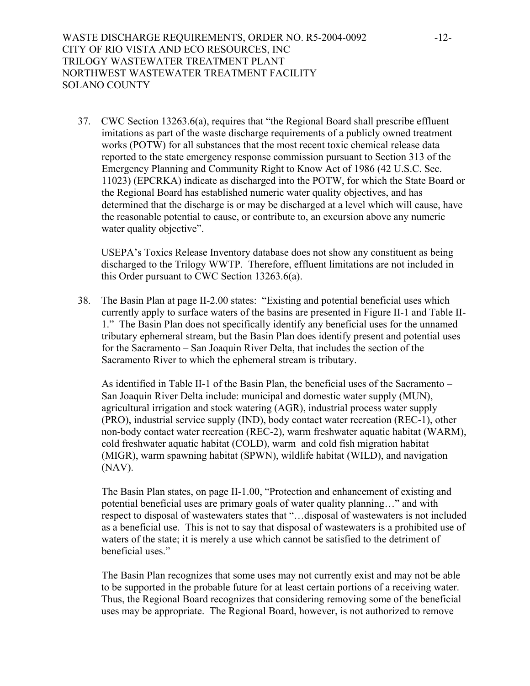WASTE DISCHARGE REQUIREMENTS, ORDER NO. R5-2004-0092 -12-CITY OF RIO VISTA AND ECO RESOURCES, INC TRILOGY WASTEWATER TREATMENT PLANT NORTHWEST WASTEWATER TREATMENT FACILITY SOLANO COUNTY

37. CWC Section 13263.6(a), requires that "the Regional Board shall prescribe effluent imitations as part of the waste discharge requirements of a publicly owned treatment works (POTW) for all substances that the most recent toxic chemical release data reported to the state emergency response commission pursuant to Section 313 of the Emergency Planning and Community Right to Know Act of 1986 (42 U.S.C. Sec. 11023) (EPCRKA) indicate as discharged into the POTW, for which the State Board or the Regional Board has established numeric water quality objectives, and has determined that the discharge is or may be discharged at a level which will cause, have the reasonable potential to cause, or contribute to, an excursion above any numeric water quality objective".

USEPA's Toxics Release Inventory database does not show any constituent as being discharged to the Trilogy WWTP. Therefore, effluent limitations are not included in this Order pursuant to CWC Section 13263.6(a).

38. The Basin Plan at page II-2.00 states: "Existing and potential beneficial uses which currently apply to surface waters of the basins are presented in Figure II-1 and Table II-1." The Basin Plan does not specifically identify any beneficial uses for the unnamed tributary ephemeral stream, but the Basin Plan does identify present and potential uses for the Sacramento – San Joaquin River Delta, that includes the section of the Sacramento River to which the ephemeral stream is tributary.

As identified in Table II-1 of the Basin Plan, the beneficial uses of the Sacramento – San Joaquin River Delta include: municipal and domestic water supply (MUN), agricultural irrigation and stock watering (AGR), industrial process water supply (PRO), industrial service supply (IND), body contact water recreation (REC-1), other non-body contact water recreation (REC-2), warm freshwater aquatic habitat (WARM), cold freshwater aquatic habitat (COLD), warm and cold fish migration habitat (MIGR), warm spawning habitat (SPWN), wildlife habitat (WILD), and navigation (NAV).

The Basin Plan states, on page II-1.00, "Protection and enhancement of existing and potential beneficial uses are primary goals of water quality planning…" and with respect to disposal of wastewaters states that "…disposal of wastewaters is not included as a beneficial use. This is not to say that disposal of wastewaters is a prohibited use of waters of the state; it is merely a use which cannot be satisfied to the detriment of beneficial uses."

The Basin Plan recognizes that some uses may not currently exist and may not be able to be supported in the probable future for at least certain portions of a receiving water. Thus, the Regional Board recognizes that considering removing some of the beneficial uses may be appropriate. The Regional Board, however, is not authorized to remove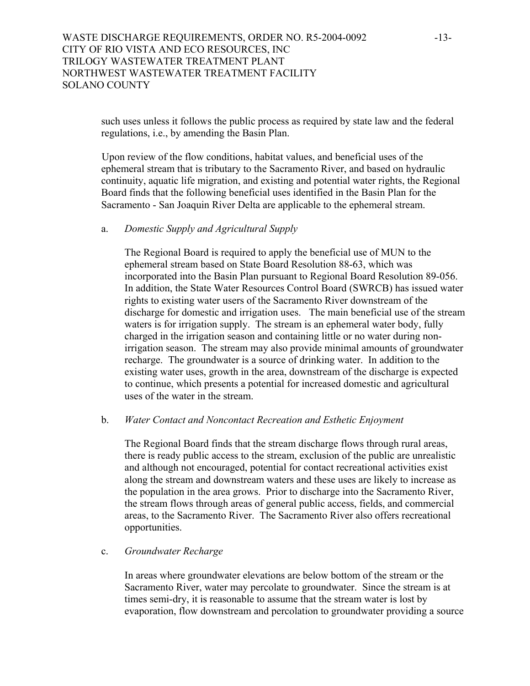## WASTE DISCHARGE REQUIREMENTS, ORDER NO. R5-2004-0092 -13-CITY OF RIO VISTA AND ECO RESOURCES, INC TRILOGY WASTEWATER TREATMENT PLANT NORTHWEST WASTEWATER TREATMENT FACILITY SOLANO COUNTY

such uses unless it follows the public process as required by state law and the federal regulations, i.e., by amending the Basin Plan.

Upon review of the flow conditions, habitat values, and beneficial uses of the ephemeral stream that is tributary to the Sacramento River, and based on hydraulic continuity, aquatic life migration, and existing and potential water rights, the Regional Board finds that the following beneficial uses identified in the Basin Plan for the Sacramento - San Joaquin River Delta are applicable to the ephemeral stream.

### a. *Domestic Supply and Agricultural Supply*

The Regional Board is required to apply the beneficial use of MUN to the ephemeral stream based on State Board Resolution 88-63, which was incorporated into the Basin Plan pursuant to Regional Board Resolution 89-056. In addition, the State Water Resources Control Board (SWRCB) has issued water rights to existing water users of the Sacramento River downstream of the discharge for domestic and irrigation uses. The main beneficial use of the stream waters is for irrigation supply. The stream is an ephemeral water body, fully charged in the irrigation season and containing little or no water during nonirrigation season. The stream may also provide minimal amounts of groundwater recharge. The groundwater is a source of drinking water. In addition to the existing water uses, growth in the area, downstream of the discharge is expected to continue, which presents a potential for increased domestic and agricultural uses of the water in the stream.

#### b. *Water Contact and Noncontact Recreation and Esthetic Enjoyment*

The Regional Board finds that the stream discharge flows through rural areas, there is ready public access to the stream, exclusion of the public are unrealistic and although not encouraged, potential for contact recreational activities exist along the stream and downstream waters and these uses are likely to increase as the population in the area grows. Prior to discharge into the Sacramento River, the stream flows through areas of general public access, fields, and commercial areas, to the Sacramento River.The Sacramento River also offers recreational opportunities.

#### c. *Groundwater Recharge*

In areas where groundwater elevations are below bottom of the stream or the Sacramento River, water may percolate to groundwater. Since the stream is at times semi-dry, it is reasonable to assume that the stream water is lost by evaporation, flow downstream and percolation to groundwater providing a source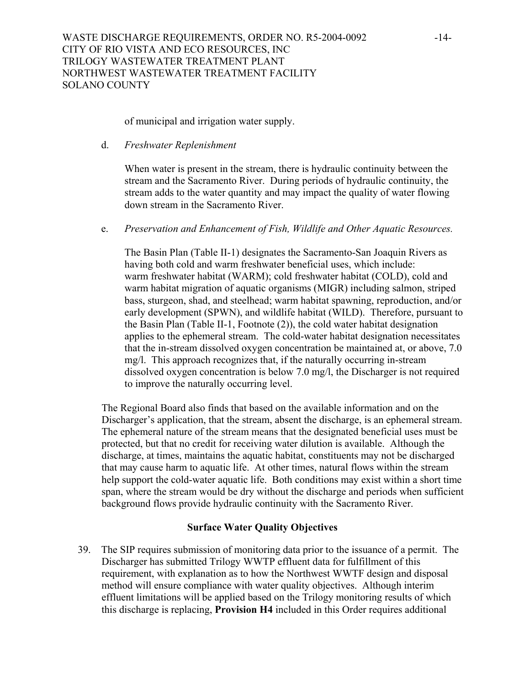of municipal and irrigation water supply.

d. *Freshwater Replenishment* 

When water is present in the stream, there is hydraulic continuity between the stream and the Sacramento River. During periods of hydraulic continuity, the stream adds to the water quantity and may impact the quality of water flowing down stream in the Sacramento River.

e. *Preservation and Enhancement of Fish, Wildlife and Other Aquatic Resources.* 

The Basin Plan (Table II-1) designates the Sacramento-San Joaquin Rivers as having both cold and warm freshwater beneficial uses, which include: warm freshwater habitat (WARM); cold freshwater habitat (COLD), cold and warm habitat migration of aquatic organisms (MIGR) including salmon, striped bass, sturgeon, shad, and steelhead; warm habitat spawning, reproduction, and/or early development (SPWN), and wildlife habitat (WILD). Therefore, pursuant to the Basin Plan (Table II-1, Footnote (2)), the cold water habitat designation applies to the ephemeral stream. The cold-water habitat designation necessitates that the in-stream dissolved oxygen concentration be maintained at, or above, 7.0 mg/l. This approach recognizes that, if the naturally occurring in-stream dissolved oxygen concentration is below 7.0 mg/l, the Discharger is not required to improve the naturally occurring level.

The Regional Board also finds that based on the available information and on the Discharger's application, that the stream, absent the discharge, is an ephemeral stream. The ephemeral nature of the stream means that the designated beneficial uses must be protected, but that no credit for receiving water dilution is available. Although the discharge, at times, maintains the aquatic habitat, constituents may not be discharged that may cause harm to aquatic life. At other times, natural flows within the stream help support the cold-water aquatic life. Both conditions may exist within a short time span, where the stream would be dry without the discharge and periods when sufficient background flows provide hydraulic continuity with the Sacramento River.

## **Surface Water Quality Objectives**

39. The SIP requires submission of monitoring data prior to the issuance of a permit. The Discharger has submitted Trilogy WWTP effluent data for fulfillment of this requirement, with explanation as to how the Northwest WWTF design and disposal method will ensure compliance with water quality objectives. Although interim effluent limitations will be applied based on the Trilogy monitoring results of which this discharge is replacing, **Provision H4** included in this Order requires additional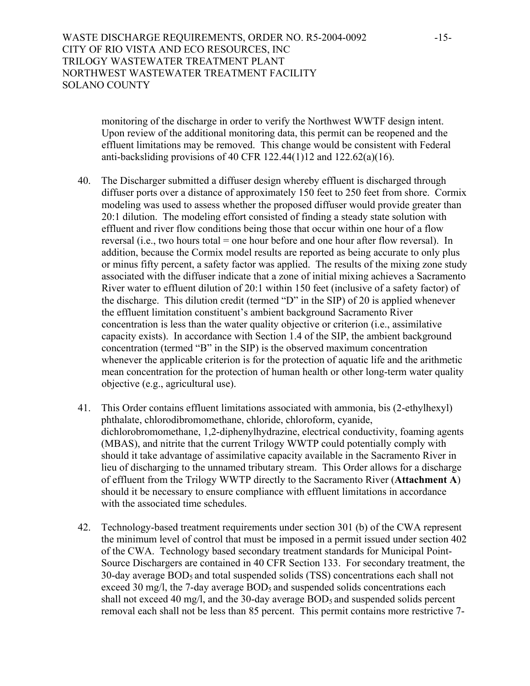WASTE DISCHARGE REQUIREMENTS, ORDER NO. R5-2004-0092 -15-CITY OF RIO VISTA AND ECO RESOURCES, INC TRILOGY WASTEWATER TREATMENT PLANT NORTHWEST WASTEWATER TREATMENT FACILITY SOLANO COUNTY

> monitoring of the discharge in order to verify the Northwest WWTF design intent. Upon review of the additional monitoring data, this permit can be reopened and the effluent limitations may be removed. This change would be consistent with Federal anti-backsliding provisions of 40 CFR 122.44(1)12 and 122.62(a)(16).

- 40. The Discharger submitted a diffuser design whereby effluent is discharged through diffuser ports over a distance of approximately 150 feet to 250 feet from shore. Cormix modeling was used to assess whether the proposed diffuser would provide greater than 20:1 dilution. The modeling effort consisted of finding a steady state solution with effluent and river flow conditions being those that occur within one hour of a flow reversal (i.e., two hours total = one hour before and one hour after flow reversal). In addition, because the Cormix model results are reported as being accurate to only plus or minus fifty percent, a safety factor was applied. The results of the mixing zone study associated with the diffuser indicate that a zone of initial mixing achieves a Sacramento River water to effluent dilution of 20:1 within 150 feet (inclusive of a safety factor) of the discharge. This dilution credit (termed "D" in the SIP) of 20 is applied whenever the effluent limitation constituent's ambient background Sacramento River concentration is less than the water quality objective or criterion (i.e., assimilative capacity exists). In accordance with Section 1.4 of the SIP, the ambient background concentration (termed "B" in the SIP) is the observed maximum concentration whenever the applicable criterion is for the protection of aquatic life and the arithmetic mean concentration for the protection of human health or other long-term water quality objective (e.g., agricultural use).
- 41. This Order contains effluent limitations associated with ammonia, bis (2-ethylhexyl) phthalate, chlorodibromomethane, chloride, chloroform, cyanide, dichlorobromomethane, 1,2-diphenylhydrazine, electrical conductivity, foaming agents (MBAS), and nitrite that the current Trilogy WWTP could potentially comply with should it take advantage of assimilative capacity available in the Sacramento River in lieu of discharging to the unnamed tributary stream. This Order allows for a discharge of effluent from the Trilogy WWTP directly to the Sacramento River (**Attachment A**) should it be necessary to ensure compliance with effluent limitations in accordance with the associated time schedules.
- 42. Technology-based treatment requirements under section 301 (b) of the CWA represent the minimum level of control that must be imposed in a permit issued under section 402 of the CWA. Technology based secondary treatment standards for Municipal Point-Source Dischargers are contained in 40 CFR Section 133. For secondary treatment, the 30-day average BOD5 and total suspended solids (TSS) concentrations each shall not exceed 30 mg/l, the 7-day average  $BOD<sub>5</sub>$  and suspended solids concentrations each shall not exceed 40 mg/l, and the 30-day average  $BOD<sub>5</sub>$  and suspended solids percent removal each shall not be less than 85 percent. This permit contains more restrictive 7-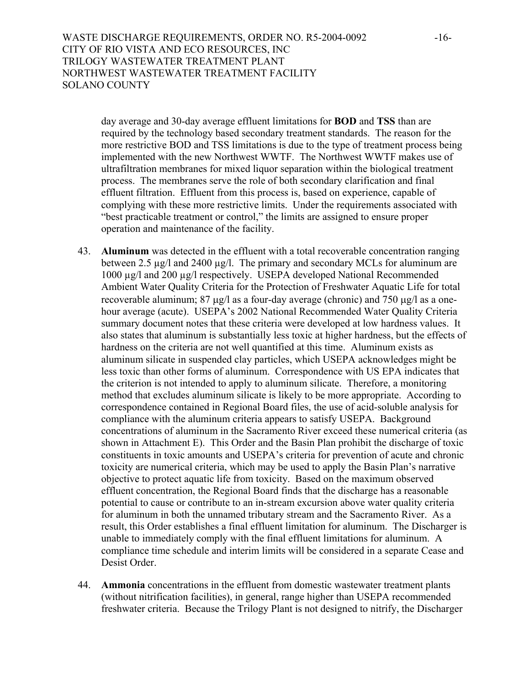WASTE DISCHARGE REQUIREMENTS, ORDER NO. R5-2004-0092 -16-CITY OF RIO VISTA AND ECO RESOURCES, INC TRILOGY WASTEWATER TREATMENT PLANT NORTHWEST WASTEWATER TREATMENT FACILITY SOLANO COUNTY

day average and 30-day average effluent limitations for **BOD** and **TSS** than are required by the technology based secondary treatment standards. The reason for the more restrictive BOD and TSS limitations is due to the type of treatment process being implemented with the new Northwest WWTF. The Northwest WWTF makes use of ultrafiltration membranes for mixed liquor separation within the biological treatment process. The membranes serve the role of both secondary clarification and final effluent filtration. Effluent from this process is, based on experience, capable of complying with these more restrictive limits. Under the requirements associated with "best practicable treatment or control," the limits are assigned to ensure proper operation and maintenance of the facility.

- 43. **Aluminum** was detected in the effluent with a total recoverable concentration ranging between 2.5 µg/l and 2400 µg/l. The primary and secondary MCLs for aluminum are 1000 µg/l and 200 µg/l respectively. USEPA developed National Recommended Ambient Water Quality Criteria for the Protection of Freshwater Aquatic Life for total recoverable aluminum; 87 µg/l as a four-day average (chronic) and 750 µg/l as a onehour average (acute). USEPA's 2002 National Recommended Water Quality Criteria summary document notes that these criteria were developed at low hardness values. It also states that aluminum is substantially less toxic at higher hardness, but the effects of hardness on the criteria are not well quantified at this time. Aluminum exists as aluminum silicate in suspended clay particles, which USEPA acknowledges might be less toxic than other forms of aluminum. Correspondence with US EPA indicates that the criterion is not intended to apply to aluminum silicate. Therefore, a monitoring method that excludes aluminum silicate is likely to be more appropriate. According to correspondence contained in Regional Board files, the use of acid-soluble analysis for compliance with the aluminum criteria appears to satisfy USEPA. Background concentrations of aluminum in the Sacramento River exceed these numerical criteria (as shown in Attachment E). This Order and the Basin Plan prohibit the discharge of toxic constituents in toxic amounts and USEPA's criteria for prevention of acute and chronic toxicity are numerical criteria, which may be used to apply the Basin Plan's narrative objective to protect aquatic life from toxicity. Based on the maximum observed effluent concentration, the Regional Board finds that the discharge has a reasonable potential to cause or contribute to an in-stream excursion above water quality criteria for aluminum in both the unnamed tributary stream and the Sacramento River. As a result, this Order establishes a final effluent limitation for aluminum. The Discharger is unable to immediately comply with the final effluent limitations for aluminum. A compliance time schedule and interim limits will be considered in a separate Cease and Desist Order.
- 44. **Ammonia** concentrations in the effluent from domestic wastewater treatment plants (without nitrification facilities), in general, range higher than USEPA recommended freshwater criteria. Because the Trilogy Plant is not designed to nitrify, the Discharger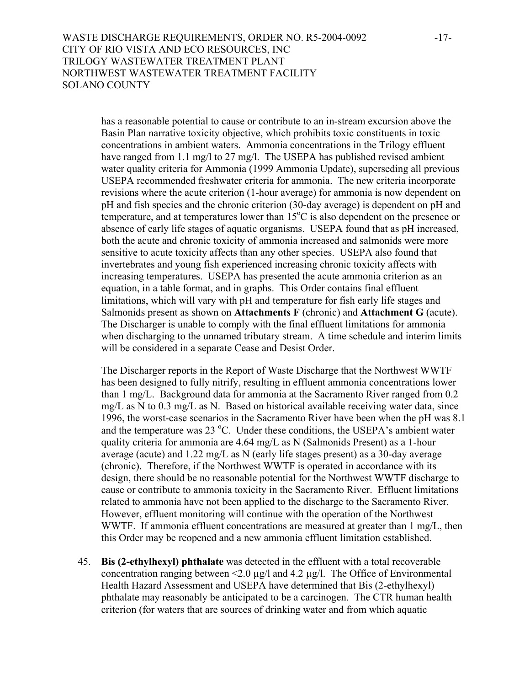WASTE DISCHARGE REQUIREMENTS, ORDER NO. R5-2004-0092 -17-CITY OF RIO VISTA AND ECO RESOURCES, INC TRILOGY WASTEWATER TREATMENT PLANT NORTHWEST WASTEWATER TREATMENT FACILITY SOLANO COUNTY

has a reasonable potential to cause or contribute to an in-stream excursion above the Basin Plan narrative toxicity objective, which prohibits toxic constituents in toxic concentrations in ambient waters. Ammonia concentrations in the Trilogy effluent have ranged from 1.1 mg/l to 27 mg/l. The USEPA has published revised ambient water quality criteria for Ammonia (1999 Ammonia Update), superseding all previous USEPA recommended freshwater criteria for ammonia. The new criteria incorporate revisions where the acute criterion (1-hour average) for ammonia is now dependent on pH and fish species and the chronic criterion (30-day average) is dependent on pH and temperature, and at temperatures lower than  $15^{\circ}$ C is also dependent on the presence or absence of early life stages of aquatic organisms. USEPA found that as pH increased, both the acute and chronic toxicity of ammonia increased and salmonids were more sensitive to acute toxicity affects than any other species. USEPA also found that invertebrates and young fish experienced increasing chronic toxicity affects with increasing temperatures. USEPA has presented the acute ammonia criterion as an equation, in a table format, and in graphs. This Order contains final effluent limitations, which will vary with pH and temperature for fish early life stages and Salmonids present as shown on **Attachments F** (chronic) and **Attachment G** (acute). The Discharger is unable to comply with the final effluent limitations for ammonia when discharging to the unnamed tributary stream. A time schedule and interim limits will be considered in a separate Cease and Desist Order.

The Discharger reports in the Report of Waste Discharge that the Northwest WWTF has been designed to fully nitrify, resulting in effluent ammonia concentrations lower than 1 mg/L. Background data for ammonia at the Sacramento River ranged from 0.2 mg/L as N to 0.3 mg/L as N. Based on historical available receiving water data, since 1996, the worst-case scenarios in the Sacramento River have been when the pH was 8.1 and the temperature was  $23^{\circ}$ C. Under these conditions, the USEPA's ambient water quality criteria for ammonia are 4.64 mg/L as N (Salmonids Present) as a 1-hour average (acute) and 1.22 mg/L as N (early life stages present) as a 30-day average (chronic). Therefore, if the Northwest WWTF is operated in accordance with its design, there should be no reasonable potential for the Northwest WWTF discharge to cause or contribute to ammonia toxicity in the Sacramento River. Effluent limitations related to ammonia have not been applied to the discharge to the Sacramento River. However, effluent monitoring will continue with the operation of the Northwest WWTF. If ammonia effluent concentrations are measured at greater than 1 mg/L, then this Order may be reopened and a new ammonia effluent limitation established.

45. **Bis (2-ethylhexyl) phthalate** was detected in the effluent with a total recoverable concentration ranging between  $\leq 2.0 \text{ µg/l}$  and 4.2  $\text{µg/l}$ . The Office of Environmental Health Hazard Assessment and USEPA have determined that Bis (2-ethylhexyl) phthalate may reasonably be anticipated to be a carcinogen. The CTR human health criterion (for waters that are sources of drinking water and from which aquatic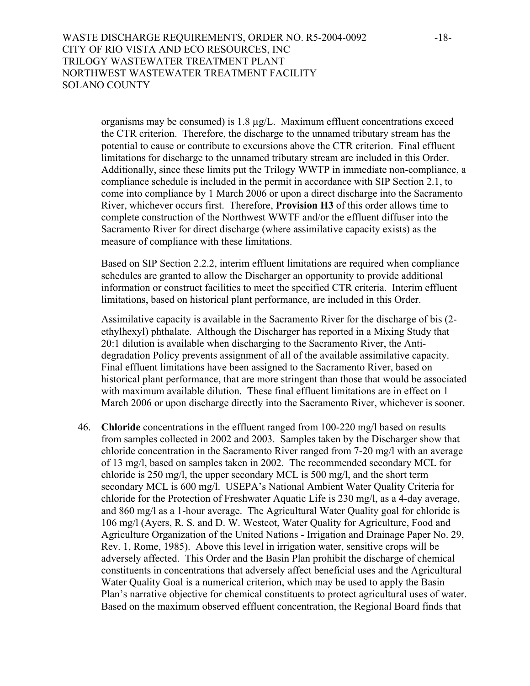WASTE DISCHARGE REQUIREMENTS, ORDER NO. R5-2004-0092 -18-CITY OF RIO VISTA AND ECO RESOURCES, INC TRILOGY WASTEWATER TREATMENT PLANT NORTHWEST WASTEWATER TREATMENT FACILITY SOLANO COUNTY

organisms may be consumed) is 1.8 µg/L. Maximum effluent concentrations exceed the CTR criterion. Therefore, the discharge to the unnamed tributary stream has the potential to cause or contribute to excursions above the CTR criterion. Final effluent limitations for discharge to the unnamed tributary stream are included in this Order. Additionally, since these limits put the Trilogy WWTP in immediate non-compliance, a compliance schedule is included in the permit in accordance with SIP Section 2.1, to come into compliance by 1 March 2006 or upon a direct discharge into the Sacramento River, whichever occurs first. Therefore, **Provision H3** of this order allows time to complete construction of the Northwest WWTF and/or the effluent diffuser into the Sacramento River for direct discharge (where assimilative capacity exists) as the measure of compliance with these limitations.

Based on SIP Section 2.2.2, interim effluent limitations are required when compliance schedules are granted to allow the Discharger an opportunity to provide additional information or construct facilities to meet the specified CTR criteria. Interim effluent limitations, based on historical plant performance, are included in this Order.

Assimilative capacity is available in the Sacramento River for the discharge of bis (2 ethylhexyl) phthalate. Although the Discharger has reported in a Mixing Study that 20:1 dilution is available when discharging to the Sacramento River, the Antidegradation Policy prevents assignment of all of the available assimilative capacity. Final effluent limitations have been assigned to the Sacramento River, based on historical plant performance, that are more stringent than those that would be associated with maximum available dilution. These final effluent limitations are in effect on 1 March 2006 or upon discharge directly into the Sacramento River, whichever is sooner.

46. **Chloride** concentrations in the effluent ranged from 100-220 mg/l based on results from samples collected in 2002 and 2003. Samples taken by the Discharger show that chloride concentration in the Sacramento River ranged from 7-20 mg/l with an average of 13 mg/l, based on samples taken in 2002. The recommended secondary MCL for chloride is 250 mg/l, the upper secondary MCL is 500 mg/l, and the short term secondary MCL is 600 mg/l. USEPA's National Ambient Water Quality Criteria for chloride for the Protection of Freshwater Aquatic Life is 230 mg/l, as a 4-day average, and 860 mg/l as a 1-hour average. The Agricultural Water Quality goal for chloride is 106 mg/l (Ayers, R. S. and D. W. Westcot, Water Quality for Agriculture, Food and Agriculture Organization of the United Nations - Irrigation and Drainage Paper No. 29, Rev. 1, Rome, 1985). Above this level in irrigation water, sensitive crops will be adversely affected. This Order and the Basin Plan prohibit the discharge of chemical constituents in concentrations that adversely affect beneficial uses and the Agricultural Water Quality Goal is a numerical criterion, which may be used to apply the Basin Plan's narrative objective for chemical constituents to protect agricultural uses of water. Based on the maximum observed effluent concentration, the Regional Board finds that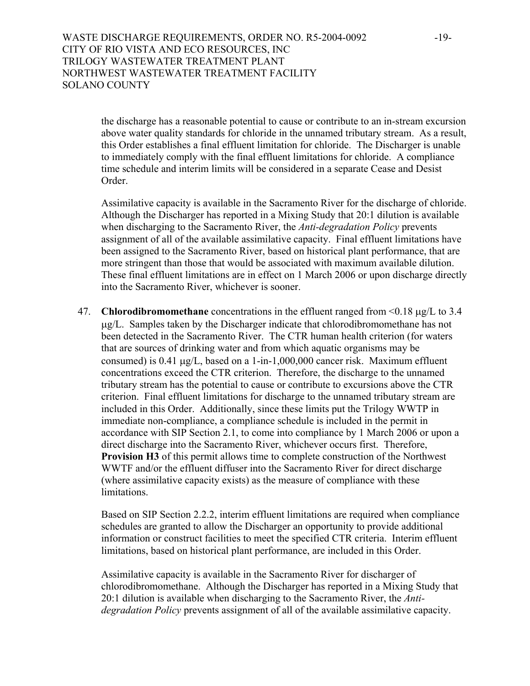WASTE DISCHARGE REQUIREMENTS, ORDER NO. R5-2004-0092 -19-CITY OF RIO VISTA AND ECO RESOURCES, INC TRILOGY WASTEWATER TREATMENT PLANT NORTHWEST WASTEWATER TREATMENT FACILITY SOLANO COUNTY

the discharge has a reasonable potential to cause or contribute to an in-stream excursion above water quality standards for chloride in the unnamed tributary stream. As a result, this Order establishes a final effluent limitation for chloride. The Discharger is unable to immediately comply with the final effluent limitations for chloride. A compliance time schedule and interim limits will be considered in a separate Cease and Desist Order.

Assimilative capacity is available in the Sacramento River for the discharge of chloride. Although the Discharger has reported in a Mixing Study that 20:1 dilution is available when discharging to the Sacramento River, the *Anti-degradation Policy* prevents assignment of all of the available assimilative capacity. Final effluent limitations have been assigned to the Sacramento River, based on historical plant performance, that are more stringent than those that would be associated with maximum available dilution. These final effluent limitations are in effect on 1 March 2006 or upon discharge directly into the Sacramento River, whichever is sooner.

47. **Chlorodibromomethane** concentrations in the effluent ranged from <0.18 µg/L to 3.4 µg/L. Samples taken by the Discharger indicate that chlorodibromomethane has not been detected in the Sacramento River. The CTR human health criterion (for waters that are sources of drinking water and from which aquatic organisms may be consumed) is 0.41 µg/L, based on a 1-in-1,000,000 cancer risk. Maximum effluent concentrations exceed the CTR criterion. Therefore, the discharge to the unnamed tributary stream has the potential to cause or contribute to excursions above the CTR criterion. Final effluent limitations for discharge to the unnamed tributary stream are included in this Order. Additionally, since these limits put the Trilogy WWTP in immediate non-compliance, a compliance schedule is included in the permit in accordance with SIP Section 2.1, to come into compliance by 1 March 2006 or upon a direct discharge into the Sacramento River, whichever occurs first. Therefore, **Provision H3** of this permit allows time to complete construction of the Northwest WWTF and/or the effluent diffuser into the Sacramento River for direct discharge (where assimilative capacity exists) as the measure of compliance with these limitations.

Based on SIP Section 2.2.2, interim effluent limitations are required when compliance schedules are granted to allow the Discharger an opportunity to provide additional information or construct facilities to meet the specified CTR criteria. Interim effluent limitations, based on historical plant performance, are included in this Order.

Assimilative capacity is available in the Sacramento River for discharger of chlorodibromomethane. Although the Discharger has reported in a Mixing Study that 20:1 dilution is available when discharging to the Sacramento River, the *Antidegradation Policy* prevents assignment of all of the available assimilative capacity.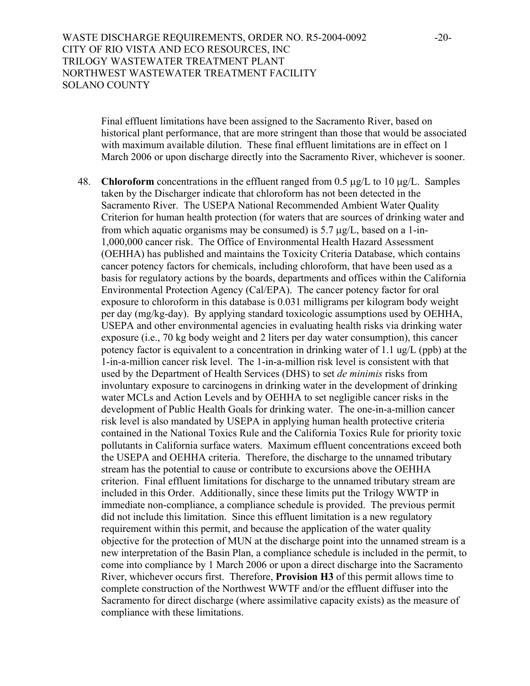WASTE DISCHARGE REQUIREMENTS, ORDER NO. R5-2004-0092 -20-CITY OF RIO VISTA AND ECO RESOURCES, INC TRILOGY WASTEWATER TREATMENT PLANT NORTHWEST WASTEWATER TREATMENT FACILITY SOLANO COUNTY

Final effluent limitations have been assigned to the Sacramento River, based on historical plant performance, that are more stringent than those that would be associated with maximum available dilution. These final effluent limitations are in effect on 1 March 2006 or upon discharge directly into the Sacramento River, whichever is sooner.

48. **Chloroform** concentrations in the effluent ranged from 0.5 µg/L to 10 µg/L. Samples taken by the Discharger indicate that chloroform has not been detected in the Sacramento River. The USEPA National Recommended Ambient Water Quality Criterion for human health protection (for waters that are sources of drinking water and from which aquatic organisms may be consumed) is  $5.7 \mu g/L$ , based on a 1-in-1,000,000 cancer risk. The Office of Environmental Health Hazard Assessment (OEHHA) has published and maintains the Toxicity Criteria Database, which contains cancer potency factors for chemicals, including chloroform, that have been used as a basis for regulatory actions by the boards, departments and offices within the California Environmental Protection Agency (Cal/EPA). The cancer potency factor for oral exposure to chloroform in this database is 0.031 milligrams per kilogram body weight per day (mg/kg-day). By applying standard toxicologic assumptions used by OEHHA, USEPA and other environmental agencies in evaluating health risks via drinking water exposure (i.e., 70 kg body weight and 2 liters per day water consumption), this cancer potency factor is equivalent to a concentration in drinking water of 1.1 ug/L (ppb) at the 1-in-a-million cancer risk level. The 1-in-a-million risk level is consistent with that used by the Department of Health Services (DHS) to set *de minimis* risks from involuntary exposure to carcinogens in drinking water in the development of drinking water MCLs and Action Levels and by OEHHA to set negligible cancer risks in the development of Public Health Goals for drinking water. The one-in-a-million cancer risk level is also mandated by USEPA in applying human health protective criteria contained in the National Toxics Rule and the California Toxics Rule for priority toxic pollutants in California surface waters. Maximum effluent concentrations exceed both the USEPA and OEHHA criteria. Therefore, the discharge to the unnamed tributary stream has the potential to cause or contribute to excursions above the OEHHA criterion. Final effluent limitations for discharge to the unnamed tributary stream are included in this Order. Additionally, since these limits put the Trilogy WWTP in immediate non-compliance, a compliance schedule is provided. The previous permit did not include this limitation. Since this effluent limitation is a new regulatory requirement within this permit, and because the application of the water quality objective for the protection of MUN at the discharge point into the unnamed stream is a new interpretation of the Basin Plan, a compliance schedule is included in the permit, to come into compliance by 1 March 2006 or upon a direct discharge into the Sacramento River, whichever occurs first. Therefore, **Provision H3** of this permit allows time to complete construction of the Northwest WWTF and/or the effluent diffuser into the Sacramento for direct discharge (where assimilative capacity exists) as the measure of compliance with these limitations.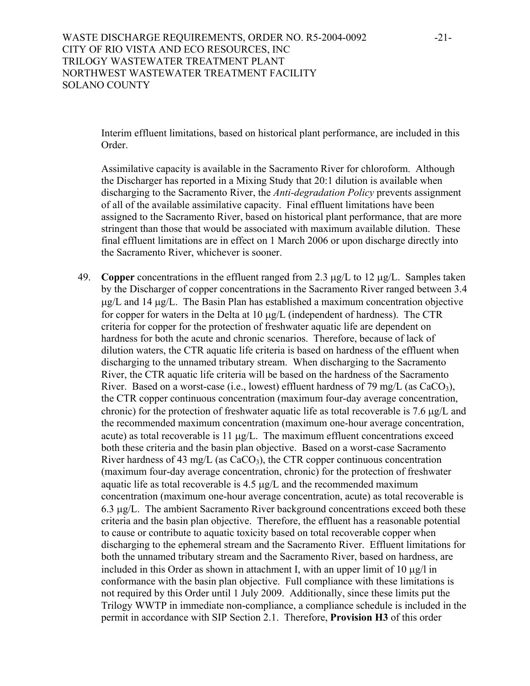Interim effluent limitations, based on historical plant performance, are included in this Order.

Assimilative capacity is available in the Sacramento River for chloroform. Although the Discharger has reported in a Mixing Study that 20:1 dilution is available when discharging to the Sacramento River, the *Anti-degradation Policy* prevents assignment of all of the available assimilative capacity. Final effluent limitations have been assigned to the Sacramento River, based on historical plant performance, that are more stringent than those that would be associated with maximum available dilution. These final effluent limitations are in effect on 1 March 2006 or upon discharge directly into the Sacramento River, whichever is sooner.

49. **Copper** concentrations in the effluent ranged from 2.3 µg/L to 12 µg/L. Samples taken by the Discharger of copper concentrations in the Sacramento River ranged between 3.4  $\mu$ g/L and 14  $\mu$ g/L. The Basin Plan has established a maximum concentration objective for copper for waters in the Delta at  $10 \mu g/L$  (independent of hardness). The CTR criteria for copper for the protection of freshwater aquatic life are dependent on hardness for both the acute and chronic scenarios. Therefore, because of lack of dilution waters, the CTR aquatic life criteria is based on hardness of the effluent when discharging to the unnamed tributary stream. When discharging to the Sacramento River, the CTR aquatic life criteria will be based on the hardness of the Sacramento River. Based on a worst-case (i.e., lowest) effluent hardness of 79 mg/L (as  $CaCO<sub>3</sub>$ ), the CTR copper continuous concentration (maximum four-day average concentration, chronic) for the protection of freshwater aquatic life as total recoverable is 7.6 µg/L and the recommended maximum concentration (maximum one-hour average concentration, acute) as total recoverable is  $11 \mu g/L$ . The maximum effluent concentrations exceed both these criteria and the basin plan objective. Based on a worst-case Sacramento River hardness of 43 mg/L (as  $CaCO<sub>3</sub>$ ), the CTR copper continuous concentration (maximum four-day average concentration, chronic) for the protection of freshwater aquatic life as total recoverable is 4.5 µg/L and the recommended maximum concentration (maximum one-hour average concentration, acute) as total recoverable is 6.3 µg/L. The ambient Sacramento River background concentrations exceed both these criteria and the basin plan objective. Therefore, the effluent has a reasonable potential to cause or contribute to aquatic toxicity based on total recoverable copper when discharging to the ephemeral stream and the Sacramento River. Effluent limitations for both the unnamed tributary stream and the Sacramento River, based on hardness, are included in this Order as shown in attachment I, with an upper limit of  $10 \mu\text{g/l}$  in conformance with the basin plan objective. Full compliance with these limitations is not required by this Order until 1 July 2009. Additionally, since these limits put the Trilogy WWTP in immediate non-compliance, a compliance schedule is included in the permit in accordance with SIP Section 2.1. Therefore, **Provision H3** of this order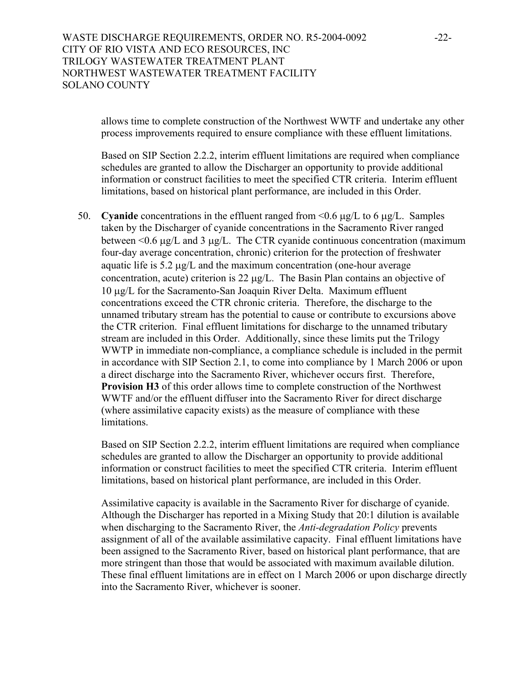## WASTE DISCHARGE REQUIREMENTS, ORDER NO. R5-2004-0092 -22-CITY OF RIO VISTA AND ECO RESOURCES, INC TRILOGY WASTEWATER TREATMENT PLANT NORTHWEST WASTEWATER TREATMENT FACILITY SOLANO COUNTY

allows time to complete construction of the Northwest WWTF and undertake any other process improvements required to ensure compliance with these effluent limitations.

Based on SIP Section 2.2.2, interim effluent limitations are required when compliance schedules are granted to allow the Discharger an opportunity to provide additional information or construct facilities to meet the specified CTR criteria. Interim effluent limitations, based on historical plant performance, are included in this Order.

50. **Cyanide** concentrations in the effluent ranged from <0.6 µg/L to 6 µg/L. Samples taken by the Discharger of cyanide concentrations in the Sacramento River ranged between  $\leq 0.6$  µg/L and 3 µg/L. The CTR cyanide continuous concentration (maximum four-day average concentration, chronic) criterion for the protection of freshwater aquatic life is 5.2 µg/L and the maximum concentration (one-hour average concentration, acute) criterion is 22 µg/L. The Basin Plan contains an objective of 10 µg/L for the Sacramento-San Joaquin River Delta. Maximum effluent concentrations exceed the CTR chronic criteria. Therefore, the discharge to the unnamed tributary stream has the potential to cause or contribute to excursions above the CTR criterion. Final effluent limitations for discharge to the unnamed tributary stream are included in this Order. Additionally, since these limits put the Trilogy WWTP in immediate non-compliance, a compliance schedule is included in the permit in accordance with SIP Section 2.1, to come into compliance by 1 March 2006 or upon a direct discharge into the Sacramento River, whichever occurs first. Therefore, **Provision H3** of this order allows time to complete construction of the Northwest WWTF and/or the effluent diffuser into the Sacramento River for direct discharge (where assimilative capacity exists) as the measure of compliance with these limitations.

Based on SIP Section 2.2.2, interim effluent limitations are required when compliance schedules are granted to allow the Discharger an opportunity to provide additional information or construct facilities to meet the specified CTR criteria. Interim effluent limitations, based on historical plant performance, are included in this Order.

Assimilative capacity is available in the Sacramento River for discharge of cyanide. Although the Discharger has reported in a Mixing Study that 20:1 dilution is available when discharging to the Sacramento River, the *Anti-degradation Policy* prevents assignment of all of the available assimilative capacity. Final effluent limitations have been assigned to the Sacramento River, based on historical plant performance, that are more stringent than those that would be associated with maximum available dilution. These final effluent limitations are in effect on 1 March 2006 or upon discharge directly into the Sacramento River, whichever is sooner.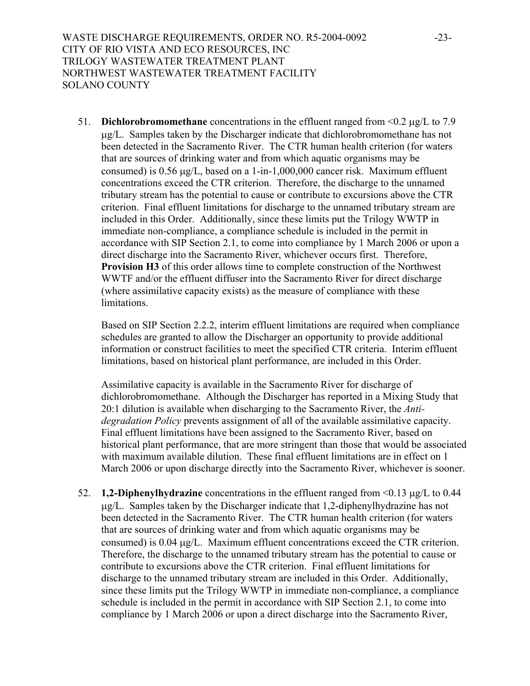51. **Dichlorobromomethane** concentrations in the effluent ranged from <0.2 µg/L to 7.9 µg/L. Samples taken by the Discharger indicate that dichlorobromomethane has not been detected in the Sacramento River. The CTR human health criterion (for waters that are sources of drinking water and from which aquatic organisms may be consumed) is 0.56 µg/L, based on a 1-in-1,000,000 cancer risk. Maximum effluent concentrations exceed the CTR criterion. Therefore, the discharge to the unnamed tributary stream has the potential to cause or contribute to excursions above the CTR criterion. Final effluent limitations for discharge to the unnamed tributary stream are included in this Order. Additionally, since these limits put the Trilogy WWTP in immediate non-compliance, a compliance schedule is included in the permit in accordance with SIP Section 2.1, to come into compliance by 1 March 2006 or upon a direct discharge into the Sacramento River, whichever occurs first. Therefore, **Provision H3** of this order allows time to complete construction of the Northwest WWTF and/or the effluent diffuser into the Sacramento River for direct discharge (where assimilative capacity exists) as the measure of compliance with these limitations.

Based on SIP Section 2.2.2, interim effluent limitations are required when compliance schedules are granted to allow the Discharger an opportunity to provide additional information or construct facilities to meet the specified CTR criteria. Interim effluent limitations, based on historical plant performance, are included in this Order.

Assimilative capacity is available in the Sacramento River for discharge of dichlorobromomethane. Although the Discharger has reported in a Mixing Study that 20:1 dilution is available when discharging to the Sacramento River, the *Antidegradation Policy* prevents assignment of all of the available assimilative capacity. Final effluent limitations have been assigned to the Sacramento River, based on historical plant performance, that are more stringent than those that would be associated with maximum available dilution. These final effluent limitations are in effect on 1 March 2006 or upon discharge directly into the Sacramento River, whichever is sooner.

52. **1,2-Diphenylhydrazine** concentrations in the effluent ranged from <0.13 µg/L to 0.44 µg/L. Samples taken by the Discharger indicate that 1,2-diphenylhydrazine has not been detected in the Sacramento River. The CTR human health criterion (for waters that are sources of drinking water and from which aquatic organisms may be consumed) is 0.04 µg/L. Maximum effluent concentrations exceed the CTR criterion. Therefore, the discharge to the unnamed tributary stream has the potential to cause or contribute to excursions above the CTR criterion. Final effluent limitations for discharge to the unnamed tributary stream are included in this Order. Additionally, since these limits put the Trilogy WWTP in immediate non-compliance, a compliance schedule is included in the permit in accordance with SIP Section 2.1, to come into compliance by 1 March 2006 or upon a direct discharge into the Sacramento River,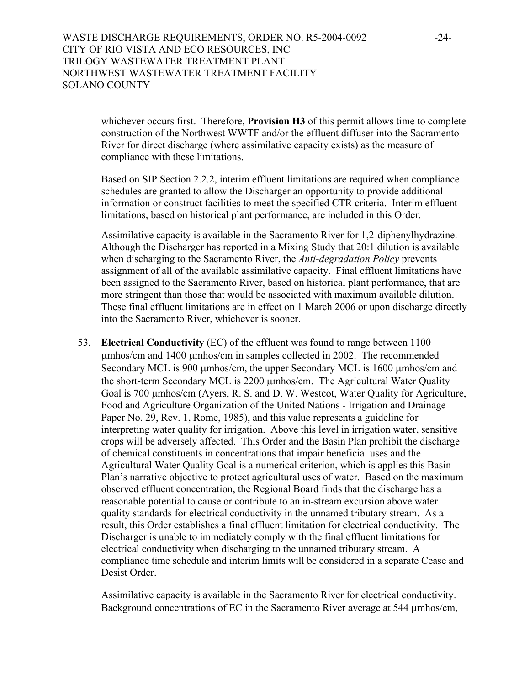whichever occurs first. Therefore, **Provision H3** of this permit allows time to complete construction of the Northwest WWTF and/or the effluent diffuser into the Sacramento River for direct discharge (where assimilative capacity exists) as the measure of compliance with these limitations.

Based on SIP Section 2.2.2, interim effluent limitations are required when compliance schedules are granted to allow the Discharger an opportunity to provide additional information or construct facilities to meet the specified CTR criteria. Interim effluent limitations, based on historical plant performance, are included in this Order.

Assimilative capacity is available in the Sacramento River for 1,2-diphenylhydrazine. Although the Discharger has reported in a Mixing Study that 20:1 dilution is available when discharging to the Sacramento River, the *Anti-degradation Policy* prevents assignment of all of the available assimilative capacity. Final effluent limitations have been assigned to the Sacramento River, based on historical plant performance, that are more stringent than those that would be associated with maximum available dilution. These final effluent limitations are in effect on 1 March 2006 or upon discharge directly into the Sacramento River, whichever is sooner.

53. **Electrical Conductivity** (EC) of the effluent was found to range between 1100 µmhos/cm and 1400 µmhos/cm in samples collected in 2002. The recommended Secondary MCL is 900 µmhos/cm, the upper Secondary MCL is 1600 µmhos/cm and the short-term Secondary MCL is 2200 µmhos/cm. The Agricultural Water Quality Goal is 700 µmhos/cm (Ayers, R. S. and D. W. Westcot, Water Quality for Agriculture, Food and Agriculture Organization of the United Nations - Irrigation and Drainage Paper No. 29, Rev. 1, Rome, 1985), and this value represents a guideline for interpreting water quality for irrigation. Above this level in irrigation water, sensitive crops will be adversely affected. This Order and the Basin Plan prohibit the discharge of chemical constituents in concentrations that impair beneficial uses and the Agricultural Water Quality Goal is a numerical criterion, which is applies this Basin Plan's narrative objective to protect agricultural uses of water. Based on the maximum observed effluent concentration, the Regional Board finds that the discharge has a reasonable potential to cause or contribute to an in-stream excursion above water quality standards for electrical conductivity in the unnamed tributary stream. As a result, this Order establishes a final effluent limitation for electrical conductivity. The Discharger is unable to immediately comply with the final effluent limitations for electrical conductivity when discharging to the unnamed tributary stream. A compliance time schedule and interim limits will be considered in a separate Cease and Desist Order.

Assimilative capacity is available in the Sacramento River for electrical conductivity. Background concentrations of EC in the Sacramento River average at 544 µmhos/cm,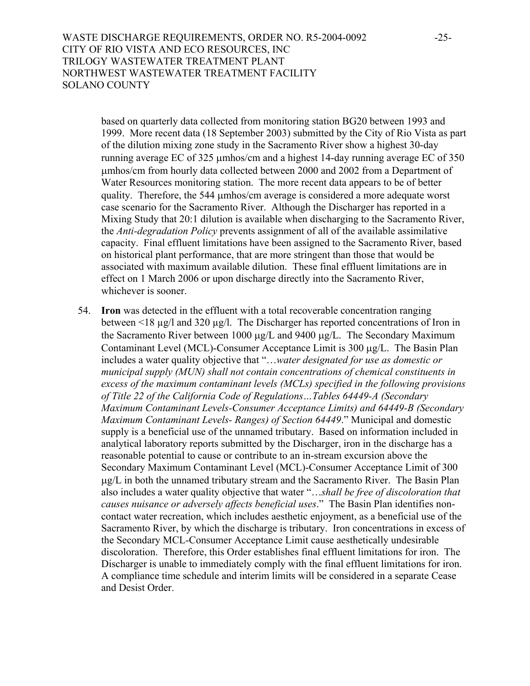WASTE DISCHARGE REQUIREMENTS, ORDER NO. R5-2004-0092 -25-CITY OF RIO VISTA AND ECO RESOURCES, INC TRILOGY WASTEWATER TREATMENT PLANT NORTHWEST WASTEWATER TREATMENT FACILITY SOLANO COUNTY

based on quarterly data collected from monitoring station BG20 between 1993 and 1999. More recent data (18 September 2003) submitted by the City of Rio Vista as part of the dilution mixing zone study in the Sacramento River show a highest 30-day running average EC of 325 µmhos/cm and a highest 14-day running average EC of 350 µmhos/cm from hourly data collected between 2000 and 2002 from a Department of Water Resources monitoring station. The more recent data appears to be of better quality. Therefore, the 544 µmhos/cm average is considered a more adequate worst case scenario for the Sacramento River. Although the Discharger has reported in a Mixing Study that 20:1 dilution is available when discharging to the Sacramento River, the *Anti-degradation Policy* prevents assignment of all of the available assimilative capacity. Final effluent limitations have been assigned to the Sacramento River, based on historical plant performance, that are more stringent than those that would be associated with maximum available dilution. These final effluent limitations are in effect on 1 March 2006 or upon discharge directly into the Sacramento River, whichever is sooner.

54. **Iron** was detected in the effluent with a total recoverable concentration ranging between <18 µg/l and 320 µg/l. The Discharger has reported concentrations of Iron in the Sacramento River between 1000 µg/L and 9400 µg/L. The Secondary Maximum Contaminant Level (MCL)-Consumer Acceptance Limit is 300 µg/L. The Basin Plan includes a water quality objective that "…*water designated for use as domestic or municipal supply (MUN) shall not contain concentrations of chemical constituents in excess of the maximum contaminant levels (MCLs) specified in the following provisions of Title 22 of the California Code of Regulations…Tables 64449-A (Secondary Maximum Contaminant Levels-Consumer Acceptance Limits) and 64449-B (Secondary Maximum Contaminant Levels- Ranges) of Section 64449*." Municipal and domestic supply is a beneficial use of the unnamed tributary. Based on information included in analytical laboratory reports submitted by the Discharger, iron in the discharge has a reasonable potential to cause or contribute to an in-stream excursion above the Secondary Maximum Contaminant Level (MCL)-Consumer Acceptance Limit of 300 µg/L in both the unnamed tributary stream and the Sacramento River. The Basin Plan also includes a water quality objective that water "…*shall be free of discoloration that causes nuisance or adversely affects beneficial uses*." The Basin Plan identifies noncontact water recreation, which includes aesthetic enjoyment, as a beneficial use of the Sacramento River, by which the discharge is tributary. Iron concentrations in excess of the Secondary MCL-Consumer Acceptance Limit cause aesthetically undesirable discoloration. Therefore, this Order establishes final effluent limitations for iron. The Discharger is unable to immediately comply with the final effluent limitations for iron. A compliance time schedule and interim limits will be considered in a separate Cease and Desist Order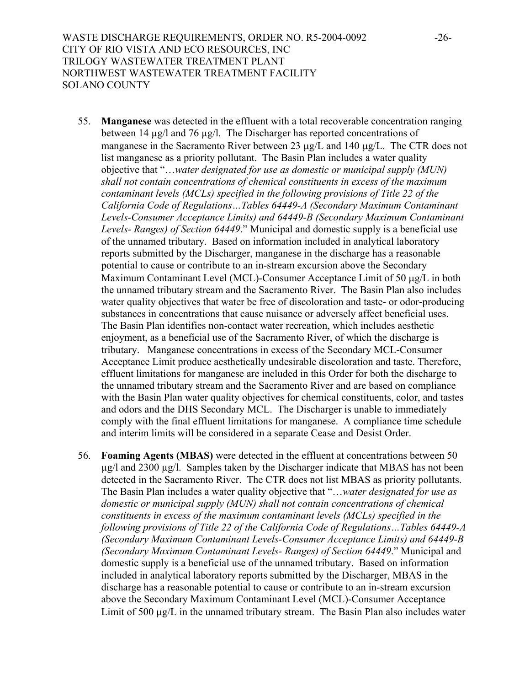- 55. **Manganese** was detected in the effluent with a total recoverable concentration ranging between 14 µg/l and 76 µg/l. The Discharger has reported concentrations of manganese in the Sacramento River between 23  $\mu$ g/L and 140  $\mu$ g/L. The CTR does not list manganese as a priority pollutant. The Basin Plan includes a water quality objective that "…*water designated for use as domestic or municipal supply (MUN) shall not contain concentrations of chemical constituents in excess of the maximum contaminant levels (MCLs) specified in the following provisions of Title 22 of the California Code of Regulations…Tables 64449-A (Secondary Maximum Contaminant Levels-Consumer Acceptance Limits) and 64449-B (Secondary Maximum Contaminant Levels- Ranges) of Section 64449*." Municipal and domestic supply is a beneficial use of the unnamed tributary. Based on information included in analytical laboratory reports submitted by the Discharger, manganese in the discharge has a reasonable potential to cause or contribute to an in-stream excursion above the Secondary Maximum Contaminant Level (MCL)-Consumer Acceptance Limit of 50 µg/L in both the unnamed tributary stream and the Sacramento River. The Basin Plan also includes water quality objectives that water be free of discoloration and taste- or odor-producing substances in concentrations that cause nuisance or adversely affect beneficial uses. The Basin Plan identifies non-contact water recreation, which includes aesthetic enjoyment, as a beneficial use of the Sacramento River, of which the discharge is tributary. Manganese concentrations in excess of the Secondary MCL-Consumer Acceptance Limit produce aesthetically undesirable discoloration and taste. Therefore, effluent limitations for manganese are included in this Order for both the discharge to the unnamed tributary stream and the Sacramento River and are based on compliance with the Basin Plan water quality objectives for chemical constituents, color, and tastes and odors and the DHS Secondary MCL. The Discharger is unable to immediately comply with the final effluent limitations for manganese. A compliance time schedule and interim limits will be considered in a separate Cease and Desist Order.
- 56. **Foaming Agents (MBAS)** were detected in the effluent at concentrations between 50 µg/l and 2300 µg/l. Samples taken by the Discharger indicate that MBAS has not been detected in the Sacramento River. The CTR does not list MBAS as priority pollutants. The Basin Plan includes a water quality objective that "…*water designated for use as domestic or municipal supply (MUN) shall not contain concentrations of chemical constituents in excess of the maximum contaminant levels (MCLs) specified in the following provisions of Title 22 of the California Code of Regulations…Tables 64449-A (Secondary Maximum Contaminant Levels-Consumer Acceptance Limits) and 64449-B (Secondary Maximum Contaminant Levels- Ranges) of Section 64449*." Municipal and domestic supply is a beneficial use of the unnamed tributary. Based on information included in analytical laboratory reports submitted by the Discharger, MBAS in the discharge has a reasonable potential to cause or contribute to an in-stream excursion above the Secondary Maximum Contaminant Level (MCL)-Consumer Acceptance Limit of 500  $\mu$ g/L in the unnamed tributary stream. The Basin Plan also includes water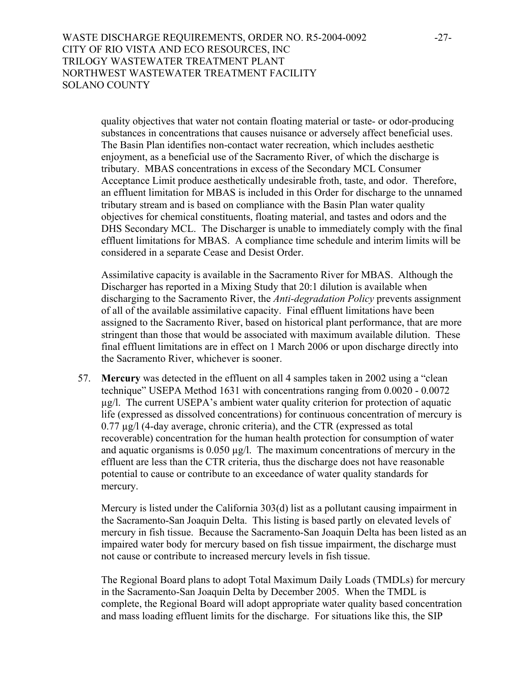WASTE DISCHARGE REQUIREMENTS, ORDER NO. R5-2004-0092 -27-CITY OF RIO VISTA AND ECO RESOURCES, INC TRILOGY WASTEWATER TREATMENT PLANT NORTHWEST WASTEWATER TREATMENT FACILITY SOLANO COUNTY

quality objectives that water not contain floating material or taste- or odor-producing substances in concentrations that causes nuisance or adversely affect beneficial uses. The Basin Plan identifies non-contact water recreation, which includes aesthetic enjoyment, as a beneficial use of the Sacramento River, of which the discharge is tributary. MBAS concentrations in excess of the Secondary MCL Consumer Acceptance Limit produce aesthetically undesirable froth, taste, and odor. Therefore, an effluent limitation for MBAS is included in this Order for discharge to the unnamed tributary stream and is based on compliance with the Basin Plan water quality objectives for chemical constituents, floating material, and tastes and odors and the DHS Secondary MCL. The Discharger is unable to immediately comply with the final effluent limitations for MBAS. A compliance time schedule and interim limits will be considered in a separate Cease and Desist Order.

Assimilative capacity is available in the Sacramento River for MBAS. Although the Discharger has reported in a Mixing Study that 20:1 dilution is available when discharging to the Sacramento River, the *Anti-degradation Policy* prevents assignment of all of the available assimilative capacity. Final effluent limitations have been assigned to the Sacramento River, based on historical plant performance, that are more stringent than those that would be associated with maximum available dilution. These final effluent limitations are in effect on 1 March 2006 or upon discharge directly into the Sacramento River, whichever is sooner.

57. **Mercury** was detected in the effluent on all 4 samples taken in 2002 using a "clean technique" USEPA Method 1631 with concentrations ranging from 0.0020 - 0.0072 µg/l. The current USEPA's ambient water quality criterion for protection of aquatic life (expressed as dissolved concentrations) for continuous concentration of mercury is 0.77 µg/l (4-day average, chronic criteria), and the CTR (expressed as total recoverable) concentration for the human health protection for consumption of water and aquatic organisms is 0.050 µg/l. The maximum concentrations of mercury in the effluent are less than the CTR criteria, thus the discharge does not have reasonable potential to cause or contribute to an exceedance of water quality standards for mercury.

Mercury is listed under the California 303(d) list as a pollutant causing impairment in the Sacramento-San Joaquin Delta. This listing is based partly on elevated levels of mercury in fish tissue. Because the Sacramento-San Joaquin Delta has been listed as an impaired water body for mercury based on fish tissue impairment, the discharge must not cause or contribute to increased mercury levels in fish tissue.

The Regional Board plans to adopt Total Maximum Daily Loads (TMDLs) for mercury in the Sacramento-San Joaquin Delta by December 2005. When the TMDL is complete, the Regional Board will adopt appropriate water quality based concentration and mass loading effluent limits for the discharge. For situations like this, the SIP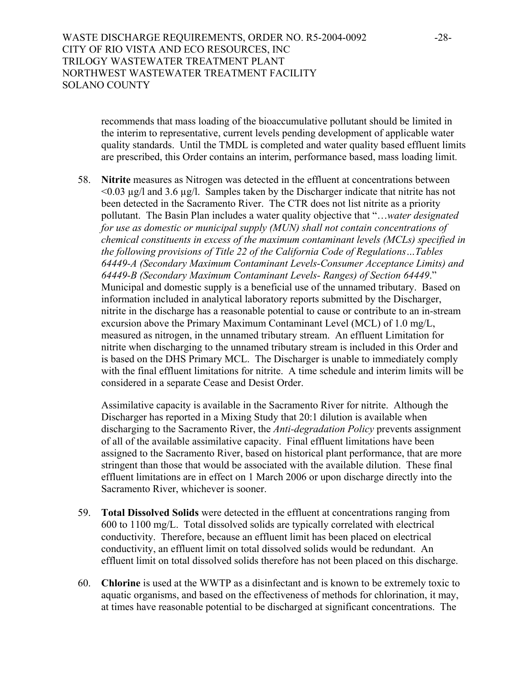## WASTE DISCHARGE REQUIREMENTS, ORDER NO. R5-2004-0092 -28-CITY OF RIO VISTA AND ECO RESOURCES, INC TRILOGY WASTEWATER TREATMENT PLANT NORTHWEST WASTEWATER TREATMENT FACILITY SOLANO COUNTY

recommends that mass loading of the bioaccumulative pollutant should be limited in the interim to representative, current levels pending development of applicable water quality standards. Until the TMDL is completed and water quality based effluent limits are prescribed, this Order contains an interim, performance based, mass loading limit.

58. **Nitrite** measures as Nitrogen was detected in the effluent at concentrations between  $\leq 0.03$  ug/l and 3.6 ug/l. Samples taken by the Discharger indicate that nitrite has not been detected in the Sacramento River. The CTR does not list nitrite as a priority pollutant. The Basin Plan includes a water quality objective that "…*water designated for use as domestic or municipal supply (MUN) shall not contain concentrations of chemical constituents in excess of the maximum contaminant levels (MCLs) specified in the following provisions of Title 22 of the California Code of Regulations…Tables 64449-A (Secondary Maximum Contaminant Levels-Consumer Acceptance Limits) and 64449-B (Secondary Maximum Contaminant Levels- Ranges) of Section 64449*." Municipal and domestic supply is a beneficial use of the unnamed tributary. Based on information included in analytical laboratory reports submitted by the Discharger, nitrite in the discharge has a reasonable potential to cause or contribute to an in-stream excursion above the Primary Maximum Contaminant Level (MCL) of 1.0 mg/L, measured as nitrogen, in the unnamed tributary stream. An effluent Limitation for nitrite when discharging to the unnamed tributary stream is included in this Order and is based on the DHS Primary MCL. The Discharger is unable to immediately comply with the final effluent limitations for nitrite. A time schedule and interim limits will be considered in a separate Cease and Desist Order.

Assimilative capacity is available in the Sacramento River for nitrite. Although the Discharger has reported in a Mixing Study that 20:1 dilution is available when discharging to the Sacramento River, the *Anti-degradation Policy* prevents assignment of all of the available assimilative capacity. Final effluent limitations have been assigned to the Sacramento River, based on historical plant performance, that are more stringent than those that would be associated with the available dilution. These final effluent limitations are in effect on 1 March 2006 or upon discharge directly into the Sacramento River, whichever is sooner.

- 59. **Total Dissolved Solids** were detected in the effluent at concentrations ranging from 600 to 1100 mg/L. Total dissolved solids are typically correlated with electrical conductivity. Therefore, because an effluent limit has been placed on electrical conductivity, an effluent limit on total dissolved solids would be redundant. An effluent limit on total dissolved solids therefore has not been placed on this discharge.
- 60. **Chlorine** is used at the WWTP as a disinfectant and is known to be extremely toxic to aquatic organisms, and based on the effectiveness of methods for chlorination, it may, at times have reasonable potential to be discharged at significant concentrations. The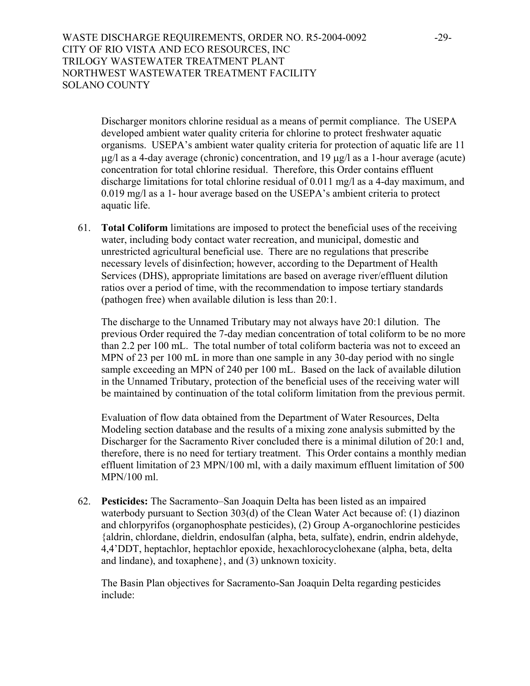WASTE DISCHARGE REQUIREMENTS, ORDER NO. R5-2004-0092 -29-CITY OF RIO VISTA AND ECO RESOURCES, INC TRILOGY WASTEWATER TREATMENT PLANT NORTHWEST WASTEWATER TREATMENT FACILITY SOLANO COUNTY

Discharger monitors chlorine residual as a means of permit compliance. The USEPA developed ambient water quality criteria for chlorine to protect freshwater aquatic organisms. USEPA's ambient water quality criteria for protection of aquatic life are 11  $\mu$ g/l as a 4-day average (chronic) concentration, and 19  $\mu$ g/l as a 1-hour average (acute) concentration for total chlorine residual. Therefore, this Order contains effluent discharge limitations for total chlorine residual of 0.011 mg/l as a 4-day maximum, and 0.019 mg/l as a 1- hour average based on the USEPA's ambient criteria to protect aquatic life.

61. **Total Coliform** limitations are imposed to protect the beneficial uses of the receiving water, including body contact water recreation, and municipal, domestic and unrestricted agricultural beneficial use. There are no regulations that prescribe necessary levels of disinfection; however, according to the Department of Health Services (DHS), appropriate limitations are based on average river/effluent dilution ratios over a period of time, with the recommendation to impose tertiary standards (pathogen free) when available dilution is less than 20:1.

The discharge to the Unnamed Tributary may not always have 20:1 dilution. The previous Order required the 7-day median concentration of total coliform to be no more than 2.2 per 100 mL. The total number of total coliform bacteria was not to exceed an MPN of 23 per 100 mL in more than one sample in any 30-day period with no single sample exceeding an MPN of 240 per 100 mL. Based on the lack of available dilution in the Unnamed Tributary, protection of the beneficial uses of the receiving water will be maintained by continuation of the total coliform limitation from the previous permit.

Evaluation of flow data obtained from the Department of Water Resources, Delta Modeling section database and the results of a mixing zone analysis submitted by the Discharger for the Sacramento River concluded there is a minimal dilution of 20:1 and, therefore, there is no need for tertiary treatment. This Order contains a monthly median effluent limitation of 23 MPN/100 ml, with a daily maximum effluent limitation of 500 MPN/100 ml.

62. **Pesticides:** The Sacramento–San Joaquin Delta has been listed as an impaired waterbody pursuant to Section 303(d) of the Clean Water Act because of: (1) diazinon and chlorpyrifos (organophosphate pesticides), (2) Group A-organochlorine pesticides {aldrin, chlordane, dieldrin, endosulfan (alpha, beta, sulfate), endrin, endrin aldehyde, 4,4'DDT, heptachlor, heptachlor epoxide, hexachlorocyclohexane (alpha, beta, delta and lindane), and toxaphene}, and (3) unknown toxicity.

The Basin Plan objectives for Sacramento-San Joaquin Delta regarding pesticides include: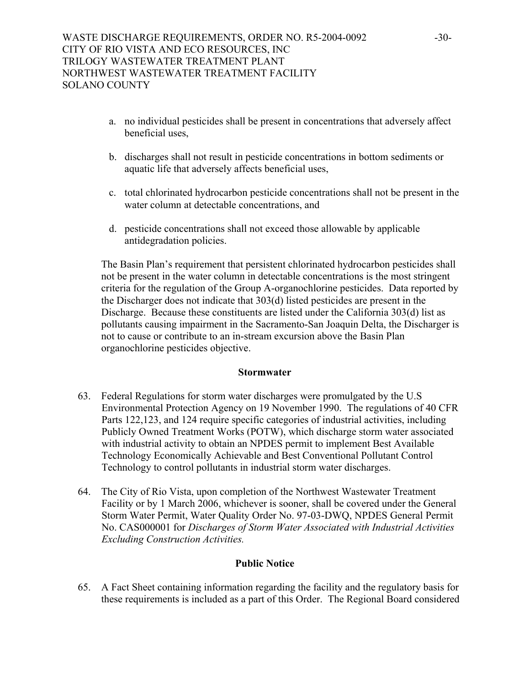- a. no individual pesticides shall be present in concentrations that adversely affect beneficial uses,
- b. discharges shall not result in pesticide concentrations in bottom sediments or aquatic life that adversely affects beneficial uses,
- c. total chlorinated hydrocarbon pesticide concentrations shall not be present in the water column at detectable concentrations, and
- d. pesticide concentrations shall not exceed those allowable by applicable antidegradation policies.

The Basin Plan's requirement that persistent chlorinated hydrocarbon pesticides shall not be present in the water column in detectable concentrations is the most stringent criteria for the regulation of the Group A-organochlorine pesticides. Data reported by the Discharger does not indicate that 303(d) listed pesticides are present in the Discharge. Because these constituents are listed under the California 303(d) list as pollutants causing impairment in the Sacramento-San Joaquin Delta, the Discharger is not to cause or contribute to an in-stream excursion above the Basin Plan organochlorine pesticides objective.

### **Stormwater**

- 63. Federal Regulations for storm water discharges were promulgated by the U.S Environmental Protection Agency on 19 November 1990. The regulations of 40 CFR Parts 122,123, and 124 require specific categories of industrial activities, including Publicly Owned Treatment Works (POTW), which discharge storm water associated with industrial activity to obtain an NPDES permit to implement Best Available Technology Economically Achievable and Best Conventional Pollutant Control Technology to control pollutants in industrial storm water discharges.
- 64. The City of Rio Vista, upon completion of the Northwest Wastewater Treatment Facility or by 1 March 2006, whichever is sooner, shall be covered under the General Storm Water Permit, Water Quality Order No. 97-03-DWQ, NPDES General Permit No. CAS000001 for *Discharges of Storm Water Associated with Industrial Activities Excluding Construction Activities.*

### **Public Notice**

65. A Fact Sheet containing information regarding the facility and the regulatory basis for these requirements is included as a part of this Order. The Regional Board considered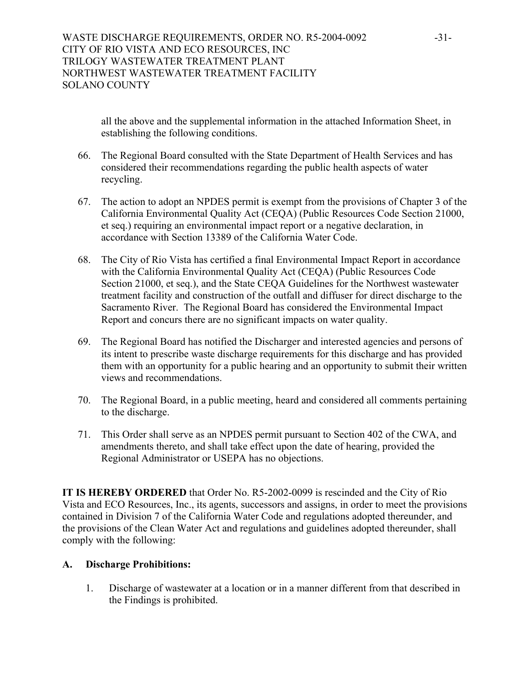all the above and the supplemental information in the attached Information Sheet, in establishing the following conditions.

- 66. The Regional Board consulted with the State Department of Health Services and has considered their recommendations regarding the public health aspects of water recycling.
- 67. The action to adopt an NPDES permit is exempt from the provisions of Chapter 3 of the California Environmental Quality Act (CEQA) (Public Resources Code Section 21000, et seq.) requiring an environmental impact report or a negative declaration, in accordance with Section 13389 of the California Water Code.
- 68. The City of Rio Vista has certified a final Environmental Impact Report in accordance with the California Environmental Quality Act (CEQA) (Public Resources Code Section 21000, et seq.), and the State CEQA Guidelines for the Northwest wastewater treatment facility and construction of the outfall and diffuser for direct discharge to the Sacramento River. The Regional Board has considered the Environmental Impact Report and concurs there are no significant impacts on water quality.
- 69. The Regional Board has notified the Discharger and interested agencies and persons of its intent to prescribe waste discharge requirements for this discharge and has provided them with an opportunity for a public hearing and an opportunity to submit their written views and recommendations.
- 70. The Regional Board, in a public meeting, heard and considered all comments pertaining to the discharge.
- 71. This Order shall serve as an NPDES permit pursuant to Section 402 of the CWA, and amendments thereto, and shall take effect upon the date of hearing, provided the Regional Administrator or USEPA has no objections.

**IT IS HEREBY ORDERED** that Order No. R5-2002-0099 is rescinded and the City of Rio Vista and ECO Resources, Inc., its agents, successors and assigns, in order to meet the provisions contained in Division 7 of the California Water Code and regulations adopted thereunder, and the provisions of the Clean Water Act and regulations and guidelines adopted thereunder, shall comply with the following:

## **A. Discharge Prohibitions:**

1. Discharge of wastewater at a location or in a manner different from that described in the Findings is prohibited.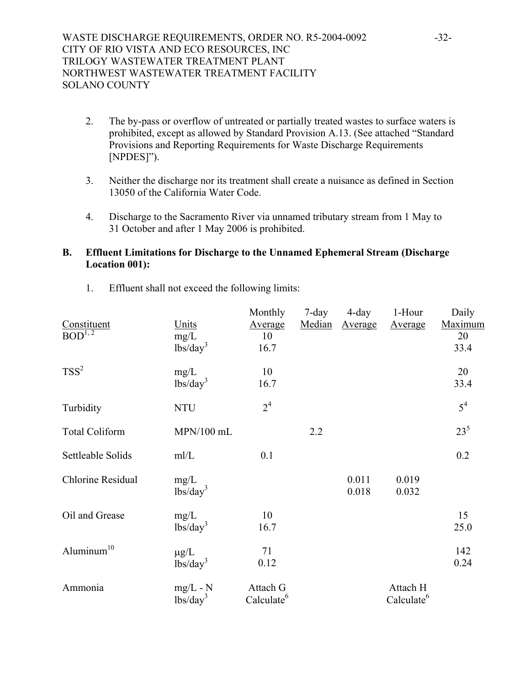- 2. The by-pass or overflow of untreated or partially treated wastes to surface waters is prohibited, except as allowed by Standard Provision A.13. (See attached "Standard Provisions and Reporting Requirements for Waste Discharge Requirements [NPDES]").
- 3. Neither the discharge nor its treatment shall create a nuisance as defined in Section 13050 of the California Water Code.
- 4. Discharge to the Sacramento River via unnamed tributary stream from 1 May to 31 October and after 1 May 2006 is prohibited.

### **B. Effluent Limitations for Discharge to the Unnamed Ephemeral Stream (Discharge Location 001):**

| Constituent<br>$BOD^{1, 2}$ | Units<br>mg/L<br>$\frac{1}{\text{bs}}\text{day}^3$ | Monthly<br>Average<br>10<br>16.7   | $7$ -day<br>Median | $4$ -day<br><b>Average</b> | 1-Hour<br>Average                  | Daily<br>Maximum<br>20<br>33.4 |
|-----------------------------|----------------------------------------------------|------------------------------------|--------------------|----------------------------|------------------------------------|--------------------------------|
| $TSS^2$                     | mg/L<br>lbs/day <sup>3</sup>                       | 10<br>16.7                         |                    |                            |                                    | 20<br>33.4                     |
| Turbidity                   | <b>NTU</b>                                         | 2 <sup>4</sup>                     |                    |                            |                                    | $5^4$                          |
| <b>Total Coliform</b>       | MPN/100 mL                                         |                                    | 2.2                |                            |                                    | $23^{5}$                       |
| Settleable Solids           | mI/L                                               | 0.1                                |                    |                            |                                    | 0.2                            |
| Chlorine Residual           | mg/L<br>$\frac{1}{\text{bs}}\text{day}^3$          |                                    |                    | 0.011<br>0.018             | 0.019<br>0.032                     |                                |
| Oil and Grease              | mg/L<br>$\overline{\text{lbs}}/\text{day}^3$       | 10<br>16.7                         |                    |                            |                                    | 15<br>25.0                     |
| Aluminum <sup>10</sup>      | $\mu$ g/L<br>$\frac{1}{\text{bs}}\text{day}^3$     | 71<br>0.12                         |                    |                            |                                    | 142<br>0.24                    |
| Ammonia                     | $mg/L - N$<br>$lbs/day^3$                          | Attach G<br>Calculate <sup>6</sup> |                    |                            | Attach H<br>Calculate <sup>6</sup> |                                |

1. Effluent shall not exceed the following limits: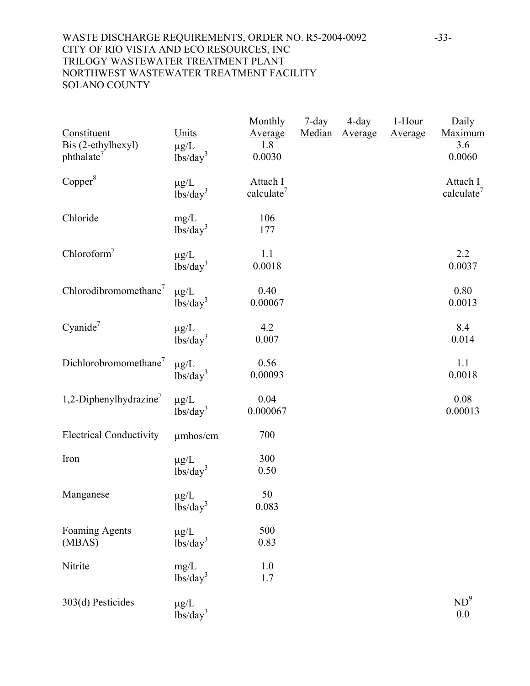## WASTE DISCHARGE REQUIREMENTS, ORDER NO. R5-2004-0092 -33-CITY OF RIO VISTA AND ECO RESOURCES, INC TRILOGY WASTEWATER TREATMENT PLANT NORTHWEST WASTEWATER TREATMENT FACILITY SOLANO COUNTY

| Constituent<br>Bis (2-ethylhexyl)<br>phthalate <sup>7</sup> | Units<br>$\mu$ g/L<br>lbs/day <sup>3</sup>     | Monthly<br>Average<br>1.8<br>0.0030 | $7$ -day<br>Median | 4-day<br>Average | 1-Hour<br>Average | Daily<br><b>Maximum</b><br>3.6<br>0.0060 |
|-------------------------------------------------------------|------------------------------------------------|-------------------------------------|--------------------|------------------|-------------------|------------------------------------------|
| Copper <sup>8</sup>                                         | $\mu g/L$<br>lbs/day <sup>3</sup>              | Attach I<br>calculate <sup>7</sup>  |                    |                  |                   | Attach I<br>calculate <sup>7</sup>       |
| Chloride                                                    | mg/L<br>lbs/day <sup>3</sup>                   | 106<br>177                          |                    |                  |                   |                                          |
| Chloroform <sup>7</sup>                                     | $\mu g/L$<br>lbs/day <sup>3</sup>              | 1.1<br>0.0018                       |                    |                  |                   | 2.2<br>0.0037                            |
| Chlorodibromomethane <sup>7</sup>                           | $\mu g/L$<br>lbs/day <sup>3</sup>              | 0.40<br>0.00067                     |                    |                  |                   | 0.80<br>0.0013                           |
| Cyanide <sup>7</sup>                                        | $\mu g/L$<br>lbs/day <sup>3</sup>              | 4.2<br>0.007                        |                    |                  |                   | 8.4<br>0.014                             |
| Dichlorobromomethane <sup>7</sup>                           | $\mu g/L$<br>$\frac{1}{\text{bs}}\text{day}^3$ | 0.56<br>0.00093                     |                    |                  |                   | 1.1<br>0.0018                            |
| 1,2-Diphenylhydrazine <sup>7</sup>                          | $\mu g/L$<br>lbs/day <sup>3</sup>              | 0.04<br>0.000067                    |                    |                  |                   | 0.08<br>0.00013                          |
| <b>Electrical Conductivity</b>                              | umhos/cm                                       | 700                                 |                    |                  |                   |                                          |
| Iron                                                        | $\mu$ g/L<br>lbs/day <sup>3</sup>              | 300<br>0.50                         |                    |                  |                   |                                          |
| Manganese                                                   | $\mu$ g/L<br>$\rm lbs/day^3$                   | 50<br>0.083                         |                    |                  |                   |                                          |
| <b>Foaming Agents</b><br>(MBAS)                             | $\mu$ g/L<br>lbs/day <sup>3</sup>              | 500<br>0.83                         |                    |                  |                   |                                          |
| Nitrite                                                     | mg/L<br>$lbs/day^3$                            | 1.0<br>1.7                          |                    |                  |                   |                                          |
| 303(d) Pesticides                                           | $\mu g/L$<br>lbs/day <sup>3</sup>              |                                     |                    |                  |                   | $ND^9$<br>0.0                            |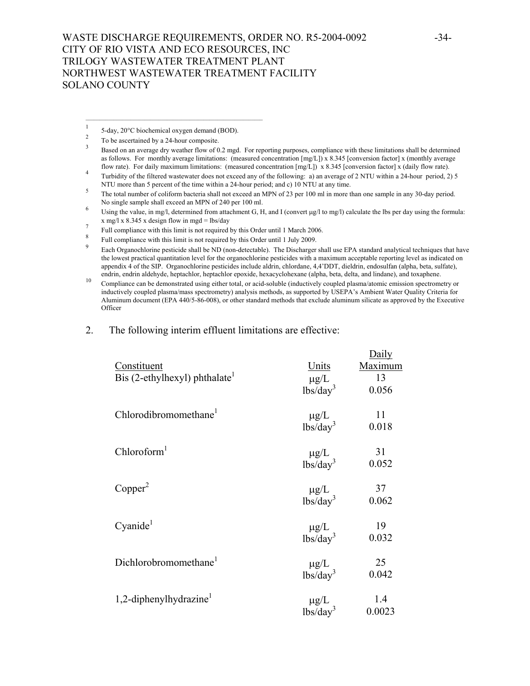1 5-day, 20°C biochemical oxygen demand (BOD).

 $\mathcal{L}_\text{max} = \mathcal{L}_\text{max} = \mathcal{L}_\text{max} = \mathcal{L}_\text{max} = \mathcal{L}_\text{max} = \mathcal{L}_\text{max} = \mathcal{L}_\text{max} = \mathcal{L}_\text{max} = \mathcal{L}_\text{max} = \mathcal{L}_\text{max} = \mathcal{L}_\text{max} = \mathcal{L}_\text{max} = \mathcal{L}_\text{max} = \mathcal{L}_\text{max} = \mathcal{L}_\text{max} = \mathcal{L}_\text{max} = \mathcal{L}_\text{max} = \mathcal{L}_\text{max} = \mathcal{$ 

2

- No single sample shall exceed an MPN of 240 per 100 ml.<br>
Using the value, in mg/l, determined from attachment G, H, and I (convert µg/l to mg/l) calculate the lbs per day using the formula:<br>  $x \text{ mg/l} \times 8.345 \times \text{design flow in mgd} = \text$
- 
- 
- Full compliance with this limit is not required by this Order until 1 March 2006.<br>
Full compliance with this limit is not required by this Order until 1 July 2009.<br>
Fach Organochlorine nesticide shall be ND (non-detectabl the lowest practical quantitation level for the organochlorine pesticides with a maximum acceptable reporting level as indicated on appendix 4 of the SIP. Organochlorine pesticides include aldrin, chlordane, 4,4'DDT, dieldrin, endosulfan (alpha, beta, sulfate),
- endrin, endrin aldehyde, heptachlor, heptachlor epoxide, hexacyclohexane (alpha, beta, delta, and lindane), and toxaphene.<br><sup>10</sup> Compliance can be demonstrated using either total, or acid-soluble (inductively coupled plasma inductively coupled plasma/mass spectrometry) analysis methods, as supported by USEPA's Ambient Water Quality Criteria for Aluminum document (EPA 440/5-86-008), or other standard methods that exclude aluminum silicate as approved by the Executive **Officer**

 $\mathbf{D}^{-1}$ 

2. The following interim effluent limitations are effective:

| Constituent<br>Bis (2-ethylhexyl) phthalate | Units<br>$\mu g/L$<br>lbs/day <sup>3</sup> | Dally<br>Maximum<br>13<br>0.056 |
|---------------------------------------------|--------------------------------------------|---------------------------------|
| Chlorodibromomethane <sup>1</sup>           | $\mu g/L$<br>lbs/day <sup>3</sup>          | 11<br>0.018                     |
| Chloroform <sup>1</sup>                     | $\mu g/L$<br>lbs/day <sup>3</sup>          | 31<br>0.052                     |
| Copper <sup>2</sup>                         | $\mu$ g/L<br>1bs/day <sup>3</sup>          | 37<br>0.062                     |
| Cyanide <sup>1</sup>                        | $\mu g/L$<br>lbs/day <sup>3</sup>          | 19<br>0.032                     |
| Dichlorobromomethane <sup>1</sup>           | $\mu g/L$<br>lbs/day <sup>3</sup>          | 25<br>0.042                     |
| 1,2-diphenylhydrazine <sup>1</sup>          | $\mu g/L$<br>lbs/day <sup>3</sup>          | 1.4<br>0.0023                   |

To be ascertained by a 24-hour composite.<br><sup>3</sup> Based on an average dry weather flow of 0.2 mgd. For reporting purposes, compliance with these limitations shall be determined as follows. For monthly average limitations: (measured concentration [mg/L]) x 8.345 [conversion factor] x (monthly average

flow rate). For daily maximum limitations: (measured concentration [mg/L]) x 8.345 [conversion factor] x (daily flow rate).<br>Turbidity of the filtered wastewater does not exceed any of the following: a) an average of 2 NTU NTU more than 5 percent of the time within a 24-hour period; and c) 10 NTU at any time.<br><sup>5</sup> The total number of coliform bacteria shall not exceed an MPN of 23 per 100 ml in more than one sample in any 30-day period.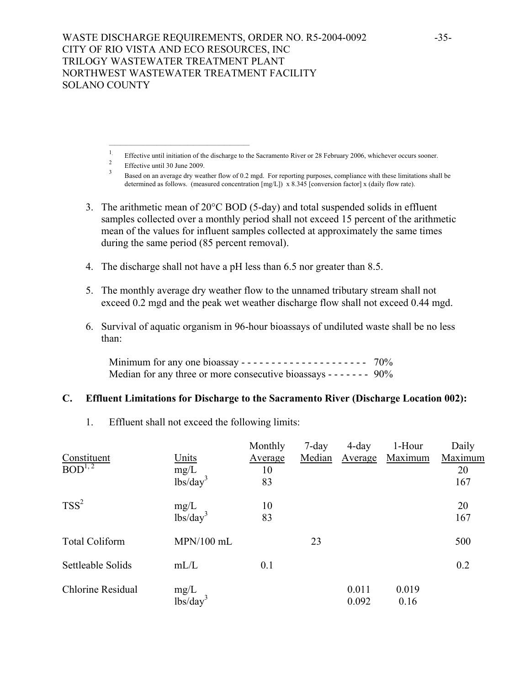$\mathcal{L}_\text{max} = \mathcal{L}_\text{max} = \mathcal{L}_\text{max} = \mathcal{L}_\text{max} = \mathcal{L}_\text{max} = \mathcal{L}_\text{max} = \mathcal{L}_\text{max}$ 

- 3. The arithmetic mean of 20°C BOD (5-day) and total suspended solids in effluent samples collected over a monthly period shall not exceed 15 percent of the arithmetic mean of the values for influent samples collected at approximately the same times during the same period (85 percent removal).
- 4. The discharge shall not have a pH less than 6.5 nor greater than 8.5.
- 5. The monthly average dry weather flow to the unnamed tributary stream shall not exceed 0.2 mgd and the peak wet weather discharge flow shall not exceed 0.44 mgd.
- 6. Survival of aquatic organism in 96-hour bioassays of undiluted waste shall be no less than:

 Minimum for any one bioassay - - - - - - - - - - - - - - - - - - - - - 70% Median for any three or more consecutive bioassays - - - - - - - 90%

# **C. Effluent Limitations for Discharge to the Sacramento River (Discharge Location 002):**

1. Effluent shall not exceed the following limits:

|                        |                                      | Monthly | 7-day  | $4$ -day | 1-Hour  | Daily   |
|------------------------|--------------------------------------|---------|--------|----------|---------|---------|
| Constituent            | Units                                | Average | Median | Average  | Maximum | Maximum |
| $BOD^{1,\overline{2}}$ | mg/L                                 | 10      |        |          |         | 20      |
|                        | lbs/day <sup>3</sup>                 | 83      |        |          |         | 167     |
| $TSS^2$                | mg/L                                 | 10      |        |          |         | 20      |
|                        | $\overline{\text{lbs}}/\text{day}^3$ | 83      |        |          |         | 167     |
| <b>Total Coliform</b>  | $MPN/100$ mL                         |         | 23     |          |         | 500     |
| Settleable Solids      | mL/L                                 | 0.1     |        |          |         | 0.2     |
| Chlorine Residual      | mg/L                                 |         |        | 0.011    | 0.019   |         |
|                        | lbs/day <sup>3</sup>                 |         |        | 0.092    | 0.16    |         |

<sup>&</sup>lt;sup>1</sup>. Effective until initiation of the discharge to the Sacramento River or 28 February 2006, whichever occurs sooner.<br>
<sup>2</sup> Effective until 30 June 2009.<br>
<sup>3</sup> Based on an average dry weather flow of 0.2 mgd. For reporting determined as follows. (measured concentration [mg/L]) x 8.345 [conversion factor] x (daily flow rate).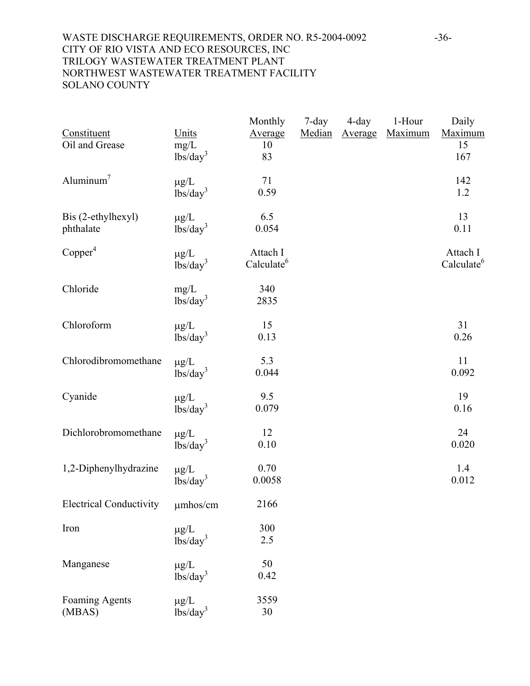## WASTE DISCHARGE REQUIREMENTS, ORDER NO. R5-2004-0092 -36-CITY OF RIO VISTA AND ECO RESOURCES, INC TRILOGY WASTEWATER TREATMENT PLANT NORTHWEST WASTEWATER TREATMENT FACILITY SOLANO COUNTY

| Constituent<br>Oil and Grease    | Units<br>mg/L<br>lbs/day <sup>3</sup> | Monthly<br>Average<br>10<br>83     | $7$ -day<br>Median | $4$ -day<br>Average | 1-Hour<br>Maximum | Daily<br>Maximum<br>15<br>167      |
|----------------------------------|---------------------------------------|------------------------------------|--------------------|---------------------|-------------------|------------------------------------|
| Aluminum <sup>7</sup>            | $\mu g/L$<br>lbs/day <sup>3</sup>     | 71<br>0.59                         |                    |                     |                   | 142<br>1.2                         |
| Bis (2-ethylhexyl)<br>phthalate  | $\mu$ g/L<br>lbs/day <sup>3</sup>     | 6.5<br>0.054                       |                    |                     |                   | 13<br>0.11                         |
| Copper <sup>4</sup>              | $\mu g/L$<br>lbs/day <sup>3</sup>     | Attach I<br>Calculate <sup>6</sup> |                    |                     |                   | Attach I<br>Calculate <sup>6</sup> |
| Chloride                         | mg/L<br>lbs/day <sup>3</sup>          | 340<br>2835                        |                    |                     |                   |                                    |
| Chloroform                       | $\mu g/L$<br>lbs/day <sup>3</sup>     | 15<br>0.13                         |                    |                     |                   | 31<br>0.26                         |
| Chlorodibromomethane             | $\mu g/L$<br>lbs/day <sup>3</sup>     | 5.3<br>0.044                       |                    |                     |                   | 11<br>0.092                        |
| Cyanide                          | $\mu g/L$<br>lbs/day <sup>3</sup>     | 9.5<br>0.079                       |                    |                     |                   | 19<br>0.16                         |
| Dichlorobromomethane             | $\mu g/L$<br>lbs/day <sup>3</sup>     | 12<br>0.10                         |                    |                     |                   | 24<br>0.020                        |
| 1,2-Diphenylhydrazine            | $\mu g/L$<br>lbs/day <sup>3</sup>     | 0.70<br>0.0058                     |                    |                     |                   | 1.4<br>0.012                       |
| Electrical Conductivity umhos/cm |                                       | 2166                               |                    |                     |                   |                                    |
| Iron                             | $\mu g/L$<br>lbs/day <sup>3</sup>     | 300<br>2.5                         |                    |                     |                   |                                    |
| Manganese                        | $\mu$ g/L<br>lbs/day <sup>3</sup>     | 50<br>0.42                         |                    |                     |                   |                                    |
| <b>Foaming Agents</b><br>(MBAS)  | $\mu g/L$<br>lbs/day <sup>3</sup>     | 3559<br>30                         |                    |                     |                   |                                    |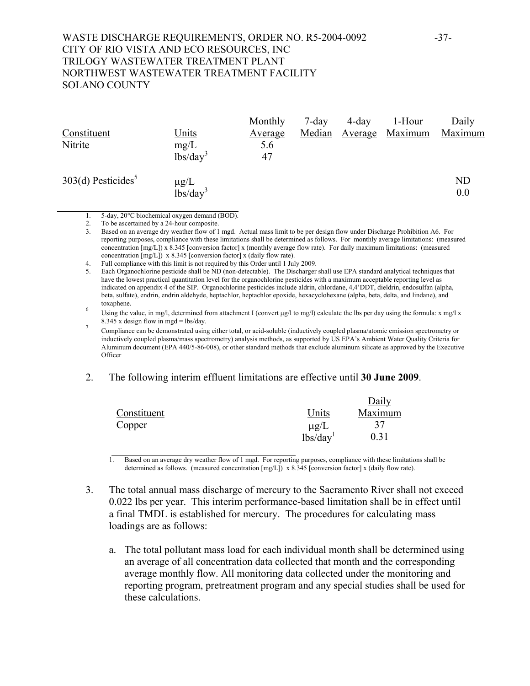## WASTE DISCHARGE REQUIREMENTS, ORDER NO. R5-2004-0092 -37-CITY OF RIO VISTA AND ECO RESOURCES, INC TRILOGY WASTEWATER TREATMENT PLANT NORTHWEST WASTEWATER TREATMENT FACILITY SOLANO COUNTY

|                                  |                                   | Monthly        | $7$ -day | $4$ -day | 1-Hour  | Daily     |
|----------------------------------|-----------------------------------|----------------|----------|----------|---------|-----------|
| Constituent                      | <u>Units</u>                      | <u>Average</u> | Median   | Average  | Maximum | Maximum   |
| Nitrite                          | mg/L                              | 5.6            |          |          |         |           |
|                                  | $lbs/day^3$                       | 47             |          |          |         |           |
| $303(d)$ Pesticides <sup>5</sup> |                                   |                |          |          |         | <b>ND</b> |
|                                  | $\mu$ g/L<br>lbs/day <sup>3</sup> |                |          |          |         | 0.0       |

1. 5-day, 20°C biochemical oxygen demand (BOD).

2. To be ascertained by a 24-hour composite.<br>3. Based on an average drv weather flow of 1 3. Based on an average dry weather flow of 1 mgd. Actual mass limit to be per design flow under Discharge Prohibition A6. For reporting purposes, compliance with these limitations shall be determined as follows. For monthly average limitations: (measured concentration [mg/L]) x 8.345 [conversion factor] x (monthly average flow rate). For daily maximum limitations: (measured concentration [mg/L]) x 8.345 [conversion factor] x (daily flow rate).

5. Each Organochlorine pesticide shall be ND (non-detectable). The Discharger shall use EPA standard analytical techniques that have the lowest practical quantitation level for the organochlorine pesticides with a maximum acceptable reporting level as indicated on appendix 4 of the SIP. Organochlorine pesticides include aldrin, chlordane, 4,4'DDT, dieldrin, endosulfan (alpha, beta, sulfate), endrin, endrin aldehyde, heptachlor, heptachlor epoxide, hexacyclohexane (alpha, beta, delta, and lindane), and toxaphene.<br><sup>6</sup> Using the value, in mg/l, determined from attachment I (convert µg/l to mg/l) calculate the lbs per day using the formula: x mg/l x

8.345 x design flow in mgd = lbs/day.<br>Compliance can be demonstrated using either total, or acid-soluble (inductively coupled plasma/atomic emission spectrometry or inductively coupled plasma/mass spectrometry) analysis methods, as supported by US EPA's Ambient Water Quality Criteria for Aluminum document (EPA 440/5-86-008), or other standard methods that exclude aluminum silicate as approved by the Executive **Officer** 

#### 2. The following interim effluent limitations are effective until **30 June 2009**.

|             |                      | Daily   |
|-------------|----------------------|---------|
| Constituent | Units                | Maximum |
| Copper      | $\mu$ g/L            | 37      |
|             | lbs/day <sup>1</sup> | 0.31    |

1. Based on an average dry weather flow of 1 mgd. For reporting purposes, compliance with these limitations shall be determined as follows. (measured concentration [mg/L]) x 8.345 [conversion factor] x (daily flow rate).

- 3. The total annual mass discharge of mercury to the Sacramento River shall not exceed 0.022 lbs per year. This interim performance-based limitation shall be in effect until a final TMDL is established for mercury. The procedures for calculating mass loadings are as follows:
	- a. The total pollutant mass load for each individual month shall be determined using an average of all concentration data collected that month and the corresponding average monthly flow. All monitoring data collected under the monitoring and reporting program, pretreatment program and any special studies shall be used for these calculations.

<sup>4.</sup> Full compliance with this limit is not required by this Order until 1 July 2009.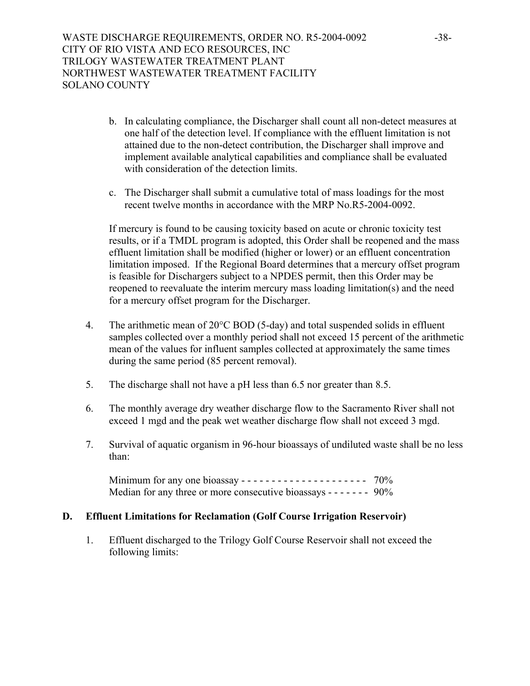- b. In calculating compliance, the Discharger shall count all non-detect measures at one half of the detection level. If compliance with the effluent limitation is not attained due to the non-detect contribution, the Discharger shall improve and implement available analytical capabilities and compliance shall be evaluated with consideration of the detection limits.
- c. The Discharger shall submit a cumulative total of mass loadings for the most recent twelve months in accordance with the MRP No.R5-2004-0092.

If mercury is found to be causing toxicity based on acute or chronic toxicity test results, or if a TMDL program is adopted, this Order shall be reopened and the mass effluent limitation shall be modified (higher or lower) or an effluent concentration limitation imposed. If the Regional Board determines that a mercury offset program is feasible for Dischargers subject to a NPDES permit, then this Order may be reopened to reevaluate the interim mercury mass loading limitation(s) and the need for a mercury offset program for the Discharger.

- 4. The arithmetic mean of 20°C BOD (5-day) and total suspended solids in effluent samples collected over a monthly period shall not exceed 15 percent of the arithmetic mean of the values for influent samples collected at approximately the same times during the same period (85 percent removal).
- 5. The discharge shall not have a pH less than 6.5 nor greater than 8.5.
- 6. The monthly average dry weather discharge flow to the Sacramento River shall not exceed 1 mgd and the peak wet weather discharge flow shall not exceed 3 mgd.
- 7. Survival of aquatic organism in 96-hour bioassays of undiluted waste shall be no less than:

Minimum for any one bioassay - - - - - - - - - - - - - - - - - - - - - 70% Median for any three or more consecutive bioassays - - - - - - - 90%

# **D. Effluent Limitations for Reclamation (Golf Course Irrigation Reservoir)**

1. Effluent discharged to the Trilogy Golf Course Reservoir shall not exceed the following limits: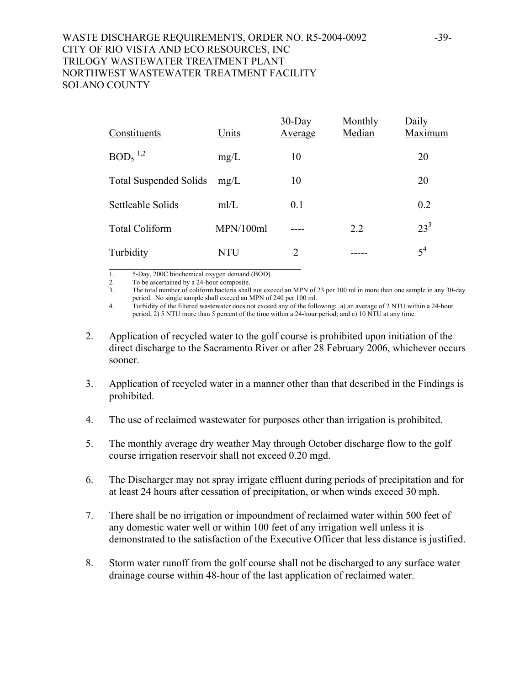# WASTE DISCHARGE REQUIREMENTS, ORDER NO. R5-2004-0092 -39-CITY OF RIO VISTA AND ECO RESOURCES, INC TRILOGY WASTEWATER TREATMENT PLANT NORTHWEST WASTEWATER TREATMENT FACILITY SOLANO COUNTY

| Constituents                  | Units     | $30$ -Day<br>Average | Monthly<br>Median | Daily<br>Maximum |
|-------------------------------|-----------|----------------------|-------------------|------------------|
| $BOD5$ <sup>1,2</sup>         | mg/L      | 10                   |                   | 20               |
| <b>Total Suspended Solids</b> | mg/L      | 10                   |                   | 20               |
| Settleable Solids             | mI/L      | 0.1                  |                   | 0.2              |
| <b>Total Coliform</b>         | MPN/100ml |                      | 2.2               | $23^3$           |
| Turbidity                     | NTU       | 2                    |                   | $5^4$            |

1. 5-Day, 200C biochemical oxygen demand (BOD).

2. To be ascertained by a 24-hour composite.<br>3. The total number of coliform bacteria shall

The total number of coliform bacteria shall not exceed an MPN of 23 per 100 ml in more than one sample in any 30-day period. No single sample shall exceed an MPN of 240 per 100 ml.

4. Turbidity of the filtered wastewater does not exceed any of the following: a) an average of 2 NTU within a 24-hour period, 2) 5 NTU more than 5 percent of the time within a 24-hour period; and c) 10 NTU at any time.

- 2. Application of recycled water to the golf course is prohibited upon initiation of the direct discharge to the Sacramento River or after 28 February 2006, whichever occurs sooner.
- 3. Application of recycled water in a manner other than that described in the Findings is prohibited.
- 4. The use of reclaimed wastewater for purposes other than irrigation is prohibited.
- 5. The monthly average dry weather May through October discharge flow to the golf course irrigation reservoir shall not exceed 0.20 mgd.
- 6. The Discharger may not spray irrigate effluent during periods of precipitation and for at least 24 hours after cessation of precipitation, or when winds exceed 30 mph.
- 7. There shall be no irrigation or impoundment of reclaimed water within 500 feet of any domestic water well or within 100 feet of any irrigation well unless it is demonstrated to the satisfaction of the Executive Officer that less distance is justified.
- 8. Storm water runoff from the golf course shall not be discharged to any surface water drainage course within 48-hour of the last application of reclaimed water.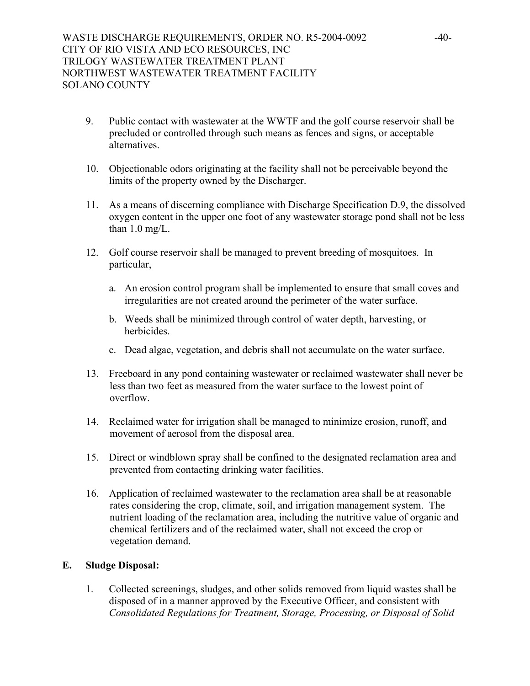- 9. Public contact with wastewater at the WWTF and the golf course reservoir shall be precluded or controlled through such means as fences and signs, or acceptable alternatives.
- 10. Objectionable odors originating at the facility shall not be perceivable beyond the limits of the property owned by the Discharger.
- 11. As a means of discerning compliance with Discharge Specification D.9, the dissolved oxygen content in the upper one foot of any wastewater storage pond shall not be less than  $1.0 \text{ mg/L}$ .
- 12. Golf course reservoir shall be managed to prevent breeding of mosquitoes. In particular,
	- a. An erosion control program shall be implemented to ensure that small coves and irregularities are not created around the perimeter of the water surface.
	- b. Weeds shall be minimized through control of water depth, harvesting, or herbicides.
	- c. Dead algae, vegetation, and debris shall not accumulate on the water surface.
- 13. Freeboard in any pond containing wastewater or reclaimed wastewater shall never be less than two feet as measured from the water surface to the lowest point of overflow.
- 14. Reclaimed water for irrigation shall be managed to minimize erosion, runoff, and movement of aerosol from the disposal area.
- 15. Direct or windblown spray shall be confined to the designated reclamation area and prevented from contacting drinking water facilities.
- 16. Application of reclaimed wastewater to the reclamation area shall be at reasonable rates considering the crop, climate, soil, and irrigation management system. The nutrient loading of the reclamation area, including the nutritive value of organic and chemical fertilizers and of the reclaimed water, shall not exceed the crop or vegetation demand.

## **E. Sludge Disposal:**

1. Collected screenings, sludges, and other solids removed from liquid wastes shall be disposed of in a manner approved by the Executive Officer, and consistent with *Consolidated Regulations for Treatment, Storage, Processing, or Disposal of Solid*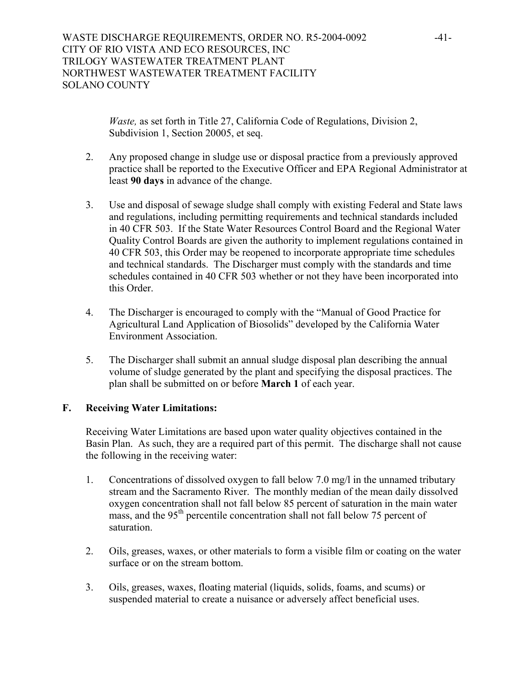*Waste, as set forth in Title 27, California Code of Regulations, Division 2,* Subdivision 1, Section 20005, et seq.

- 2. Any proposed change in sludge use or disposal practice from a previously approved practice shall be reported to the Executive Officer and EPA Regional Administrator at least **90 days** in advance of the change.
- 3. Use and disposal of sewage sludge shall comply with existing Federal and State laws and regulations, including permitting requirements and technical standards included in 40 CFR 503. If the State Water Resources Control Board and the Regional Water Quality Control Boards are given the authority to implement regulations contained in 40 CFR 503, this Order may be reopened to incorporate appropriate time schedules and technical standards. The Discharger must comply with the standards and time schedules contained in 40 CFR 503 whether or not they have been incorporated into this Order.
- 4. The Discharger is encouraged to comply with the "Manual of Good Practice for Agricultural Land Application of Biosolids" developed by the California Water Environment Association.
- 5. The Discharger shall submit an annual sludge disposal plan describing the annual volume of sludge generated by the plant and specifying the disposal practices. The plan shall be submitted on or before **March 1** of each year.

# **F. Receiving Water Limitations:**

Receiving Water Limitations are based upon water quality objectives contained in the Basin Plan. As such, they are a required part of this permit. The discharge shall not cause the following in the receiving water:

- 1. Concentrations of dissolved oxygen to fall below 7.0 mg/l in the unnamed tributary stream and the Sacramento River. The monthly median of the mean daily dissolved oxygen concentration shall not fall below 85 percent of saturation in the main water mass, and the 95<sup>th</sup> percentile concentration shall not fall below 75 percent of saturation.
- 2. Oils, greases, waxes, or other materials to form a visible film or coating on the water surface or on the stream bottom.
- 3. Oils, greases, waxes, floating material (liquids, solids, foams, and scums) or suspended material to create a nuisance or adversely affect beneficial uses.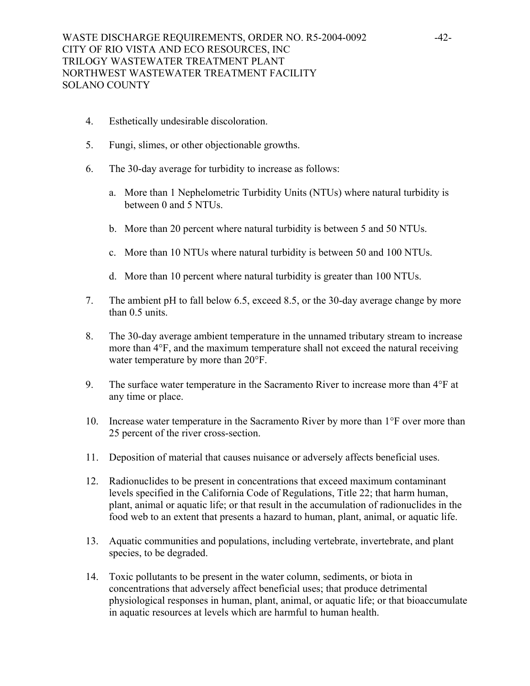- 4. Esthetically undesirable discoloration.
- 5. Fungi, slimes, or other objectionable growths.
- 6. The 30-day average for turbidity to increase as follows:
	- a. More than 1 Nephelometric Turbidity Units (NTUs) where natural turbidity is between 0 and 5 NTUs.
	- b. More than 20 percent where natural turbidity is between 5 and 50 NTUs.
	- c. More than 10 NTUs where natural turbidity is between 50 and 100 NTUs.
	- d. More than 10 percent where natural turbidity is greater than 100 NTUs.
- 7. The ambient pH to fall below 6.5, exceed 8.5, or the 30-day average change by more than 0.5 units.
- 8. The 30-day average ambient temperature in the unnamed tributary stream to increase more than 4°F, and the maximum temperature shall not exceed the natural receiving water temperature by more than 20°F.
- 9. The surface water temperature in the Sacramento River to increase more than 4°F at any time or place.
- 10. Increase water temperature in the Sacramento River by more than 1°F over more than 25 percent of the river cross-section.
- 11. Deposition of material that causes nuisance or adversely affects beneficial uses.
- 12. Radionuclides to be present in concentrations that exceed maximum contaminant levels specified in the California Code of Regulations, Title 22; that harm human, plant, animal or aquatic life; or that result in the accumulation of radionuclides in the food web to an extent that presents a hazard to human, plant, animal, or aquatic life.
- 13. Aquatic communities and populations, including vertebrate, invertebrate, and plant species, to be degraded.
- 14. Toxic pollutants to be present in the water column, sediments, or biota in concentrations that adversely affect beneficial uses; that produce detrimental physiological responses in human, plant, animal, or aquatic life; or that bioaccumulate in aquatic resources at levels which are harmful to human health.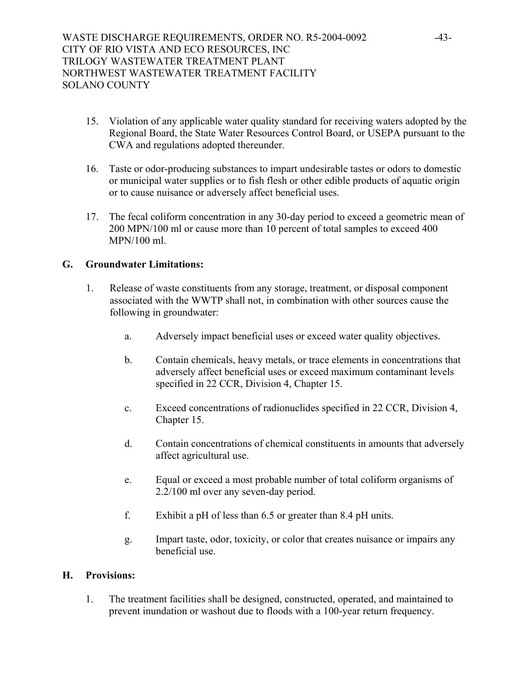- 15. Violation of any applicable water quality standard for receiving waters adopted by the Regional Board, the State Water Resources Control Board, or USEPA pursuant to the CWA and regulations adopted thereunder.
- 16. Taste or odor-producing substances to impart undesirable tastes or odors to domestic or municipal water supplies or to fish flesh or other edible products of aquatic origin or to cause nuisance or adversely affect beneficial uses.
- 17. The fecal coliform concentration in any 30-day period to exceed a geometric mean of 200 MPN/100 ml or cause more than 10 percent of total samples to exceed 400 MPN/100 ml.

# **G. Groundwater Limitations:**

- 1. Release of waste constituents from any storage, treatment, or disposal component associated with the WWTP shall not, in combination with other sources cause the following in groundwater:
	- a. Adversely impact beneficial uses or exceed water quality objectives.
	- b. Contain chemicals, heavy metals, or trace elements in concentrations that adversely affect beneficial uses or exceed maximum contaminant levels specified in 22 CCR, Division 4, Chapter 15.
	- c. Exceed concentrations of radionuclides specified in 22 CCR, Division 4, Chapter 15.
	- d. Contain concentrations of chemical constituents in amounts that adversely affect agricultural use.
	- e. Equal or exceed a most probable number of total coliform organisms of 2.2/100 ml over any seven-day period.
	- f. Exhibit a pH of less than 6.5 or greater than 8.4 pH units.
	- g. Impart taste, odor, toxicity, or color that creates nuisance or impairs any beneficial use.

## **H. Provisions:**

1. The treatment facilities shall be designed, constructed, operated, and maintained to prevent inundation or washout due to floods with a 100-year return frequency.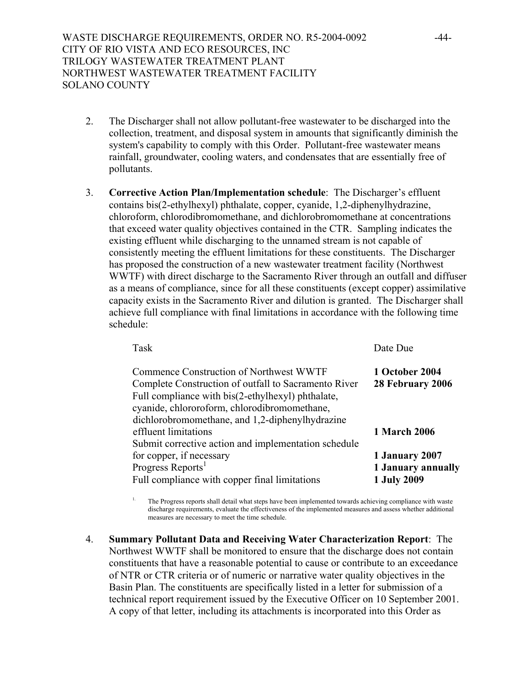- 2. The Discharger shall not allow pollutant-free wastewater to be discharged into the collection, treatment, and disposal system in amounts that significantly diminish the system's capability to comply with this Order. Pollutant-free wastewater means rainfall, groundwater, cooling waters, and condensates that are essentially free of pollutants.
- 3. **Corrective Action Plan/Implementation schedule**: The Discharger's effluent contains bis(2-ethylhexyl) phthalate, copper, cyanide, 1,2-diphenylhydrazine, chloroform, chlorodibromomethane, and dichlorobromomethane at concentrations that exceed water quality objectives contained in the CTR. Sampling indicates the existing effluent while discharging to the unnamed stream is not capable of consistently meeting the effluent limitations for these constituents. The Discharger has proposed the construction of a new wastewater treatment facility (Northwest WWTF) with direct discharge to the Sacramento River through an outfall and diffuser as a means of compliance, since for all these constituents (except copper) assimilative capacity exists in the Sacramento River and dilution is granted. The Discharger shall achieve full compliance with final limitations in accordance with the following time schedule:

Task Date Due

| Commence Construction of Northwest WWTF              | 1 October 2004      |
|------------------------------------------------------|---------------------|
| Complete Construction of outfall to Sacramento River | 28 February 2006    |
| Full compliance with bis(2-ethylhexyl) phthalate,    |                     |
| cyanide, chlororoform, chlorodibromomethane,         |                     |
| dichlorobromomethane, and 1,2-diphenylhydrazine      |                     |
| effluent limitations                                 | <b>1 March 2006</b> |
| Submit corrective action and implementation schedule |                     |
| for copper, if necessary                             | 1 January 2007      |
| Progress Reports <sup>1</sup>                        | 1 January annually  |
| Full compliance with copper final limitations        | <b>1 July 2009</b>  |

<sup>1.</sup> The Progress reports shall detail what steps have been implemented towards achieving compliance with waste discharge requirements, evaluate the effectiveness of the implemented measures and assess whether additional measures are necessary to meet the time schedule.

4. **Summary Pollutant Data and Receiving Water Characterization Report**: The Northwest WWTF shall be monitored to ensure that the discharge does not contain constituents that have a reasonable potential to cause or contribute to an exceedance of NTR or CTR criteria or of numeric or narrative water quality objectives in the Basin Plan. The constituents are specifically listed in a letter for submission of a technical report requirement issued by the Executive Officer on 10 September 2001. A copy of that letter, including its attachments is incorporated into this Order as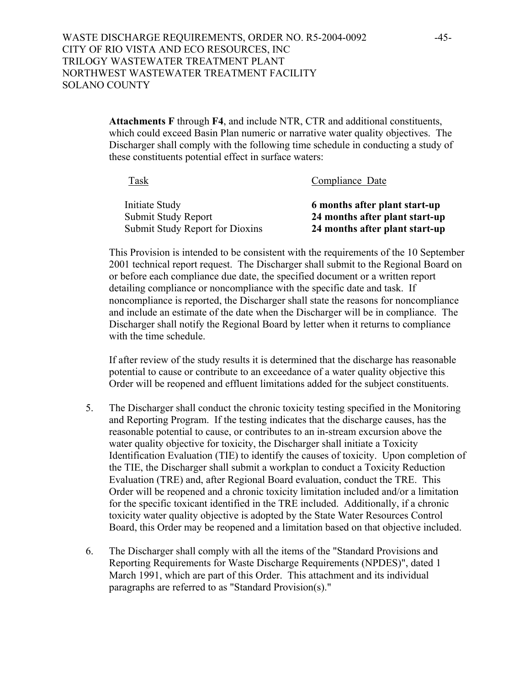**Attachments F** through **F4**, and include NTR, CTR and additional constituents, which could exceed Basin Plan numeric or narrative water quality objectives. The Discharger shall comply with the following time schedule in conducting a study of these constituents potential effect in surface waters:

| Task                            | Compliance Date                |
|---------------------------------|--------------------------------|
| Initiate Study                  | 6 months after plant start-up  |
| Submit Study Report             | 24 months after plant start-up |
| Submit Study Report for Dioxins | 24 months after plant start-up |

This Provision is intended to be consistent with the requirements of the 10 September 2001 technical report request. The Discharger shall submit to the Regional Board on or before each compliance due date, the specified document or a written report detailing compliance or noncompliance with the specific date and task. If noncompliance is reported, the Discharger shall state the reasons for noncompliance and include an estimate of the date when the Discharger will be in compliance. The Discharger shall notify the Regional Board by letter when it returns to compliance with the time schedule.

If after review of the study results it is determined that the discharge has reasonable potential to cause or contribute to an exceedance of a water quality objective this Order will be reopened and effluent limitations added for the subject constituents.

- 5. The Discharger shall conduct the chronic toxicity testing specified in the Monitoring and Reporting Program. If the testing indicates that the discharge causes, has the reasonable potential to cause, or contributes to an in-stream excursion above the water quality objective for toxicity, the Discharger shall initiate a Toxicity Identification Evaluation (TIE) to identify the causes of toxicity. Upon completion of the TIE, the Discharger shall submit a workplan to conduct a Toxicity Reduction Evaluation (TRE) and, after Regional Board evaluation, conduct the TRE. This Order will be reopened and a chronic toxicity limitation included and/or a limitation for the specific toxicant identified in the TRE included. Additionally, if a chronic toxicity water quality objective is adopted by the State Water Resources Control Board, this Order may be reopened and a limitation based on that objective included.
- 6. The Discharger shall comply with all the items of the "Standard Provisions and Reporting Requirements for Waste Discharge Requirements (NPDES)", dated 1 March 1991, which are part of this Order. This attachment and its individual paragraphs are referred to as "Standard Provision(s)."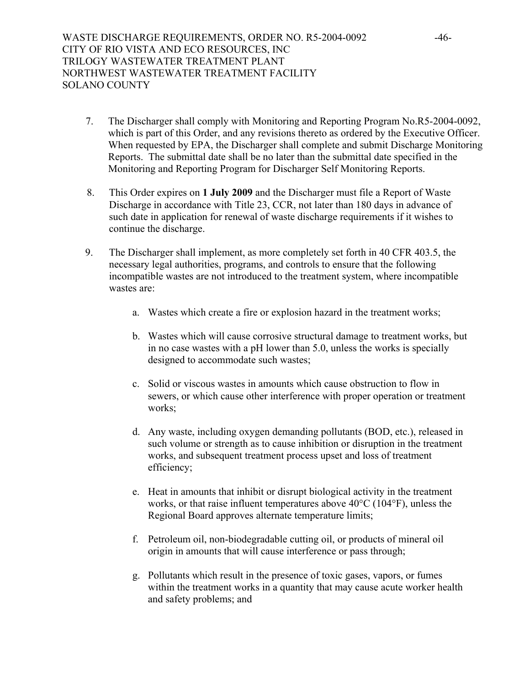- 7. The Discharger shall comply with Monitoring and Reporting Program No.R5-2004-0092, which is part of this Order, and any revisions thereto as ordered by the Executive Officer. When requested by EPA, the Discharger shall complete and submit Discharge Monitoring Reports. The submittal date shall be no later than the submittal date specified in the Monitoring and Reporting Program for Discharger Self Monitoring Reports.
- 8. This Order expires on **1 July 2009** and the Discharger must file a Report of Waste Discharge in accordance with Title 23, CCR, not later than 180 days in advance of such date in application for renewal of waste discharge requirements if it wishes to continue the discharge.
- 9. The Discharger shall implement, as more completely set forth in 40 CFR 403.5, the necessary legal authorities, programs, and controls to ensure that the following incompatible wastes are not introduced to the treatment system, where incompatible wastes are:
	- a. Wastes which create a fire or explosion hazard in the treatment works;
	- b. Wastes which will cause corrosive structural damage to treatment works, but in no case wastes with a pH lower than 5.0, unless the works is specially designed to accommodate such wastes;
	- c. Solid or viscous wastes in amounts which cause obstruction to flow in sewers, or which cause other interference with proper operation or treatment works;
	- d. Any waste, including oxygen demanding pollutants (BOD, etc.), released in such volume or strength as to cause inhibition or disruption in the treatment works, and subsequent treatment process upset and loss of treatment efficiency;
	- e. Heat in amounts that inhibit or disrupt biological activity in the treatment works, or that raise influent temperatures above 40°C (104°F), unless the Regional Board approves alternate temperature limits;
	- f. Petroleum oil, non-biodegradable cutting oil, or products of mineral oil origin in amounts that will cause interference or pass through;
	- g. Pollutants which result in the presence of toxic gases, vapors, or fumes within the treatment works in a quantity that may cause acute worker health and safety problems; and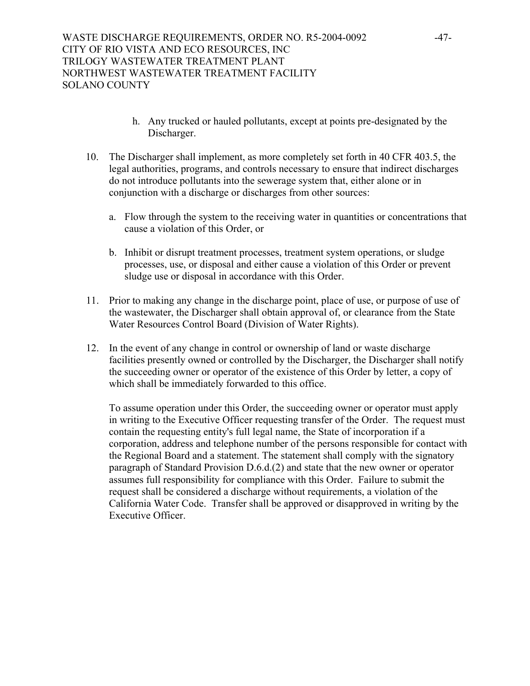- h. Any trucked or hauled pollutants, except at points pre-designated by the Discharger.
- 10. The Discharger shall implement, as more completely set forth in 40 CFR 403.5, the legal authorities, programs, and controls necessary to ensure that indirect discharges do not introduce pollutants into the sewerage system that, either alone or in conjunction with a discharge or discharges from other sources:
	- a. Flow through the system to the receiving water in quantities or concentrations that cause a violation of this Order, or
	- b. Inhibit or disrupt treatment processes, treatment system operations, or sludge processes, use, or disposal and either cause a violation of this Order or prevent sludge use or disposal in accordance with this Order.
- 11. Prior to making any change in the discharge point, place of use, or purpose of use of the wastewater, the Discharger shall obtain approval of, or clearance from the State Water Resources Control Board (Division of Water Rights).
- 12. In the event of any change in control or ownership of land or waste discharge facilities presently owned or controlled by the Discharger, the Discharger shall notify the succeeding owner or operator of the existence of this Order by letter, a copy of which shall be immediately forwarded to this office.

 To assume operation under this Order, the succeeding owner or operator must apply in writing to the Executive Officer requesting transfer of the Order. The request must contain the requesting entity's full legal name, the State of incorporation if a corporation, address and telephone number of the persons responsible for contact with the Regional Board and a statement. The statement shall comply with the signatory paragraph of Standard Provision D.6.d.(2) and state that the new owner or operator assumes full responsibility for compliance with this Order. Failure to submit the request shall be considered a discharge without requirements, a violation of the California Water Code. Transfer shall be approved or disapproved in writing by the Executive Officer.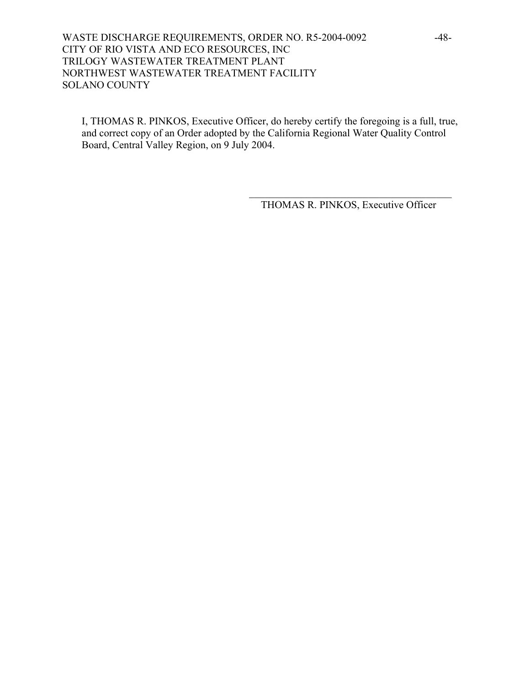# WASTE DISCHARGE REQUIREMENTS, ORDER NO. R5-2004-0092 -48-CITY OF RIO VISTA AND ECO RESOURCES, INC TRILOGY WASTEWATER TREATMENT PLANT NORTHWEST WASTEWATER TREATMENT FACILITY SOLANO COUNTY

I, THOMAS R. PINKOS, Executive Officer, do hereby certify the foregoing is a full, true, and correct copy of an Order adopted by the California Regional Water Quality Control Board, Central Valley Region, on 9 July 2004.

 $\mathcal{L}_\mathcal{L} = \{ \mathcal{L}_\mathcal{L} = \{ \mathcal{L}_\mathcal{L} \} \cup \{ \mathcal{L}_\mathcal{L} = \{ \mathcal{L}_\mathcal{L} \} \cup \{ \mathcal{L}_\mathcal{L} = \{ \mathcal{L}_\mathcal{L} \} \cup \{ \mathcal{L}_\mathcal{L} = \{ \mathcal{L}_\mathcal{L} \} \cup \{ \mathcal{L}_\mathcal{L} = \{ \mathcal{L}_\mathcal{L} \} \cup \{ \mathcal{L}_\mathcal{L} = \{ \mathcal{L}_\mathcal{L} \} \cup \{ \mathcal{L}_\$ 

THOMAS R. PINKOS, Executive Officer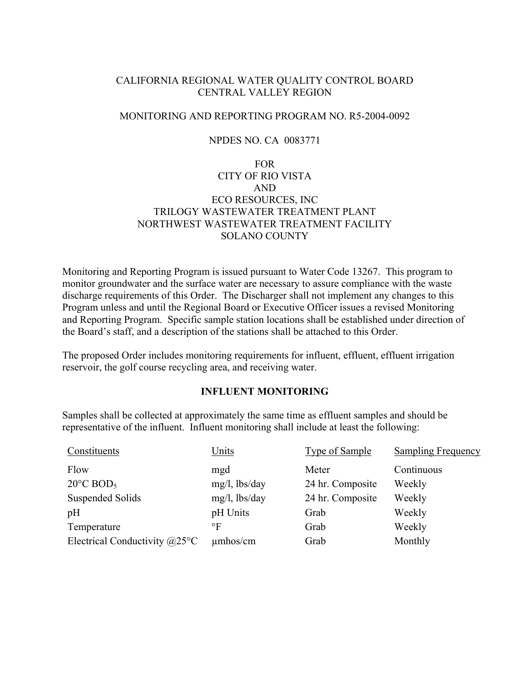# CALIFORNIA REGIONAL WATER QUALITY CONTROL BOARD CENTRAL VALLEY REGION

# MONITORING AND REPORTING PROGRAM NO. R5-2004-0092

# NPDES NO. CA 0083771

# FOR CITY OF RIO VISTA AND ECO RESOURCES, INC TRILOGY WASTEWATER TREATMENT PLANT NORTHWEST WASTEWATER TREATMENT FACILITY SOLANO COUNTY

Monitoring and Reporting Program is issued pursuant to Water Code 13267. This program to monitor groundwater and the surface water are necessary to assure compliance with the waste discharge requirements of this Order. The Discharger shall not implement any changes to this Program unless and until the Regional Board or Executive Officer issues a revised Monitoring and Reporting Program. Specific sample station locations shall be established under direction of the Board's staff, and a description of the stations shall be attached to this Order.

The proposed Order includes monitoring requirements for influent, effluent, effluent irrigation reservoir, the golf course recycling area, and receiving water.

## **INFLUENT MONITORING**

Samples shall be collected at approximately the same time as effluent samples and should be representative of the influent. Influent monitoring shall include at least the following:

| Constituents                           | Units            | <b>Type of Sample</b> | <b>Sampling Frequency</b> |
|----------------------------------------|------------------|-----------------------|---------------------------|
| Flow                                   | mgd              | Meter                 | Continuous                |
| $20^{\circ}$ C BOD <sub>5</sub>        | $mg/l$ , lbs/day | 24 hr. Composite      | Weekly                    |
| <b>Suspended Solids</b>                | $mg/l$ , lbs/day | 24 hr. Composite      | Weekly                    |
| pH                                     | pH Units         | Grab                  | Weekly                    |
| Temperature                            | °F               | Grab                  | Weekly                    |
| Electrical Conductivity $@25^{\circ}C$ | $\mu$ mhos/cm    | Grab                  | Monthly                   |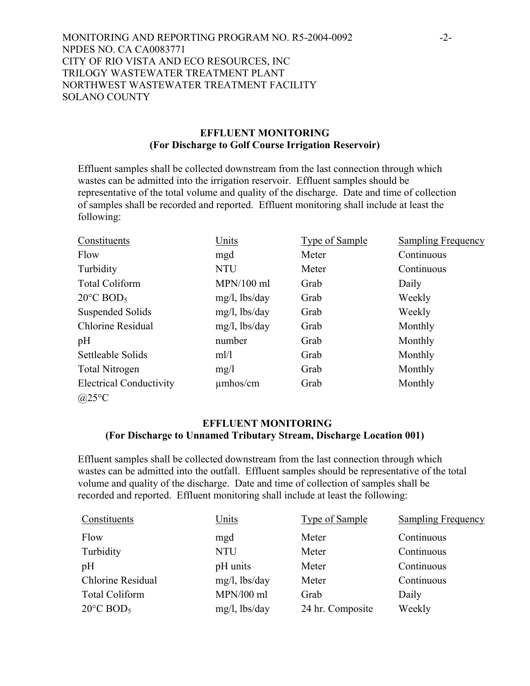MONITORING AND REPORTING PROGRAM NO. R5-2004-0092 -2- NPDES NO. CA CA0083771 CITY OF RIO VISTA AND ECO RESOURCES, INC TRILOGY WASTEWATER TREATMENT PLANT NORTHWEST WASTEWATER TREATMENT FACILITY SOLANO COUNTY

## **EFFLUENT MONITORING (For Discharge to Golf Course Irrigation Reservoir)**

Effluent samples shall be collected downstream from the last connection through which wastes can be admitted into the irrigation reservoir. Effluent samples should be representative of the total volume and quality of the discharge. Date and time of collection of samples shall be recorded and reported. Effluent monitoring shall include at least the following:

| Constituents                    | Units            | <b>Type of Sample</b> | <b>Sampling Frequency</b> |
|---------------------------------|------------------|-----------------------|---------------------------|
| Flow                            | mgd              | Meter                 | Continuous                |
| Turbidity                       | <b>NTU</b>       | Meter                 | Continuous                |
| <b>Total Coliform</b>           | $MPN/100$ ml     | Grab                  | Daily                     |
| $20^{\circ}$ C BOD <sub>5</sub> | $mg/l$ , lbs/day | Grab                  | Weekly                    |
| Suspended Solids                | $mg/l$ , lbs/day | Grab                  | Weekly                    |
| Chlorine Residual               | $mg/l$ , lbs/day | Grab                  | Monthly                   |
| pH                              | number           | Grab                  | Monthly                   |
| Settleable Solids               | ml/l             | Grab                  | Monthly                   |
| <b>Total Nitrogen</b>           | mg/1             | Grab                  | Monthly                   |
| <b>Electrical Conductivity</b>  | $\mu$ mhos/cm    | Grab                  | Monthly                   |
| @25°C                           |                  |                       |                           |

# **EFFLUENT MONITORING (For Discharge to Unnamed Tributary Stream, Discharge Location 001)**

Effluent samples shall be collected downstream from the last connection through which wastes can be admitted into the outfall. Effluent samples should be representative of the total volume and quality of the discharge. Date and time of collection of samples shall be recorded and reported. Effluent monitoring shall include at least the following:

| Constituents                    | Units            | <b>Type of Sample</b> | <b>Sampling Frequency</b> |
|---------------------------------|------------------|-----------------------|---------------------------|
| Flow                            | mgd              | Meter                 | Continuous                |
| Turbidity                       | <b>NTU</b>       | Meter                 | Continuous                |
| pH                              | pH units         | Meter                 | Continuous                |
| <b>Chlorine Residual</b>        | $mg/l$ , lbs/day | Meter                 | Continuous                |
| <b>Total Coliform</b>           | MPN/100 ml       | Grab                  | Daily                     |
| $20^{\circ}$ C BOD <sub>5</sub> | $mg/l$ , lbs/day | 24 hr. Composite      | Weekly                    |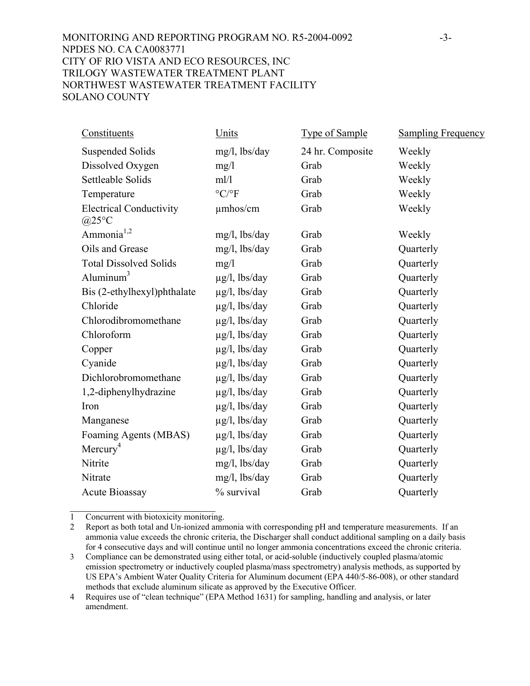# MONITORING AND REPORTING PROGRAM NO. R5-2004-0092 -3- NPDES NO. CA CA0083771 CITY OF RIO VISTA AND ECO RESOURCES, INC TRILOGY WASTEWATER TREATMENT PLANT NORTHWEST WASTEWATER TREATMENT FACILITY SOLANO COUNTY

| Constituents                                 | Units                           | <b>Type of Sample</b> | <b>Sampling Frequency</b> |
|----------------------------------------------|---------------------------------|-----------------------|---------------------------|
| <b>Suspended Solids</b>                      | $mg/l$ , lbs/day                | 24 hr. Composite      | Weekly                    |
| Dissolved Oxygen                             | mg/1                            | Grab                  | Weekly                    |
| Settleable Solids                            | m!/l                            | Grab                  | Weekly                    |
| Temperature                                  | $\rm ^{\circ} C/\rm ^{\circ} F$ | Grab                  | Weekly                    |
| <b>Electrical Conductivity</b><br>$(a)25$ °C | $\mu$ mhos/cm                   | Grab                  | Weekly                    |
| Ammonia <sup>1,2</sup>                       | $mg/l$ , lbs/day                | Grab                  | Weekly                    |
| Oils and Grease                              | $mg/l$ , lbs/day                | Grab                  | Quarterly                 |
| <b>Total Dissolved Solids</b>                | mg/1                            | Grab                  | Quarterly                 |
| Aluminum $3$                                 | $\mu$ g/l, lbs/day              | Grab                  | Quarterly                 |
| Bis (2-ethylhexyl)phthalate                  | $\mu$ g/l, lbs/day              | Grab                  | Quarterly                 |
| Chloride                                     | $\mu$ g/l, lbs/day              | Grab                  | Quarterly                 |
| Chlorodibromomethane                         | $\mu$ g/l, lbs/day              | Grab                  | Quarterly                 |
| Chloroform                                   | $\mu$ g/l, lbs/day              | Grab                  | Quarterly                 |
| Copper                                       | $\mu$ g/l, lbs/day              | Grab                  | Quarterly                 |
| Cyanide                                      | $\mu$ g/l, lbs/day              | Grab                  | Quarterly                 |
| Dichlorobromomethane                         | $\mu$ g/l, lbs/day              | Grab                  | Quarterly                 |
| 1,2-diphenylhydrazine                        | $\mu$ g/l, lbs/day              | Grab                  | Quarterly                 |
| Iron                                         | $\mu$ g/l, lbs/day              | Grab                  | Quarterly                 |
| Manganese                                    | $\mu$ g/l, lbs/day              | Grab                  | Quarterly                 |
| Foaming Agents (MBAS)                        | $\mu$ g/l, lbs/day              | Grab                  | Quarterly                 |
| Mercury <sup>4</sup>                         | $\mu$ g/l, lbs/day              | Grab                  | Quarterly                 |
| Nitrite                                      | mg/l, lbs/day                   | Grab                  | Quarterly                 |
| Nitrate                                      | mg/l, lbs/day                   | Grab                  | Quarterly                 |
| <b>Acute Bioassay</b>                        | % survival                      | Grab                  | Quarterly                 |

 $\mathcal{L}_\text{max}$  , where  $\mathcal{L}_\text{max}$  and  $\mathcal{L}_\text{max}$ 1 Concurrent with biotoxicity monitoring.

<sup>2</sup> Report as both total and Un-ionized ammonia with corresponding pH and temperature measurements. If an ammonia value exceeds the chronic criteria, the Discharger shall conduct additional sampling on a daily basis for 4 consecutive days and will continue until no longer ammonia concentrations exceed the chronic criteria.

<sup>3</sup> Compliance can be demonstrated using either total, or acid-soluble (inductively coupled plasma/atomic emission spectrometry or inductively coupled plasma/mass spectrometry) analysis methods, as supported by US EPA's Ambient Water Quality Criteria for Aluminum document (EPA 440/5-86-008), or other standard methods that exclude aluminum silicate as approved by the Executive Officer.

<sup>4</sup> Requires use of "clean technique" (EPA Method 1631) for sampling, handling and analysis, or later amendment.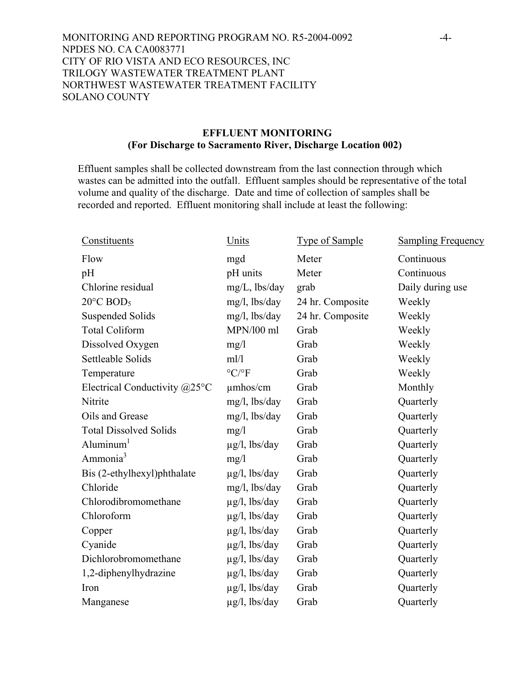MONITORING AND REPORTING PROGRAM NO. R5-2004-0092 -4- NPDES NO. CA CA0083771 CITY OF RIO VISTA AND ECO RESOURCES, INC TRILOGY WASTEWATER TREATMENT PLANT NORTHWEST WASTEWATER TREATMENT FACILITY SOLANO COUNTY

## **EFFLUENT MONITORING (For Discharge to Sacramento River, Discharge Location 002)**

Effluent samples shall be collected downstream from the last connection through which wastes can be admitted into the outfall. Effluent samples should be representative of the total volume and quality of the discharge. Date and time of collection of samples shall be recorded and reported. Effluent monitoring shall include at least the following:

| Constituents                            | Units                           | <b>Type of Sample</b> | <b>Sampling Frequency</b> |
|-----------------------------------------|---------------------------------|-----------------------|---------------------------|
| Flow                                    | mgd                             | Meter                 | Continuous                |
| pH                                      | pH units                        | Meter                 | Continuous                |
| Chlorine residual                       | mg/L, lbs/day                   | grab                  | Daily during use          |
| $20^{\circ}$ C BOD <sub>5</sub>         | mg/l, lbs/day                   | 24 hr. Composite      | Weekly                    |
| <b>Suspended Solids</b>                 | mg/l, lbs/day                   | 24 hr. Composite      | Weekly                    |
| <b>Total Coliform</b>                   | MPN/100 ml                      | Grab                  | Weekly                    |
| Dissolved Oxygen                        | mg/1                            | Grab                  | Weekly                    |
| Settleable Solids                       | m!/l                            | Grab                  | Weekly                    |
| Temperature                             | $\rm ^{\circ} C/\rm ^{\circ} F$ | Grab                  | Weekly                    |
| Electrical Conductivity $@25^{\circ}$ C | $\mu$ mhos/cm                   | Grab                  | Monthly                   |
| Nitrite                                 | mg/l, lbs/day                   | Grab                  | Quarterly                 |
| Oils and Grease                         | $mg/l$ , lbs/day                | Grab                  | Quarterly                 |
| <b>Total Dissolved Solids</b>           | mg/1                            | Grab                  | Quarterly                 |
| Aluminum <sup>1</sup>                   | $\mu$ g/l, lbs/day              | Grab                  | Quarterly                 |
| Ammonia <sup>3</sup>                    | mg/1                            | Grab                  | Quarterly                 |
| Bis (2-ethylhexyl)phthalate             | $\mu$ g/l, lbs/day              | Grab                  | Quarterly                 |
| Chloride                                | mg/l, lbs/day                   | Grab                  | Quarterly                 |
| Chlorodibromomethane                    | $\mu$ g/l, lbs/day              | Grab                  | Quarterly                 |
| Chloroform                              | $\mu$ g/l, lbs/day              | Grab                  | Quarterly                 |
| Copper                                  | $\mu$ g/l, lbs/day              | Grab                  | Quarterly                 |
| Cyanide                                 | $\mu$ g/l, lbs/day              | Grab                  | Quarterly                 |
| Dichlorobromomethane                    | $\mu$ g/l, lbs/day              | Grab                  | Quarterly                 |
| 1,2-diphenylhydrazine                   | $\mu$ g/l, lbs/day              | Grab                  | Quarterly                 |
| Iron                                    | $\mu$ g/l, lbs/day              | Grab                  | Quarterly                 |
| Manganese                               | $\mu$ g/l, lbs/day              | Grab                  | Quarterly                 |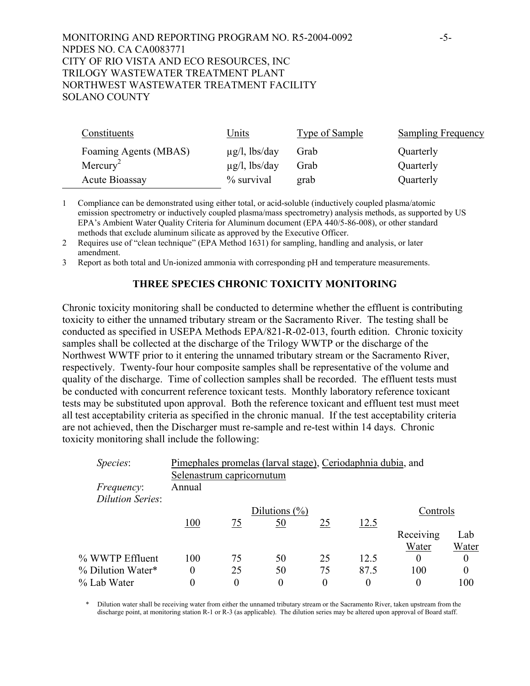# MONITORING AND REPORTING PROGRAM NO. R5-2004-0092 -5- NPDES NO. CA CA0083771 CITY OF RIO VISTA AND ECO RESOURCES, INC TRILOGY WASTEWATER TREATMENT PLANT NORTHWEST WASTEWATER TREATMENT FACILITY SOLANO COUNTY

| Constituents          | Units              | <b>Type of Sample</b> | <b>Sampling Frequency</b> |
|-----------------------|--------------------|-----------------------|---------------------------|
| Foaming Agents (MBAS) | $\mu$ g/l, lbs/day | Grab                  | Quarterly                 |
| Mercury <sup>2</sup>  | $\mu$ g/l, lbs/day | Grab                  | Quarterly                 |
| Acute Bioassay        | % survival         | grab                  | Quarterly                 |

1 Compliance can be demonstrated using either total, or acid-soluble (inductively coupled plasma/atomic emission spectrometry or inductively coupled plasma/mass spectrometry) analysis methods, as supported by US EPA's Ambient Water Quality Criteria for Aluminum document (EPA 440/5-86-008), or other standard methods that exclude aluminum silicate as approved by the Executive Officer.

2 Requires use of "clean technique" (EPA Method 1631) for sampling, handling and analysis, or later amendment.

3 Report as both total and Un-ionized ammonia with corresponding pH and temperature measurements.

## **THREE SPECIES CHRONIC TOXICITY MONITORING**

Chronic toxicity monitoring shall be conducted to determine whether the effluent is contributing toxicity to either the unnamed tributary stream or the Sacramento River. The testing shall be conducted as specified in USEPA Methods EPA/821-R-02-013, fourth edition. Chronic toxicity samples shall be collected at the discharge of the Trilogy WWTP or the discharge of the Northwest WWTF prior to it entering the unnamed tributary stream or the Sacramento River, respectively. Twenty-four hour composite samples shall be representative of the volume and quality of the discharge. Time of collection samples shall be recorded. The effluent tests must be conducted with concurrent reference toxicant tests. Monthly laboratory reference toxicant tests may be substituted upon approval. Both the reference toxicant and effluent test must meet all test acceptability criteria as specified in the chronic manual. If the test acceptability criteria are not achieved, then the Discharger must re-sample and re-test within 14 days. Chronic toxicity monitoring shall include the following:

| Species:                              | Pimephales promelas (larval stage), Ceriodaphnia dubia, and<br>Selenastrum capricornutum |    |                   |    |      |           |       |
|---------------------------------------|------------------------------------------------------------------------------------------|----|-------------------|----|------|-----------|-------|
| <i>Frequency:</i><br>Dilution Series: | Annual                                                                                   |    |                   |    |      |           |       |
|                                       |                                                                                          |    | Dilutions $(\% )$ |    |      | Controls  |       |
|                                       | 100                                                                                      | 75 | 50                | 25 | 12.5 |           |       |
|                                       |                                                                                          |    |                   |    |      | Receiving | Lab   |
|                                       |                                                                                          |    |                   |    |      | Water     | Water |
| % WWTP Effluent                       | 100                                                                                      | 75 | 50                | 25 | 12.5 | $\theta$  | 0     |
| % Dilution Water*                     | $\overline{0}$                                                                           | 25 | 50                | 75 | 87.5 | 100       | 0     |
| % Lab Water                           | 0                                                                                        | 0  | 0                 | 0  |      | 0         | 100   |

\* Dilution water shall be receiving water from either the unnamed tributary stream or the Sacramento River, taken upstream from the discharge point, at monitoring station R-1 or R-3 (as applicable). The dilution series may be altered upon approval of Board staff.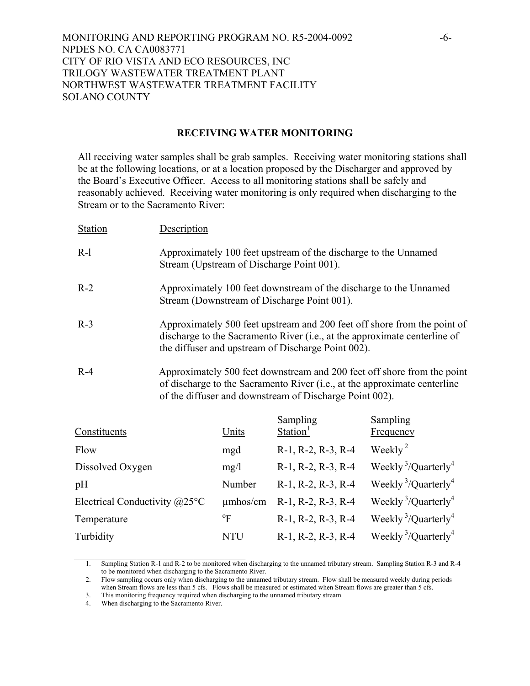MONITORING AND REPORTING PROGRAM NO. R5-2004-0092 -6- NPDES NO. CA CA0083771 CITY OF RIO VISTA AND ECO RESOURCES, INC TRILOGY WASTEWATER TREATMENT PLANT NORTHWEST WASTEWATER TREATMENT FACILITY SOLANO COUNTY

#### **RECEIVING WATER MONITORING**

All receiving water samples shall be grab samples. Receiving water monitoring stations shall be at the following locations, or at a location proposed by the Discharger and approved by the Board's Executive Officer. Access to all monitoring stations shall be safely and reasonably achieved. Receiving water monitoring is only required when discharging to the Stream or to the Sacramento River:

| <b>Station</b> | Description                                                                                                  |          |                                                                                                                                                               |
|----------------|--------------------------------------------------------------------------------------------------------------|----------|---------------------------------------------------------------------------------------------------------------------------------------------------------------|
| $R-1$          | Approximately 100 feet upstream of the discharge to the Unnamed<br>Stream (Upstream of Discharge Point 001). |          |                                                                                                                                                               |
| $R-2$          | Stream (Downstream of Discharge Point 001).                                                                  |          | Approximately 100 feet downstream of the discharge to the Unnamed                                                                                             |
| $R-3$          | the diffuser and upstream of Discharge Point 002).                                                           |          | Approximately 500 feet upstream and 200 feet off shore from the point of<br>discharge to the Sacramento River (i.e., at the approximate centerline of         |
| $R-4$          | of the diffuser and downstream of Discharge Point 002).                                                      |          | Approximately 500 feet downstream and 200 feet off shore from the point<br>of discharge to the Sacramento River ( <i>i.e.</i> , at the approximate centerline |
|                |                                                                                                              | Sampling | Sampling                                                                                                                                                      |

| Constituents                           | Units          | $S$ amping<br>Station <sup>1</sup> | $S$ aliipiilig<br>Frequency                 |
|----------------------------------------|----------------|------------------------------------|---------------------------------------------|
| Flow                                   | mgd            | R-1, R-2, R-3, R-4                 | Weekly <sup>2</sup>                         |
| Dissolved Oxygen                       | mg/1           | R-1, R-2, R-3, R-4                 | Weekly <sup>3</sup> /Quarterly <sup>4</sup> |
| pH                                     | Number         | R-1, R-2, R-3, R-4                 | Weekly <sup>3</sup> /Quarterly <sup>4</sup> |
| Electrical Conductivity $@25^{\circ}C$ | $\mu$ mhos/cm  | R-1, R-2, R-3, R-4                 | Weekly <sup>3</sup> /Quarterly <sup>4</sup> |
| Temperature                            | $\mathrm{^oF}$ | R-1, R-2, R-3, R-4                 | Weekly <sup>3</sup> /Quarterly <sup>4</sup> |
| Turbidity                              | <b>NTU</b>     | R-1, R-2, R-3, R-4                 | Weekly <sup>3</sup> /Quarterly <sup>4</sup> |

<sup>1.</sup> Sampling Station R-1 and R-2 to be monitored when discharging to the unnamed tributary stream. Sampling Station R-3 and R-4 to be monitored when discharging to the Sacramento River.

<sup>2.</sup> Flow sampling occurs only when discharging to the unnamed tributary stream. Flow shall be measured weekly during periods when Stream flows are less than 5 cfs. Flows shall be measured or estimated when Stream flows are greater than 5 cfs.

<sup>3.</sup> This monitoring frequency required when discharging to the unnamed tributary stream.

<sup>4.</sup> When discharging to the Sacramento River.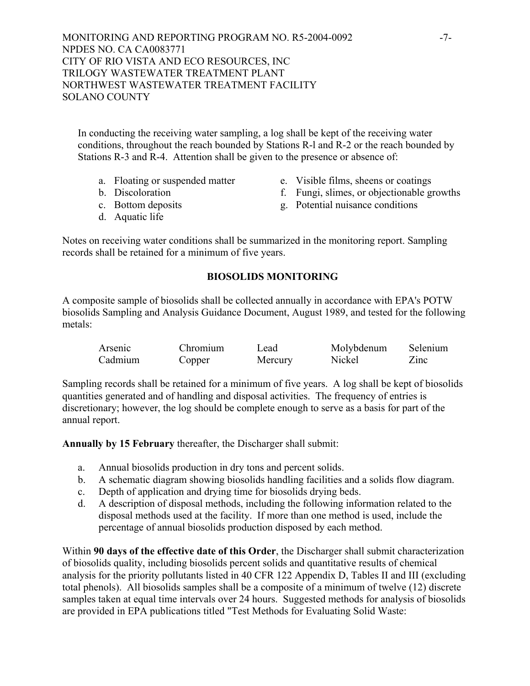In conducting the receiving water sampling, a log shall be kept of the receiving water conditions, throughout the reach bounded by Stations R-l and R-2 or the reach bounded by Stations R-3 and R-4. Attention shall be given to the presence or absence of:

- a. Floating or suspended matter e. Visible films, sheens or coatings
- 
- 
- 
- b. Discoloration f. Fungi, slimes, or objectionable growths
- c. Bottom deposits g. Potential nuisance conditions
- d. Aquatic life

Notes on receiving water conditions shall be summarized in the monitoring report. Sampling records shall be retained for a minimum of five years.

# **BIOSOLIDS MONITORING**

A composite sample of biosolids shall be collected annually in accordance with EPA's POTW biosolids Sampling and Analysis Guidance Document, August 1989, and tested for the following metals:

| Arsenic | Chromium | Lead    | Molybdenum | Selenium |
|---------|----------|---------|------------|----------|
| Cadmium | Copper   | Mercury | Nickel     | Zinc     |

Sampling records shall be retained for a minimum of five years. A log shall be kept of biosolids quantities generated and of handling and disposal activities. The frequency of entries is discretionary; however, the log should be complete enough to serve as a basis for part of the annual report.

**Annually by 15 February** thereafter, the Discharger shall submit:

- a. Annual biosolids production in dry tons and percent solids.
- b. A schematic diagram showing biosolids handling facilities and a solids flow diagram.
- c. Depth of application and drying time for biosolids drying beds.
- d. A description of disposal methods, including the following information related to the disposal methods used at the facility. If more than one method is used, include the percentage of annual biosolids production disposed by each method.

Within **90 days of the effective date of this Order**, the Discharger shall submit characterization of biosolids quality, including biosolids percent solids and quantitative results of chemical analysis for the priority pollutants listed in 40 CFR 122 Appendix D, Tables II and III (excluding total phenols). All biosolids samples shall be a composite of a minimum of twelve (12) discrete samples taken at equal time intervals over 24 hours. Suggested methods for analysis of biosolids are provided in EPA publications titled "Test Methods for Evaluating Solid Waste: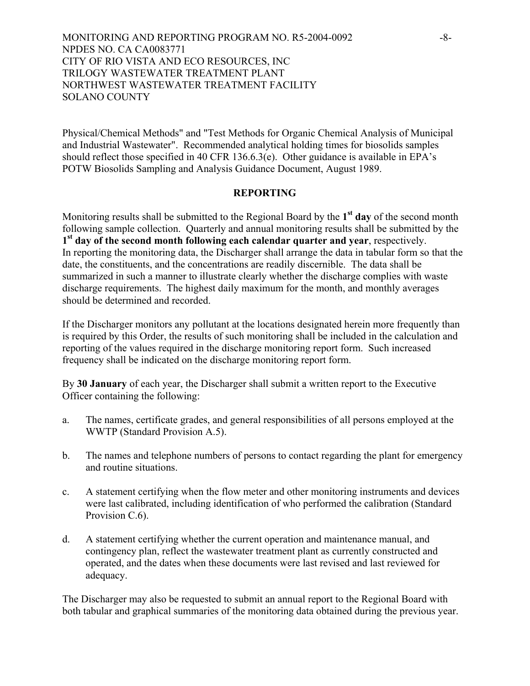MONITORING AND REPORTING PROGRAM NO. R5-2004-0092 -8- NPDES NO. CA CA0083771 CITY OF RIO VISTA AND ECO RESOURCES, INC TRILOGY WASTEWATER TREATMENT PLANT NORTHWEST WASTEWATER TREATMENT FACILITY SOLANO COUNTY

Physical/Chemical Methods" and "Test Methods for Organic Chemical Analysis of Municipal and Industrial Wastewater". Recommended analytical holding times for biosolids samples should reflect those specified in 40 CFR 136.6.3(e). Other guidance is available in EPA's POTW Biosolids Sampling and Analysis Guidance Document, August 1989.

## **REPORTING**

Monitoring results shall be submitted to the Regional Board by the **1st day** of the second month following sample collection. Quarterly and annual monitoring results shall be submitted by the **1st day of the second month following each calendar quarter and year**, respectively. In reporting the monitoring data, the Discharger shall arrange the data in tabular form so that the date, the constituents, and the concentrations are readily discernible. The data shall be summarized in such a manner to illustrate clearly whether the discharge complies with waste discharge requirements. The highest daily maximum for the month, and monthly averages should be determined and recorded.

If the Discharger monitors any pollutant at the locations designated herein more frequently than is required by this Order, the results of such monitoring shall be included in the calculation and reporting of the values required in the discharge monitoring report form. Such increased frequency shall be indicated on the discharge monitoring report form.

By **30 January** of each year, the Discharger shall submit a written report to the Executive Officer containing the following:

- a. The names, certificate grades, and general responsibilities of all persons employed at the WWTP (Standard Provision A.5).
- b. The names and telephone numbers of persons to contact regarding the plant for emergency and routine situations.
- c. A statement certifying when the flow meter and other monitoring instruments and devices were last calibrated, including identification of who performed the calibration (Standard Provision C.6).
- d. A statement certifying whether the current operation and maintenance manual, and contingency plan, reflect the wastewater treatment plant as currently constructed and operated, and the dates when these documents were last revised and last reviewed for adequacy.

The Discharger may also be requested to submit an annual report to the Regional Board with both tabular and graphical summaries of the monitoring data obtained during the previous year.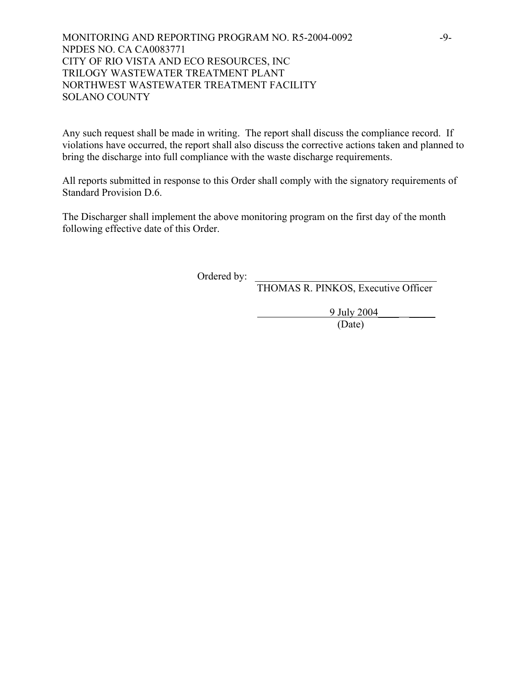# MONITORING AND REPORTING PROGRAM NO. R5-2004-0092 -9- NPDES NO. CA CA0083771 CITY OF RIO VISTA AND ECO RESOURCES, INC TRILOGY WASTEWATER TREATMENT PLANT NORTHWEST WASTEWATER TREATMENT FACILITY SOLANO COUNTY

Any such request shall be made in writing. The report shall discuss the compliance record. If violations have occurred, the report shall also discuss the corrective actions taken and planned to bring the discharge into full compliance with the waste discharge requirements.

All reports submitted in response to this Order shall comply with the signatory requirements of Standard Provision D.6.

The Discharger shall implement the above monitoring program on the first day of the month following effective date of this Order.

Ordered by:

THOMAS R. PINKOS, Executive Officer

9 July 2004\_\_\_\_ \_\_\_\_\_

(Date)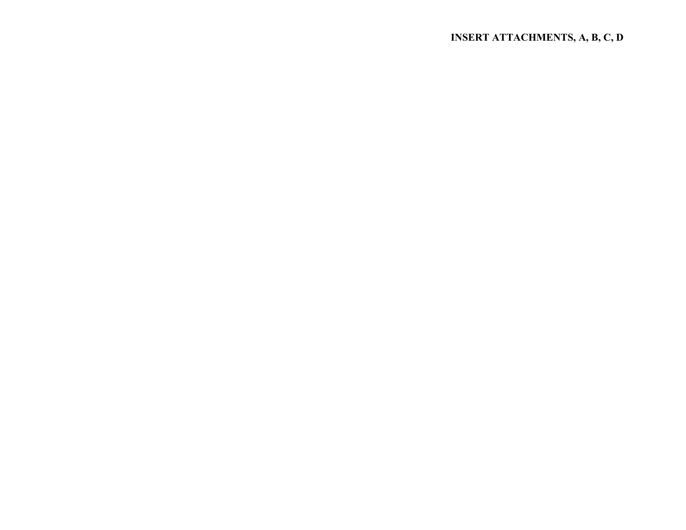# **INSERT ATTACHMENTS, A, B, C, D**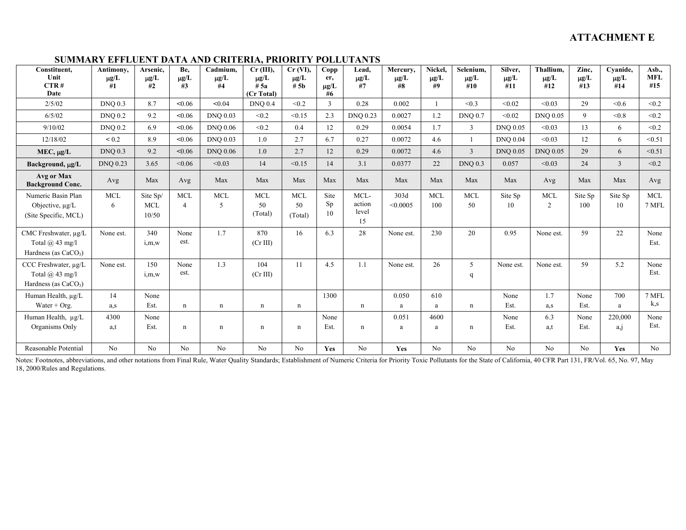# **SUMMARY EFFLUENT DATA AND CRITERIA, PRIORITY POLLUTANTS**

| Constituent,<br>Unit<br>CTR#<br>Date                                  | Antimony,<br>$\mu g/L$<br>#1 | Arsenic,<br>$\mu$ g/L<br>#2     | Be,<br>$\mu g/L$<br>#3       | Cadmium.<br>$\mu g/L$<br>#4 | $Cr$ (III),<br>$\mu g/L$<br># 5a<br>(Cr Total) | $Cr$ (VI),<br>$\mu$ g/L<br># 5b | Copp<br>er,<br>$\mu g/L$<br>#6 | Lead,<br>$\mu g/L$<br>#7      | Mercury,<br>$\mu g/L$<br>#8 | Nickel,<br>$\mu g/L$<br>#9 | Selenium.<br>$\mu g/L$<br>#10 | Silver.<br>$\mu g/L$<br>#11 | Thallium.<br>$\mu$ g/L<br>#12 | Zinc,<br>$\mu\text{g}/\text{L}$<br>#13 | Cyanide,<br>$\mu g/L$<br>#14 | Asb.,<br><b>MFL</b><br>#15 |
|-----------------------------------------------------------------------|------------------------------|---------------------------------|------------------------------|-----------------------------|------------------------------------------------|---------------------------------|--------------------------------|-------------------------------|-----------------------------|----------------------------|-------------------------------|-----------------------------|-------------------------------|----------------------------------------|------------------------------|----------------------------|
| 2/5/02                                                                | <b>DNQ 0.3</b>               | 8.7                             | <0.06                        | < 0.04                      | <b>DNQ 0.4</b>                                 | < 0.2                           | $\overline{3}$                 | 0.28                          | 0.002                       |                            | < 0.3                         | < 0.02                      | < 0.03                        | 29                                     | < 0.6                        | < 0.2                      |
| 6/5/02                                                                | <b>DNO 0.2</b>               | 9.2                             | <0.06                        | <b>DNQ 0.03</b>             | < 0.2                                          | < 0.15                          | 2.3                            | <b>DNO 0.23</b>               | 0.0027                      | 1.2                        | <b>DNO 0.7</b>                | < 0.02                      | <b>DNO 0.05</b>               | $\mathbf{Q}$                           | < 0.8                        | < 0.2                      |
| 9/10/02                                                               | <b>DNQ 0.2</b>               | 6.9                             | <0.06                        | <b>DNO 0.06</b>             | < 0.2                                          | 0.4                             | 12                             | 0.29                          | 0.0054                      | 1.7                        | $\mathbf{3}$                  | <b>DNO 0.05</b>             | < 0.03                        | 13                                     | 6                            | < 0.2                      |
| 12/18/02                                                              | < 0.2                        | 8.9                             | <0.06                        | <b>DNO 0.03</b>             | 1.0                                            | 2.7                             | 6.7                            | 0.27                          | 0.0072                      | 4.6                        | $\mathbf{1}$                  | <b>DNQ 0.04</b>             | < 0.03                        | 12                                     | 6                            | < 0.51                     |
| $MEC, \mu g/L$                                                        | <b>DNQ 0.3</b>               | 9.2                             | < 0.06                       | <b>DNQ 0.06</b>             | $1.0\,$                                        | 2.7                             | 12                             | 0.29                          | 0.0072                      | 4.6                        | $\overline{3}$                | <b>DNQ 0.05</b>             | <b>DNQ 0.05</b>               | 29                                     | 6                            | < 0.51                     |
| Background, µg/L                                                      | <b>DNO 0.23</b>              | 3.65                            | < 0.06                       | < 0.03                      | 14                                             | < 0.15                          | 14                             | 3.1                           | 0.0377                      | 22                         | <b>DNQ 0.3</b>                | 0.057                       | < 0.03                        | 24                                     | $\overline{3}$               | < 0.2                      |
| Avg or Max<br><b>Background Conc.</b>                                 | Avg                          | Max                             | Avg                          | Max                         | Max                                            | Max                             | Max                            | Max                           | Max                         | Max                        | Max                           | Max                         | Avg                           | Max                                    | Max                          | Avg                        |
| Numeric Basin Plan<br>Objective, $\mu$ g/L<br>(Site Specific, MCL)    | <b>MCL</b><br>6              | Site Sp/<br><b>MCL</b><br>10/50 | <b>MCL</b><br>$\overline{4}$ | <b>MCL</b><br>5             | MCL<br>50<br>(Total)                           | <b>MCL</b><br>50<br>(Total)     | Site<br>Sp<br>10               | MCL-<br>action<br>level<br>15 | 303d<br>< 0.0005            | <b>MCL</b><br>100          | <b>MCL</b><br>50              | Site Sp<br>10               | <b>MCL</b><br>2               | Site Sp<br>100                         | Site Sp<br>10                | <b>MCL</b><br>7 MFL        |
| CMC Freshwater, µg/L<br>Total $(a)$ 43 mg/l<br>Hardness (as $CaCO3$ ) | None est.                    | 340<br>i,m,w                    | None<br>est.                 | 1.7                         | 870<br>(Cr III)                                | 16                              | 6.3                            | 28                            | None est.                   | 230                        | 20                            | 0.95                        | None est.                     | 59                                     | 22                           | None<br>Est.               |
| CCC Freshwater, µg/L<br>Total $(a)$ 43 mg/l<br>Hardness (as $CaCO3$ ) | None est.                    | 150<br>i,m,w                    | None<br>est.                 | 1.3                         | 104<br>(Cr III)                                | 11                              | 4.5                            | 1.1                           | None est.                   | 26                         | 5<br>q                        | None est.                   | None est.                     | 59                                     | 5.2                          | None<br>Est.               |
| Human Health, µg/L                                                    | 14                           | None                            |                              |                             |                                                |                                 | 1300                           |                               | 0.050                       | 610                        |                               | None                        | 1.7                           | None                                   | 700                          | 7 MFL                      |
| Water $+$ Org.                                                        | a,s                          | Est.                            | n                            | $\mathbf n$                 | n                                              | n                               |                                | n                             | a                           | a                          | n                             | Est.                        | a,s                           | Est.                                   | a                            | k,s                        |
| Human Health, µg/L<br>Organisms Only                                  | 4300<br>a,t                  | None<br>Est.                    | n                            | $\mathbf n$                 | n                                              | n                               | None<br>Est.                   | n                             | 0.051<br>a                  | 4600<br>a                  | $\mathbf n$                   | None<br>Est.                | 6.3<br>a,t                    | None<br>Est.                           | 220,000<br>a, j              | None<br>Est.               |
| Reasonable Potential                                                  | N <sub>o</sub>               | N <sub>o</sub>                  | No                           | No                          | No                                             | No                              | Yes                            | No                            | <b>Yes</b>                  | No                         | N <sub>o</sub>                | No                          | No                            | N <sub>o</sub>                         | <b>Yes</b>                   | No                         |

Notes: Footnotes, abbreviations, and other notations from Final Rule, Water Quality Standards; Establishment of Numeric Criteria for Priority Toxic Pollutants for the State of California, 40 CFR Part 131, FR/Vol. 65, No. 9 18, 2000/Rules and Regulations.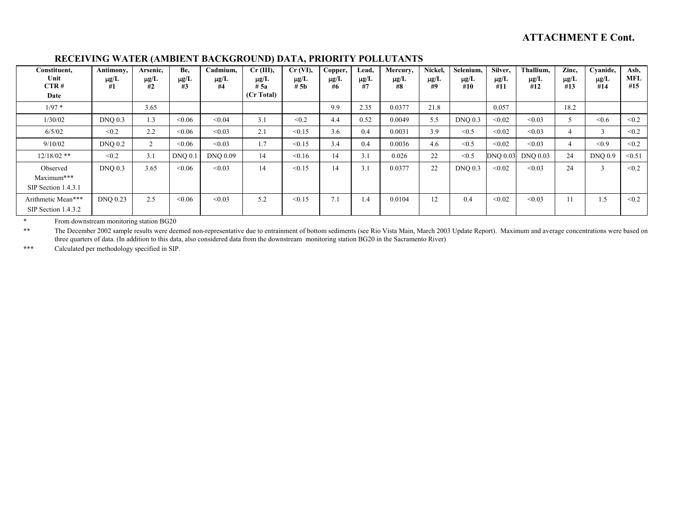| Constituent,<br>Unit<br>CTR#<br>Date          | Antimony,<br>$\mu$ g/L<br>#1 | Arsenic,<br>$\mu$ g/L<br>#2 | Be.<br>$\mu$ g/L<br>#3 | Cadmium.<br>$\mu$ g/L<br>#4 | $Cr$ (III),<br>$\mu$ g/L<br># 5a<br>(Cr Total) | $Cr$ (VI),<br>$\mu g/L$<br># 5 <sub>b</sub> | Copper,<br>$\mu$ g/L<br>#6 | Lead,<br>$\mu g/L$<br>#7 | Mercury,<br>$\mu g/L$<br>#8 | Nickel,<br>$\mu$ g/L<br>#9 | Selenium,<br>$\mu$ g/L<br>#10 | Silver,<br>$\mu$ g/L<br>#11 | Thallium,<br>$\mu$ g/L<br>#12 | Zinc,<br>$\mu$ g/L<br>#13 | Cyanide,<br>$\mu$ g/L<br>#14 | Asb,<br><b>MFL</b><br>#15 |
|-----------------------------------------------|------------------------------|-----------------------------|------------------------|-----------------------------|------------------------------------------------|---------------------------------------------|----------------------------|--------------------------|-----------------------------|----------------------------|-------------------------------|-----------------------------|-------------------------------|---------------------------|------------------------------|---------------------------|
| $1/97*$                                       |                              | 3.65                        |                        |                             |                                                |                                             | 9.9                        | 2.35                     | 0.0377                      | 21.8                       |                               | 0.057                       |                               | 18.2                      |                              |                           |
| 1/30/02                                       | $DNQ$ 0.3                    | 1.3                         | <0.06                  | < 0.04                      | 3.1                                            | < 0.2                                       | 4.4                        | 0.52                     | 0.0049                      | 5.5                        | $DNQ$ 0.3                     | < 0.02                      | < 0.03                        |                           | < 0.6                        | < 0.2                     |
| 6/5/02                                        | < 0.2                        | 2.2                         | < 0.06                 | < 0.03                      | 2.1                                            | < 0.15                                      | 3.6                        | 0.4                      | 0.0031                      | 3.9                        | < 0.5                         | < 0.02                      | < 0.03                        |                           | $\sim$                       | < 0.2                     |
| 9/10/02                                       | <b>DNQ 0.2</b>               | $\overline{2}$              | < 0.06                 | < 0.03                      | 1.7                                            | < 0.15                                      | 3.4                        | 0.4                      | 0.0036                      | 4.6                        | < 0.5                         | < 0.02                      | < 0.03                        | 4                         | < 0.9                        | < 0.2                     |
| $12/18/02$ **                                 | < 0.2                        | 3.1                         | DNO <sub>0.1</sub>     | <b>DNO 0.09</b>             | 14                                             | < 0.16                                      | 14                         | 3.1                      | 0.026                       | 22                         | < 0.5                         | <b>DNQ 0.03</b>             | <b>DNO 0.03</b>               | 24                        | <b>DNQ 0.9</b>               | < 0.51                    |
| Observed<br>Maximum***<br>SIP Section 1.4.3.1 | <b>DNQ 0.3</b>               | 3.65                        | < 0.06                 | < 0.03                      | 14                                             | < 0.15                                      | 14                         | 3.1                      | 0.0377                      | 22                         | <b>DNQ 0.3</b>                | < 0.02                      | < 0.03                        | 24                        | 3                            | < 0.2                     |
| Arithmetic Mean***<br>SIP Section 1.4.3.2     | <b>DNQ 0.23</b>              | 2.5                         | < 0.06                 | < 0.03                      | 5.2                                            | < 0.15                                      | 7.1                        | 1.4                      | 0.0104                      | 12                         | 0.4                           | < 0.02                      | < 0.03                        |                           | 1.5                          | < 0.2                     |

#### **RECEIVING WATER (AMBIENT BACKGROUND) DATA, PRIORITY POLLUTANTS**

\* From downstream monitoring station BG20

\*\* The December 2002 sample results were deemed non-representative due to entrainment of bottom sediments (see Rio Vista Main, March 2003 Update Report). Maximum and average concentrations were based on three quarters of data. (In addition to this data, also considered data from the downstream monitoring station BG20 in the Sacramento River)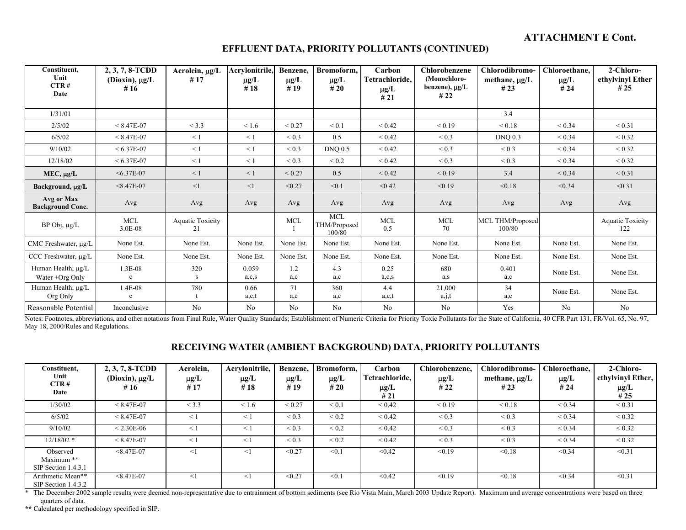#### **EFFLUENT DATA, PRIORITY POLLUTANTS (CONTINUED)**

| Constituent,<br>Unit<br>CTR#<br>Date  | 2, 3, 7, 8-TCDD<br>(Dioxin), $\mu g/L$<br># $16$ | Acrolein, $\mu$ g/L<br>#17    | Acrylonitrile,<br>$\mu$ g/L<br>#18 | Benzene,<br>$\mu$ g/L<br>#19 | Bromoform.<br>$\mu$ g/L<br>#20 | Carbon<br>Tetrachloride,<br>$\mu$ g/L<br>#21 | <b>Chlorobenzene</b><br>(Monochloro-<br>benzene), $\mu$ g/L<br>#22 | Chlorodibromo-<br>methane, $\mu$ g/L<br># $23$ | Chloroethane.<br>$\mu$ g/L<br>#24 | 2-Chloro-<br>ethylvinyl Ether<br># $25$ |
|---------------------------------------|--------------------------------------------------|-------------------------------|------------------------------------|------------------------------|--------------------------------|----------------------------------------------|--------------------------------------------------------------------|------------------------------------------------|-----------------------------------|-----------------------------------------|
| 1/31/01                               |                                                  |                               |                                    |                              |                                |                                              |                                                                    | 3.4                                            |                                   |                                         |
| 2/5/02                                | $< 8.47E - 07$                                   | < 3.3                         | < 1.6                              | ${}_{0.27}$                  | ${}_{0.1}$                     | ${}_{0.42}$                                  | ${}_{0.19}$                                                        | ${}_{0.18}$                                    | ${}< 0.34$                        | ${}< 0.31$                              |
| 6/5/02                                | $< 8.47E - 07$                                   | $\leq$ 1                      | $\leq$ 1                           | ${}_{0.3}$                   | 0.5                            | ${}_{0.42}$                                  | ${}_{0.3}$                                                         | <b>DNQ 0.3</b>                                 | ${}< 0.34$                        | ${}< 0.32$                              |
| 9/10/02                               | $< 6.37E - 07$                                   | $\leq 1$                      | $\leq 1$                           | ${}_{0.3}$                   | <b>DNQ 0.5</b>                 | ${}_{0.42}$                                  | ${}_{0.3}$                                                         | ${}_{0.3}$                                     | ${}< 0.34$                        | ${}_{0.32}$                             |
| 12/18/02                              | $< 6.37E - 07$                                   | $\leq$ 1                      | $\leq$ 1                           | ${}_{0.3}$                   | < 0.2                          | ${}_{0.42}$                                  | ${}_{0.3}$                                                         | ${}_{0.3}$                                     | ${}< 0.34$                        | ${}< 0.32$                              |
| $MEC, \mu g/L$                        | $< 6.37E - 07$                                   | $\leq 1$                      | $\leq 1$                           | ${}_{0.27}$                  | 0.5                            | ${}_{0.42}$                                  | ${}< 0.19$                                                         | 3.4                                            | ${}< 0.34$                        | ${}_{0.31}$                             |
| Background, µg/L                      | $< 8.47E - 07$                                   | <1                            | $\leq$ 1                           | < 0.27                       | < 0.1                          | < 0.42                                       | < 0.19                                                             | < 0.18                                         | < 0.34                            | < 0.31                                  |
| Avg or Max<br><b>Background Conc.</b> | Avg                                              | Avg                           | Avg                                | Avg                          | Avg                            | Avg                                          | Avg                                                                | Avg                                            | Avg                               | Avg                                     |
| BP Obj, µg/L                          | <b>MCL</b><br>3.0E-08                            | <b>Aquatic Toxicity</b><br>21 |                                    | <b>MCL</b>                   | MCL.<br>THM/Proposed<br>100/80 | <b>MCL</b><br>0.5                            | MCL<br>70                                                          | MCL THM/Proposed<br>100/80                     |                                   | <b>Aquatic Toxicity</b><br>122          |
| CMC Freshwater, µg/L                  | None Est.                                        | None Est.                     | None Est.                          | None Est.                    | None Est.                      | None Est.                                    | None Est.                                                          | None Est.                                      | None Est.                         | None Est.                               |
| CCC Freshwater, µg/L                  | None Est.                                        | None Est.                     | None Est.                          | None Est.                    | None Est.                      | None Est.                                    | None Est.                                                          | None Est.                                      | None Est.                         | None Est.                               |
| Human Health, µg/L<br>Water +Org Only | 1.3E-08<br>$\mathbf{c}$                          | 320<br>S                      | 0.059<br>a, c, s                   | 1.2<br>a.c                   | 4.3<br>a,c                     | 0.25<br>a,c,s                                | 680<br>a,s                                                         | 0.401<br>a,c                                   | None Est.                         | None Est.                               |
| Human Health, µg/L<br>Org Only        | 1.4E-08<br>$\mathbf c$                           | 780                           | 0.66<br>a,c,t                      | 71<br>a,c                    | 360<br>a,c                     | 4.4<br>a,c,t                                 | 21,000<br>a, j, t                                                  | 34<br>a,c                                      | None Est.                         | None Est.                               |
| Reasonable Potential                  | Inconclusive                                     | No                            | N <sub>o</sub>                     | N <sub>o</sub>               | No                             | No                                           | No                                                                 | Yes                                            | No                                | No                                      |

Notes: Footnotes, abbreviations, and other notations from Final Rule, Water Quality Standards; Establishment of Numeric Criteria for Priority Toxic Pollutants for the State of California, 40 CFR Part 131, FR/Vol. 65, No. 9 May 18, 2000/Rules and Regulations.

## **RECEIVING WATER (AMBIENT BACKGROUND) DATA, PRIORITY POLLUTANTS**

| Constituent,          | 2, 3, 7, 8-TCDD     | Acrolein, | Acrylonitrile, | Benzene,    | Bromoform. | Carbon         | Chlorobenzene, | Chlorodibromo-     | Chloroethane, | 2-Chloro-         |
|-----------------------|---------------------|-----------|----------------|-------------|------------|----------------|----------------|--------------------|---------------|-------------------|
| Unit<br>CTR#          | (Dioxin), $\mu g/L$ | $\mu$ g/L | $\mu$ g/L      | $\mu$ g/L   | $\mu$ g/L  | Tetrachloride, | $\mu$ g/L      | methane, $\mu$ g/L | $\mu$ g/L     | ethylvinyl Ether, |
| Date                  | #16                 | #17       | #18            | #19         | #20        | $\mu$ g/L      | #22            | #23                | #24           | $\mu$ g/L         |
|                       |                     |           |                |             |            | #21            |                |                    |               | #25               |
| 1/30/02               | $< 8.47E - 07$      | < 3.3     | < 1.6          | ${}_{0.27}$ | $\leq 0.1$ | ${}_{0.42}$    | ${}_{0.19}$    | ${}_{0.18}$        | ${}_{0.34}$   | ${}_{0.31}$       |
| 6/5/02                | $< 8.47E - 07$      | $\leq$ 1  | $\leq$ 1       | ${}_{0.3}$  | ${}_{0.2}$ | ${}_{0.42}$    | ${}_{0.3}$     | ${}_{0.3}$         | ${}< 0.34$    | ${}< 0.32$        |
| 9/10/02               | $< 2.30E - 06$      | $\leq$ 1  | $\leq$ 1       | ${}_{0.3}$  | < 0.2      | ${}_{0.42}$    | ${}_{0.3}$     | ${}_{0.3}$         | ${}< 0.34$    | ${}< 0.32$        |
| $12/18/02$ *          | $< 8.47E - 07$      | $\leq$ 1  | $\leq$ 1       | ${}_{0.3}$  | ${}_{0.2}$ | ${}_{0.42}$    | ${}_{0.3}$     | ${}_{0.3}$         | ${}< 0.34$    | ${}< 0.32$        |
| Observed              | $< 8.47E - 07$      |           | $\leq$ 1       | < 0.27      | < 0.1      | < 0.42         | < 0.19         | < 0.18             | < 0.34        | < 0.31            |
| Maximum **            |                     |           |                |             |            |                |                |                    |               |                   |
| SIP Section 1.4.3.1   |                     |           |                |             |            |                |                |                    |               |                   |
| Arithmetic Mean**     | $< 8.47E - 07$      | ≤1        | $\leq$ 1       | < 0.27      | < 0.1      | < 0.42         | < 0.19         | < 0.18             | < 0.34        | < 0.31            |
| SIP Section $1.4.3.2$ |                     |           |                |             |            |                |                |                    |               |                   |

\* The December 2002 sample results were deemed non-representative due to entrainment of bottom sediments (see Rio Vista Main, March 2003 Update Report). Maximum and average concentrations were based on three quarters of data.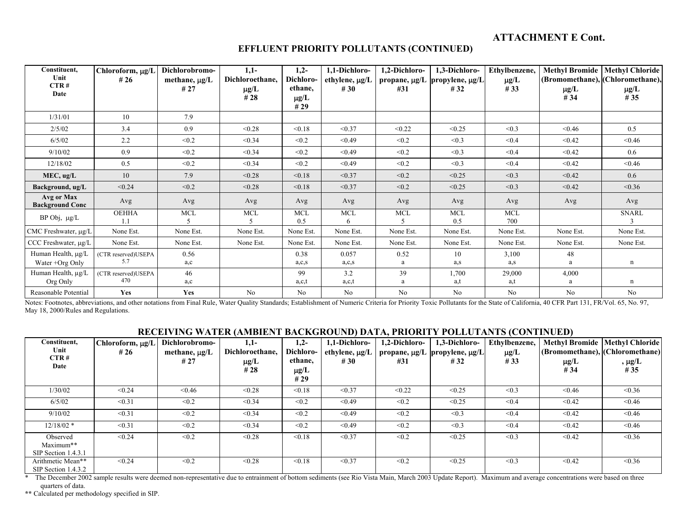#### **EFFLUENT PRIORITY POLLUTANTS (CONTINUED)**

| Constituent,<br>Unit<br>CTR#<br>Date          | Chloroform, µg/I<br># 26   | Dichlorobromo-<br>methane, $\mu$ g/L<br>#27 | $1,1-$<br>Dichloroethane,<br>$\mu$ g/L<br># 28 | $1,2-$<br>Dichloro-<br>ethane,<br>$\mu$ g/L<br>#29 | 1,1-Dichloro-<br>ethylene, $\mu$ g/L<br># 30 | 1,2-Dichloro-<br>#31 | 1,3-Dichloro-<br>propane, µg/L propylene, µg/L<br>#32 | Ethylbenzene,<br>$\mu$ g/L<br>#33 | <b>Methyl Bromide</b><br>(Bromomethane), (Chloromethane),<br>$\mu$ g/L<br># 34 | <b>Methyl Chloride</b><br>$\mu$ g/L<br># 35 |
|-----------------------------------------------|----------------------------|---------------------------------------------|------------------------------------------------|----------------------------------------------------|----------------------------------------------|----------------------|-------------------------------------------------------|-----------------------------------|--------------------------------------------------------------------------------|---------------------------------------------|
| 1/31/01                                       | 10                         | 7.9                                         |                                                |                                                    |                                              |                      |                                                       |                                   |                                                                                |                                             |
| 2/5/02                                        | 3.4                        | 0.9                                         | < 0.28                                         | < 0.18                                             | < 0.37                                       | < 0.22               | < 0.25                                                | < 0.3                             | < 0.46                                                                         | 0.5                                         |
| 6/5/02                                        | 2.2                        | < 0.2                                       | < 0.34                                         | < 0.2                                              | < 0.49                                       | < 0.2                | < 0.3                                                 | < 0.4                             | < 0.42                                                                         | < 0.46                                      |
| 9/10/02                                       | 0.9                        | < 0.2                                       | < 0.34                                         | < 0.2                                              | < 0.49                                       | < 0.2                | < 0.3                                                 | < 0.4                             | < 0.42                                                                         | 0.6                                         |
| 12/18/02                                      | 0.5                        | < 0.2                                       | < 0.34                                         | < 0.2                                              | < 0.49                                       | < 0.2                | < 0.3                                                 | < 0.4                             | < 0.42                                                                         | < 0.46                                      |
| MEC, ug/L                                     | 10                         | 7.9                                         | < 0.28                                         | < 0.18                                             | < 0.37                                       | < 0.2                | < 0.25                                                | < 0.3                             | < 0.42                                                                         | 0.6                                         |
| Background, ug/L                              | < 0.24                     | < 0.2                                       | < 0.28                                         | < 0.18                                             | < 0.37                                       | < 0.2                | < 0.25                                                | < 0.3                             | < 0.42                                                                         | < 0.36                                      |
| Avg or Max<br><b>Background Conc</b>          | Avg                        | Avg                                         | Avg                                            | Avg                                                | Avg                                          | Avg                  | Avg                                                   | Avg                               | Avg                                                                            | Avg                                         |
| BP Obj, µg/L                                  | <b>OEHHA</b><br>1.1        | MCL<br>5                                    | <b>MCL</b><br>5                                | <b>MCL</b><br>0.5                                  | $\rm MCL$<br>6                               | <b>MCL</b><br>5      | <b>MCL</b><br>0.5                                     | <b>MCL</b><br>700                 |                                                                                | <b>SNARL</b><br>$\mathbf{3}$                |
| CMC Freshwater, µg/L                          | None Est.                  | None Est.                                   | None Est.                                      | None Est.                                          | None Est.                                    | None Est.            | None Est.                                             | None Est.                         | None Est.                                                                      | None Est.                                   |
| CCC Freshwater, µg/L                          | None Est.                  | None Est.                                   | None Est.                                      | None Est.                                          | None Est.                                    | None Est.            | None Est.                                             | None Est.                         | None Est.                                                                      | None Est.                                   |
| Human Health, µg/L<br>Water $+{\rm Org}$ Only | (CTR reserved)USEPA<br>5.7 | 0.56<br>a,c                                 |                                                | 0.38<br>a, c, s                                    | 0.057<br>a,c,s                               | 0.52<br>a            | 10<br>a,s                                             | 3,100<br>a,s                      | 48<br>a                                                                        | n                                           |
| Human Health, µg/L<br>Org Only                | (CTR reserved)USEPA<br>470 | 46<br>a,c                                   |                                                | 99<br>a,c,t                                        | 3.2<br>a,c,t                                 | 39<br>a              | 1,700<br>a,t                                          | 29,000<br>a,t                     | 4,000<br>a                                                                     | n                                           |
| Reasonable Potential                          | Yes                        | Yes                                         | No                                             | No                                                 | No                                           | No                   | No                                                    | No                                | No                                                                             | No                                          |

Notes: Footnotes, abbreviations, and other notations from Final Rule, Water Quality Standards; Establishment of Numeric Criteria for Priority Toxic Pollutants for the State of California, 40 CFR Part 131, FR/Vol. 65, No. 9 May 18, 2000/Rules and Regulations.

#### **RECEIVING WATER (AMBIENT BACKGROUND) DATA, PRIORITY POLLUTANTS (CONTINUED)**

| Constituent,<br>Unit<br>CTR#<br>Date         | Chloroform, µg/L<br># 26 | Dichlorobromo-<br>methane, $\mu$ g/L<br># 27 | $1,1-$<br>Dichloroethane,<br>$\mu$ g/L<br>#28 | $1,2-$<br>Dichloro-<br>ethane.<br>$\mu$ g/L<br>#29 | 1,1-Dichloro-<br>ethylene, $\mu$ g/L<br>#30 | 1,2-Dichloro-<br>#31 | 1,3-Dichloro-<br>propane, $\mu$ g/L  propylene, $\mu$ g/L  <br>#32 | Ethylbenzene,<br>$\mu$ g/L<br>#33 | <b>Methyl Bromide</b><br>(Bromomethane), (Chloromethane)<br>$\mu$ g/L<br># 34 | Methyl Chloride<br>, $\mu g/L$<br>#35 |
|----------------------------------------------|--------------------------|----------------------------------------------|-----------------------------------------------|----------------------------------------------------|---------------------------------------------|----------------------|--------------------------------------------------------------------|-----------------------------------|-------------------------------------------------------------------------------|---------------------------------------|
| 1/30/02                                      | < 0.24                   | < 0.46                                       | < 0.28                                        | < 0.18                                             | < 0.37                                      | < 0.22               | < 0.25                                                             | < 0.3                             | < 0.46                                                                        | < 0.36                                |
| 6/5/02                                       | < 0.31                   | < 0.2                                        | < 0.34                                        | < 0.2                                              | < 0.49                                      | < 0.2                | < 0.25                                                             | < 0.4                             | < 0.42                                                                        | < 0.46                                |
| 9/10/02                                      | < 0.31                   | < 0.2                                        | < 0.34                                        | < 0.2                                              | < 0.49                                      | < 0.2                | < 0.3                                                              | < 0.4                             | < 0.42                                                                        | < 0.46                                |
| $12/18/02$ *                                 | < 0.31                   | < 0.2                                        | < 0.34                                        | < 0.2                                              | < 0.49                                      | < 0.2                | $\leq 0.3$                                                         | < 0.4                             | < 0.42                                                                        | < 0.46                                |
| Observed<br>Maximum**<br>SIP Section 1.4.3.1 | < 0.24                   | < 0.2                                        | < 0.28                                        | < 0.18                                             | < 0.37                                      | < 0.2                | < 0.25                                                             | < 0.3                             | < 0.42                                                                        | < 0.36                                |
| Arithmetic Mean**<br>SIP Section 1.4.3.2     | < 0.24                   | < 0.2                                        | < 0.28                                        | < 0.18                                             | < 0.37                                      | < 0.2                | < 0.25                                                             | < 0.3                             | < 0.42                                                                        | < 0.36                                |

\* The December 2002 sample results were deemed non-representative due to entrainment of bottom sediments (see Rio Vista Main, March 2003 Update Report). Maximum and average concentrations were based on three quarters of data.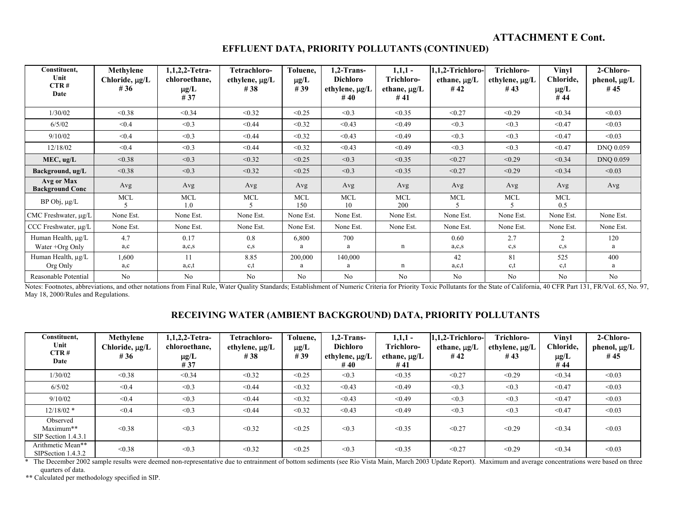| Constituent,<br>Unit<br>CTR#<br>Date  | Methylene<br>Chloride, µg/L<br># 36 | 1,1,2,2-Tetra-<br>chloroethane,<br>$\mu$ g/L<br>#37 | Tetrachloro-<br>ethylene, µg/L<br>#38 | Toluene,<br>$\mu$ g/L<br>#39 | $1.2$ -Trans-<br><b>Dichloro</b><br>ethylene, µg/L<br># 40 | $1,1,1-$<br>Trichloro-<br>ethane, $\mu$ g/L<br># 41 | 1,1,2-Trichloro-<br>ethane, $\mu$ g/L<br>#42 | Trichloro-<br>ethylene, $\mu$ g/L<br>#43 | Vinyl<br>Chloride,<br>$\mu$ g/L<br>#44 | 2-Chloro-<br>phenol, $\mu$ g/L<br>#45 |
|---------------------------------------|-------------------------------------|-----------------------------------------------------|---------------------------------------|------------------------------|------------------------------------------------------------|-----------------------------------------------------|----------------------------------------------|------------------------------------------|----------------------------------------|---------------------------------------|
| 1/30/02                               | < 0.38                              | < 0.34                                              | < 0.32                                | < 0.25                       | < 0.3                                                      | < 0.35                                              | < 0.27                                       | < 0.29                                   | < 0.34                                 | < 0.03                                |
| 6/5/02                                | < 0.4                               | < 0.3                                               | < 0.44                                | < 0.32                       | < 0.43                                                     | < 0.49                                              | < 0.3                                        | < 0.3                                    | < 0.47                                 | < 0.03                                |
| 9/10/02                               | < 0.4                               | < 0.3                                               | < 0.44                                | < 0.32                       | < 0.43                                                     | < 0.49                                              | < 0.3                                        | < 0.3                                    | < 0.47                                 | < 0.03                                |
| 12/18/02                              | < 0.4                               | < 0.3                                               | < 0.44                                | < 0.32                       | < 0.43                                                     | < 0.49                                              | < 0.3                                        | < 0.3                                    | < 0.47                                 | DNQ 0.059                             |
| MEC, ug/L                             | < 0.38                              | < 0.3                                               | < 0.32                                | < 0.25                       | < 0.3                                                      | < 0.35                                              | < 0.27                                       | < 0.29                                   | < 0.34                                 | <b>DNO 0.059</b>                      |
| Background, ug/L                      | < 0.38                              | < 0.3                                               | < 0.32                                | < 0.25                       | < 0.3                                                      | < 0.35                                              | < 0.27                                       | < 0.29                                   | < 0.34                                 | < 0.03                                |
| Avg or Max<br><b>Background Conc</b>  | Avg                                 | Avg                                                 | Avg                                   | Avg                          | Avg                                                        | Avg                                                 | Avg                                          | Avg                                      | Avg                                    | Avg                                   |
| $BP$ Obj, $\mu g/L$                   | <b>MCL</b>                          | <b>MCL</b><br>1.0                                   | <b>MCL</b>                            | <b>MCL</b><br>150            | <b>MCL</b><br>10                                           | <b>MCL</b><br>200                                   | <b>MCL</b>                                   | <b>MCL</b>                               | MCL<br>0.5                             |                                       |
| CMC Freshwater, µg/L                  | None Est.                           | None Est.                                           | None Est.                             | None Est.                    | None Est.                                                  | None Est.                                           | None Est.                                    | None Est.                                | None Est.                              | None Est.                             |
| CCC Freshwater, µg/L                  | None Est.                           | None Est.                                           | None Est.                             | None Est.                    | None Est.                                                  | None Est.                                           | None Est.                                    | None Est.                                | None Est.                              | None Est.                             |
| Human Health, µg/L<br>Water +Org Only | 4.7<br>a,c                          | 0.17<br>a, c, s                                     | 0.8<br>$c_{,S}$                       | 6,800<br>a                   | 700<br>a                                                   | n                                                   | 0.60<br>a, c, s                              | 2.7<br>c,s                               | 2<br>$c_{,S}$                          | 120<br>a                              |
| Human Health, µg/L<br>Org Only        | 1,600<br>a,c                        | 11<br>a,c,t                                         | 8.85<br>c,t                           | 200,000<br>a                 | 140,000<br>a                                               | n                                                   | 42<br>a,c,t                                  | 81<br>c,t                                | 525<br>c, t                            | 400<br>a                              |
| Reasonable Potential                  | N <sub>0</sub>                      | No                                                  | No                                    | No                           | N <sub>o</sub>                                             | No                                                  | No                                           | No                                       | N <sub>o</sub>                         | No                                    |

Notes: Footnotes, abbreviations, and other notations from Final Rule, Water Quality Standards; Establishment of Numeric Criteria for Priority Toxic Pollutants for the State of California, 40 CFR Part 131, FR/Vol. 65, No. 9 May 18, 2000/Rules and Regulations.

## **RECEIVING WATER (AMBIENT BACKGROUND) DATA, PRIORITY POLLUTANTS**

| Constituent.<br>Unit<br>CTR#<br>Date         | Methylene<br>Chloride, µg/L<br>#36 | 1,1,2,2-Tetra-<br>chloroethane,<br>$\mu$ g/L<br>#37 | Tetrachloro-<br>ethylene, µg/L<br>#38 | Toluene,<br>$\mu$ g/L<br>#39 | $1.2$ -Trans-<br>Dichloro<br>ethylene, µg/L<br>#40 | $1,1,1-$<br>Trichloro-<br>ethane, $\mu$ g/L<br>#41 | l,1,2-Trichloro-<br>ethane, $\mu g/L$<br>#42 | Trichloro-<br>ethylene, $\mu$ g/L<br>#43 | Vinyl<br>Chloride,<br>$\mu g/L$<br>#44 | 2-Chloro-<br>phenol, $\mu$ g/L<br>#45 |
|----------------------------------------------|------------------------------------|-----------------------------------------------------|---------------------------------------|------------------------------|----------------------------------------------------|----------------------------------------------------|----------------------------------------------|------------------------------------------|----------------------------------------|---------------------------------------|
| 1/30/02                                      | < 0.38                             | < 0.34                                              | < 0.32                                | < 0.25                       | < 0.3                                              | < 0.35                                             | < 0.27                                       | < 0.29                                   | < 0.34                                 | < 0.03                                |
| 6/5/02                                       | < 0.4                              | < 0.3                                               | < 0.44                                | < 0.32                       | < 0.43                                             | < 0.49                                             | < 0.3                                        | < 0.3                                    | < 0.47                                 | < 0.03                                |
| 9/10/02                                      | < 0.4                              | < 0.3                                               | < 0.44                                | < 0.32                       | < 0.43                                             | < 0.49                                             | < 0.3                                        | < 0.3                                    | < 0.47                                 | < 0.03                                |
| $12/18/02$ *                                 | < 0.4                              | < 0.3                                               | < 0.44                                | < 0.32                       | < 0.43                                             | < 0.49                                             | < 0.3                                        | < 0.3                                    | < 0.47                                 | < 0.03                                |
| Observed<br>Maximum**<br>SIP Section 1.4.3.1 | < 0.38                             | < 0.3                                               | < 0.32                                | < 0.25                       | < 0.3                                              | < 0.35                                             | < 0.27                                       | < 0.29                                   | < 0.34                                 | < 0.03                                |
| Arithmetic Mean**<br>SIPSection 1.4.3.2      | < 0.38                             | < 0.3                                               | < 0.32                                | < 0.25                       | < 0.3                                              | < 0.35                                             | < 0.27                                       | < 0.29                                   | < 0.34                                 | < 0.03                                |

\* The December 2002 sample results were deemed non-representative due to entrainment of bottom sediments (see Rio Vista Main, March 2003 Update Report). Maximum and average concentrations were based on three quarters of data.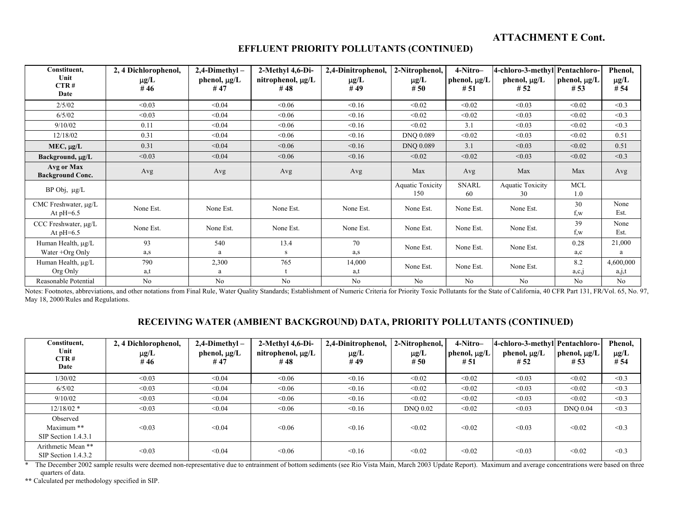| Constituent,<br>Unit<br>CTR#<br>Date     | 2, 4 Dichlorophenol,<br>$\mu$ g/L<br>#46 | $2,4$ -Dimethyl-<br>phenol, $\mu$ g/L<br>#47 | 2-Methyl 4,6-Di-<br>nitrophenol, $\mu$ g/L<br>#48 | 2,4-Dinitrophenol,<br>$\mu$ g/L<br>#49 | 2-Nitrophenol,<br>$\mu$ g/L<br>#50 | 4-Nitro-<br>phenol, µg/L<br>#51 | 4-chloro-3-methyl<br>phenol, $\mu$ g/L<br>#52 | Pentachloro-<br>phenol, $\mu$ g/L<br>#53 | Phenol,<br>$\mu$ g/L<br># 54 |
|------------------------------------------|------------------------------------------|----------------------------------------------|---------------------------------------------------|----------------------------------------|------------------------------------|---------------------------------|-----------------------------------------------|------------------------------------------|------------------------------|
| 2/5/02                                   | < 0.03                                   | < 0.04                                       | &0.06                                             | < 0.16                                 | < 0.02                             | < 0.02                          | < 0.03                                        | < 0.02                                   | < 0.3                        |
| 6/5/02                                   | < 0.03                                   | < 0.04                                       | <0.06                                             | < 0.16                                 | < 0.02                             | < 0.02                          | < 0.03                                        | < 0.02                                   | < 0.3                        |
| 9/10/02                                  | 0.11                                     | < 0.04                                       | &0.06                                             | < 0.16                                 | < 0.02                             | 3.1                             | < 0.03                                        | < 0.02                                   | < 0.3                        |
| 12/18/02                                 | 0.31                                     | < 0.04                                       | &0.06                                             | < 0.16                                 | <b>DNO 0.089</b>                   | < 0.02                          | < 0.03                                        | < 0.02                                   | 0.51                         |
| $MEC, \mu g/L$                           | 0.31                                     | < 0.04                                       | &0.06                                             | < 0.16                                 | <b>DNO 0.089</b>                   | 3.1                             | < 0.03                                        | < 0.02                                   | 0.51                         |
| Background, µg/L                         | < 0.03                                   | < 0.04                                       | &0.06                                             | < 0.16                                 | < 0.02                             | < 0.02                          | < 0.03                                        | < 0.02                                   | < 0.3                        |
| Avg or Max<br><b>Background Conc.</b>    | Avg                                      | Avg                                          | Avg                                               | Avg                                    | Max                                | Avg                             | Max                                           | Max                                      | Avg                          |
| $BP$ Obj, $\mu g/L$                      |                                          |                                              |                                                   |                                        | <b>Aquatic Toxicity</b><br>150     | <b>SNARL</b><br>60              | <b>Aquatic Toxicity</b><br>30                 | <b>MCL</b><br>1.0                        |                              |
| CMC Freshwater, µg/L<br>At $pH=6.5$      | None Est.                                | None Est.                                    | None Est.                                         | None Est.                              | None Est.                          | None Est.                       | None Est.                                     | 30<br>f,w                                | None<br>Est.                 |
| CCC Freshwater, $\mu$ g/L<br>At $pH=6.5$ | None Est.                                | None Est.                                    | None Est.                                         | None Est.                              | None Est.                          | None Est.                       | None Est.                                     | 39<br>f,w                                | None<br>Est.                 |
| Human Health, µg/L                       | 93                                       | 540                                          | 13.4                                              | 70                                     | None Est.                          | None Est.                       | None Est.                                     | 0.28                                     | 21,000                       |
| Water +Org Only                          | a, s                                     | a                                            | s                                                 | a,s                                    |                                    |                                 |                                               | a,c                                      | a                            |
| Human Health, µg/L                       | 790                                      | 2,300                                        | 765                                               | 14,000                                 | None Est.                          | None Est.                       | None Est.                                     | 8.2                                      | 4,600,000                    |
| Org Only                                 | a,t                                      | a                                            |                                                   | a,t                                    |                                    |                                 |                                               | a,c,j                                    | a,j,t                        |
| Reasonable Potential                     | $N_{0}$                                  | $N_{\Omega}$                                 | $N_{\Omega}$                                      | $N_{0}$                                | $N_{0}$                            | $N_{\Omega}$                    | $N_{0}$                                       | $N_{\Omega}$                             | $N_{0}$                      |

## **EFFLUENT PRIORITY POLLUTANTS (CONTINUED)**

Reasonable Potential No No No No No No No No No Notes: Footnotes, abbreviations, and other notations from Final Rule, Water Quality Standards; Establishment of Numeric Criteria for Priority Toxic Pollutants for the State of California, 40 CFR Part 131, FR/Vol. 65, No. 97, May 18, 2000/Rules and Regulations.

## **RECEIVING WATER (AMBIENT BACKGROUND) DATA, PRIORITY POLLUTANTS (CONTINUED)**

| Constituent,<br>Unit<br>CTR#                  | 2, 4 Dichlorophenol,<br>$\mu$ g/L<br>#46 | $2,4$ -Dimethyl-<br>phenol, $\mu$ g/L<br>#47 | $2$ -Methyl 4,6-Di-<br>nitrophenol, $\mu$ g/L<br>#48 | 2,4-Dinitrophenol,<br>$\mu$ g/L<br>#49 | 2-Nitrophenol,<br>$\mu$ g/L<br>#50 | 4-Nitro-<br>phenol, $\mu$ g/L<br>#51 | 4-chloro-3-methyl Pentachloro-<br>phenol, $\mu$ g/L<br>#52 | phenol, $\mu$ g/L<br>#53 | Phenol,<br>$\mu g/L$<br># 54 |
|-----------------------------------------------|------------------------------------------|----------------------------------------------|------------------------------------------------------|----------------------------------------|------------------------------------|--------------------------------------|------------------------------------------------------------|--------------------------|------------------------------|
| Date                                          |                                          |                                              |                                                      |                                        |                                    |                                      |                                                            |                          |                              |
| 1/30/02                                       | < 0.03                                   | < 0.04                                       | &0.06                                                | < 0.16                                 | < 0.02                             | < 0.02                               | < 0.03                                                     | < 0.02                   | < 0.3                        |
| 6/5/02                                        | < 0.03                                   | < 0.04                                       | <0.06                                                | < 0.16                                 | < 0.02                             | < 0.02                               | < 0.03                                                     | < 0.02                   | < 0.3                        |
| 9/10/02                                       | < 0.03                                   | < 0.04                                       | &0.06                                                | < 0.16                                 | < 0.02                             | < 0.02                               | < 0.03                                                     | < 0.02                   | < 0.3                        |
| $12/18/02$ *                                  | < 0.03                                   | < 0.04                                       | <0.06                                                | < 0.16                                 | DNQ 0.02                           | < 0.02                               | < 0.03                                                     | <b>DNO 0.04</b>          | < 0.3                        |
| Observed<br>Maximum **<br>SIP Section 1.4.3.1 | < 0.03                                   | < 0.04                                       | <0.06                                                | < 0.16                                 | < 0.02                             | < 0.02                               | < 0.03                                                     | < 0.02                   | < 0.3                        |
| Arithmetic Mean **<br>SIP Section 1.4.3.2     | < 0.03                                   | < 0.04                                       | < 0.06                                               | < 0.16                                 | < 0.02                             | < 0.02                               | < 0.03                                                     | < 0.02                   | < 0.3                        |

\* The December 2002 sample results were deemed non-representative due to entrainment of bottom sediments (see Rio Vista Main, March 2003 Update Report). Maximum and average concentrations were based on three quarters of data.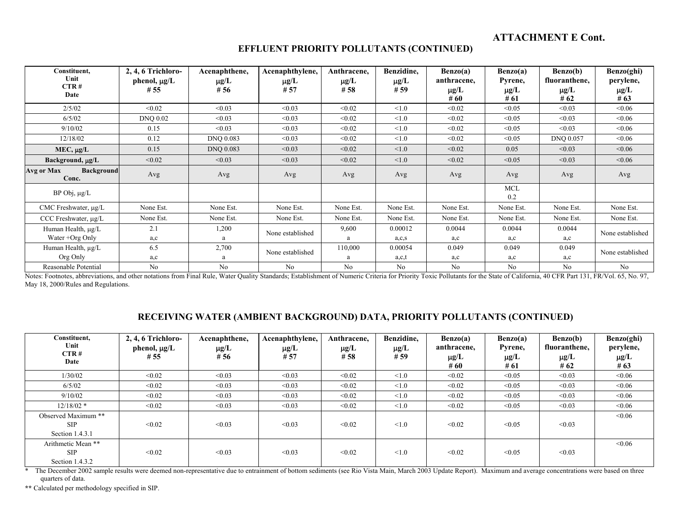| Constituent,<br>Unit<br>CTR#<br>Date     | 2, 4, 6 Trichloro-<br>phenol, µg/L<br>#55 | Acenaphthene,<br>$\mu$ g/L<br>#56 | Acenaphthylene,<br>$\mu$ g/L<br># 57 | Anthracene,<br>$\mu$ g/L<br>#58 | Benzidine,<br>$\mu$ g/L<br># 59 | Benzo(a)<br>anthracene.<br>$\mu$ g/L<br>#60 | Benzo(a)<br>Pyrene,<br>$\mu$ g/L<br>#61 | Benzo(b)<br>fluoranthene,<br>$\mu$ g/L<br># $62$ | Benzo(ghi)<br>perylene,<br>$\mu$ g/L<br># $63$ |
|------------------------------------------|-------------------------------------------|-----------------------------------|--------------------------------------|---------------------------------|---------------------------------|---------------------------------------------|-----------------------------------------|--------------------------------------------------|------------------------------------------------|
| 2/5/02                                   | < 0.02                                    | < 0.03                            | < 0.03                               | < 0.02                          | < 1.0                           | < 0.02                                      | < 0.05                                  | < 0.03                                           | &0.06                                          |
| 6/5/02                                   | <b>DNQ 0.02</b>                           | < 0.03                            | < 0.03                               | < 0.02                          | $\leq 1.0$                      | < 0.02                                      | < 0.05                                  | < 0.03                                           | < 0.06                                         |
| 9/10/02                                  | 0.15                                      | < 0.03                            | < 0.03                               | < 0.02                          | < 1.0                           | < 0.02                                      | < 0.05                                  | < 0.03                                           | <0.06                                          |
| 12/18/02                                 | 0.12                                      | DNQ 0.083                         | < 0.03                               | < 0.02                          | < 1.0                           | < 0.02                                      | < 0.05                                  | DNQ 0.057                                        | &0.06                                          |
| $MEC, \mu g/L$                           | 0.15                                      | DNQ 0.083                         | < 0.03                               | < 0.02                          | < 1.0                           | < 0.02                                      | 0.05                                    | < 0.03                                           | < 0.06                                         |
| Background, µg/L                         | < 0.02                                    | < 0.03                            | < 0.03                               | < 0.02                          | < 1.0                           | < 0.02                                      | < 0.05                                  | < 0.03                                           | < 0.06                                         |
| <b>Background</b><br>Avg or Max<br>Conc. | Avg                                       | Avg                               | Avg                                  | Avg                             | Avg                             | Avg                                         | Avg                                     | Avg                                              | Avg                                            |
| $BP$ Obj, $\mu g/L$                      |                                           |                                   |                                      |                                 |                                 |                                             | <b>MCL</b><br>0.2                       |                                                  |                                                |
| CMC Freshwater, $\mu$ g/L                | None Est.                                 | None Est.                         | None Est.                            | None Est.                       | None Est.                       | None Est.                                   | None Est.                               | None Est.                                        | None Est.                                      |
| CCC Freshwater, $\mu$ g/L                | None Est.                                 | None Est.                         | None Est.                            | None Est.                       | None Est.                       | None Est.                                   | None Est.                               | None Est.                                        | None Est.                                      |
| Human Health, µg/L                       | 2.1                                       | 1,200                             | None established                     | 9,600                           | 0.00012                         | 0.0044                                      | 0.0044                                  | 0.0044                                           | None established                               |
| Water +Org Only                          | a,c                                       | a                                 |                                      | a                               | a,c,s                           | a,c                                         | a,c                                     | a,c                                              |                                                |
| Human Health, µg/L                       | 6.5                                       | 2,700                             | None established                     | 110,000                         | 0.00054                         | 0.049                                       | 0.049                                   | 0.049                                            | None established                               |
| Org Only                                 | a,c                                       | a                                 |                                      | a                               | a,c,t                           | a,c                                         | a,c                                     | a,c                                              |                                                |
| Reasonable Potential                     | No                                        | No                                | No                                   | No                              | $\overline{N}_{0}$              | $\overline{N}$                              | No                                      | $N_{0}$                                          | No                                             |

#### **EFFLUENT PRIORITY POLLUTANTS (CONTINUED)**

Reasonable Potential No No No No No No No No No Notes: Footnotes, abbreviations, and other notations from Final Rule, Water Quality Standards; Establishment of Numeric Criteria for Priority Toxic Pollutants for the State of California, 40 CFR Part 131, FR/Vol. 65, No. 97, May 18, 2000/Rules and Regulations.

#### **RECEIVING WATER (AMBIENT BACKGROUND) DATA, PRIORITY POLLUTANTS (CONTINUED)**

| Constituent,<br>Unit<br>CTR#<br>Date                  | 2, 4, 6 Trichloro-<br>phenol, $\mu$ g/L<br>#55 | Acenaphthene,<br>$\mu$ g/L<br>#56 | Acenaphthylene,<br>$\mu$ g/L<br>#57 | Anthracene.<br>$\mu$ g/L<br>#58 | Benzidine.<br>$\mu$ g/L<br>#59 | Benzo(a)<br>anthracene,<br>$\mu$ g/L<br>#60 | Benzo(a)<br>Pyrene,<br>$\mu g/L$<br># 61 | Benzo(b)<br>fluoranthene,<br>$\mu$ g/L<br>#62 | Benzo(ghi)<br>perylene,<br>$\mu$ g/L<br># $63$ |
|-------------------------------------------------------|------------------------------------------------|-----------------------------------|-------------------------------------|---------------------------------|--------------------------------|---------------------------------------------|------------------------------------------|-----------------------------------------------|------------------------------------------------|
| 1/30/02                                               | < 0.02                                         | < 0.03                            | < 0.03                              | < 0.02                          | $\leq 1.0$                     | < 0.02                                      | < 0.05                                   | < 0.03                                        | < 0.06                                         |
| 6/5/02                                                | < 0.02                                         | < 0.03                            | < 0.03                              | < 0.02                          | < 1.0                          | < 0.02                                      | < 0.05                                   | < 0.03                                        | &0.06                                          |
| 9/10/02                                               | < 0.02                                         | < 0.03                            | < 0.03                              | < 0.02                          | < 1.0                          | < 0.02                                      | < 0.05                                   | < 0.03                                        | < 0.06                                         |
| $12/18/02$ *                                          | < 0.02                                         | < 0.03                            | < 0.03                              | < 0.02                          | < 1.0                          | < 0.02                                      | < 0.05                                   | < 0.03                                        | < 0.06                                         |
| Observed Maximum **<br><b>SIP</b><br>Section 1.4.3.1  | < 0.02                                         | < 0.03                            | < 0.03                              | < 0.02                          | $\leq 1.0$                     | < 0.02                                      | < 0.05                                   | < 0.03                                        | <0.06                                          |
| Arithmetic Mean **<br><b>SIP</b><br>Section $1.4.3.2$ | < 0.02                                         | < 0.03                            | < 0.03                              | < 0.02                          | $\leq 1.0$                     | < 0.02                                      | < 0.05                                   | < 0.03                                        | < 0.06                                         |

\* The December 2002 sample results were deemed non-representative due to entrainment of bottom sediments (see Rio Vista Main, March 2003 Update Report). Maximum and average concentrations were based on three quarters of data.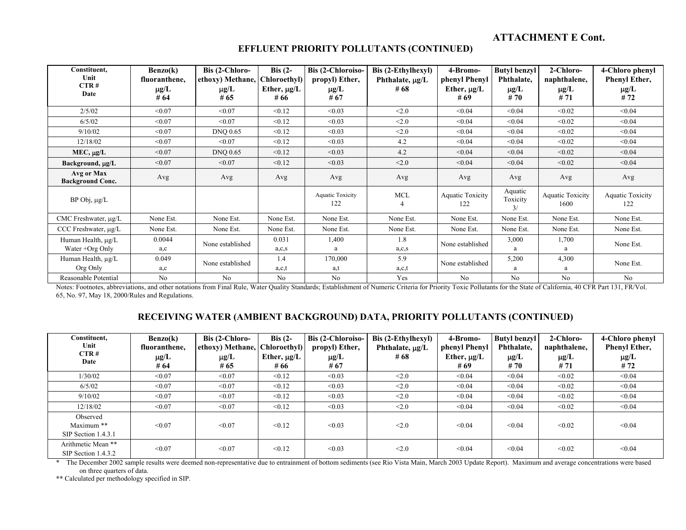| Constituent,<br>Unit<br>CTR#<br>Date  | Benzo(k)<br>fluoranthene,<br>$\mu$ g/L<br># 64 | Bis (2-Chloro-<br>ethoxy) Methane,<br>$\mu$ g/L<br># 65 | Bis $(2-$<br>Chloroethyl)<br>Ether, $\mu$ g/L<br># 66 | <b>Bis (2-Chloroiso-</b><br>propyl) Ether,<br>$\mu$ g/L<br>#67 | Bis (2-Ethylhexyl)<br>Phthalate, $\mu$ g/L<br>#68 | 4-Bromo-<br>phenyl Phenyl<br>Ether, $\mu$ g/L<br># 69 | <b>Butyl benzyl</b><br>Phthalate,<br>$\mu$ g/L<br>#70 | 2-Chloro-<br>naphthalene,<br>$\mu$ g/L<br># 71 | 4-Chloro phenyl<br><b>Phenyl Ether,</b><br>$\mu$ g/L<br>#72 |
|---------------------------------------|------------------------------------------------|---------------------------------------------------------|-------------------------------------------------------|----------------------------------------------------------------|---------------------------------------------------|-------------------------------------------------------|-------------------------------------------------------|------------------------------------------------|-------------------------------------------------------------|
| 2/5/02                                | < 0.07                                         | < 0.07                                                  | < 0.12                                                | < 0.03                                                         | <2.0                                              | < 0.04                                                | < 0.04                                                | < 0.02                                         | < 0.04                                                      |
| 6/5/02                                | < 0.07                                         | < 0.07                                                  | < 0.12                                                | < 0.03                                                         | < 2.0                                             | < 0.04                                                | < 0.04                                                | < 0.02                                         | < 0.04                                                      |
| 9/10/02                               | < 0.07                                         | <b>DNQ 0.65</b>                                         | < 0.12                                                | < 0.03                                                         | < 2.0                                             | < 0.04                                                | < 0.04                                                | < 0.02                                         | < 0.04                                                      |
| 12/18/02                              | < 0.07                                         | < 0.07                                                  | < 0.12                                                | < 0.03                                                         | 4.2                                               | < 0.04                                                | < 0.04                                                | < 0.02                                         | < 0.04                                                      |
| $MEC, \mu g/L$                        | < 0.07                                         | <b>DNQ 0.65</b>                                         | < 0.12                                                | < 0.03                                                         | 4.2                                               | < 0.04                                                | < 0.04                                                | < 0.02                                         | < 0.04                                                      |
| Background, µg/L                      | < 0.07                                         | < 0.07                                                  | < 0.12                                                | < 0.03                                                         | < 2.0                                             | < 0.04                                                | < 0.04                                                | < 0.02                                         | < 0.04                                                      |
| Avg or Max<br><b>Background Conc.</b> | Avg                                            | Avg                                                     | Avg                                                   | Avg                                                            | Avg                                               | Avg                                                   | Avg                                                   | Avg                                            | Avg                                                         |
| $BP$ Obj, $\mu g/L$                   |                                                |                                                         |                                                       | <b>Aquatic Toxicity</b><br>122                                 | <b>MCL</b><br>4                                   | <b>Aquatic Toxicity</b><br>122                        | Aquatic<br>Toxicity<br>3/                             | Aquatic Toxicity<br>1600                       | <b>Aquatic Toxicity</b><br>122                              |
| CMC Freshwater, $\mu$ g/L             | None Est.                                      | None Est.                                               | None Est.                                             | None Est.                                                      | None Est.                                         | None Est.                                             | None Est.                                             | None Est.                                      | None Est.                                                   |
| CCC Freshwater, µg/L                  | None Est.                                      | None Est.                                               | None Est.                                             | None Est.                                                      | None Est.                                         | None Est.                                             | None Est.                                             | None Est.                                      | None Est.                                                   |
| Human Health, µg/L                    | 0.0044                                         | None established                                        | 0.031                                                 | 1,400                                                          | 1.8                                               | None established                                      | 3,000                                                 | 1,700                                          | None Est.                                                   |
| Water +Org Only                       | a,c                                            |                                                         | a, c, s                                               | a                                                              | a, c, s                                           |                                                       | a                                                     | а                                              |                                                             |
| Human Health, $\mu$ g/L<br>Org Only   | 0.049<br>a,c                                   | None established                                        | 1.4<br>a,c,t                                          | 170,000<br>a,t                                                 | 5.9<br>a,c,t                                      | None established                                      | 5,200<br>a                                            | 4,300<br>a                                     | None Est.                                                   |
| Reasonable Potential                  | No                                             | No                                                      | No                                                    | No                                                             | Yes                                               | No                                                    | No                                                    | No                                             | No                                                          |

## **EFFLUENT PRIORITY POLLUTANTS (CONTINUED)**

Notes: Footnotes, abbreviations, and other notations from Final Rule, Water Quality Standards; Establishment of Numeric Criteria for Priority Toxic Pollutants for the State of California, 40 CFR Part 131, FR/Vol. 65, No. 97, May 18, 2000/Rules and Regulations.

## **RECEIVING WATER (AMBIENT BACKGROUND) DATA, PRIORITY POLLUTANTS (CONTINUED)**

| Constituent,<br>Unit<br>CTR#<br>Date          | Benzo(k)<br>fluoranthene,<br>$\mu$ g/L<br># $64$ | Bis (2-Chloro-<br>ethoxy) Methane,<br>$\mu g/L$<br># $65$ | Bis $(2-$<br>  Chloroethyl)  <br>Ether, $\mu$ g/L<br># 66 | Bis (2-Chloroiso-<br>propyl) Ether,<br>$\mu$ g/L<br># 67 | Bis (2-Ethylhexyl)<br>Phthalate, µg/L<br># 68 | 4-Bromo-<br>phenyl Phenyl<br>Ether, $\mu$ g/L<br># 69 | <b>Butyl benzyl</b><br>Phthalate,<br>$\mu g/L$<br># 70 | 2-Chloro-<br>naphthalene,<br>$\mu$ g/L<br>#71 | 4-Chloro phenyl<br><b>Phenyl Ether,</b><br>$\mu$ g/L<br># 72 |
|-----------------------------------------------|--------------------------------------------------|-----------------------------------------------------------|-----------------------------------------------------------|----------------------------------------------------------|-----------------------------------------------|-------------------------------------------------------|--------------------------------------------------------|-----------------------------------------------|--------------------------------------------------------------|
| 1/30/02                                       | < 0.07                                           | < 0.07                                                    | < 0.12                                                    | < 0.03                                                   | < 2.0                                         | < 0.04                                                | < 0.04                                                 | < 0.02                                        | < 0.04                                                       |
| 6/5/02                                        | < 0.07                                           | < 0.07                                                    | < 0.12                                                    | < 0.03                                                   | < 2.0                                         | < 0.04                                                | < 0.04                                                 | < 0.02                                        | < 0.04                                                       |
| 9/10/02                                       | < 0.07                                           | < 0.07                                                    | < 0.12                                                    | < 0.03                                                   | < 2.0                                         | < 0.04                                                | < 0.04                                                 | < 0.02                                        | < 0.04                                                       |
| 12/18/02                                      | < 0.07                                           | < 0.07                                                    | < 0.12                                                    | < 0.03                                                   | < 2.0                                         | < 0.04                                                | < 0.04                                                 | < 0.02                                        | < 0.04                                                       |
| Observed<br>Maximum **<br>SIP Section 1.4.3.1 | < 0.07                                           | < 0.07                                                    | < 0.12                                                    | < 0.03                                                   | < 2.0                                         | < 0.04                                                | < 0.04                                                 | < 0.02                                        | < 0.04                                                       |
| Arithmetic Mean **<br>$SIP$ Section 1.4.3.2   | < 0.07                                           | < 0.07                                                    | < 0.12                                                    | < 0.03                                                   | < 2.0                                         | < 0.04                                                | < 0.04                                                 | < 0.02                                        | < 0.04                                                       |

\* The December 2002 sample results were deemed non-representative due to entrainment of bottom sediments (see Rio Vista Main, March 2003 Update Report). Maximum and average concentrations were based on three quarters of data.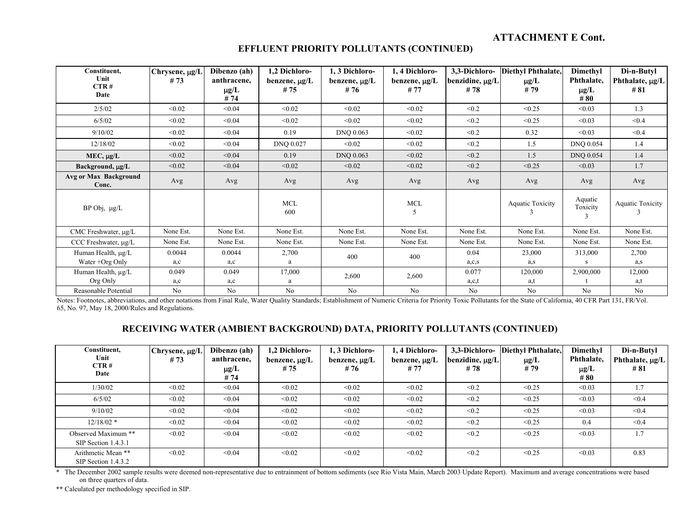| Constituent,<br>Unit<br>CTR#   | Chrysene, µg/L<br>#73 | Dibenzo (ah)<br>anthracene,<br>$\mu g/L$ | 1,2 Dichloro-<br>benzene, $\mu$ g/L<br>#75 | 1, 3 Dichloro-<br>benzene, $\mu$ g/L<br>#76 | 1, 4 Dichloro-<br>benzene, $\mu$ g/L<br># 77 | 3,3-Dichloro-<br>benzidine, µg/L<br>#78 | Diethyl Phthalate,<br>$\mu$ g/L<br>#79 | Dimethyl<br>Phthalate,<br>$\mu$ g/L | Di-n-Butyl<br>Phthalate, $\mu$ g/L<br># 81 |
|--------------------------------|-----------------------|------------------------------------------|--------------------------------------------|---------------------------------------------|----------------------------------------------|-----------------------------------------|----------------------------------------|-------------------------------------|--------------------------------------------|
| Date                           |                       | #74                                      |                                            |                                             |                                              |                                         |                                        | #80                                 |                                            |
| 2/5/02                         | < 0.02                | < 0.04                                   | < 0.02                                     | < 0.02                                      | < 0.02                                       | < 0.2                                   | < 0.25                                 | < 0.03                              | 1.3                                        |
| 6/5/02                         | < 0.02                | < 0.04                                   | < 0.02                                     | < 0.02                                      | < 0.02                                       | < 0.2                                   | < 0.25                                 | < 0.03                              | < 0.4                                      |
| 9/10/02                        | < 0.02                | < 0.04                                   | 0.19                                       | DNQ 0.063                                   | < 0.02                                       | < 0.2                                   | 0.32                                   | < 0.03                              | < 0.4                                      |
| 12/18/02                       | < 0.02                | < 0.04                                   | DNQ 0.027                                  | < 0.02                                      | < 0.02                                       | < 0.2                                   | 1.5                                    | DNQ 0.054                           | 1.4                                        |
| $MEC, \mu g/L$                 | < 0.02                | < 0.04                                   | 0.19                                       | DNQ 0.063                                   | < 0.02                                       | < 0.2                                   | 1.5                                    | <b>DNQ 0.054</b>                    | 1.4                                        |
| Background, µg/L               | < 0.02                | < 0.04                                   | < 0.02                                     | < 0.02                                      | < 0.02                                       | < 0.2                                   | < 0.25                                 | < 0.03                              | 1.7                                        |
| Avg or Max Background<br>Conc. | Avg                   | Avg                                      | Avg                                        | Avg                                         | Avg                                          | Avg                                     | Avg                                    | Avg                                 | Avg                                        |
| $BP$ Obj, $\mu g/L$            |                       |                                          | <b>MCL</b><br>600                          |                                             | MCL                                          |                                         | <b>Aquatic Toxicity</b>                | Aquatic<br>Toxicity                 | <b>Aquatic Toxicity</b>                    |
| CMC Freshwater, µg/L           | None Est.             | None Est.                                | None Est.                                  | None Est.                                   | None Est.                                    | None Est.                               | None Est.                              | None Est.                           | None Est.                                  |
| CCC Freshwater, $\mu$ g/L      | None Est.             | None Est.                                | None Est.                                  | None Est.                                   | None Est.                                    | None Est.                               | None Est.                              | None Est.                           | None Est.                                  |
| Human Health, µg/L             | 0.0044                | 0.0044                                   | 2,700                                      | 400                                         | 400                                          | 0.04                                    | 23,000                                 | 313,000                             | 2,700                                      |
| Water +Org Only                | a,c                   | a,c                                      | a                                          |                                             |                                              | a,c,s                                   | a,s                                    |                                     | a, s                                       |
| Human Health, µg/L             | 0.049                 | 0.049                                    | 17,000                                     | 2,600                                       | 2,600                                        | 0.077                                   | 120,000                                | 2,900,000                           | 12,000                                     |
| Org Only                       | a,c                   | a,c                                      | a                                          |                                             |                                              | a,c,t                                   | a,t                                    |                                     | a,t                                        |
| Reasonable Potential           | No                    | No                                       | No                                         | No                                          | No                                           | No                                      | No                                     | No                                  | No                                         |

## **EFFLUENT PRIORITY POLLUTANTS (CONTINUED)**

Notes: Footnotes, abbreviations, and other notations from Final Rule, Water Quality Standards; Establishment of Numeric Criteria for Priority Toxic Pollutants for the State of California, 40 CFR Part 131, FR/Vol. 65, No. 97, May 18, 2000/Rules and Regulations.

## **RECEIVING WATER (AMBIENT BACKGROUND) DATA, PRIORITY POLLUTANTS (CONTINUED)**

| Constituent,<br>Unit<br>CTR#<br>Date       | Chrysene, µg/L<br>#73 | Dibenzo (ah)<br>anthracene,<br>$\mu$ g/L<br>#74 | 1,2 Dichloro-<br>benzene, $\mu$ g/L<br>#75 | 1, 3 Dichloro-<br>benzene, $\mu$ g/L<br>#76 | 1, 4 Dichloro-<br>benzene, µg/L<br>#77 | 3,3-Dichloro-<br>benzidine, $\mu g/L$<br>#78 | Diethyl Phthalate,<br>$\mu$ g/L<br># 79 | Dimethyl<br>Phthalate,<br>$\mu g/L$<br>#80 | Di-n-Butyl<br>Phthalate, µg/L<br>#81 |
|--------------------------------------------|-----------------------|-------------------------------------------------|--------------------------------------------|---------------------------------------------|----------------------------------------|----------------------------------------------|-----------------------------------------|--------------------------------------------|--------------------------------------|
| 1/30/02                                    | < 0.02                | < 0.04                                          | < 0.02                                     | < 0.02                                      | < 0.02                                 | < 0.2                                        | < 0.25                                  | < 0.03                                     | 1.7                                  |
| 6/5/02                                     | < 0.02                | < 0.04                                          | < 0.02                                     | < 0.02                                      | < 0.02                                 | < 0.2                                        | < 0.25                                  | < 0.03                                     | < 0.4                                |
| 9/10/02                                    | < 0.02                | < 0.04                                          | < 0.02                                     | < 0.02                                      | < 0.02                                 | < 0.2                                        | < 0.25                                  | < 0.03                                     | < 0.4                                |
| $12/18/02$ *                               | < 0.02                | < 0.04                                          | < 0.02                                     | < 0.02                                      | < 0.02                                 | < 0.2                                        | < 0.25                                  | 0.4                                        | < 0.4                                |
| Observed Maximum **<br>SIP Section 1.4.3.1 | < 0.02                | < 0.04                                          | < 0.02                                     | < 0.02                                      | < 0.02                                 | < 0.2                                        | < 0.25                                  | < 0.03                                     | 1.7                                  |
| Arithmetic Mean **<br>SIP Section 1.4.3.2  | < 0.02                | < 0.04                                          | < 0.02                                     | < 0.02                                      | < 0.02                                 | < 0.2                                        | < 0.25                                  | < 0.03                                     | 0.83                                 |

\* The December 2002 sample results were deemed non-representative due to entrainment of bottom sediments (see Rio Vista Main, March 2003 Update Report). Maximum and average concentrations were based on three quarters of data.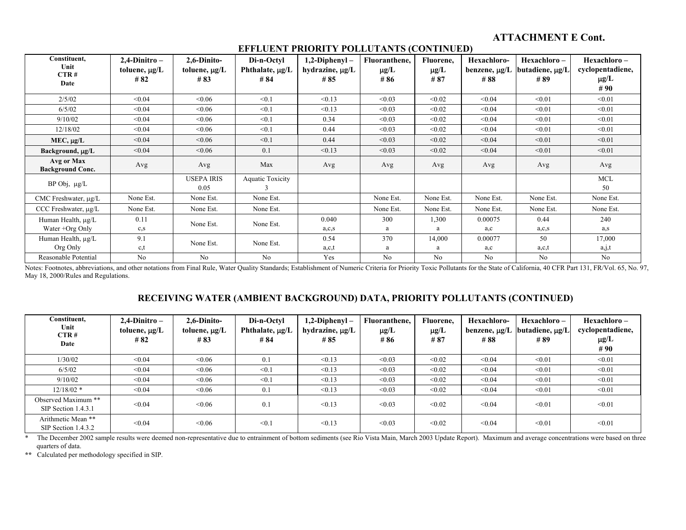| $\frac{1}{1000}$                      |                    |                           |                         |                      |               |                |                |                 |                  |  |
|---------------------------------------|--------------------|---------------------------|-------------------------|----------------------|---------------|----------------|----------------|-----------------|------------------|--|
| Constituent,                          | $2,4$ -Dinitro –   | 2,6-Dinito-               | Di-n-Octyl              | $1,2$ -Diphenyl –    | Fluoranthene, | Fluorene,      | Hexachloro-    | Hexachloro-     | Hexachloro-      |  |
| Unit<br>CTR#                          | toluene, $\mu$ g/L | toluene, $\mu$ g/L        | Phthalate, µg/L         | hydrazine, $\mu$ g/L | $\mu$ g/L     | $\mu$ g/L      | benzene, µg/L  | butadiene, µg/L | cyclopentadiene, |  |
|                                       | #82                | #83                       | # 84                    | #85                  | #86           | #87            | #88            | #89             | $\mu$ g/L        |  |
| Date                                  |                    |                           |                         |                      |               |                |                |                 | #90              |  |
| 2/5/02                                | < 0.04             | &0.06                     | < 0.1                   | < 0.13               | < 0.03        | < 0.02         | < 0.04         | < 0.01          | < 0.01           |  |
| 6/5/02                                | < 0.04             | <0.06                     | < 0.1                   | < 0.13               | < 0.03        | < 0.02         | < 0.04         | < 0.01          | < 0.01           |  |
| 9/10/02                               | < 0.04             | <0.06                     | < 0.1                   | 0.34                 | < 0.03        | < 0.02         | < 0.04         | < 0.01          | < 0.01           |  |
| 12/18/02                              | < 0.04             | &0.06                     | < 0.1                   | 0.44                 | < 0.03        | < 0.02         | < 0.04         | < 0.01          | < 0.01           |  |
| $MEC, \mu g/L$                        | < 0.04             | &0.06                     | < 0.1                   | 0.44                 | < 0.03        | < 0.02         | < 0.04         | < 0.01          | < 0.01           |  |
| Background, µg/L                      | < 0.04             | < 0.06                    | 0.1                     | < 0.13               | < 0.03        | < 0.02         | < 0.04         | < 0.01          | < 0.01           |  |
| Avg or Max<br><b>Background Conc.</b> | Avg                | Avg                       | Max                     | Avg                  | Avg           | Avg            | Avg            | Avg             | Avg              |  |
| $BP$ Obj, $\mu g/L$                   |                    | <b>USEPA IRIS</b><br>0.05 | <b>Aquatic Toxicity</b> |                      |               |                |                |                 | <b>MCL</b><br>50 |  |
| CMC Freshwater, µg/L                  | None Est.          | None Est.                 | None Est.               |                      | None Est.     | None Est.      | None Est.      | None Est.       | None Est.        |  |
| CCC Freshwater, µg/L                  | None Est.          | None Est.                 | None Est.               |                      | None Est.     | None Est.      | None Est.      | None Est.       | None Est.        |  |
| Human Health, µg/L                    | 0.11               | None Est.                 | None Est.               | 0.040                | 300           | 1,300          | 0.00075        | 0.44            | 240              |  |
| Water +Org Only                       | $c_{,S}$           |                           |                         | a,c,s                | a             | a              | a,c            | a,c,s           | a,s              |  |
| Human Health, µg/L                    | 9.1                | None Est.                 | None Est.               | 0.54                 | 370           | 14,000         | 0.00077        | 50              | 17,000           |  |
| Org Only                              | c,t                |                           |                         | a,c,t                | a             | a              | a,c            | a,c,t           | a, j, t          |  |
| Reasonable Potential                  | N <sub>o</sub>     | N <sub>0</sub>            | N <sub>o</sub>          | Yes                  | No            | N <sub>o</sub> | N <sub>0</sub> | N <sub>0</sub>  | N <sub>0</sub>   |  |

#### **EFFLUENT PRIORITY POLLUTANTS (CONTINUED)**

Notes: Footnotes, abbreviations, and other notations from Final Rule, Water Quality Standards; Establishment of Numeric Criteria for Priority Toxic Pollutants for the State of California, 40 CFR Part 131, FR/Vol. 65, No. 9 May 18, 2000/Rules and Regulations.

## **RECEIVING WATER (AMBIENT BACKGROUND) DATA, PRIORITY POLLUTANTS (CONTINUED)**

| Constituent,<br>Unit<br>CTR#<br>Date       | $2,4$ -Dinitro –<br>toluene, $\mu$ g/L<br>#82 | 2,6-Dinito-<br>toluene, $\mu$ g/L<br>#83 | Di-n-Octyl<br>Phthalate, µg/L<br># 84 | $1,2$ -Diphenyl –<br>hydrazine, $\mu$ g/L<br>#85 | Fluoranthene,<br>$\mu$ g/L<br>#86 | Fluorene.<br>$\mu$ g/L<br>#87 | Hexachloro-<br>benzene, µg/L<br>#88 | Hexachloro –<br>butadiene, µg/L<br>#89 | Hexachloro-<br>cyclopentadiene,<br>$\mu$ g/L<br>#90 |
|--------------------------------------------|-----------------------------------------------|------------------------------------------|---------------------------------------|--------------------------------------------------|-----------------------------------|-------------------------------|-------------------------------------|----------------------------------------|-----------------------------------------------------|
| 1/30/02                                    | < 0.04                                        | < 0.06                                   | 0.1                                   | < 0.13                                           | < 0.03                            | < 0.02                        | < 0.04                              | < 0.01                                 | < 0.01                                              |
| 6/5/02                                     | < 0.04                                        | <0.06                                    | < 0.1                                 | < 0.13                                           | < 0.03                            | < 0.02                        | < 0.04                              | < 0.01                                 | < 0.01                                              |
| 9/10/02                                    | < 0.04                                        | <0.06                                    | < 0.1                                 | < 0.13                                           | < 0.03                            | < 0.02                        | < 0.04                              | < 0.01                                 | < 0.01                                              |
| $12/18/02$ *                               | < 0.04                                        | <0.06                                    | 0.1                                   | < 0.13                                           | < 0.03                            | < 0.02                        | < 0.04                              | < 0.01                                 | < 0.01                                              |
| Observed Maximum **<br>SIP Section 1.4.3.1 | < 0.04                                        | <0.06                                    | 0.1                                   | < 0.13                                           | < 0.03                            | < 0.02                        | < 0.04                              | < 0.01                                 | < 0.01                                              |
| Arithmetic Mean **<br>SIP Section 1.4.3.2  | < 0.04                                        | <0.06                                    | $\leq 0.1$                            | < 0.13                                           | < 0.03                            | < 0.02                        | < 0.04                              | < 0.01                                 | < 0.01                                              |

\* The December 2002 sample results were deemed non-representative due to entrainment of bottom sediments (see Rio Vista Main, March 2003 Update Report). Maximum and average concentrations were based on three quarters of data.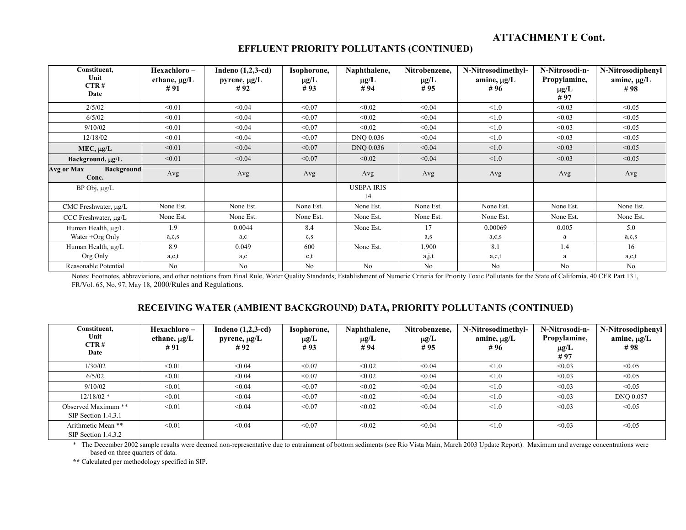| Constituent,<br>Unit<br>CTR#<br>Date     | Hexachloro –<br>ethane, $\mu$ g/L<br>#91 | Indeno $(1,2,3-cd)$<br>pyrene, $\mu$ g/L<br>#92 | Isophorone,<br>$\mu$ g/L<br>#93 | Naphthalene,<br>$\mu$ g/L<br>#94 | Nitrobenzene,<br>$\mu$ g/L<br>#95 | N-Nitrosodimethyl-<br>amine, $\mu$ g/L<br>#96 | N-Nitrosodi-n-<br>Propylamine,<br>$\mu$ g/L<br>#97 | N-Nitrosodiphenyl<br>amine, $\mu$ g/L<br>#98 |
|------------------------------------------|------------------------------------------|-------------------------------------------------|---------------------------------|----------------------------------|-----------------------------------|-----------------------------------------------|----------------------------------------------------|----------------------------------------------|
| 2/5/02                                   | < 0.01                                   | < 0.04                                          | < 0.07                          | < 0.02                           | < 0.04                            | < 1.0                                         | < 0.03                                             | < 0.05                                       |
| 6/5/02                                   | < 0.01                                   | < 0.04                                          | < 0.07                          | < 0.02                           | < 0.04                            | < 1.0                                         | < 0.03                                             | < 0.05                                       |
| 9/10/02                                  | < 0.01                                   | < 0.04                                          | < 0.07                          | < 0.02                           | < 0.04                            | < 1.0                                         | < 0.03                                             | < 0.05                                       |
| 12/18/02                                 | < 0.01                                   | < 0.04                                          | < 0.07                          | DNQ 0.036                        | < 0.04                            | < 1.0                                         | < 0.03                                             | < 0.05                                       |
| $MEC, \mu g/L$                           | < 0.01                                   | < 0.04                                          | < 0.07                          | DNQ 0.036                        | < 0.04                            | < 1.0                                         | < 0.03                                             | < 0.05                                       |
| Background, µg/L                         | < 0.01                                   | < 0.04                                          | < 0.07                          | < 0.02                           | < 0.04                            | < 1.0                                         | < 0.03                                             | < 0.05                                       |
| <b>Background</b><br>Avg or Max<br>Conc. | Avg                                      | Avg                                             | Avg                             | Avg                              | Avg                               | Avg                                           | Avg                                                | Avg                                          |
| BP Obj, µg/L                             |                                          |                                                 |                                 | <b>USEPA IRIS</b><br>14          |                                   |                                               |                                                    |                                              |
| CMC Freshwater, $\mu$ g/L                | None Est.                                | None Est.                                       | None Est.                       | None Est.                        | None Est.                         | None Est.                                     | None Est.                                          | None Est.                                    |
| CCC Freshwater, µg/L                     | None Est.                                | None Est.                                       | None Est.                       | None Est.                        | None Est.                         | None Est.                                     | None Est.                                          | None Est.                                    |
| Human Health, µg/L                       | 1.9                                      | 0.0044                                          | 8.4                             | None Est.                        | 17                                | 0.00069                                       | 0.005                                              | 5.0                                          |
| Water +Org Only                          | a,c,s                                    | a,c                                             | $c_{,S}$                        |                                  | a, s                              | a, c, s                                       | a                                                  | a,c,s                                        |
| Human Health, µg/L                       | 8.9                                      | 0.049                                           | 600                             | None Est.                        | 1,900                             | 8.1                                           | 1.4                                                | 16                                           |
| Org Only                                 | a,c,t                                    | a,c                                             | c,t                             |                                  | a,j,t                             | a,c,t                                         | a                                                  | a,c,t                                        |
| Reasonable Potential                     | N <sub>0</sub>                           | N <sub>0</sub>                                  | N <sub>o</sub>                  | N <sub>0</sub>                   | No                                | No                                            | N <sub>0</sub>                                     | N <sub>0</sub>                               |

Notes: Footnotes, abbreviations, and other notations from Final Rule, Water Quality Standards; Establishment of Numeric Criteria for Priority Toxic Pollutants for the State of California, 40 CFR Part 131, FR/Vol. 65, No. 97, May 18, 2000/Rules and Regulations.

## **RECEIVING WATER (AMBIENT BACKGROUND) DATA, PRIORITY POLLUTANTS (CONTINUED)**

| Constituent.<br>Unit<br>CTR#<br>Date        | Hexachloro-<br>ethane, $\mu$ g/L<br>#91 | Indeno $(1,2,3-cd)$<br>pyrene, $\mu g/L$<br>#92 | Isophorone,<br>$\mu$ g/L<br>#93 | Naphthalene,<br>$\mu g/L$<br>#94 | Nitrobenzene,<br>$\mu$ g/L<br>#95 | N-Nitrosodimethyl-<br>amine, $\mu$ g/L<br>#96 | N-Nitrosodi-n-<br>Propylamine,<br>$\mu$ g/L<br>#97 | N-Nitrosodiphenyl<br>amine, µg/L<br>#98 |
|---------------------------------------------|-----------------------------------------|-------------------------------------------------|---------------------------------|----------------------------------|-----------------------------------|-----------------------------------------------|----------------------------------------------------|-----------------------------------------|
| 1/30/02                                     | < 0.01                                  | < 0.04                                          | < 0.07                          | < 0.02                           | < 0.04                            | < 1.0                                         | < 0.03                                             | < 0.05                                  |
| 6/5/02                                      | < 0.01                                  | < 0.04                                          | < 0.07                          | < 0.02                           | < 0.04                            | < 1.0                                         | < 0.03                                             | < 0.05                                  |
| 9/10/02                                     | < 0.01                                  | < 0.04                                          | < 0.07                          | < 0.02                           | < 0.04                            | < 1.0                                         | < 0.03                                             | < 0.05                                  |
| $12/18/02$ *                                | < 0.01                                  | < 0.04                                          | < 0.07                          | < 0.02                           | < 0.04                            | < 1.0                                         | < 0.03                                             | <b>DNO 0.057</b>                        |
| Observed Maximum **<br>SIP Section 1.4.3.1  | < 0.01                                  | < 0.04                                          | < 0.07                          | < 0.02                           | < 0.04                            | < 1.0                                         | < 0.03                                             | < 0.05                                  |
| Arithmetic Mean **<br>SIP Section $1.4.3.2$ | < 0.01                                  | < 0.04                                          | < 0.07                          | < 0.02                           | < 0.04                            | < 1.0                                         | < 0.03                                             | < 0.05                                  |

\* The December 2002 sample results were deemed non-representative due to entrainment of bottom sediments (see Rio Vista Main, March 2003 Update Report). Maximum and average concentrations were based on three quarters of data.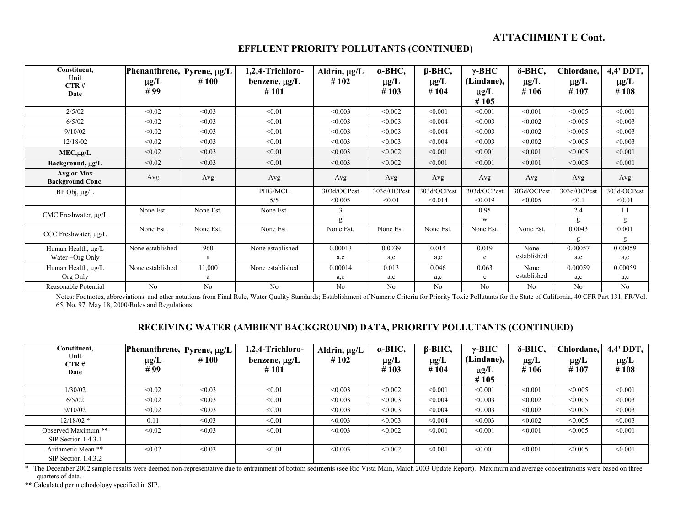#### **EFFLUENT PRIORITY POLLUTANTS (CONTINUED)**

| Constituent,<br>Unit<br>CTR#<br>Date     | Phenanthrene, Pyrene, µg/L<br>$\mu$ g/L<br>#99 | #100        | 1,2,4-Trichloro-<br>benzene, $\mu$ g/L<br>#101 | Aldrin, µg/L<br>#102   | $\alpha$ -BHC,<br>$\mu$ g/L<br>#103 | $\beta$ -BHC,<br>$\mu$ g/L<br>#104 | $\gamma$ -BHC<br>(Lindane),<br>$\mu$ g/L<br>#105 | δ-BHC,<br>$\mu$ g/L<br>#106 | Chlordane,<br>$\mu$ g/L<br>#107 | 4,4' DDT,<br>$\mu$ g/L<br>#108 |
|------------------------------------------|------------------------------------------------|-------------|------------------------------------------------|------------------------|-------------------------------------|------------------------------------|--------------------------------------------------|-----------------------------|---------------------------------|--------------------------------|
| 2/5/02                                   | < 0.02                                         | < 0.03      | < 0.01                                         | < 0.003                | < 0.002                             | < 0.001                            | < 0.001                                          | < 0.001                     | < 0.005                         | < 0.001                        |
| 6/5/02                                   | < 0.02                                         | < 0.03      | < 0.01                                         | < 0.003                | < 0.003                             | < 0.004                            | < 0.003                                          | < 0.002                     | < 0.005                         | < 0.003                        |
| 9/10/02                                  | < 0.02                                         | < 0.03      | < 0.01                                         | < 0.003                | < 0.003                             | < 0.004                            | < 0.003                                          | < 0.002                     | < 0.005                         | < 0.003                        |
| 12/18/02                                 | < 0.02                                         | < 0.03      | < 0.01                                         | < 0.003                | < 0.003                             | < 0.004                            | < 0.003                                          | < 0.002                     | < 0.005                         | < 0.003                        |
| $MEC, \mu g/L$                           | < 0.02                                         | < 0.03      | < 0.01                                         | < 0.003                | < 0.002                             | < 0.001                            | < 0.001                                          | < 0.001                     | < 0.005                         | < 0.001                        |
| Background, µg/L                         | < 0.02                                         | < 0.03      | < 0.01                                         | < 0.003                | < 0.002                             | < 0.001                            | < 0.001                                          | < 0.001                     | < 0.005                         | < 0.001                        |
| Avg or Max<br><b>Background Conc.</b>    | Avg                                            | Avg         | Avg                                            | Avg                    | Avg                                 | Avg                                | Avg                                              | Avg                         | Avg                             | Avg                            |
| BP Obj, µg/L                             |                                                |             | PHG/MCL<br>5/5                                 | 303d/OCPest<br>< 0.005 | 303d/OCPest<br>< 0.01               | 303d/OCPest<br>< 0.014             | 303d/OCPest<br>< 0.019                           | 303d/OCPest<br>< 0.005      | 303d/OCPest<br>< 0.1            | 303d/OCPest<br>< 0.01          |
| CMC Freshwater, $\mu$ g/L                | None Est.                                      | None Est.   | None Est.                                      | 3<br>g                 |                                     |                                    | 0.95<br>W                                        |                             | 2.4<br>g                        | 1.1<br>g                       |
| CCC Freshwater, µg/L                     | None Est.                                      | None Est.   | None Est.                                      | None Est.              | None Est.                           | None Est.                          | None Est.                                        | None Est.                   | 0.0043<br>g                     | 0.001<br>g                     |
| Human Health, µg/L<br>Water $+$ Org Only | None established                               | 960<br>a    | None established                               | 0.00013<br>a,c         | 0.0039<br>a,c                       | 0.014<br>a,c                       | 0.019<br>$\mathbf{c}$                            | None<br>established         | 0.00057<br>a,c                  | 0.00059<br>a,c                 |
| Human Health, µg/L<br>Org Only           | None established                               | 11,000<br>a | None established                               | 0.00014<br>a,c         | 0.013<br>a,c                        | 0.046<br>a,c                       | 0.063<br>$\mathbf c$                             | None<br>established         | 0.00059<br>a,c                  | 0.00059<br>a,c                 |
| Reasonable Potential                     | N <sub>0</sub>                                 | No          | No                                             | No                     | N <sub>o</sub>                      | No                                 | N <sub>o</sub>                                   | N <sub>0</sub>              | No                              | No                             |

Notes: Footnotes, abbreviations, and other notations from Final Rule, Water Quality Standards; Establishment of Numeric Criteria for Priority Toxic Pollutants for the State of California, 40 CFR Part 131, FR/Vol. 65, No. 97, May 18, 2000/Rules and Regulations.

#### **RECEIVING WATER (AMBIENT BACKGROUND) DATA, PRIORITY POLLUTANTS (CONTINUED)**

| Constituent.<br>Unit<br>CTR#<br>Date       | Phenanthrene,<br>$\mu$ g/L<br>#99 | Pyrene, µg/L<br>#100 | 1,2,4-Trichloro-<br>benzene, $\mu$ g/L<br>#101 | Aldrin, $\mu g/L$<br>#102 | $\alpha$ -BHC,<br>$\mu$ g/L<br>#103 | $\beta$ -BHC,<br>$\mu$ g/L<br>#104 | $\gamma$ -BHC<br>(Lindane),<br>$\mu$ g/L<br>#105 | δ-BHC,<br>$\mu$ g/L<br>#106 | Chlordane,<br>$\mu$ g/L<br>#107 | 4,4' DDT,<br>$\mu g/L$<br>#108 |
|--------------------------------------------|-----------------------------------|----------------------|------------------------------------------------|---------------------------|-------------------------------------|------------------------------------|--------------------------------------------------|-----------------------------|---------------------------------|--------------------------------|
| 1/30/02                                    | < 0.02                            | < 0.03               | < 0.01                                         | < 0.003                   | < 0.002                             | < 0.001                            | < 0.001                                          | < 0.001                     | < 0.005                         | < 0.001                        |
| 6/5/02                                     | < 0.02                            | < 0.03               | < 0.01                                         | < 0.003                   | < 0.003                             | < 0.004                            | < 0.003                                          | < 0.002                     | < 0.005                         | < 0.003                        |
| 9/10/02                                    | < 0.02                            | < 0.03               | < 0.01                                         | < 0.003                   | < 0.003                             | < 0.004                            | < 0.003                                          | < 0.002                     | < 0.005                         | < 0.003                        |
| $12/18/02$ *                               | 0.11                              | < 0.03               | < 0.01                                         | < 0.003                   | < 0.003                             | < 0.004                            | < 0.003                                          | < 0.002                     | < 0.005                         | < 0.003                        |
| Observed Maximum **<br>SIP Section 1.4.3.1 | < 0.02                            | < 0.03               | < 0.01                                         | < 0.003                   | < 0.002                             | < 0.001                            | < 0.001                                          | < 0.001                     | < 0.005                         | < 0.001                        |
| Arithmetic Mean **<br>SIP Section 1.4.3.2  | < 0.02                            | < 0.03               | < 0.01                                         | < 0.003                   | < 0.002                             | < 0.001                            | < 0.001                                          | < 0.001                     | < 0.005                         | < 0.001                        |

\* The December 2002 sample results were deemed non-representative due to entrainment of bottom sediments (see Rio Vista Main, March 2003 Update Report). Maximum and average concentrations were based on three quarters of data.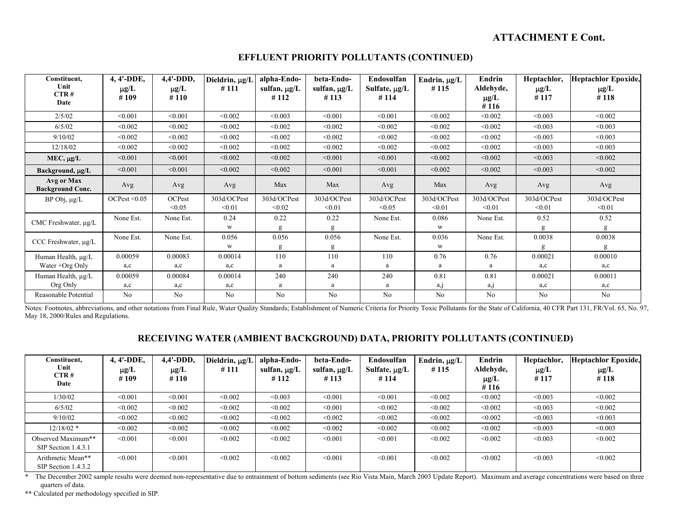| Constituent,                          | 4, 4'-DDE,        | $4,4'$ -DDD,      | Dieldrin, µg/L        | alpha-Endo-           | beta-Endo-                | Endosulfan                 | Endrin, $\mu$ g/L     | Endrin                         | Heptachlor,           | <b>Heptachlor Epoxide,</b> |
|---------------------------------------|-------------------|-------------------|-----------------------|-----------------------|---------------------------|----------------------------|-----------------------|--------------------------------|-----------------------|----------------------------|
| Unit<br>CTR#<br>Date                  | $\mu$ g/L<br>#109 | $\mu$ g/L<br>#110 | #111                  | sulfan, µg/L<br>#112  | sulfan, $\mu$ g/L<br>#113 | Sulfate, $\mu g/L$<br>#114 | #115                  | Aldehyde,<br>$\mu$ g/L<br>#116 | $\mu$ g/L<br>#117     | $\mu$ g/L<br>#118          |
| 2/5/02                                | < 0.001           | < 0.001           | < 0.002               | < 0.003               | < 0.001                   | < 0.001                    | < 0.002               | < 0.002                        | < 0.003               | < 0.002                    |
| 6/5/02                                | < 0.002           | < 0.002           | < 0.002               | < 0.002               | < 0.002                   | < 0.002                    | < 0.002               | < 0.002                        | < 0.003               | < 0.003                    |
| 9/10/02                               | < 0.002           | < 0.002           | < 0.002               | < 0.002               | < 0.002                   | < 0.002                    | < 0.002               | < 0.002                        | < 0.003               | < 0.003                    |
| 12/18/02                              | < 0.002           | < 0.002           | < 0.002               | < 0.002               | < 0.002                   | < 0.002                    | < 0.002               | < 0.002                        | < 0.003               | < 0.003                    |
| $MEC, \mu g/L$                        | < 0.001           | < 0.001           | < 0.002               | < 0.002               | < 0.001                   | < 0.001                    | < 0.002               | < 0.002                        | < 0.003               | < 0.002                    |
| Background, µg/L                      | < 0.001           | < 0.001           | < 0.002               | < 0.002               | < 0.001                   | < 0.001                    | < 0.002               | < 0.002                        | < 0.003               | < 0.002                    |
| Avg or Max<br><b>Background Conc.</b> | Avg               | Avg               | Avg                   | Max                   | Max                       | Avg                        | Max                   | Avg                            | Avg                   | Avg                        |
| BP Obj, µg/L                          | OCPest < 0.05     | OCPest<br>< 0.05  | 303d/OCPest<br>< 0.01 | 303d/OCPest<br>< 0.02 | 303d/OCPest<br>< 0.01     | 303d/OCPest<br>< 0.05      | 303d/OCPest<br>< 0.01 | 303d/OCPest<br>< 0.01          | 303d/OCPest<br>< 0.01 | 303d/OCPest<br>< 0.01      |
| CMC Freshwater, µg/L                  | None Est.         | None Est.         | 0.24<br>W             | 0.22<br>g             | 0.22<br>g                 | None Est.                  | 0.086<br>W            | None Est.                      | 0.52                  | 0.52<br>g                  |
| CCC Freshwater, µg/L                  | None Est.         | None Est.         | 0.056<br>W            | 0.056<br>g            | 0.056<br>g                | None Est.                  | 0.036<br>W            | None Est.                      | 0.0038<br>g           | 0.0038<br>g                |
| Human Health, µg/L                    | 0.00059           | 0.00083           | 0.00014               | 110                   | 110                       | 110                        | 0.76                  | 0.76                           | 0.00021               | 0.00010                    |
| Water +Org Only                       | a,c               | a,c               | a,c                   | a                     |                           | a                          | a                     | a                              | a,c                   | a,c                        |
| Human Health, µg/L                    | 0.00059           | 0.00084           | 0.00014               | 240                   | 240                       | 240                        | 0.81                  | 0.81                           | 0.00021               | 0.00011                    |
| Org Only                              | a,c               | a,c               | a,c                   | a                     | a                         | a                          | $a_{\lambda}$         | a, j                           | a,c                   | a,c                        |
| Reasonable Potential                  | No                | No                | N <sub>0</sub>        | No                    | No                        | No                         | No                    | No                             | No                    | No                         |

#### **EFFLUENT PRIORITY POLLUTANTS (CONTINUED)**

Notes: Footnotes, abbreviations, and other notations from Final Rule, Water Quality Standards; Establishment of Numeric Criteria for Priority Toxic Pollutants for the State of California, 40 CFR Part 131, FR/Vol. 65, No. 9 May 18, 2000/Rules and Regulations.

## **RECEIVING WATER (AMBIENT BACKGROUND) DATA, PRIORITY POLLUTANTS (CONTINUED)**

| Constituent,<br>Unit<br>CTR#<br>Date      | 4, 4'-DDE,<br>$\mu$ g/L<br>#109 | $4.4'$ -DDD,<br>$\mu$ g/L<br>#110 | Dieldrin, µg/L<br>#111 | alpha-Endo-<br>sulfan, μg/L<br>#112 | beta-Endo-<br>sulfan, $\mu$ g/L<br>#113 | Endosulfan<br>Sulfate, $\mu$ g/L<br>#114 | Endrin, µg/L<br>#115 | Endrin<br>Aldehyde,<br>$\mu$ g/L<br>#116 | Heptachlor,<br>$\mu$ g/L<br>#117 | <b>Heptachlor Epoxide,</b><br>$\mu$ g/L<br>#118 |
|-------------------------------------------|---------------------------------|-----------------------------------|------------------------|-------------------------------------|-----------------------------------------|------------------------------------------|----------------------|------------------------------------------|----------------------------------|-------------------------------------------------|
| 1/30/02                                   | < 0.001                         | < 0.001                           | < 0.002                | < 0.003                             | < 0.001                                 | < 0.001                                  | < 0.002              | < 0.002                                  | < 0.003                          | < 0.002                                         |
| 6/5/02                                    | < 0.002                         | < 0.002                           | < 0.002                | < 0.002                             | < 0.001                                 | < 0.002                                  | < 0.002              | < 0.002                                  | < 0.003                          | < 0.002                                         |
| 9/10/02                                   | < 0.002                         | < 0.002                           | < 0.002                | < 0.002                             | < 0.002                                 | < 0.002                                  | < 0.002              | < 0.002                                  | < 0.003                          | < 0.003                                         |
| $12/18/02$ *                              | < 0.002                         | < 0.002                           | < 0.002                | < 0.002                             | < 0.002                                 | < 0.002                                  | < 0.002              | < 0.002                                  | < 0.003                          | < 0.003                                         |
| Observed Maximum**<br>SIP Section 1.4.3.1 | < 0.001                         | < 0.001                           | < 0.002                | < 0.002                             | < 0.001                                 | < 0.001                                  | < 0.002              | < 0.002                                  | < 0.003                          | < 0.002                                         |
| Arithmetic Mean**<br>SIP Section 1.4.3.2  | < 0.001                         | < 0.001                           | < 0.002                | < 0.002                             | < 0.001                                 | < 0.001                                  | < 0.002              | < 0.002                                  | < 0.003                          | < 0.002                                         |

\* The December 2002 sample results were deemed non-representative due to entrainment of bottom sediments (see Rio Vista Main, March 2003 Update Report). Maximum and average concentrations were based on three quarters of data.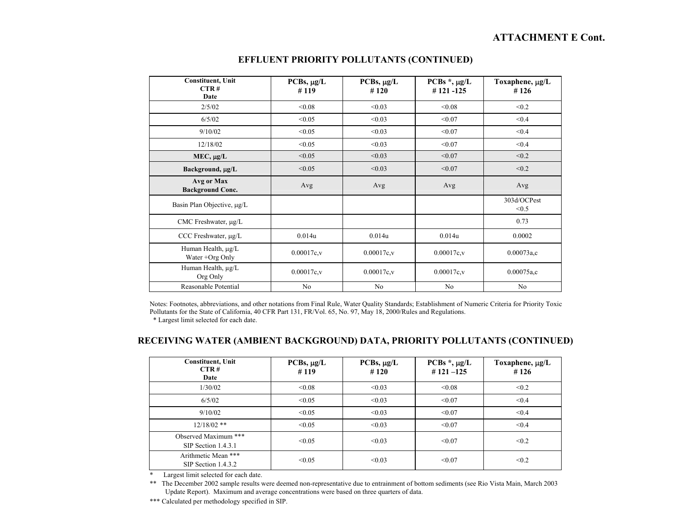| <b>Constituent</b> , Unit<br>CTR#<br>Date | $PCBs$ , $\mu g/L$<br>#119 | $PCBs$ , $\mu g/L$<br>#120 | PCBs $*$ , $\mu$ g/L<br>#121-125 | Toxaphene, µg/L<br>#126 |
|-------------------------------------------|----------------------------|----------------------------|----------------------------------|-------------------------|
| 2/5/02                                    | < 0.08                     | < 0.03                     | &0.08                            | < 0.2                   |
| 6/5/02                                    | < 0.05                     | < 0.03                     | < 0.07                           | < 0.4                   |
| 9/10/02                                   | < 0.05                     | < 0.03                     | < 0.07                           | < 0.4                   |
| 12/18/02                                  | < 0.05                     | < 0.03                     | < 0.07                           | < 0.4                   |
| $MEC, \mu g/L$                            | < 0.05                     | < 0.03                     | < 0.07                           | < 0.2                   |
| Background, µg/L                          | < 0.05                     | < 0.03                     | < 0.07                           | < 0.2                   |
| Avg or Max<br><b>Background Conc.</b>     | Avg                        | Avg                        | Avg                              | Avg                     |
| Basin Plan Objective, µg/L                |                            |                            |                                  | 303d/OCPest<br>< 0.5    |
| CMC Freshwater, µg/L                      |                            |                            |                                  | 0.73                    |
| CCC Freshwater, µg/L                      | 0.014u                     | 0.014u                     | 0.014u                           | 0.0002                  |
| Human Health, µg/L<br>Water +Org Only     | 0.00017c.v                 | 0.00017c.v                 | $0.00017c$ , v                   | 0.00073a.c              |
| Human Health, $\mu$ g/L<br>Org Only       | $0.00017c$ , v             | $0.00017c$ , v             | $0.00017c$ , v                   | $0.00075a$ ,c           |
| Reasonable Potential                      | No                         | No                         | No                               | No                      |

#### **EFFLUENT PRIORITY POLLUTANTS (CONTINUED)**

Notes: Footnotes, abbreviations, and other notations from Final Rule, Water Quality Standards; Establishment of Numeric Criteria for Priority Toxic Pollutants for the State of California, 40 CFR Part 131, FR/Vol. 65, No. 97, May 18, 2000/Rules and Regulations.

\* Largest limit selected for each date.

#### **RECEIVING WATER (AMBIENT BACKGROUND) DATA, PRIORITY POLLUTANTS (CONTINUED)**

| <b>Constituent, Unit</b><br>CTR#<br>Date      | $PCBs$ , $\mu g/L$<br>#119 | $PCBs, \mu g/L$<br>#120 | PCBs $*$ , $\mu$ g/L<br>$#121 - 125$ | Toxaphene, $\mu$ g/L<br>#126 |
|-----------------------------------------------|----------------------------|-------------------------|--------------------------------------|------------------------------|
| 1/30/02                                       | < 0.08                     | < 0.03                  | < 0.08                               | < 0.2                        |
| 6/5/02                                        | < 0.05                     | < 0.03                  | < 0.07                               | < 0.4                        |
| 9/10/02                                       | < 0.05                     | < 0.03                  | < 0.07                               | < 0.4                        |
| $12/18/02$ **                                 | < 0.05                     | < 0.03                  | < 0.07                               | < 0.4                        |
| Observed Maximum ***<br>$SIP$ Section 1.4.3.1 | < 0.05                     | < 0.03                  | < 0.07                               | < 0.2                        |
| Arithmetic Mean ***<br>SIP Section 1.4.3.2    | < 0.05                     | < 0.03                  | < 0.07                               | < 0.2                        |

\* Largest limit selected for each date.

\*\* The December 2002 sample results were deemed non-representative due to entrainment of bottom sediments (see Rio Vista Main, March 2003 Update Report). Maximum and average concentrations were based on three quarters of data.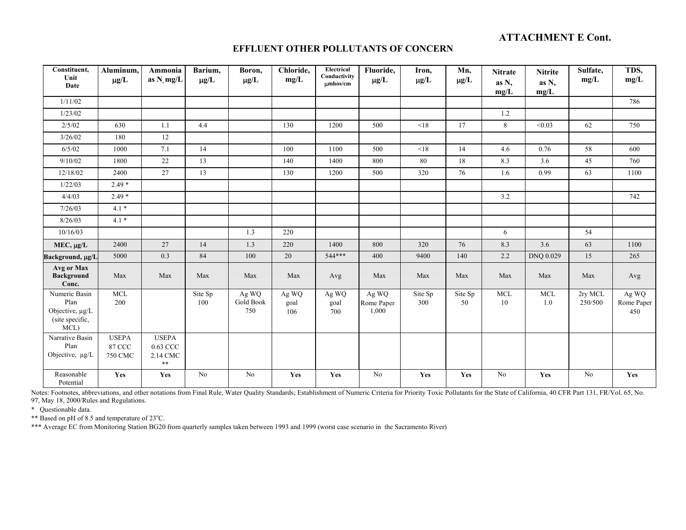#### **EFFLUENT OTHER POLLUTANTS OF CONCERN**

| Constituent,<br>Unit<br>Date                                        | Aluminum,<br>$\mu$ g/L                          | Ammonia<br>as $N$ mg/L                             | Barium,<br>$\mu g/L$ | Boron,<br>$\mu g/L$       | Chloride,<br>mg/L    | Electrical<br>Conductivity<br>$\mu$ mhos/cm | Fluoride,<br>$\mu g/L$       | Iron,<br>$\mu g/L$ | Mn,<br>$\mu g/L$ | <b>Nitrate</b><br>as N,<br>mg/L | <b>Nitrite</b><br>as N,<br>mg/L | Sulfate,<br>mg/L   | TDS,<br>mg/L               |
|---------------------------------------------------------------------|-------------------------------------------------|----------------------------------------------------|----------------------|---------------------------|----------------------|---------------------------------------------|------------------------------|--------------------|------------------|---------------------------------|---------------------------------|--------------------|----------------------------|
| 1/11/02                                                             |                                                 |                                                    |                      |                           |                      |                                             |                              |                    |                  |                                 |                                 |                    | 786                        |
| 1/23/02                                                             |                                                 |                                                    |                      |                           |                      |                                             |                              |                    |                  | 1.2                             |                                 |                    |                            |
| 2/5/02                                                              | 630                                             | 1.1                                                | 4.4                  |                           | 130                  | 1200                                        | 500                          | < 18               | 17               | 8                               | < 0.03                          | 62                 | 750                        |
| 3/26/02                                                             | 180                                             | $12\,$                                             |                      |                           |                      |                                             |                              |                    |                  |                                 |                                 |                    |                            |
| 6/5/02                                                              | 1000                                            | 7.1                                                | 14                   |                           | 100                  | 1100                                        | 500                          | < 18               | 14               | 4.6                             | 0.76                            | 58                 | 600                        |
| 9/10/02                                                             | 1800                                            | $22\,$                                             | 13                   |                           | 140                  | 1400                                        | 800                          | 80                 | 18               | 8.3                             | 3.6                             | 45                 | 760                        |
| 12/18/02                                                            | 2400                                            | 27                                                 | 13                   |                           | 130                  | 1200                                        | 500                          | 320                | 76               | 1.6                             | 0.99                            | 63                 | 1100                       |
| 1/22/03                                                             | $2.49*$                                         |                                                    |                      |                           |                      |                                             |                              |                    |                  |                                 |                                 |                    |                            |
| 4/4/03                                                              | $2.49*$                                         |                                                    |                      |                           |                      |                                             |                              |                    |                  | 3.2                             |                                 |                    | 742                        |
| 7/26/03                                                             | $4.1*$                                          |                                                    |                      |                           |                      |                                             |                              |                    |                  |                                 |                                 |                    |                            |
| 8/26/03                                                             | $4.1*$                                          |                                                    |                      |                           |                      |                                             |                              |                    |                  |                                 |                                 |                    |                            |
| 10/16/03                                                            |                                                 |                                                    |                      | 1.3                       | 220                  |                                             |                              |                    |                  | 6                               |                                 | 54                 |                            |
| $MEC, \mu g/L$                                                      | 2400                                            | 27                                                 | 14                   | 1.3                       | 220                  | 1400                                        | 800                          | 320                | 76               | 8.3                             | 3.6                             | 63                 | 1100                       |
| Background, µg/L                                                    | 5000                                            | 0.3                                                | 84                   | 100                       | 20                   | $544***$                                    | 400                          | 9400               | 140              | 2.2                             | DNQ 0.029                       | 15                 | 265                        |
| Avg or Max<br><b>Background</b><br>Conc.                            | Max                                             | Max                                                | Max                  | Max                       | Max                  | Avg                                         | Max                          | Max                | Max              | Max                             | Max                             | Max                | Avg                        |
| Numeric Basin<br>Plan<br>Objective, µg/L<br>(site specific,<br>MCL) | <b>MCL</b><br>200                               |                                                    | Site Sp<br>100       | Ag WQ<br>Gold Book<br>750 | Ag WQ<br>goal<br>106 | Ag WQ<br>goal<br>700                        | Ag WQ<br>Rome Paper<br>1,000 | Site Sp<br>300     | Site Sp<br>50    | <b>MCL</b><br>10                | <b>MCL</b><br>1.0               | 2ry MCL<br>250/500 | Ag WQ<br>Rome Paper<br>450 |
| Narrative Basin<br>Plan<br>Objective, µg/L                          | <b>USEPA</b><br><b>87 CCC</b><br><b>750 CMC</b> | <b>USEPA</b><br>0.63 CCC<br>2.14 CMC<br>$\ast\ast$ |                      |                           |                      |                                             |                              |                    |                  |                                 |                                 |                    |                            |
| Reasonable<br>Potential                                             | Yes                                             | Yes                                                | No                   | No                        | Yes                  | Yes                                         | No                           | Yes                | Yes              | No                              | Yes                             | N <sub>o</sub>     | Yes                        |

Notes: Footnotes, abbreviations, and other notations from Final Rule, Water Quality Standards; Establishment of Numeric Criteria for Priority Toxic Pollutants for the State of California, 40 CFR Part 131, FR/Vol. 65, No. 97, May 18, 2000/Rules and Regulations.

\* Questionable data.

\*\* Based on pH of 8.5 and temperature of 23°C.

\*\*\* Average EC from Monitoring Station BG20 from quarterly samples taken between 1993 and 1999 (worst case scenario in the Sacramento River)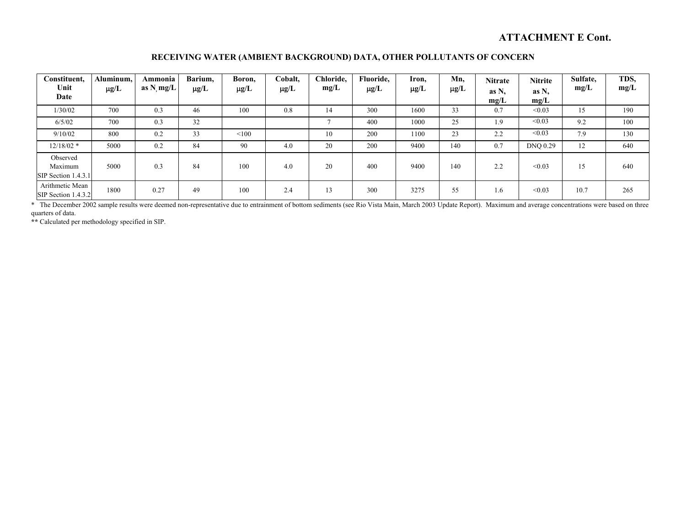#### **RECEIVING WATER (AMBIENT BACKGROUND) DATA, OTHER POLLUTANTS OF CONCERN**

| Constituent,<br>Unit<br>Date               | Aluminum,<br>$\mu g/L$ | Ammonia<br>as $N$ , mg/L | Barium,<br>$\mu$ g/L | Boron,<br>$\mu g/L$ | Cobalt,<br>$\mu g/L$ | Chloride.<br>mg/L | Fluoride,<br>$\mu$ g/L | Iron,<br>$\mu g/L$ | Mn,<br>$\mu$ g/L | <b>Nitrate</b><br>as N,<br>mg/L | <b>Nitrite</b><br>as N.<br>mg/L | Sulfate,<br>mg/L | TDS,<br>mg/L |
|--------------------------------------------|------------------------|--------------------------|----------------------|---------------------|----------------------|-------------------|------------------------|--------------------|------------------|---------------------------------|---------------------------------|------------------|--------------|
| 1/30/02                                    | 700                    | 0.3                      | 46                   | 100                 | 0.8                  | 14                | 300                    | 1600               | 33               | 0.7                             | < 0.03                          | 15               | 190          |
| 6/5/02                                     | 700                    | 0.3                      | 32                   |                     |                      |                   | 400                    | 1000               | 25               | 1.9                             | < 0.03                          | 9.2              | 100          |
| 9/10/02                                    | 800                    | 0.2                      | 33                   | < 100               |                      | 10                | 200                    | 1100               | 23               | 2.2                             | < 0.03                          | 7.9              | 130          |
| $12/18/02$ *                               | 5000                   | 0.2                      | 84                   | 90                  | 4.0                  | 20                | 200                    | 9400               | 140              | 0.7                             | <b>DNQ 0.29</b>                 | 12               | 640          |
| Observed<br>Maximum<br>SIP Section 1.4.3.1 | 5000                   | 0.3                      | 84                   | 100                 | 4.0                  | 20                | 400                    | 9400               | 140              | 2.2                             | < 0.03                          | 15               | 640          |
| Arithmetic Mean<br>$SIP$ Section 1.4.3.2   | 1800                   | 0.27                     | 49                   | 100                 | 2.4                  | 13                | 300                    | 3275               | 55               | 1.6                             | < 0.03                          | 10.7             | 265          |

\* The December 2002 sample results were deemed non-representative due to entrainment of bottom sediments (see Rio Vista Main, March 2003 Update Report). Maximum and average concentrations were based on three quarters of data.

**\*\*** Calculated per methodology specified in SIP.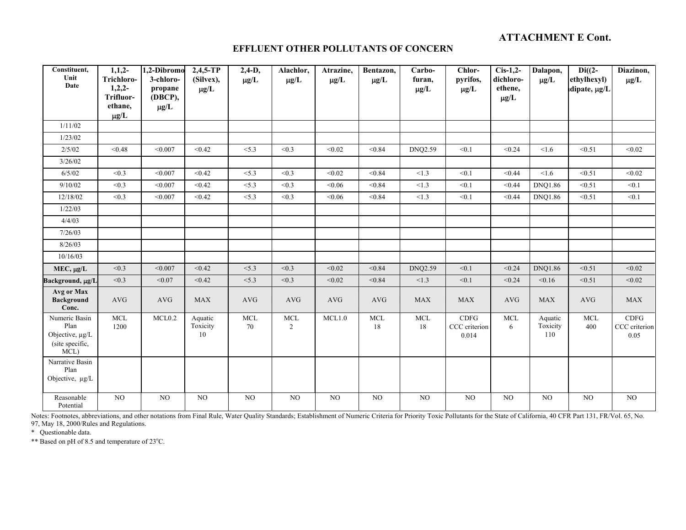#### **EFFLUENT OTHER POLLUTANTS OF CONCERN**

| Constituent,<br>Unit<br>Date                                        | $1,1,2-$<br>Trichloro-<br>$1,2,2-$<br>Trifluor-<br>ethane,<br>$\mu g/L$ | 1,2-Dibromo<br>3-chloro-<br>propane<br>(DBCP),<br>$\mu g/L$ | $2,4,5$ -TP<br>(Silvex),<br>$\mu$ g/L | $2,4-D,$<br>$\mu g/L$ | Alachlor,<br>$\mu\text{g}/\text{L}$ | Atrazine,<br>$\mu$ g/L | Bentazon,<br>$\mu g/L$ | Carbo-<br>furan,<br>$\mu g/L$ | Chlor-<br>pyrifos,<br>$\mu g/L$ | $Cis-1,2-$<br>dichloro-<br>ethene,<br>$\mu g/L$ | Dalapon,<br>$\mu$ g/L      | $Di((2 -$<br>ethylhexyl)<br>dipate, µg/L | Diazinon,<br>$\mu g/L$        |
|---------------------------------------------------------------------|-------------------------------------------------------------------------|-------------------------------------------------------------|---------------------------------------|-----------------------|-------------------------------------|------------------------|------------------------|-------------------------------|---------------------------------|-------------------------------------------------|----------------------------|------------------------------------------|-------------------------------|
| 1/11/02                                                             |                                                                         |                                                             |                                       |                       |                                     |                        |                        |                               |                                 |                                                 |                            |                                          |                               |
| 1/23/02                                                             |                                                                         |                                                             |                                       |                       |                                     |                        |                        |                               |                                 |                                                 |                            |                                          |                               |
| 2/5/02                                                              | < 0.48                                                                  | < 0.007                                                     | < 0.42                                | < 5.3                 | < 0.3                               | < 0.02                 | < 0.84                 | DNQ2.59                       | < 0.1                           | < 0.24                                          | < 1.6                      | < 0.51                                   | < 0.02                        |
| 3/26/02                                                             |                                                                         |                                                             |                                       |                       |                                     |                        |                        |                               |                                 |                                                 |                            |                                          |                               |
| 6/5/02                                                              | < 0.3                                                                   | < 0.007                                                     | < 0.42                                | < 5.3                 | < 0.3                               | < 0.02                 | < 0.84                 | < 1.3                         | < 0.1                           | < 0.44                                          | < 1.6                      | < 0.51                                   | < 0.02                        |
| 9/10/02                                                             | < 0.3                                                                   | < 0.007                                                     | < 0.42                                | < 5.3                 | < 0.3                               | < 0.06                 | < 0.84                 | <1.3                          | < 0.1                           | < 0.44                                          | <b>DNQ1.86</b>             | < 0.51                                   | < 0.1                         |
| 12/18/02                                                            | < 0.3                                                                   | < 0.007                                                     | < 0.42                                | < 5.3                 | < 0.3                               | < 0.06                 | < 0.84                 | < 1.3                         | < 0.1                           | < 0.44                                          | <b>DNO1.86</b>             | < 0.51                                   | < 0.1                         |
| 1/22/03                                                             |                                                                         |                                                             |                                       |                       |                                     |                        |                        |                               |                                 |                                                 |                            |                                          |                               |
| 4/4/03                                                              |                                                                         |                                                             |                                       |                       |                                     |                        |                        |                               |                                 |                                                 |                            |                                          |                               |
| 7/26/03                                                             |                                                                         |                                                             |                                       |                       |                                     |                        |                        |                               |                                 |                                                 |                            |                                          |                               |
| 8/26/03                                                             |                                                                         |                                                             |                                       |                       |                                     |                        |                        |                               |                                 |                                                 |                            |                                          |                               |
| 10/16/03                                                            |                                                                         |                                                             |                                       |                       |                                     |                        |                        |                               |                                 |                                                 |                            |                                          |                               |
| MEC, µg/L                                                           | < 0.3                                                                   | < 0.007                                                     | < 0.42                                | < 5.3                 | < 0.3                               | < 0.02                 | < 0.84                 | DNQ2.59                       | < 0.1                           | < 0.24                                          | <b>DNQ1.86</b>             | < 0.51                                   | < 0.02                        |
| Background, µg/L                                                    | < 0.3                                                                   | < 0.07                                                      | < 0.42                                | < 5.3                 | < 0.3                               | < 0.02                 | < 0.84                 | < 1.3                         | < 0.1                           | < 0.24                                          | < 0.16                     | < 0.51                                   | < 0.02                        |
| Avg or Max<br><b>Background</b><br>Conc.                            | <b>AVG</b>                                                              | <b>AVG</b>                                                  | <b>MAX</b>                            | <b>AVG</b>            | <b>AVG</b>                          | <b>AVG</b>             | <b>AVG</b>             | <b>MAX</b>                    | <b>MAX</b>                      | <b>AVG</b>                                      | <b>MAX</b>                 | <b>AVG</b>                               | <b>MAX</b>                    |
| Numeric Basin<br>Plan<br>Objective, µg/L<br>(site specific,<br>MCL) | $\rm MCL$<br>1200                                                       | MCL0.2                                                      | Aquatic<br>Toxicity<br>$10\,$         | <b>MCL</b><br>70      | <b>MCL</b><br>$\overline{2}$        | MCL1.0                 | MCL<br>18              | MCL<br>18                     | CDFG<br>CCC criterion<br>0.014  | <b>MCL</b><br>6                                 | Aquatic<br>Toxicity<br>110 | <b>MCL</b><br>400                        | CDFG<br>CCC criterion<br>0.05 |
| Narrative Basin<br>Plan<br>Objective, µg/L                          |                                                                         |                                                             |                                       |                       |                                     |                        |                        |                               |                                 |                                                 |                            |                                          |                               |
| Reasonable<br>Potential                                             | NO                                                                      | NO                                                          | NO.                                   | NO                    | NO                                  | NO                     | NO                     | N <sub>O</sub>                | NO                              | NO                                              | NO                         | NO                                       | NO                            |

Notes: Footnotes, abbreviations, and other notations from Final Rule, Water Quality Standards; Establishment of Numeric Criteria for Priority Toxic Pollutants for the State of California, 40 CFR Part 131, FR/Vol. 65, No. 97, May 18, 2000/Rules and Regulations.

\* Questionable data.

\*\* Based on pH of 8.5 and temperature of 23°C.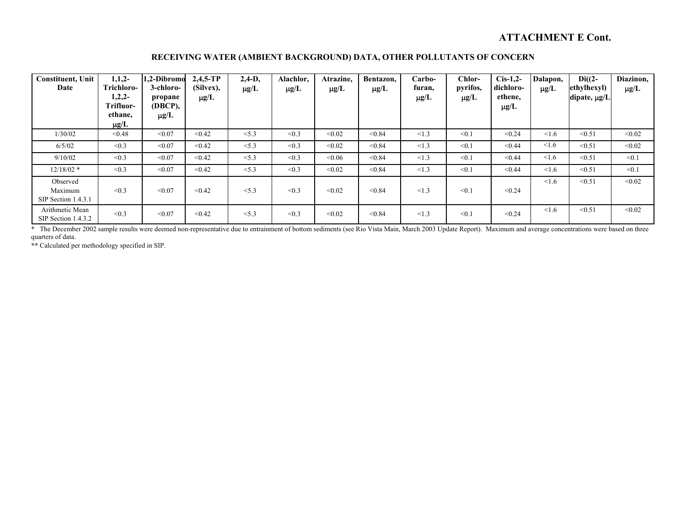#### **RECEIVING WATER (AMBIENT BACKGROUND) DATA, OTHER POLLUTANTS OF CONCERN**

| <b>Constituent</b> , Unit<br>Date          | $1,1,2-$<br>Trichloro-<br>$1,2,2-$<br>Trifluor-<br>ethane,<br>$\mu$ g/L | 1.2-Dibromo<br>3-chloro-<br>propane<br>(DBCP),<br>$\mu$ g/L | $2,4,5$ -TP<br>(Silvex),<br>$\mu$ g/L | $2,4-D,$<br>$\mu$ g/L | Alachlor,<br>$\mu g/L$ | Atrazine,<br>$\mu$ g/L | Bentazon,<br>$\mu$ g/L | Carbo-<br>furan,<br>$\mu$ g/L | Chlor-<br>pyrifos,<br>$\mu$ g/L | $Cis-1,2-$<br>dichloro-<br>ethene.<br>$\mu$ g/L | Dalapon,<br>$\mu$ g/L | $Di((2-$<br>ethylhexyl)<br>dipate, µg/L | Diazinon,<br>$\mu$ g/L |
|--------------------------------------------|-------------------------------------------------------------------------|-------------------------------------------------------------|---------------------------------------|-----------------------|------------------------|------------------------|------------------------|-------------------------------|---------------------------------|-------------------------------------------------|-----------------------|-----------------------------------------|------------------------|
| 1/30/02                                    | < 0.48                                                                  | < 0.07                                                      | < 0.42                                | < 5.3                 | < 0.3                  | < 0.02                 | < 0.84                 | <1.3                          | < 0.1                           | < 0.24                                          | 1.6                   | < 0.51                                  | < 0.02                 |
| 6/5/02                                     | < 0.3                                                                   | < 0.07                                                      | < 0.42                                | < 5.3                 | < 0.3                  | < 0.02                 | < 0.84                 | <1.3                          | < 0.1                           | < 0.44                                          | < 1.6                 | < 0.51                                  | < 0.02                 |
| 9/10/02                                    | < 0.3                                                                   | < 0.07                                                      | < 0.42                                | < 5.3                 | < 0.3                  | &0.06                  | < 0.84                 | <1.3                          | < 0.1                           | < 0.44                                          | < 1.6                 | < 0.51                                  | < 0.1                  |
| $12/18/02$ *                               | < 0.3                                                                   | < 0.07                                                      | < 0.42                                | < 5.3                 | < 0.3                  | < 0.02                 | < 0.84                 | <1.3                          | < 0.1                           | < 0.44                                          | $\leq 1.6$            | < 0.51                                  | < 0.1                  |
| Observed<br>Maximum<br>SIP Section 1.4.3.1 | < 0.3                                                                   | < 0.07                                                      | < 0.42                                | < 5.3                 | < 0.3                  | < 0.02                 | < 0.84                 | <1.3                          | < 0.1                           | < 0.24                                          | 1.6                   | < 0.51                                  | < 0.02                 |
| Arithmetic Mean<br>SIP Section 1.4.3.2     | < 0.3                                                                   | < 0.07                                                      | < 0.42                                | < 5.3                 | < 0.3                  | < 0.02                 | < 0.84                 | <1.3                          | < 0.1                           | < 0.24                                          | 1.6                   | < 0.51                                  | < 0.02                 |

\* The December 2002 sample results were deemed non-representative due to entrainment of bottom sediments (see Rio Vista Main, March 2003 Update Report). Maximum and average concentrations were based on three quarters of data.

**\*\*** Calculated per methodology specified in SIP.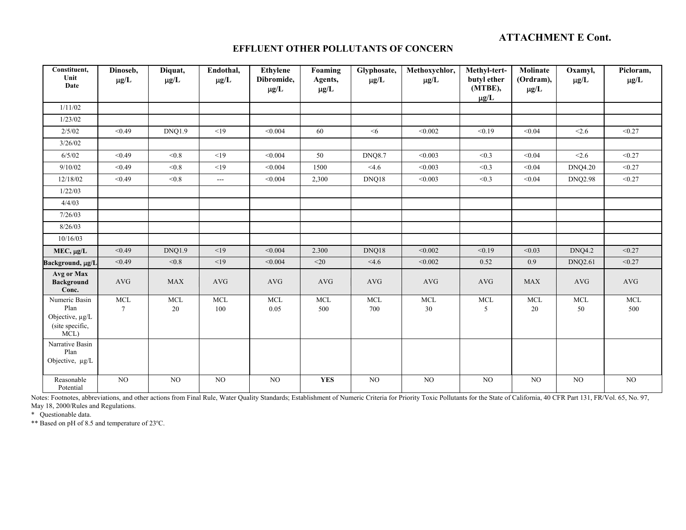#### **EFFLUENT OTHER POLLUTANTS OF CONCERN**

| Constituent,<br>Unit<br>Date                                        | Dinoseb,<br>$\mu g/L$ | Diquat,<br>$\mu g/L$ | Endothal,<br>$\mu g/L$ | <b>Ethylene</b><br>Dibromide,<br>$\mu g/L$ | Foaming<br>Agents,<br>$\mu g/L$ | Glyphosate,<br>$\mu$ g/L | Methoxychlor,<br>$\mu g/L$ | Methyl-tert-<br>butyl ether<br>(MTBE), | Molinate<br>(Ordram),<br>$\mu g/L$ | Oxamyl,<br>$\mu g/L$ | Picloram,<br>$\mu g/L$ |
|---------------------------------------------------------------------|-----------------------|----------------------|------------------------|--------------------------------------------|---------------------------------|--------------------------|----------------------------|----------------------------------------|------------------------------------|----------------------|------------------------|
| 1/11/02                                                             |                       |                      |                        |                                            |                                 |                          |                            | $\mu$ g/L                              |                                    |                      |                        |
| 1/23/02                                                             |                       |                      |                        |                                            |                                 |                          |                            |                                        |                                    |                      |                        |
| 2/5/02                                                              | < 0.49                | DNQ1.9               | <19                    | < 0.004                                    | 60                              | $<$ 6                    | < 0.002                    | < 0.19                                 | < 0.04                             | < 2.6                | < 0.27                 |
| 3/26/02                                                             |                       |                      |                        |                                            |                                 |                          |                            |                                        |                                    |                      |                        |
| 6/5/02                                                              | < 0.49                | < 0.8                | <19                    | < 0.004                                    | 50                              | <b>DNQ8.7</b>            | < 0.003                    | < 0.3                                  | < 0.04                             | < 2.6                | < 0.27                 |
| 9/10/02                                                             | < 0.49                | < 0.8                | <19                    | < 0.004                                    | 1500                            | $<$ 4.6                  | < 0.003                    | < 0.3                                  | < 0.04                             | <b>DNQ4.20</b>       | < 0.27                 |
| 12/18/02                                                            | < 0.49                | < 0.8                | $---$                  | < 0.004                                    | 2,300                           | DNQ18                    | < 0.003                    | < 0.3                                  | < 0.04                             | <b>DNQ2.98</b>       | < 0.27                 |
| 1/22/03                                                             |                       |                      |                        |                                            |                                 |                          |                            |                                        |                                    |                      |                        |
| 4/4/03                                                              |                       |                      |                        |                                            |                                 |                          |                            |                                        |                                    |                      |                        |
| 7/26/03                                                             |                       |                      |                        |                                            |                                 |                          |                            |                                        |                                    |                      |                        |
| 8/26/03                                                             |                       |                      |                        |                                            |                                 |                          |                            |                                        |                                    |                      |                        |
| 10/16/03                                                            |                       |                      |                        |                                            |                                 |                          |                            |                                        |                                    |                      |                        |
| $MEC, \mu g/L$                                                      | < 0.49                | <b>DNQ1.9</b>        | <19                    | < 0.004                                    | 2.300                           | DNQ18                    | < 0.002                    | < 0.19                                 | < 0.03                             | <b>DNQ4.2</b>        | < 0.27                 |
| Background, µg/L                                                    | < 0.49                | < 0.8                | <19                    | < 0.004                                    | $<$ 20                          | <4.6                     | < 0.002                    | 0.52                                   | 0.9                                | <b>DNQ2.61</b>       | < 0.27                 |
| Avg or Max<br><b>Background</b><br>Conc.                            | <b>AVG</b>            | <b>MAX</b>           | <b>AVG</b>             | AVG                                        | <b>AVG</b>                      | <b>AVG</b>               | <b>AVG</b>                 | <b>AVG</b>                             | <b>MAX</b>                         | <b>AVG</b>           | <b>AVG</b>             |
| Numeric Basin<br>Plan<br>Objective, µg/L<br>(site specific,<br>MCL) | <b>MCL</b><br>$\tau$  | <b>MCL</b><br>20     | <b>MCL</b><br>100      | <b>MCL</b><br>0.05                         | <b>MCL</b><br>500               | <b>MCL</b><br>700        | <b>MCL</b><br>30           | <b>MCL</b><br>5                        | <b>MCL</b><br>$20\,$               | MCL<br>50            | <b>MCL</b><br>500      |
| Narrative Basin<br>Plan<br>Objective, µg/L                          |                       |                      |                        |                                            |                                 |                          |                            |                                        |                                    |                      |                        |
| Reasonable<br>Potential                                             | $_{\rm NO}$           | NO                   | $_{\rm NO}$            | $_{\rm NO}$                                | <b>YES</b>                      | $_{\rm NO}$              | NO                         | NO                                     | NO                                 | NO                   | NO                     |

Notes: Footnotes, abbreviations, and other actions from Final Rule, Water Quality Standards; Establishment of Numeric Criteria for Priority Toxic Pollutants for the State of California, 40 CFR Part 131, FR/Vol. 65, No. 97, May 18, 2000/Rules and Regulations.

\* Questionable data.

\*\* Based on pH of 8.5 and temperature of 23°C.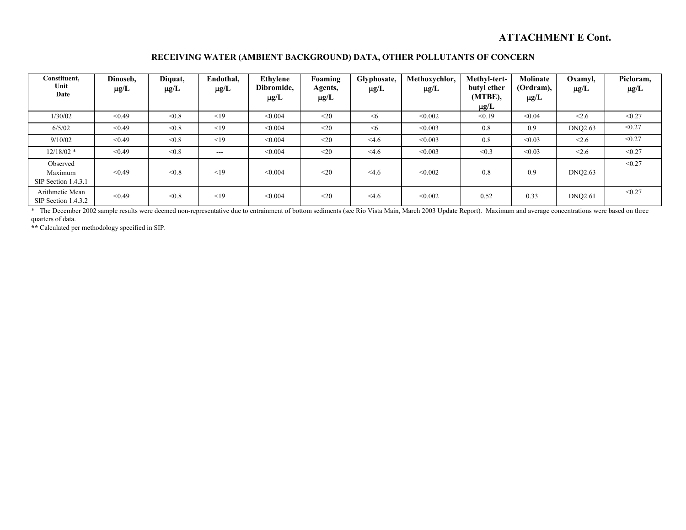#### **RECEIVING WATER (AMBIENT BACKGROUND) DATA, OTHER POLLUTANTS OF CONCERN**

| Constituent,<br>Unit<br>Date                 | Dinoseb,<br>$\mu$ g/L | Diquat,<br>$\mu$ g/L | Endothal,<br>$\mu$ g/L | <b>Ethylene</b><br>Dibromide,<br>$\mu$ g/L | Foaming<br>Agents,<br>$\mu$ g/L | Glyphosate,<br>$\mu$ g/L | Methoxychlor.<br>$\mu$ g/L | Methyl-tert-<br>butyl ether<br>(MTBE),<br>$\mu$ g/L | Molinate<br>(Ordram),<br>$\mu$ g/L | Oxamyl,<br>$\mu$ g/L | Picloram,<br>$\mu$ g/L |
|----------------------------------------------|-----------------------|----------------------|------------------------|--------------------------------------------|---------------------------------|--------------------------|----------------------------|-----------------------------------------------------|------------------------------------|----------------------|------------------------|
| 1/30/02                                      | < 0.49                | < 0.8                | <19                    | < 0.004                                    | $<$ 20                          | $\leq 6$                 | < 0.002                    | < 0.19                                              | < 0.04                             | < 2.6                | < 0.27                 |
| 6/5/02                                       | < 0.49                | < 0.8                | <19                    | < 0.004                                    | $20$                            | $\leq 6$                 | < 0.003                    | 0.8                                                 | 0.9                                | <b>DNQ2.63</b>       | < 0.27                 |
| 9/10/02                                      | < 0.49                | &0.8                 | <19                    | < 0.004                                    | $20$                            | $<$ 4.6                  | < 0.003                    | 0.8                                                 | < 0.03                             | < 2.6                | < 0.27                 |
| $12/18/02$ *                                 | < 0.49                | < 0.8                | $---$                  | < 0.004                                    | $<$ 20                          | $<$ 4.6                  | < 0.003                    | < 0.3                                               | < 0.03                             | < 2.6                | < 0.27                 |
| Observed<br>Maximum<br>$SIP$ Section 1.4.3.1 | < 0.49                | < 0.8                | <19                    | < 0.004                                    | $20$                            | <4.6                     | < 0.002                    | 0.8                                                 | 0.9                                | <b>DNQ2.63</b>       | < 0.27                 |
| Arithmetic Mean<br>SIP Section 1.4.3.2       | < 0.49                | < 0.8                | <19                    | < 0.004                                    | $20$                            | <4.6                     | < 0.002                    | 0.52                                                | 0.33                               | <b>DNQ2.61</b>       | < 0.27                 |

\* The December 2002 sample results were deemed non-representative due to entrainment of bottom sediments (see Rio Vista Main, March 2003 Update Report). Maximum and average concentrations were based on three quarters of data.

**\*\*** Calculated per methodology specified in SIP.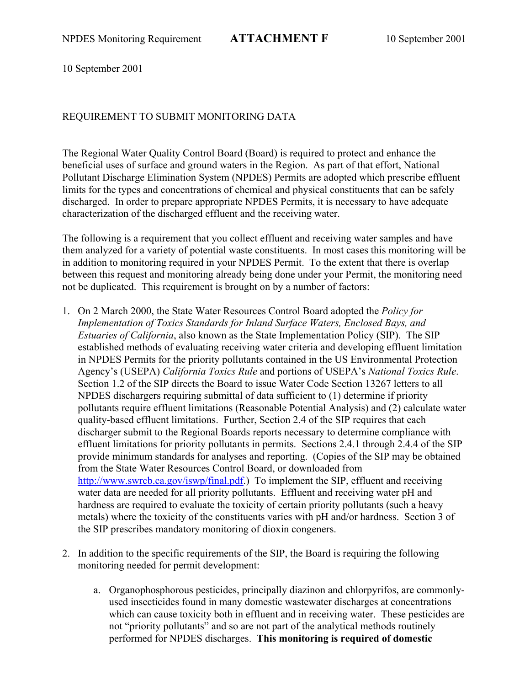10 September 2001

## REQUIREMENT TO SUBMIT MONITORING DATA

The Regional Water Quality Control Board (Board) is required to protect and enhance the beneficial uses of surface and ground waters in the Region. As part of that effort, National Pollutant Discharge Elimination System (NPDES) Permits are adopted which prescribe effluent limits for the types and concentrations of chemical and physical constituents that can be safely discharged. In order to prepare appropriate NPDES Permits, it is necessary to have adequate characterization of the discharged effluent and the receiving water.

The following is a requirement that you collect effluent and receiving water samples and have them analyzed for a variety of potential waste constituents. In most cases this monitoring will be in addition to monitoring required in your NPDES Permit. To the extent that there is overlap between this request and monitoring already being done under your Permit, the monitoring need not be duplicated. This requirement is brought on by a number of factors:

- 1. On 2 March 2000, the State Water Resources Control Board adopted the *Policy for Implementation of Toxics Standards for Inland Surface Waters, Enclosed Bays, and Estuaries of California*, also known as the State Implementation Policy (SIP). The SIP established methods of evaluating receiving water criteria and developing effluent limitation in NPDES Permits for the priority pollutants contained in the US Environmental Protection Agency's (USEPA) *California Toxics Rule* and portions of USEPA's *National Toxics Rule*. Section 1.2 of the SIP directs the Board to issue Water Code Section 13267 letters to all NPDES dischargers requiring submittal of data sufficient to (1) determine if priority pollutants require effluent limitations (Reasonable Potential Analysis) and (2) calculate water quality-based effluent limitations. Further, Section 2.4 of the SIP requires that each discharger submit to the Regional Boards reports necessary to determine compliance with effluent limitations for priority pollutants in permits. Sections 2.4.1 through 2.4.4 of the SIP provide minimum standards for analyses and reporting. (Copies of the SIP may be obtained from the State Water Resources Control Board, or downloaded from http://www.swrcb.ca.gov/iswp/final.pdf.) To implement the SIP, effluent and receiving water data are needed for all priority pollutants. Effluent and receiving water pH and hardness are required to evaluate the toxicity of certain priority pollutants (such a heavy metals) where the toxicity of the constituents varies with pH and/or hardness. Section 3 of the SIP prescribes mandatory monitoring of dioxin congeners.
- 2. In addition to the specific requirements of the SIP, the Board is requiring the following monitoring needed for permit development:
	- a. Organophosphorous pesticides, principally diazinon and chlorpyrifos, are commonlyused insecticides found in many domestic wastewater discharges at concentrations which can cause toxicity both in effluent and in receiving water. These pesticides are not "priority pollutants" and so are not part of the analytical methods routinely performed for NPDES discharges. **This monitoring is required of domestic**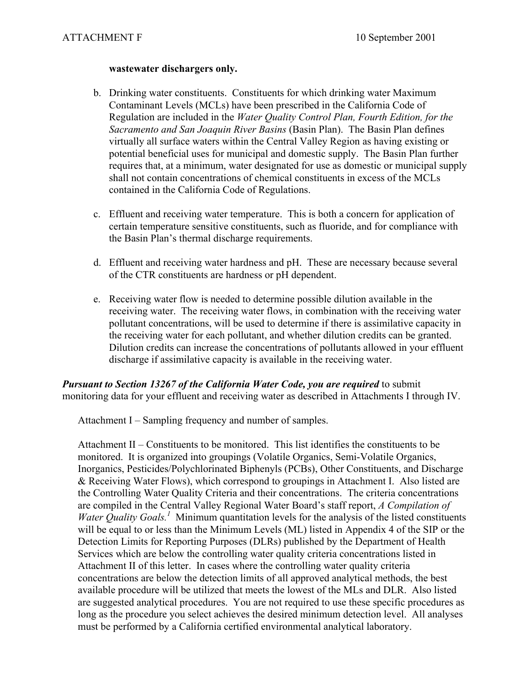#### **wastewater dischargers only.**

- b. Drinking water constituents. Constituents for which drinking water Maximum Contaminant Levels (MCLs) have been prescribed in the California Code of Regulation are included in the *Water Quality Control Plan, Fourth Edition, for the Sacramento and San Joaquin River Basins* (Basin Plan). The Basin Plan defines virtually all surface waters within the Central Valley Region as having existing or potential beneficial uses for municipal and domestic supply. The Basin Plan further requires that, at a minimum, water designated for use as domestic or municipal supply shall not contain concentrations of chemical constituents in excess of the MCLs contained in the California Code of Regulations.
- c. Effluent and receiving water temperature. This is both a concern for application of certain temperature sensitive constituents, such as fluoride, and for compliance with the Basin Plan's thermal discharge requirements.
- d. Effluent and receiving water hardness and pH. These are necessary because several of the CTR constituents are hardness or pH dependent.
- e. Receiving water flow is needed to determine possible dilution available in the receiving water. The receiving water flows, in combination with the receiving water pollutant concentrations, will be used to determine if there is assimilative capacity in the receiving water for each pollutant, and whether dilution credits can be granted. Dilution credits can increase the concentrations of pollutants allowed in your effluent discharge if assimilative capacity is available in the receiving water.

*Pursuant to Section 13267 of the California Water Code, you are required* to submit monitoring data for your effluent and receiving water as described in Attachments I through IV.

Attachment I – Sampling frequency and number of samples.

Attachment II – Constituents to be monitored. This list identifies the constituents to be monitored. It is organized into groupings (Volatile Organics, Semi-Volatile Organics, Inorganics, Pesticides/Polychlorinated Biphenyls (PCBs), Other Constituents, and Discharge & Receiving Water Flows), which correspond to groupings in Attachment I. Also listed are the Controlling Water Quality Criteria and their concentrations. The criteria concentrations are compiled in the Central Valley Regional Water Board's staff report, *A Compilation of Water Quality Goals.*<sup>1</sup> Minimum quantitation levels for the analysis of the listed constituents will be equal to or less than the Minimum Levels (ML) listed in Appendix 4 of the SIP or the Detection Limits for Reporting Purposes (DLRs) published by the Department of Health Services which are below the controlling water quality criteria concentrations listed in Attachment II of this letter. In cases where the controlling water quality criteria concentrations are below the detection limits of all approved analytical methods, the best available procedure will be utilized that meets the lowest of the MLs and DLR. Also listed are suggested analytical procedures. You are not required to use these specific procedures as long as the procedure you select achieves the desired minimum detection level. All analyses must be performed by a California certified environmental analytical laboratory.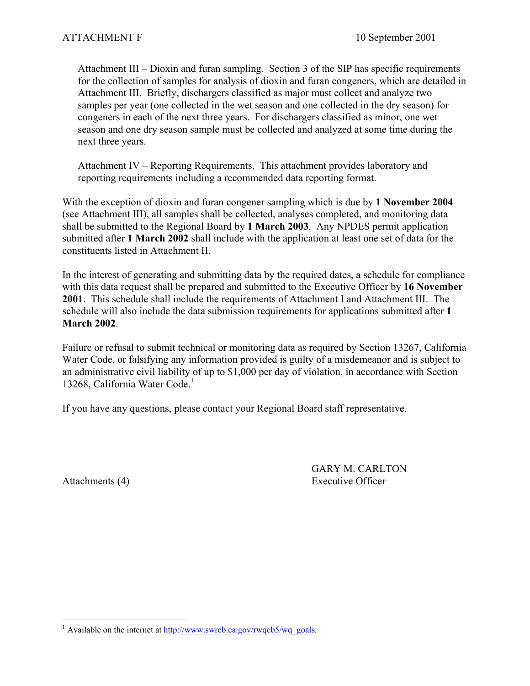Attachment III – Dioxin and furan sampling. Section 3 of the SIP has specific requirements for the collection of samples for analysis of dioxin and furan congeners, which are detailed in Attachment III. Briefly, dischargers classified as major must collect and analyze two samples per year (one collected in the wet season and one collected in the dry season) for congeners in each of the next three years. For dischargers classified as minor, one wet season and one dry season sample must be collected and analyzed at some time during the next three years.

Attachment IV – Reporting Requirements. This attachment provides laboratory and reporting requirements including a recommended data reporting format.

With the exception of dioxin and furan congener sampling which is due by **1 November 2004**  (see Attachment III), all samples shall be collected, analyses completed, and monitoring data shall be submitted to the Regional Board by **1 March 2003**. Any NPDES permit application submitted after **1 March 2002** shall include with the application at least one set of data for the constituents listed in Attachment II.

In the interest of generating and submitting data by the required dates, a schedule for compliance with this data request shall be prepared and submitted to the Executive Officer by **16 November 2001**. This schedule shall include the requirements of Attachment I and Attachment III. The schedule will also include the data submission requirements for applications submitted after **1 March 2002**.

Failure or refusal to submit technical or monitoring data as required by Section 13267, California Water Code, or falsifying any information provided is guilty of a misdemeanor and is subject to an administrative civil liability of up to \$1,000 per day of violation, in accordance with Section 13268, California Water Code.<sup>1</sup>

If you have any questions, please contact your Regional Board staff representative.

GARY M. CARLTON Attachments (4) Executive Officer

 $\overline{a}$ <sup>1</sup> Available on the internet at  $\frac{http://www.swrcb.ca.gov/rwqcb5/wq-goals.}$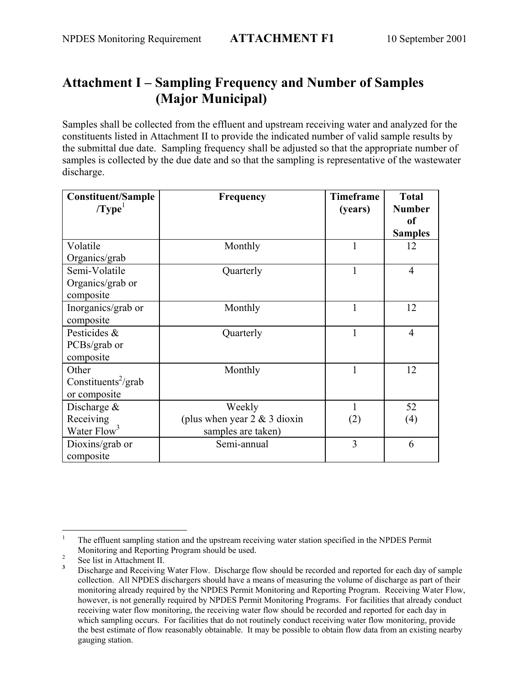# **Attachment I – Sampling Frequency and Number of Samples (Major Municipal)**

Samples shall be collected from the effluent and upstream receiving water and analyzed for the constituents listed in Attachment II to provide the indicated number of valid sample results by the submittal due date. Sampling frequency shall be adjusted so that the appropriate number of samples is collected by the due date and so that the sampling is representative of the wastewater discharge.

| <b>Constituent/Sample</b>       | Frequency                       | <b>Timeframe</b> | <b>Total</b>   |
|---------------------------------|---------------------------------|------------------|----------------|
| /Type <sup>1</sup>              |                                 | (years)          | <b>Number</b>  |
|                                 |                                 |                  | <sub>of</sub>  |
|                                 |                                 |                  | <b>Samples</b> |
| Volatile                        | Monthly                         | 1                | 12             |
| Organics/grab                   |                                 |                  |                |
| Semi-Volatile                   | Quarterly                       | $\mathbf{1}$     | $\overline{4}$ |
| Organics/grab or                |                                 |                  |                |
| composite                       |                                 |                  |                |
| Inorganics/grab or              | Monthly                         | $\mathbf{1}$     | 12             |
| composite                       |                                 |                  |                |
| Pesticides &                    | Quarterly                       | 1                | $\overline{4}$ |
| PCBs/grab or                    |                                 |                  |                |
| composite                       |                                 |                  |                |
| Other                           | Monthly                         | 1                | 12             |
| Constituents <sup>2</sup> /grab |                                 |                  |                |
| or composite                    |                                 |                  |                |
| Discharge $\&$                  | Weekly                          | 1                | 52             |
| Receiving                       | (plus when year $2 \& 3$ dioxin | (2)              | (4)            |
| Water Flow <sup>3</sup>         | samples are taken)              |                  |                |
| Dioxins/grab or                 | Semi-annual                     | 3                | 6              |
| composite                       |                                 |                  |                |

 $\overline{a}$ 1 The effluent sampling station and the upstream receiving water station specified in the NPDES Permit Monitoring and Reporting Program should be used.

See list in Attachment II.

**<sup>3</sup>** Discharge and Receiving Water Flow. Discharge flow should be recorded and reported for each day of sample collection. All NPDES dischargers should have a means of measuring the volume of discharge as part of their monitoring already required by the NPDES Permit Monitoring and Reporting Program. Receiving Water Flow, however, is not generally required by NPDES Permit Monitoring Programs. For facilities that already conduct receiving water flow monitoring, the receiving water flow should be recorded and reported for each day in which sampling occurs. For facilities that do not routinely conduct receiving water flow monitoring, provide the best estimate of flow reasonably obtainable. It may be possible to obtain flow data from an existing nearby gauging station.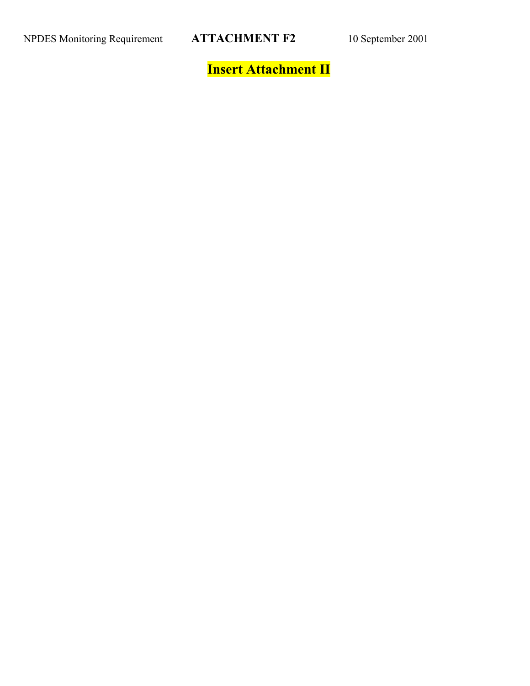**Insert Attachment II**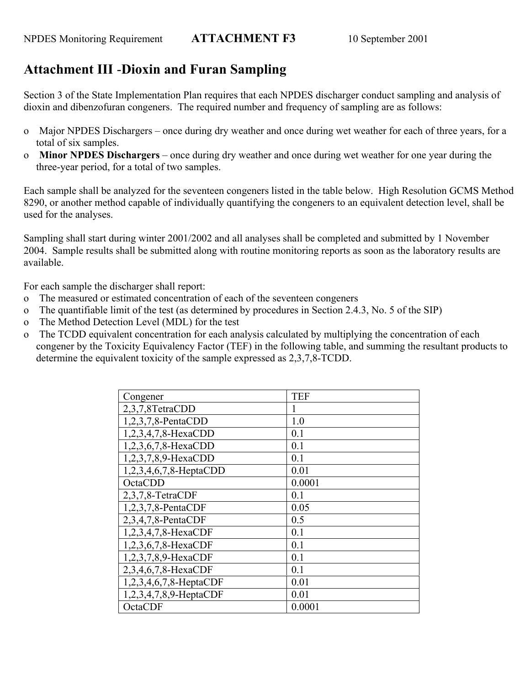# **Attachment III** -**Dioxin and Furan Sampling**

Section 3 of the State Implementation Plan requires that each NPDES discharger conduct sampling and analysis of dioxin and dibenzofuran congeners. The required number and frequency of sampling are as follows:

- o Major NPDES Dischargers once during dry weather and once during wet weather for each of three years, for a total of six samples.
- o **Minor NPDES Dischargers** once during dry weather and once during wet weather for one year during the three-year period, for a total of two samples.

Each sample shall be analyzed for the seventeen congeners listed in the table below. High Resolution GCMS Method 8290, or another method capable of individually quantifying the congeners to an equivalent detection level, shall be used for the analyses.

Sampling shall start during winter 2001/2002 and all analyses shall be completed and submitted by 1 November 2004. Sample results shall be submitted along with routine monitoring reports as soon as the laboratory results are available.

For each sample the discharger shall report:

- o The measured or estimated concentration of each of the seventeen congeners
- o The quantifiable limit of the test (as determined by procedures in Section 2.4.3, No. 5 of the SIP)
- o The Method Detection Level (MDL) for the test
- o The TCDD equivalent concentration for each analysis calculated by multiplying the concentration of each congener by the Toxicity Equivalency Factor (TEF) in the following table, and summing the resultant products to determine the equivalent toxicity of the sample expressed as 2,3,7,8-TCDD.

| Congener               | <b>TEF</b> |
|------------------------|------------|
| 2,3,7,8TetraCDD        |            |
| $1,2,3,7,8$ -PentaCDD  | 1.0        |
| 1,2,3,4,7,8-HexaCDD    | 0.1        |
| 1,2,3,6,7,8-HexaCDD    | 0.1        |
| 1,2,3,7,8,9-HexaCDD    | 0.1        |
| 1,2,3,4,6,7,8-HeptaCDD | 0.01       |
| OctaCDD                | 0.0001     |
| $2,3,7,8$ -TetraCDF    | 0.1        |
| $1,2,3,7,8$ -PentaCDF  | 0.05       |
| $2,3,4,7,8$ -PentaCDF  | 0.5        |
| 1,2,3,4,7,8-HexaCDF    | 0.1        |
| 1,2,3,6,7,8-HexaCDF    | 0.1        |
| 1,2,3,7,8,9-HexaCDF    | 0.1        |
| 2,3,4,6,7,8-HexaCDF    | 0.1        |
| 1,2,3,4,6,7,8-HeptaCDF | 0.01       |
| 1,2,3,4,7,8,9-HeptaCDF | 0.01       |
| OctaCDF                | 0.0001     |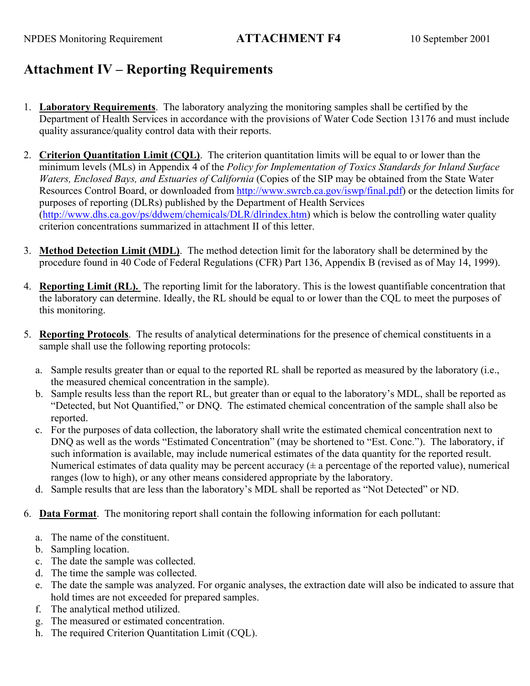# **Attachment IV – Reporting Requirements**

- 1. **Laboratory Requirements**. The laboratory analyzing the monitoring samples shall be certified by the Department of Health Services in accordance with the provisions of Water Code Section 13176 and must include quality assurance/quality control data with their reports.
- 2. **Criterion Quantitation Limit (CQL)**. The criterion quantitation limits will be equal to or lower than the minimum levels (MLs) in Appendix 4 of the *Policy for Implementation of Toxics Standards for Inland Surface Waters, Enclosed Bays, and Estuaries of California* (Copies of the SIP may be obtained from the State Water Resources Control Board, or downloaded from http://www.swrcb.ca.gov/iswp/final.pdf) or the detection limits for purposes of reporting (DLRs) published by the Department of Health Services (http://www.dhs.ca.gov/ps/ddwem/chemicals/DLR/dlrindex.htm) which is below the controlling water quality criterion concentrations summarized in attachment II of this letter.
- 3. **Method Detection Limit (MDL)**. The method detection limit for the laboratory shall be determined by the procedure found in 40 Code of Federal Regulations (CFR) Part 136, Appendix B (revised as of May 14, 1999).
- 4. **Reporting Limit (RL).** The reporting limit for the laboratory. This is the lowest quantifiable concentration that the laboratory can determine. Ideally, the RL should be equal to or lower than the CQL to meet the purposes of this monitoring.
- 5. **Reporting Protocols**. The results of analytical determinations for the presence of chemical constituents in a sample shall use the following reporting protocols:
	- a. Sample results greater than or equal to the reported RL shall be reported as measured by the laboratory (i.e., the measured chemical concentration in the sample).
	- b. Sample results less than the report RL, but greater than or equal to the laboratory's MDL, shall be reported as "Detected, but Not Quantified," or DNQ. The estimated chemical concentration of the sample shall also be reported.
	- c. For the purposes of data collection, the laboratory shall write the estimated chemical concentration next to DNQ as well as the words "Estimated Concentration" (may be shortened to "Est. Conc."). The laboratory, if such information is available, may include numerical estimates of the data quantity for the reported result. Numerical estimates of data quality may be percent accuracy  $(± a$  percentage of the reported value), numerical ranges (low to high), or any other means considered appropriate by the laboratory.
	- d. Sample results that are less than the laboratory's MDL shall be reported as "Not Detected" or ND.
- 6. **Data Format**. The monitoring report shall contain the following information for each pollutant:
	- a. The name of the constituent.
	- b. Sampling location.
	- c. The date the sample was collected.
	- d. The time the sample was collected.
	- e. The date the sample was analyzed. For organic analyses, the extraction date will also be indicated to assure that hold times are not exceeded for prepared samples.
	- f. The analytical method utilized.
	- g. The measured or estimated concentration.
	- h. The required Criterion Quantitation Limit (CQL).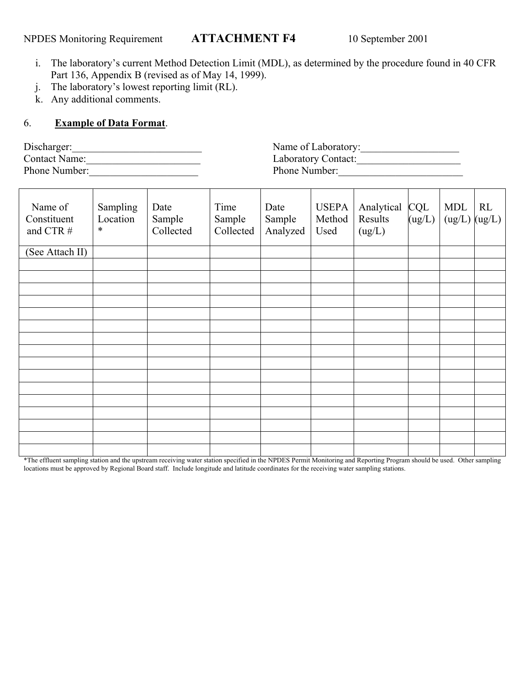- i. The laboratory's current Method Detection Limit (MDL), as determined by the procedure found in 40 CFR Part 136, Appendix B (revised as of May 14, 1999).
- j. The laboratory's lowest reporting limit (RL).
- k. Any additional comments.

## 6. **Example of Data Format**.

| Discharger:          |  |
|----------------------|--|
| <b>Contact Name:</b> |  |
| Phone Number:        |  |

| Discharger:          | Name of Laboratory: |
|----------------------|---------------------|
| <b>Contact Name:</b> | Laboratory Contact: |
| Phone Number:        | Phone Number:       |

| Name of<br>Constituent<br>and CTR # | Sampling<br>Location<br>$\ast$ | Date<br>Sample<br>Collected | Time<br>Sample<br>Collected | Date<br>Sample<br>Analyzed | <b>USEPA</b><br>Method<br>Used | Analytical<br>Results<br>(ug/L) | <b>CQL</b><br>(ug/L) | <b>MDL</b><br>$(ug/L)$ $(ug/L)$ | RL |
|-------------------------------------|--------------------------------|-----------------------------|-----------------------------|----------------------------|--------------------------------|---------------------------------|----------------------|---------------------------------|----|
| (See Attach II)                     |                                |                             |                             |                            |                                |                                 |                      |                                 |    |
|                                     |                                |                             |                             |                            |                                |                                 |                      |                                 |    |
|                                     |                                |                             |                             |                            |                                |                                 |                      |                                 |    |
|                                     |                                |                             |                             |                            |                                |                                 |                      |                                 |    |
|                                     |                                |                             |                             |                            |                                |                                 |                      |                                 |    |
|                                     |                                |                             |                             |                            |                                |                                 |                      |                                 |    |
|                                     |                                |                             |                             |                            |                                |                                 |                      |                                 |    |
|                                     |                                |                             |                             |                            |                                |                                 |                      |                                 |    |
|                                     |                                |                             |                             |                            |                                |                                 |                      |                                 |    |
|                                     |                                |                             |                             |                            |                                |                                 |                      |                                 |    |
|                                     |                                |                             |                             |                            |                                |                                 |                      |                                 |    |
|                                     |                                |                             |                             |                            |                                |                                 |                      |                                 |    |
|                                     |                                |                             |                             |                            |                                |                                 |                      |                                 |    |
|                                     |                                |                             |                             |                            |                                |                                 |                      |                                 |    |
|                                     |                                |                             |                             |                            |                                |                                 |                      |                                 |    |
|                                     |                                |                             |                             |                            |                                |                                 |                      |                                 |    |
|                                     |                                |                             |                             |                            |                                |                                 |                      |                                 |    |

\*The effluent sampling station and the upstream receiving water station specified in the NPDES Permit Monitoring and Reporting Program should be used. Other sampling locations must be approved by Regional Board staff. Include longitude and latitude coordinates for the receiving water sampling stations.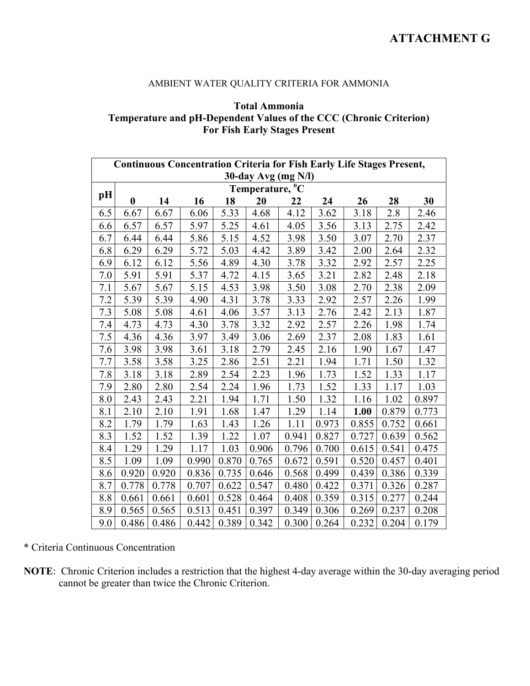## **ATTACHMENT G**

## AMBIENT WATER QUALITY CRITERIA FOR AMMONIA

## **Total Ammonia Temperature and pH-Dependent Values of the CCC (Chronic Criterion) For Fish Early Stages Present**

|     | <b>Continuous Concentration Criteria for Fish Early Life Stages Present,</b> |       |       |       |                             |       |       |       |       |       |  |  |
|-----|------------------------------------------------------------------------------|-------|-------|-------|-----------------------------|-------|-------|-------|-------|-------|--|--|
|     | $30$ -day Avg (mg N/l)                                                       |       |       |       |                             |       |       |       |       |       |  |  |
| pH  |                                                                              |       |       |       | Temperature, <sup>o</sup> C |       |       |       |       |       |  |  |
|     | $\bf{0}$                                                                     | 14    | 16    | 18    | 20                          | 22    | 24    | 26    | 28    | 30    |  |  |
| 6.5 | 6.67                                                                         | 6.67  | 6.06  | 5.33  | 4.68                        | 4.12  | 3.62  | 3.18  | 2.8   | 2.46  |  |  |
| 6.6 | 6.57                                                                         | 6.57  | 5.97  | 5.25  | 4.61                        | 4.05  | 3.56  | 3.13  | 2.75  | 2.42  |  |  |
| 6.7 | 6.44                                                                         | 6.44  | 5.86  | 5.15  | 4.52                        | 3.98  | 3.50  | 3.07  | 2.70  | 2.37  |  |  |
| 6.8 | 6.29                                                                         | 6.29  | 5.72  | 5.03  | 4.42                        | 3.89  | 3.42  | 2.00  | 2.64  | 2.32  |  |  |
| 6.9 | 6.12                                                                         | 6.12  | 5.56  | 4.89  | 4.30                        | 3.78  | 3.32  | 2.92  | 2.57  | 2.25  |  |  |
| 7.0 | 5.91                                                                         | 5.91  | 5.37  | 4.72  | 4.15                        | 3.65  | 3.21  | 2.82  | 2.48  | 2.18  |  |  |
| 7.1 | 5.67                                                                         | 5.67  | 5.15  | 4.53  | 3.98                        | 3.50  | 3.08  | 2.70  | 2.38  | 2.09  |  |  |
| 7.2 | 5.39                                                                         | 5.39  | 4.90  | 4.31  | 3.78                        | 3.33  | 2.92  | 2.57  | 2.26  | 1.99  |  |  |
| 7.3 | 5.08                                                                         | 5.08  | 4.61  | 4.06  | 3.57                        | 3.13  | 2.76  | 2.42  | 2.13  | 1.87  |  |  |
| 7.4 | 4.73                                                                         | 4.73  | 4.30  | 3.78  | 3.32                        | 2.92  | 2.57  | 2.26  | 1.98  | 1.74  |  |  |
| 7.5 | 4.36                                                                         | 4.36  | 3.97  | 3.49  | 3.06                        | 2.69  | 2.37  | 2.08  | 1.83  | 1.61  |  |  |
| 7.6 | 3.98                                                                         | 3.98  | 3.61  | 3.18  | 2.79                        | 2.45  | 2.16  | 1.90  | 1.67  | 1.47  |  |  |
| 7.7 | 3.58                                                                         | 3.58  | 3.25  | 2.86  | 2.51                        | 2.21  | 1.94  | 1.71  | 1.50  | 1.32  |  |  |
| 7.8 | 3.18                                                                         | 3.18  | 2.89  | 2.54  | 2.23                        | 1.96  | 1.73  | 1.52  | 1.33  | 1.17  |  |  |
| 7.9 | 2.80                                                                         | 2.80  | 2.54  | 2.24  | 1.96                        | 1.73  | 1.52  | 1.33  | 1.17  | 1.03  |  |  |
| 8.0 | 2.43                                                                         | 2.43  | 2.21  | 1.94  | 1.71                        | 1.50  | 1.32  | 1.16  | 1.02  | 0.897 |  |  |
| 8.1 | 2.10                                                                         | 2.10  | 1.91  | 1.68  | 1.47                        | 1.29  | 1.14  | 1.00  | 0.879 | 0.773 |  |  |
| 8.2 | 1.79                                                                         | 1.79  | 1.63  | 1.43  | 1.26                        | 1.11  | 0.973 | 0.855 | 0.752 | 0.661 |  |  |
| 8.3 | 1.52                                                                         | 1.52  | 1.39  | 1.22  | 1.07                        | 0.941 | 0.827 | 0.727 | 0.639 | 0.562 |  |  |
| 8.4 | 1.29                                                                         | 1.29  | 1.17  | 1.03  | 0.906                       | 0.796 | 0.700 | 0.615 | 0.541 | 0.475 |  |  |
| 8.5 | 1.09                                                                         | 1.09  | 0.990 | 0.870 | 0.765                       | 0.672 | 0.591 | 0.520 | 0.457 | 0.401 |  |  |
| 8.6 | 0.920                                                                        | 0.920 | 0.836 | 0.735 | 0.646                       | 0.568 | 0.499 | 0.439 | 0.386 | 0.339 |  |  |
| 8.7 | 0.778                                                                        | 0.778 | 0.707 | 0.622 | 0.547                       | 0.480 | 0.422 | 0.371 | 0.326 | 0.287 |  |  |
| 8.8 | 0.661                                                                        | 0.661 | 0.601 | 0.528 | 0.464                       | 0.408 | 0.359 | 0.315 | 0.277 | 0.244 |  |  |
| 8.9 | 0.565                                                                        | 0.565 | 0.513 | 0.451 | 0.397                       | 0.349 | 0.306 | 0.269 | 0.237 | 0.208 |  |  |
| 9.0 | 0.486                                                                        | 0.486 | 0.442 | 0.389 | 0.342                       | 0.300 | 0.264 | 0.232 | 0.204 | 0.179 |  |  |

\* Criteria Continuous Concentration

**NOTE**: Chronic Criterion includes a restriction that the highest 4-day average within the 30-day averaging period cannot be greater than twice the Chronic Criterion.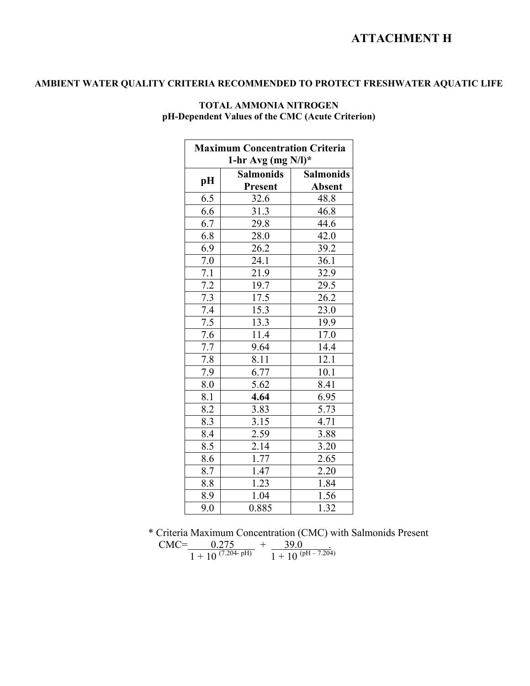## **ATTACHMENT H**

## **AMBIENT WATER QUALITY CRITERIA RECOMMENDED TO PROTECT FRESHWATER AQUATIC LIFE**

| <b>Maximum Concentration Criteria</b><br>1-hr Avg (mg $N/l$ )* |                             |                                   |  |  |  |
|----------------------------------------------------------------|-----------------------------|-----------------------------------|--|--|--|
| pH                                                             | <b>Salmonids</b><br>Present | <b>Salmonids</b><br><b>Absent</b> |  |  |  |
| 6.5                                                            | 32.6                        | 48.8                              |  |  |  |
| 6.6                                                            | 31.3                        | 46.8                              |  |  |  |
| 6.7                                                            | 29.8                        | 44.6                              |  |  |  |
| 6.8                                                            | 28.0                        | 42.0                              |  |  |  |
| 6.9                                                            | 26.2                        | 39.2                              |  |  |  |
| 7.0                                                            | 24.1                        | 36.1                              |  |  |  |
| 7.1                                                            | 21.9                        | 32.9                              |  |  |  |
| 7.2                                                            | 19.7                        | 29.5                              |  |  |  |
| 7.3                                                            | 17.5                        | 26.2                              |  |  |  |
| $\overline{7.4}$                                               | 15.3                        | 23.0                              |  |  |  |
| $\overline{7.5}$                                               | 13.3                        | 19.9                              |  |  |  |
| 7.6                                                            | 11.4                        | 17.0                              |  |  |  |
| $\overline{7.7}$                                               | 9.64                        | 14.4                              |  |  |  |
| 7.8                                                            | 8.11                        | 12.1                              |  |  |  |
| 7.9                                                            | 6.77                        | 10.1                              |  |  |  |
| 8.0                                                            | 5.62                        | 8.41                              |  |  |  |
| 8.1                                                            | 4.64                        | 6.95                              |  |  |  |
| 8.2                                                            | 3.83                        | 5.73                              |  |  |  |
| 8.3                                                            | 3.15                        | 4.71                              |  |  |  |
| 8.4                                                            | $\overline{2.59}$           | 3.88                              |  |  |  |
| 8.5                                                            | 2.14                        | 3.20                              |  |  |  |
| 8.6                                                            | 1.77                        | 2.65                              |  |  |  |
| 8.7                                                            | 1.47                        | 2.20                              |  |  |  |
| 8.8                                                            | 1.23                        | 1.84                              |  |  |  |
| 8.9                                                            | 1.04                        | 1.56                              |  |  |  |
| 9.0                                                            | 0.885                       | 1.32                              |  |  |  |

#### **TOTAL AMMONIA NITROGEN pH-Dependent Values of the CMC (Acute Criterion)**

\* Criteria Maximum Concentration (CMC) with Salmonids Present  $CMC =$  0.275  $+$  39.0 .  $\overline{1 + 10^{(7.204 \cdot pH)}}$   $\overline{1 + 10^{(pH - 7.204)}}$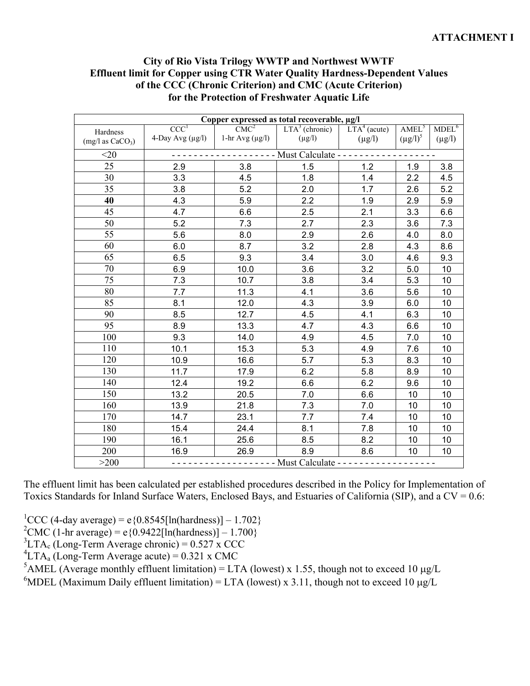## **City of Rio Vista Trilogy WWTP and Northwest WWTF Effluent limit for Copper using CTR Water Quality Hardness-Dependent Values of the CCC (Chronic Criterion) and CMC (Acute Criterion) for the Protection of Freshwater Aquatic Life**

| Copper expressed as total recoverable, µg/l |                                        |                      |                      |                |                   |                   |  |
|---------------------------------------------|----------------------------------------|----------------------|----------------------|----------------|-------------------|-------------------|--|
| Hardness                                    | CCC <sup>1</sup>                       | CMC <sup>2</sup>     | $LTA3$ (chronic)     | $LTA4$ (acute) | AMEL <sup>5</sup> | MDEL <sup>6</sup> |  |
| (mg/l as CaCO <sub>3</sub> )                | 4-Day Avg $(\mu g/l)$                  | 1-hr Avg $(\mu g/l)$ | $(\mu g/l)$          | $(\mu g/l)$    | $(\mu g/l)^5$     | $(\mu g/l)$       |  |
| $<$ 20                                      | - - - - - - - - Must Calculate - - - - |                      |                      |                |                   |                   |  |
| 25                                          | 2.9                                    | 3.8                  | 1.5                  | 1.2            | 1.9               | 3.8               |  |
| 30                                          | 3.3                                    | 4.5                  | 1.8                  | 1.4            | 2.2               | 4.5               |  |
| 35                                          | 3.8                                    | 5.2                  | 2.0                  | 1.7            | 2.6               | 5.2               |  |
| 40                                          | 4.3                                    | 5.9                  | 2.2                  | 1.9            | 2.9               | 5.9               |  |
| 45                                          | 4.7                                    | 6.6                  | 2.5                  | 2.1            | 3.3               | 6.6               |  |
| 50                                          | 5.2                                    | 7.3                  | 2.7                  | 2.3            | 3.6               | 7.3               |  |
| 55                                          | 5.6                                    | 8.0                  | 2.9                  | 2.6            | 4.0               | 8.0               |  |
| 60                                          | 6.0                                    | 8.7                  | 3.2                  | 2.8            | 4.3               | 8.6               |  |
| $\overline{65}$                             | 6.5                                    | 9.3                  | 3.4                  | 3.0            | 4.6               | 9.3               |  |
| 70                                          | 6.9                                    | 10.0                 | 3.6                  | 3.2            | 5.0               | 10                |  |
| 75                                          | 7.3                                    | 10.7                 | 3.8                  | 3.4            | 5.3               | 10                |  |
| 80                                          | 7.7                                    | 11.3                 | 4.1                  | 3.6            | 5.6               | 10                |  |
| 85                                          | 8.1                                    | 12.0                 | 4.3                  | 3.9            | 6.0               | 10                |  |
| 90                                          | 8.5                                    | 12.7                 | 4.5                  | 4.1            | 6.3               | 10                |  |
| 95                                          | 8.9                                    | 13.3                 | 4.7                  | 4.3            | 6.6               | 10                |  |
| 100                                         | 9.3                                    | 14.0                 | 4.9                  | 4.5            | 7.0               | 10                |  |
| 110                                         | 10.1                                   | 15.3                 | 5.3                  | 4.9            | 7.6               | 10                |  |
| 120                                         | 10.9                                   | 16.6                 | 5.7                  | 5.3            | 8.3               | 10                |  |
| 130                                         | 11.7                                   | 17.9                 | 6.2                  | 5.8            | 8.9               | 10                |  |
| 140                                         | 12.4                                   | 19.2                 | 6.6                  | 6.2            | 9.6               | 10                |  |
| 150                                         | 13.2                                   | 20.5                 | 7.0                  | 6.6            | 10                | 10                |  |
| 160                                         | 13.9                                   | 21.8                 | 7.3                  | 7.0            | 10                | 10                |  |
| 170                                         | 14.7                                   | 23.1                 | 7.7                  | 7.4            | 10                | 10                |  |
| 180                                         | 15.4                                   | 24.4                 | 8.1                  | 7.8            | 10                | 10                |  |
| 190                                         | 16.1                                   | 25.6                 | 8.5                  | 8.2            | 10                | 10                |  |
| 200                                         | 16.9                                   | 26.9                 | 8.9                  | 8.6            | 10                | 10                |  |
| >200                                        |                                        |                      | - - Must Calculate - |                |                   |                   |  |

The effluent limit has been calculated per established procedures described in the Policy for Implementation of Toxics Standards for Inland Surface Waters, Enclosed Bays, and Estuaries of California (SIP), and a CV = 0.6:

<sup>1</sup>CCC (4-day average) = e{0.8545[ln(hardness)] - 1.702}

<sup>2</sup>CMC (1-hr average) = e{0.9422[ln(hardness)] - 1.700}

 ${}^{3}$ LTA<sub>c</sub> (Long-Term Average chronic) = 0.527 x CCC

 ${}^{4}LTA_{a}$  (Long-Term Average acute) = 0.321 x CMC

<sup>5</sup>AMEL (Average monthly effluent limitation) = LTA (lowest) x 1.55, though not to exceed 10  $\mu$ g/L

<sup>6</sup>MDEL (Maximum Daily effluent limitation) = LTA (lowest) x 3.11, though not to exceed 10  $\mu$ g/L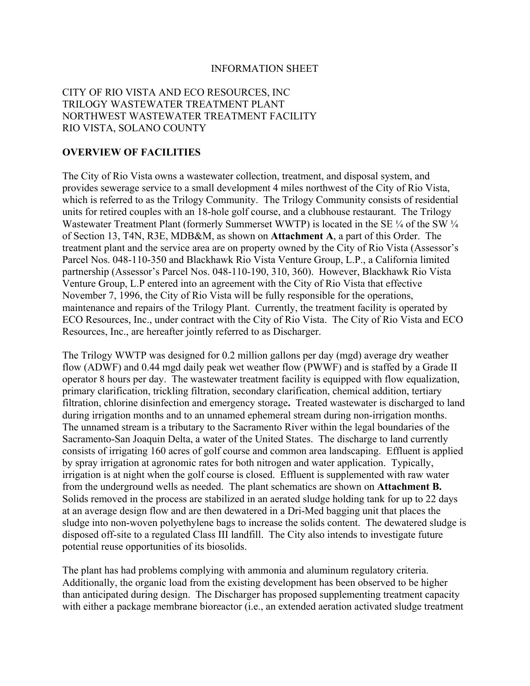#### INFORMATION SHEET

## CITY OF RIO VISTA AND ECO RESOURCES, INC TRILOGY WASTEWATER TREATMENT PLANT NORTHWEST WASTEWATER TREATMENT FACILITY RIO VISTA, SOLANO COUNTY

#### **OVERVIEW OF FACILITIES**

The City of Rio Vista owns a wastewater collection, treatment, and disposal system, and provides sewerage service to a small development 4 miles northwest of the City of Rio Vista, which is referred to as the Trilogy Community. The Trilogy Community consists of residential units for retired couples with an 18-hole golf course, and a clubhouse restaurant. The Trilogy Wastewater Treatment Plant (formerly Summerset WWTP) is located in the SE  $\frac{1}{4}$  of the SW  $\frac{1}{4}$ of Section 13, T4N, R3E, MDB&M, as shown on **Attachment A**, a part of this Order. The treatment plant and the service area are on property owned by the City of Rio Vista (Assessor's Parcel Nos. 048-110-350 and Blackhawk Rio Vista Venture Group, L.P., a California limited partnership (Assessor's Parcel Nos. 048-110-190, 310, 360). However, Blackhawk Rio Vista Venture Group, L.P entered into an agreement with the City of Rio Vista that effective November 7, 1996, the City of Rio Vista will be fully responsible for the operations, maintenance and repairs of the Trilogy Plant. Currently, the treatment facility is operated by ECO Resources, Inc., under contract with the City of Rio Vista. The City of Rio Vista and ECO Resources, Inc., are hereafter jointly referred to as Discharger.

The Trilogy WWTP was designed for 0.2 million gallons per day (mgd) average dry weather flow (ADWF) and 0.44 mgd daily peak wet weather flow (PWWF) and is staffed by a Grade II operator 8 hours per day. The wastewater treatment facility is equipped with flow equalization, primary clarification, trickling filtration, secondary clarification, chemical addition, tertiary filtration, chlorine disinfection and emergency storage**.** Treated wastewater is discharged to land during irrigation months and to an unnamed ephemeral stream during non-irrigation months. The unnamed stream is a tributary to the Sacramento River within the legal boundaries of the Sacramento-San Joaquin Delta, a water of the United States. The discharge to land currently consists of irrigating 160 acres of golf course and common area landscaping. Effluent is applied by spray irrigation at agronomic rates for both nitrogen and water application. Typically, irrigation is at night when the golf course is closed. Effluent is supplemented with raw water from the underground wells as needed. The plant schematics are shown on **Attachment B.**  Solids removed in the process are stabilized in an aerated sludge holding tank for up to 22 days at an average design flow and are then dewatered in a Dri-Med bagging unit that places the sludge into non-woven polyethylene bags to increase the solids content. The dewatered sludge is disposed off-site to a regulated Class III landfill. The City also intends to investigate future potential reuse opportunities of its biosolids.

The plant has had problems complying with ammonia and aluminum regulatory criteria. Additionally, the organic load from the existing development has been observed to be higher than anticipated during design. The Discharger has proposed supplementing treatment capacity with either a package membrane bioreactor (i.e., an extended aeration activated sludge treatment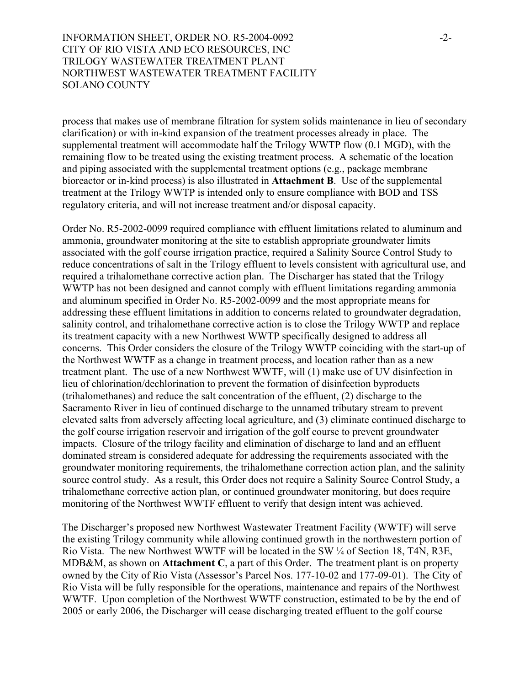INFORMATION SHEET, ORDER NO. R5-2004-0092 -2-CITY OF RIO VISTA AND ECO RESOURCES, INC TRILOGY WASTEWATER TREATMENT PLANT NORTHWEST WASTEWATER TREATMENT FACILITY SOLANO COUNTY

process that makes use of membrane filtration for system solids maintenance in lieu of secondary clarification) or with in-kind expansion of the treatment processes already in place. The supplemental treatment will accommodate half the Trilogy WWTP flow (0.1 MGD), with the remaining flow to be treated using the existing treatment process. A schematic of the location and piping associated with the supplemental treatment options (e.g., package membrane bioreactor or in-kind process) is also illustrated in **Attachment B**. Use of the supplemental treatment at the Trilogy WWTP is intended only to ensure compliance with BOD and TSS regulatory criteria, and will not increase treatment and/or disposal capacity.

Order No. R5-2002-0099 required compliance with effluent limitations related to aluminum and ammonia, groundwater monitoring at the site to establish appropriate groundwater limits associated with the golf course irrigation practice, required a Salinity Source Control Study to reduce concentrations of salt in the Trilogy effluent to levels consistent with agricultural use, and required a trihalomethane corrective action plan. The Discharger has stated that the Trilogy WWTP has not been designed and cannot comply with effluent limitations regarding ammonia and aluminum specified in Order No. R5-2002-0099 and the most appropriate means for addressing these effluent limitations in addition to concerns related to groundwater degradation, salinity control, and trihalomethane corrective action is to close the Trilogy WWTP and replace its treatment capacity with a new Northwest WWTP specifically designed to address all concerns. This Order considers the closure of the Trilogy WWTP coinciding with the start-up of the Northwest WWTF as a change in treatment process, and location rather than as a new treatment plant. The use of a new Northwest WWTF, will (1) make use of UV disinfection in lieu of chlorination/dechlorination to prevent the formation of disinfection byproducts (trihalomethanes) and reduce the salt concentration of the effluent, (2) discharge to the Sacramento River in lieu of continued discharge to the unnamed tributary stream to prevent elevated salts from adversely affecting local agriculture, and (3) eliminate continued discharge to the golf course irrigation reservoir and irrigation of the golf course to prevent groundwater impacts. Closure of the trilogy facility and elimination of discharge to land and an effluent dominated stream is considered adequate for addressing the requirements associated with the groundwater monitoring requirements, the trihalomethane correction action plan, and the salinity source control study. As a result, this Order does not require a Salinity Source Control Study, a trihalomethane corrective action plan, or continued groundwater monitoring, but does require monitoring of the Northwest WWTF effluent to verify that design intent was achieved.

The Discharger's proposed new Northwest Wastewater Treatment Facility (WWTF) will serve the existing Trilogy community while allowing continued growth in the northwestern portion of Rio Vista. The new Northwest WWTF will be located in the SW ¼ of Section 18, T4N, R3E, MDB&M, as shown on **Attachment C**, a part of this Order. The treatment plant is on property owned by the City of Rio Vista (Assessor's Parcel Nos. 177-10-02 and 177-09-01). The City of Rio Vista will be fully responsible for the operations, maintenance and repairs of the Northwest WWTF. Upon completion of the Northwest WWTF construction, estimated to be by the end of 2005 or early 2006, the Discharger will cease discharging treated effluent to the golf course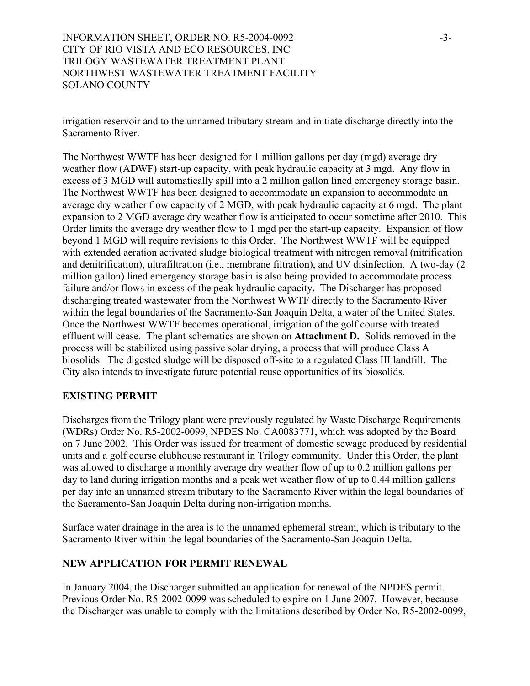INFORMATION SHEET, ORDER NO. R5-2004-0092 -3-CITY OF RIO VISTA AND ECO RESOURCES, INC TRILOGY WASTEWATER TREATMENT PLANT NORTHWEST WASTEWATER TREATMENT FACILITY SOLANO COUNTY

irrigation reservoir and to the unnamed tributary stream and initiate discharge directly into the Sacramento River.

The Northwest WWTF has been designed for 1 million gallons per day (mgd) average dry weather flow (ADWF) start-up capacity, with peak hydraulic capacity at 3 mgd. Any flow in excess of 3 MGD will automatically spill into a 2 million gallon lined emergency storage basin. The Northwest WWTF has been designed to accommodate an expansion to accommodate an average dry weather flow capacity of 2 MGD, with peak hydraulic capacity at 6 mgd. The plant expansion to 2 MGD average dry weather flow is anticipated to occur sometime after 2010. This Order limits the average dry weather flow to 1 mgd per the start-up capacity. Expansion of flow beyond 1 MGD will require revisions to this Order. The Northwest WWTF will be equipped with extended aeration activated sludge biological treatment with nitrogen removal (nitrification and denitrification), ultrafiltration (i.e., membrane filtration), and UV disinfection. A two-day (2 million gallon) lined emergency storage basin is also being provided to accommodate process failure and/or flows in excess of the peak hydraulic capacity**.** The Discharger has proposed discharging treated wastewater from the Northwest WWTF directly to the Sacramento River within the legal boundaries of the Sacramento-San Joaquin Delta, a water of the United States. Once the Northwest WWTF becomes operational, irrigation of the golf course with treated effluent will cease. The plant schematics are shown on **Attachment D.** Solids removed in the process will be stabilized using passive solar drying, a process that will produce Class A biosolids. The digested sludge will be disposed off-site to a regulated Class III landfill. The City also intends to investigate future potential reuse opportunities of its biosolids.

## **EXISTING PERMIT**

Discharges from the Trilogy plant were previously regulated by Waste Discharge Requirements (WDRs) Order No. R5-2002-0099, NPDES No. CA0083771, which was adopted by the Board on 7 June 2002. This Order was issued for treatment of domestic sewage produced by residential units and a golf course clubhouse restaurant in Trilogy community. Under this Order, the plant was allowed to discharge a monthly average dry weather flow of up to 0.2 million gallons per day to land during irrigation months and a peak wet weather flow of up to 0.44 million gallons per day into an unnamed stream tributary to the Sacramento River within the legal boundaries of the Sacramento-San Joaquin Delta during non-irrigation months.

Surface water drainage in the area is to the unnamed ephemeral stream, which is tributary to the Sacramento River within the legal boundaries of the Sacramento-San Joaquin Delta.

#### **NEW APPLICATION FOR PERMIT RENEWAL**

In January 2004, the Discharger submitted an application for renewal of the NPDES permit. Previous Order No. R5-2002-0099 was scheduled to expire on 1 June 2007. However, because the Discharger was unable to comply with the limitations described by Order No. R5-2002-0099,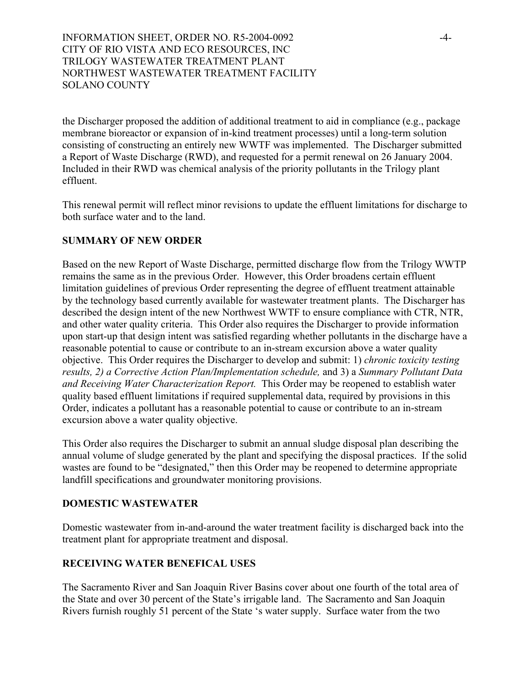INFORMATION SHEET, ORDER NO. R5-2004-0092 -4-CITY OF RIO VISTA AND ECO RESOURCES, INC TRILOGY WASTEWATER TREATMENT PLANT NORTHWEST WASTEWATER TREATMENT FACILITY SOLANO COUNTY

the Discharger proposed the addition of additional treatment to aid in compliance (e.g., package membrane bioreactor or expansion of in-kind treatment processes) until a long-term solution consisting of constructing an entirely new WWTF was implemented. The Discharger submitted a Report of Waste Discharge (RWD), and requested for a permit renewal on 26 January 2004. Included in their RWD was chemical analysis of the priority pollutants in the Trilogy plant effluent.

This renewal permit will reflect minor revisions to update the effluent limitations for discharge to both surface water and to the land.

## **SUMMARY OF NEW ORDER**

Based on the new Report of Waste Discharge, permitted discharge flow from the Trilogy WWTP remains the same as in the previous Order. However, this Order broadens certain effluent limitation guidelines of previous Order representing the degree of effluent treatment attainable by the technology based currently available for wastewater treatment plants. The Discharger has described the design intent of the new Northwest WWTF to ensure compliance with CTR, NTR, and other water quality criteria. This Order also requires the Discharger to provide information upon start-up that design intent was satisfied regarding whether pollutants in the discharge have a reasonable potential to cause or contribute to an in-stream excursion above a water quality objective. This Order requires the Discharger to develop and submit: 1) *chronic toxicity testing results, 2) a Corrective Action Plan/Implementation schedule,* and 3) a *Summary Pollutant Data and Receiving Water Characterization Report.* This Order may be reopened to establish water quality based effluent limitations if required supplemental data, required by provisions in this Order, indicates a pollutant has a reasonable potential to cause or contribute to an in-stream excursion above a water quality objective.

This Order also requires the Discharger to submit an annual sludge disposal plan describing the annual volume of sludge generated by the plant and specifying the disposal practices. If the solid wastes are found to be "designated," then this Order may be reopened to determine appropriate landfill specifications and groundwater monitoring provisions.

#### **DOMESTIC WASTEWATER**

Domestic wastewater from in-and-around the water treatment facility is discharged back into the treatment plant for appropriate treatment and disposal.

#### **RECEIVING WATER BENEFICAL USES**

The Sacramento River and San Joaquin River Basins cover about one fourth of the total area of the State and over 30 percent of the State's irrigable land. The Sacramento and San Joaquin Rivers furnish roughly 51 percent of the State 's water supply. Surface water from the two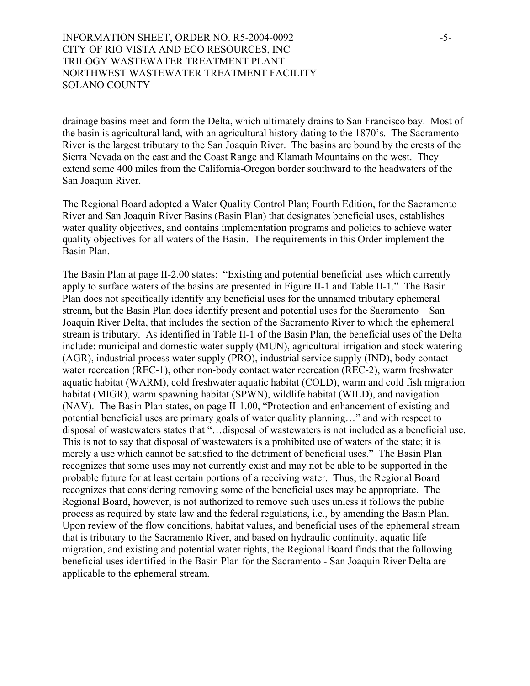## INFORMATION SHEET, ORDER NO. R5-2004-0092 -5-CITY OF RIO VISTA AND ECO RESOURCES, INC TRILOGY WASTEWATER TREATMENT PLANT NORTHWEST WASTEWATER TREATMENT FACILITY SOLANO COUNTY

drainage basins meet and form the Delta, which ultimately drains to San Francisco bay. Most of the basin is agricultural land, with an agricultural history dating to the 1870's. The Sacramento River is the largest tributary to the San Joaquin River. The basins are bound by the crests of the Sierra Nevada on the east and the Coast Range and Klamath Mountains on the west. They extend some 400 miles from the California-Oregon border southward to the headwaters of the San Joaquin River.

The Regional Board adopted a Water Quality Control Plan; Fourth Edition, for the Sacramento River and San Joaquin River Basins (Basin Plan) that designates beneficial uses, establishes water quality objectives, and contains implementation programs and policies to achieve water quality objectives for all waters of the Basin. The requirements in this Order implement the Basin Plan.

The Basin Plan at page II-2.00 states: "Existing and potential beneficial uses which currently apply to surface waters of the basins are presented in Figure II-1 and Table II-1." The Basin Plan does not specifically identify any beneficial uses for the unnamed tributary ephemeral stream, but the Basin Plan does identify present and potential uses for the Sacramento – San Joaquin River Delta, that includes the section of the Sacramento River to which the ephemeral stream is tributary. As identified in Table II-1 of the Basin Plan, the beneficial uses of the Delta include: municipal and domestic water supply (MUN), agricultural irrigation and stock watering (AGR), industrial process water supply (PRO), industrial service supply (IND), body contact water recreation (REC-1), other non-body contact water recreation (REC-2), warm freshwater aquatic habitat (WARM), cold freshwater aquatic habitat (COLD), warm and cold fish migration habitat (MIGR), warm spawning habitat (SPWN), wildlife habitat (WILD), and navigation (NAV). The Basin Plan states, on page II-1.00, "Protection and enhancement of existing and potential beneficial uses are primary goals of water quality planning…" and with respect to disposal of wastewaters states that "…disposal of wastewaters is not included as a beneficial use. This is not to say that disposal of wastewaters is a prohibited use of waters of the state; it is merely a use which cannot be satisfied to the detriment of beneficial uses." The Basin Plan recognizes that some uses may not currently exist and may not be able to be supported in the probable future for at least certain portions of a receiving water. Thus, the Regional Board recognizes that considering removing some of the beneficial uses may be appropriate. The Regional Board, however, is not authorized to remove such uses unless it follows the public process as required by state law and the federal regulations, i.e., by amending the Basin Plan. Upon review of the flow conditions, habitat values, and beneficial uses of the ephemeral stream that is tributary to the Sacramento River, and based on hydraulic continuity, aquatic life migration, and existing and potential water rights, the Regional Board finds that the following beneficial uses identified in the Basin Plan for the Sacramento - San Joaquin River Delta are applicable to the ephemeral stream.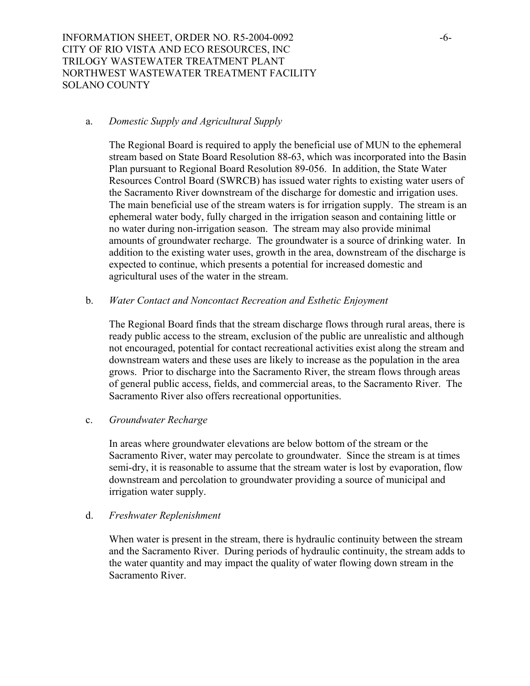INFORMATION SHEET, ORDER NO. R5-2004-0092 -6- CITY OF RIO VISTA AND ECO RESOURCES, INC TRILOGY WASTEWATER TREATMENT PLANT NORTHWEST WASTEWATER TREATMENT FACILITY SOLANO COUNTY

#### a. *Domestic Supply and Agricultural Supply*

The Regional Board is required to apply the beneficial use of MUN to the ephemeral stream based on State Board Resolution 88-63, which was incorporated into the Basin Plan pursuant to Regional Board Resolution 89-056. In addition, the State Water Resources Control Board (SWRCB) has issued water rights to existing water users of the Sacramento River downstream of the discharge for domestic and irrigation uses. The main beneficial use of the stream waters is for irrigation supply. The stream is an ephemeral water body, fully charged in the irrigation season and containing little or no water during non-irrigation season. The stream may also provide minimal amounts of groundwater recharge. The groundwater is a source of drinking water. In addition to the existing water uses, growth in the area, downstream of the discharge is expected to continue, which presents a potential for increased domestic and agricultural uses of the water in the stream.

#### b. *Water Contact and Noncontact Recreation and Esthetic Enjoyment*

The Regional Board finds that the stream discharge flows through rural areas, there is ready public access to the stream, exclusion of the public are unrealistic and although not encouraged, potential for contact recreational activities exist along the stream and downstream waters and these uses are likely to increase as the population in the area grows. Prior to discharge into the Sacramento River, the stream flows through areas of general public access, fields, and commercial areas, to the Sacramento River.The Sacramento River also offers recreational opportunities.

#### c. *Groundwater Recharge*

In areas where groundwater elevations are below bottom of the stream or the Sacramento River, water may percolate to groundwater. Since the stream is at times semi-dry, it is reasonable to assume that the stream water is lost by evaporation, flow downstream and percolation to groundwater providing a source of municipal and irrigation water supply.

#### d. *Freshwater Replenishment*

When water is present in the stream, there is hydraulic continuity between the stream and the Sacramento River. During periods of hydraulic continuity, the stream adds to the water quantity and may impact the quality of water flowing down stream in the Sacramento River.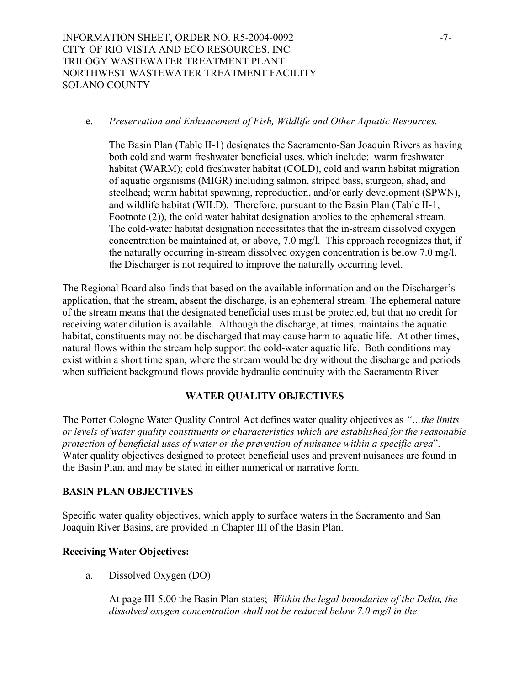#### e. *Preservation and Enhancement of Fish, Wildlife and Other Aquatic Resources.*

The Basin Plan (Table II-1) designates the Sacramento-San Joaquin Rivers as having both cold and warm freshwater beneficial uses, which include: warm freshwater habitat (WARM); cold freshwater habitat (COLD), cold and warm habitat migration of aquatic organisms (MIGR) including salmon, striped bass, sturgeon, shad, and steelhead; warm habitat spawning, reproduction, and/or early development (SPWN), and wildlife habitat (WILD). Therefore, pursuant to the Basin Plan (Table II-1, Footnote (2)), the cold water habitat designation applies to the ephemeral stream. The cold-water habitat designation necessitates that the in-stream dissolved oxygen concentration be maintained at, or above, 7.0 mg/l. This approach recognizes that, if the naturally occurring in-stream dissolved oxygen concentration is below 7.0 mg/l, the Discharger is not required to improve the naturally occurring level.

The Regional Board also finds that based on the available information and on the Discharger's application, that the stream, absent the discharge, is an ephemeral stream. The ephemeral nature of the stream means that the designated beneficial uses must be protected, but that no credit for receiving water dilution is available. Although the discharge, at times, maintains the aquatic habitat, constituents may not be discharged that may cause harm to aquatic life. At other times, natural flows within the stream help support the cold-water aquatic life. Both conditions may exist within a short time span, where the stream would be dry without the discharge and periods when sufficient background flows provide hydraulic continuity with the Sacramento River

## **WATER QUALITY OBJECTIVES**

The Porter Cologne Water Quality Control Act defines water quality objectives as *"…the limits or levels of water quality constituents or characteristics which are established for the reasonable protection of beneficial uses of water or the prevention of nuisance within a specific area*". Water quality objectives designed to protect beneficial uses and prevent nuisances are found in the Basin Plan, and may be stated in either numerical or narrative form.

#### **BASIN PLAN OBJECTIVES**

Specific water quality objectives, which apply to surface waters in the Sacramento and San Joaquin River Basins, are provided in Chapter III of the Basin Plan.

## **Receiving Water Objectives:**

a. Dissolved Oxygen (DO)

At page III-5.00 the Basin Plan states; *Within the legal boundaries of the Delta, the dissolved oxygen concentration shall not be reduced below 7.0 mg/l in the*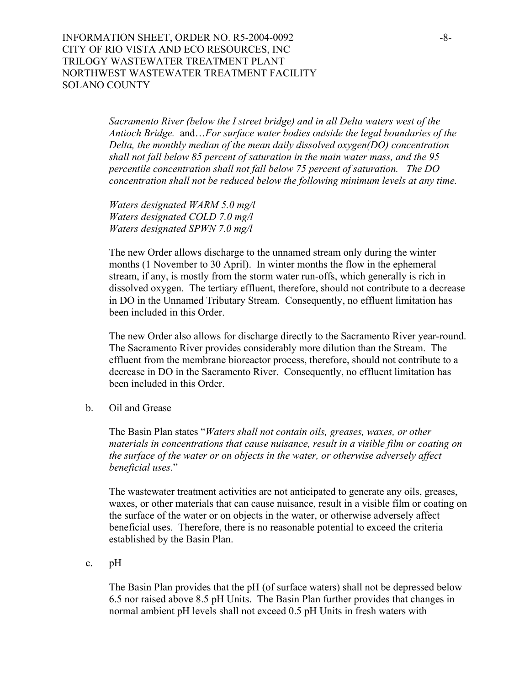INFORMATION SHEET, ORDER NO. R5-2004-0092 -8-CITY OF RIO VISTA AND ECO RESOURCES, INC TRILOGY WASTEWATER TREATMENT PLANT NORTHWEST WASTEWATER TREATMENT FACILITY SOLANO COUNTY

> *Sacramento River (below the I street bridge) and in all Delta waters west of the Antioch Bridge.* and…*For surface water bodies outside the legal boundaries of the Delta, the monthly median of the mean daily dissolved oxygen(DO) concentration shall not fall below 85 percent of saturation in the main water mass, and the 95 percentile concentration shall not fall below 75 percent of saturation. The DO concentration shall not be reduced below the following minimum levels at any time.*

*Waters designated WARM 5.0 mg/l Waters designated COLD 7.0 mg/l Waters designated SPWN 7.0 mg/l* 

The new Order allows discharge to the unnamed stream only during the winter months (1 November to 30 April). In winter months the flow in the ephemeral stream, if any, is mostly from the storm water run-offs, which generally is rich in dissolved oxygen. The tertiary effluent, therefore, should not contribute to a decrease in DO in the Unnamed Tributary Stream. Consequently, no effluent limitation has been included in this Order.

The new Order also allows for discharge directly to the Sacramento River year-round. The Sacramento River provides considerably more dilution than the Stream. The effluent from the membrane bioreactor process, therefore, should not contribute to a decrease in DO in the Sacramento River. Consequently, no effluent limitation has been included in this Order.

b. Oil and Grease

The Basin Plan states "*Waters shall not contain oils, greases, waxes, or other materials in concentrations that cause nuisance, result in a visible film or coating on the surface of the water or on objects in the water, or otherwise adversely affect beneficial uses*."

The wastewater treatment activities are not anticipated to generate any oils, greases, waxes, or other materials that can cause nuisance, result in a visible film or coating on the surface of the water or on objects in the water, or otherwise adversely affect beneficial uses. Therefore, there is no reasonable potential to exceed the criteria established by the Basin Plan.

c. pH

The Basin Plan provides that the pH (of surface waters) shall not be depressed below 6.5 nor raised above 8.5 pH Units. The Basin Plan further provides that changes in normal ambient pH levels shall not exceed 0.5 pH Units in fresh waters with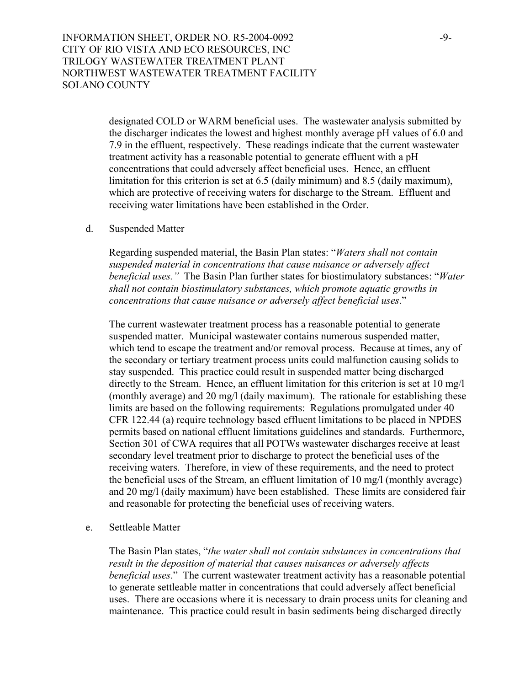INFORMATION SHEET, ORDER NO. R5-2004-0092 -9-CITY OF RIO VISTA AND ECO RESOURCES, INC TRILOGY WASTEWATER TREATMENT PLANT NORTHWEST WASTEWATER TREATMENT FACILITY SOLANO COUNTY

> designated COLD or WARM beneficial uses. The wastewater analysis submitted by the discharger indicates the lowest and highest monthly average pH values of 6.0 and 7.9 in the effluent, respectively. These readings indicate that the current wastewater treatment activity has a reasonable potential to generate effluent with a pH concentrations that could adversely affect beneficial uses. Hence, an effluent limitation for this criterion is set at 6.5 (daily minimum) and 8.5 (daily maximum), which are protective of receiving waters for discharge to the Stream. Effluent and receiving water limitations have been established in the Order.

d. Suspended Matter

Regarding suspended material, the Basin Plan states: "*Waters shall not contain suspended material in concentrations that cause nuisance or adversely affect beneficial uses."* The Basin Plan further states for biostimulatory substances: "*Water shall not contain biostimulatory substances, which promote aquatic growths in concentrations that cause nuisance or adversely affect beneficial uses*."

The current wastewater treatment process has a reasonable potential to generate suspended matter. Municipal wastewater contains numerous suspended matter, which tend to escape the treatment and/or removal process. Because at times, any of the secondary or tertiary treatment process units could malfunction causing solids to stay suspended. This practice could result in suspended matter being discharged directly to the Stream. Hence, an effluent limitation for this criterion is set at 10 mg/l (monthly average) and 20 mg/l (daily maximum). The rationale for establishing these limits are based on the following requirements: Regulations promulgated under 40 CFR 122.44 (a) require technology based effluent limitations to be placed in NPDES permits based on national effluent limitations guidelines and standards. Furthermore, Section 301 of CWA requires that all POTWs wastewater discharges receive at least secondary level treatment prior to discharge to protect the beneficial uses of the receiving waters. Therefore, in view of these requirements, and the need to protect the beneficial uses of the Stream, an effluent limitation of 10 mg/l (monthly average) and 20 mg/l (daily maximum) have been established. These limits are considered fair and reasonable for protecting the beneficial uses of receiving waters.

e. Settleable Matter

The Basin Plan states, "*the water shall not contain substances in concentrations that result in the deposition of material that causes nuisances or adversely affects beneficial uses*." The current wastewater treatment activity has a reasonable potential to generate settleable matter in concentrations that could adversely affect beneficial uses. There are occasions where it is necessary to drain process units for cleaning and maintenance. This practice could result in basin sediments being discharged directly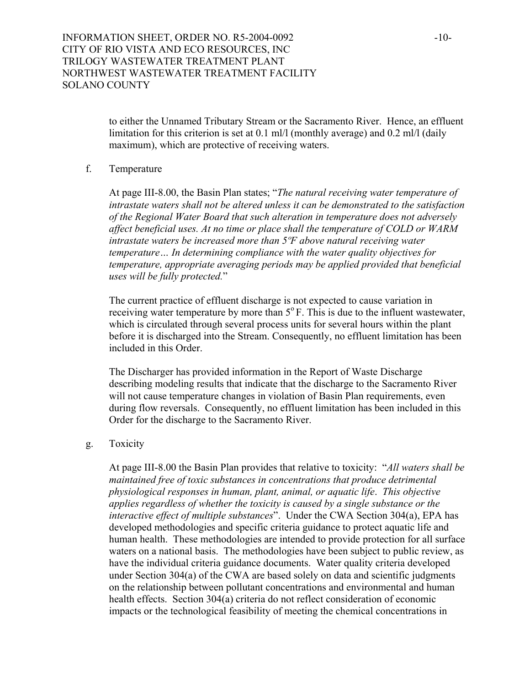to either the Unnamed Tributary Stream or the Sacramento River. Hence, an effluent limitation for this criterion is set at 0.1 ml/l (monthly average) and 0.2 ml/l (daily maximum), which are protective of receiving waters.

#### f. Temperature

At page III-8.00, the Basin Plan states; "*The natural receiving water temperature of intrastate waters shall not be altered unless it can be demonstrated to the satisfaction of the Regional Water Board that such alteration in temperature does not adversely affect beneficial uses. At no time or place shall the temperature of COLD or WARM intrastate waters be increased more than 5ºF above natural receiving water temperature… In determining compliance with the water quality objectives for temperature, appropriate averaging periods may be applied provided that beneficial uses will be fully protected.*"

The current practice of effluent discharge is not expected to cause variation in receiving water temperature by more than  $5^\circ$  F. This is due to the influent wastewater, which is circulated through several process units for several hours within the plant before it is discharged into the Stream. Consequently, no effluent limitation has been included in this Order

The Discharger has provided information in the Report of Waste Discharge describing modeling results that indicate that the discharge to the Sacramento River will not cause temperature changes in violation of Basin Plan requirements, even during flow reversals. Consequently, no effluent limitation has been included in this Order for the discharge to the Sacramento River.

#### g. Toxicity

At page III-8.00 the Basin Plan provides that relative to toxicity: "*All waters shall be maintained free of toxic substances in concentrations that produce detrimental physiological responses in human, plant, animal, or aquatic life*. *This objective applies regardless of whether the toxicity is caused by a single substance or the interactive effect of multiple substances*". Under the CWA Section 304(a), EPA has developed methodologies and specific criteria guidance to protect aquatic life and human health. These methodologies are intended to provide protection for all surface waters on a national basis. The methodologies have been subject to public review, as have the individual criteria guidance documents. Water quality criteria developed under Section 304(a) of the CWA are based solely on data and scientific judgments on the relationship between pollutant concentrations and environmental and human health effects. Section 304(a) criteria do not reflect consideration of economic impacts or the technological feasibility of meeting the chemical concentrations in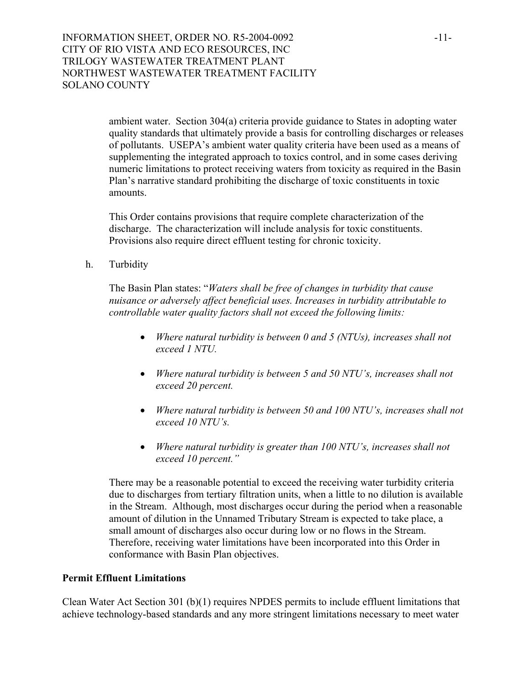INFORMATION SHEET, ORDER NO. R5-2004-0092 -11-CITY OF RIO VISTA AND ECO RESOURCES, INC TRILOGY WASTEWATER TREATMENT PLANT NORTHWEST WASTEWATER TREATMENT FACILITY SOLANO COUNTY

> ambient water. Section 304(a) criteria provide guidance to States in adopting water quality standards that ultimately provide a basis for controlling discharges or releases of pollutants. USEPA's ambient water quality criteria have been used as a means of supplementing the integrated approach to toxics control, and in some cases deriving numeric limitations to protect receiving waters from toxicity as required in the Basin Plan's narrative standard prohibiting the discharge of toxic constituents in toxic amounts.

This Order contains provisions that require complete characterization of the discharge. The characterization will include analysis for toxic constituents. Provisions also require direct effluent testing for chronic toxicity.

h. Turbidity

The Basin Plan states: "*Waters shall be free of changes in turbidity that cause nuisance or adversely affect beneficial uses. Increases in turbidity attributable to controllable water quality factors shall not exceed the following limits:*

- *Where natural turbidity is between 0 and 5 (NTUs), increases shall not exceed 1 NTU.*
- *Where natural turbidity is between 5 and 50 NTU's, increases shall not exceed 20 percent.*
- *Where natural turbidity is between 50 and 100 NTU's, increases shall not exceed 10 NTU's.*
- *Where natural turbidity is greater than 100 NTU's, increases shall not exceed 10 percent."*

There may be a reasonable potential to exceed the receiving water turbidity criteria due to discharges from tertiary filtration units, when a little to no dilution is available in the Stream. Although, most discharges occur during the period when a reasonable amount of dilution in the Unnamed Tributary Stream is expected to take place, a small amount of discharges also occur during low or no flows in the Stream. Therefore, receiving water limitations have been incorporated into this Order in conformance with Basin Plan objectives.

#### **Permit Effluent Limitations**

Clean Water Act Section 301 (b)(1) requires NPDES permits to include effluent limitations that achieve technology-based standards and any more stringent limitations necessary to meet water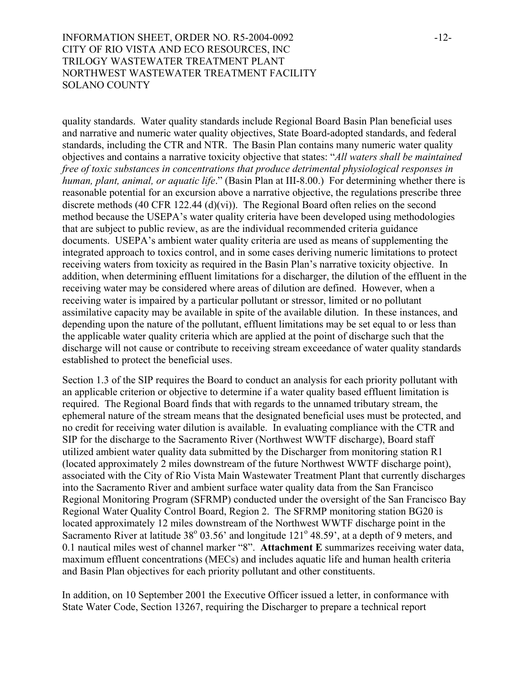## INFORMATION SHEET, ORDER NO. R5-2004-0092 -12-CITY OF RIO VISTA AND ECO RESOURCES, INC TRILOGY WASTEWATER TREATMENT PLANT NORTHWEST WASTEWATER TREATMENT FACILITY SOLANO COUNTY

quality standards. Water quality standards include Regional Board Basin Plan beneficial uses and narrative and numeric water quality objectives, State Board-adopted standards, and federal standards, including the CTR and NTR. The Basin Plan contains many numeric water quality objectives and contains a narrative toxicity objective that states: "*All waters shall be maintained free of toxic substances in concentrations that produce detrimental physiological responses in human, plant, animal, or aquatic life*." (Basin Plan at III-8.00.) For determining whether there is reasonable potential for an excursion above a narrative objective, the regulations prescribe three discrete methods (40 CFR 122.44 (d)(vi)). The Regional Board often relies on the second method because the USEPA's water quality criteria have been developed using methodologies that are subject to public review, as are the individual recommended criteria guidance documents. USEPA's ambient water quality criteria are used as means of supplementing the integrated approach to toxics control, and in some cases deriving numeric limitations to protect receiving waters from toxicity as required in the Basin Plan's narrative toxicity objective. In addition, when determining effluent limitations for a discharger, the dilution of the effluent in the receiving water may be considered where areas of dilution are defined. However, when a receiving water is impaired by a particular pollutant or stressor, limited or no pollutant assimilative capacity may be available in spite of the available dilution. In these instances, and depending upon the nature of the pollutant, effluent limitations may be set equal to or less than the applicable water quality criteria which are applied at the point of discharge such that the discharge will not cause or contribute to receiving stream exceedance of water quality standards established to protect the beneficial uses.

Section 1.3 of the SIP requires the Board to conduct an analysis for each priority pollutant with an applicable criterion or objective to determine if a water quality based effluent limitation is required. The Regional Board finds that with regards to the unnamed tributary stream, the ephemeral nature of the stream means that the designated beneficial uses must be protected, and no credit for receiving water dilution is available. In evaluating compliance with the CTR and SIP for the discharge to the Sacramento River (Northwest WWTF discharge), Board staff utilized ambient water quality data submitted by the Discharger from monitoring station R1 (located approximately 2 miles downstream of the future Northwest WWTF discharge point), associated with the City of Rio Vista Main Wastewater Treatment Plant that currently discharges into the Sacramento River and ambient surface water quality data from the San Francisco Regional Monitoring Program (SFRMP) conducted under the oversight of the San Francisco Bay Regional Water Quality Control Board, Region 2. The SFRMP monitoring station BG20 is located approximately 12 miles downstream of the Northwest WWTF discharge point in the Sacramento River at latitude  $38^{\circ}$  03.56' and longitude  $121^{\circ}$  48.59', at a depth of 9 meters, and 0.1 nautical miles west of channel marker "8". **Attachment E** summarizes receiving water data, maximum effluent concentrations (MECs) and includes aquatic life and human health criteria and Basin Plan objectives for each priority pollutant and other constituents.

In addition, on 10 September 2001 the Executive Officer issued a letter, in conformance with State Water Code, Section 13267, requiring the Discharger to prepare a technical report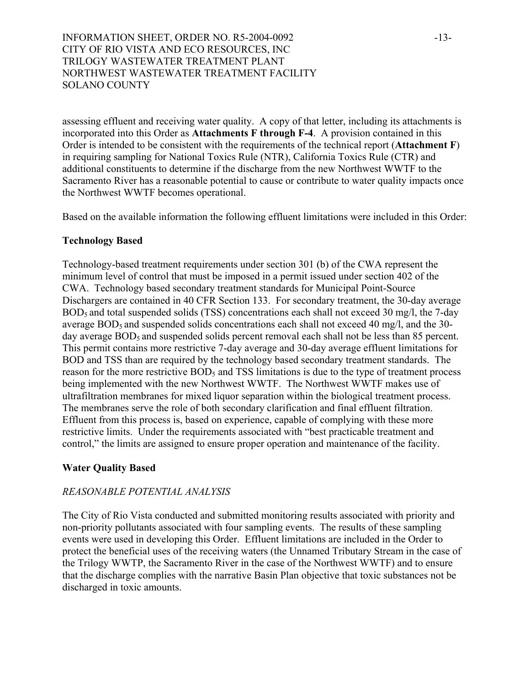INFORMATION SHEET, ORDER NO. R5-2004-0092 -13-CITY OF RIO VISTA AND ECO RESOURCES, INC TRILOGY WASTEWATER TREATMENT PLANT NORTHWEST WASTEWATER TREATMENT FACILITY SOLANO COUNTY

assessing effluent and receiving water quality. A copy of that letter, including its attachments is incorporated into this Order as **Attachments F through F-4**. A provision contained in this Order is intended to be consistent with the requirements of the technical report (**Attachment F**) in requiring sampling for National Toxics Rule (NTR), California Toxics Rule (CTR) and additional constituents to determine if the discharge from the new Northwest WWTF to the Sacramento River has a reasonable potential to cause or contribute to water quality impacts once the Northwest WWTF becomes operational.

Based on the available information the following effluent limitations were included in this Order:

## **Technology Based**

Technology-based treatment requirements under section 301 (b) of the CWA represent the minimum level of control that must be imposed in a permit issued under section 402 of the CWA. Technology based secondary treatment standards for Municipal Point-Source Dischargers are contained in 40 CFR Section 133. For secondary treatment, the 30-day average BOD<sub>5</sub> and total suspended solids (TSS) concentrations each shall not exceed 30 mg/l, the 7-day average  $BOD_5$  and suspended solids concentrations each shall not exceed 40 mg/l, and the 30day average BOD<sub>5</sub> and suspended solids percent removal each shall not be less than 85 percent. This permit contains more restrictive 7-day average and 30-day average effluent limitations for BOD and TSS than are required by the technology based secondary treatment standards. The reason for the more restrictive BOD<sub>5</sub> and TSS limitations is due to the type of treatment process being implemented with the new Northwest WWTF. The Northwest WWTF makes use of ultrafiltration membranes for mixed liquor separation within the biological treatment process. The membranes serve the role of both secondary clarification and final effluent filtration. Effluent from this process is, based on experience, capable of complying with these more restrictive limits. Under the requirements associated with "best practicable treatment and control," the limits are assigned to ensure proper operation and maintenance of the facility.

## **Water Quality Based**

## *REASONABLE POTENTIAL ANALYSIS*

The City of Rio Vista conducted and submitted monitoring results associated with priority and non-priority pollutants associated with four sampling events. The results of these sampling events were used in developing this Order. Effluent limitations are included in the Order to protect the beneficial uses of the receiving waters (the Unnamed Tributary Stream in the case of the Trilogy WWTP, the Sacramento River in the case of the Northwest WWTF) and to ensure that the discharge complies with the narrative Basin Plan objective that toxic substances not be discharged in toxic amounts.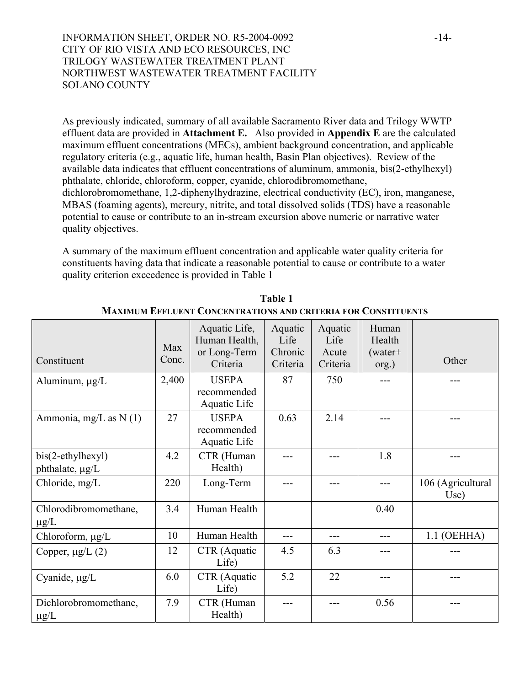## INFORMATION SHEET, ORDER NO. R5-2004-0092 -14-CITY OF RIO VISTA AND ECO RESOURCES, INC TRILOGY WASTEWATER TREATMENT PLANT NORTHWEST WASTEWATER TREATMENT FACILITY SOLANO COUNTY

As previously indicated, summary of all available Sacramento River data and Trilogy WWTP effluent data are provided in **Attachment E.** Also provided in **Appendix E** are the calculated maximum effluent concentrations (MECs), ambient background concentration, and applicable regulatory criteria (e.g., aquatic life, human health, Basin Plan objectives). Review of the available data indicates that effluent concentrations of aluminum, ammonia, bis(2-ethylhexyl) phthalate, chloride, chloroform, copper, cyanide, chlorodibromomethane, dichlorobromomethane, 1,2-diphenylhydrazine, electrical conductivity (EC), iron, manganese, MBAS (foaming agents), mercury, nitrite, and total dissolved solids (TDS) have a reasonable potential to cause or contribute to an in-stream excursion above numeric or narrative water quality objectives.

A summary of the maximum effluent concentration and applicable water quality criteria for constituents having data that indicate a reasonable potential to cause or contribute to a water quality criterion exceedence is provided in Table 1

| Constituent                          | Max<br>Conc. | Aquatic Life,<br>Human Health,<br>or Long-Term<br>Criteria | Aquatic<br>Life<br>Chronic<br>Criteria | Aquatic<br>Life<br>Acute<br>Criteria | Human<br>Health<br>$(water+$<br>org.) | Other                     |
|--------------------------------------|--------------|------------------------------------------------------------|----------------------------------------|--------------------------------------|---------------------------------------|---------------------------|
| Aluminum, $\mu g/L$                  | 2,400        | <b>USEPA</b><br>recommended<br>Aquatic Life                | 87                                     | 750                                  |                                       |                           |
| Ammonia, mg/L as $N(1)$              | 27           | <b>USEPA</b><br>recommended<br>Aquatic Life                | 0.63                                   | 2.14                                 |                                       |                           |
| bis(2-ethylhexyl)<br>phthalate, µg/L | 4.2          | CTR (Human<br>Health)                                      |                                        |                                      | 1.8                                   |                           |
| Chloride, mg/L                       | 220          | Long-Term                                                  |                                        |                                      |                                       | 106 (Agricultural<br>Use) |
| Chlorodibromomethane,<br>$\mu$ g/L   | 3.4          | Human Health                                               |                                        |                                      | 0.40                                  |                           |
| Chloroform, µg/L                     | 10           | Human Health                                               |                                        |                                      |                                       | $1.1$ (OEHHA)             |
| Copper, $\mu$ g/L $(2)$              | 12           | CTR (Aquatic<br>Life)                                      | 4.5                                    | 6.3                                  |                                       |                           |
| Cyanide, µg/L                        | 6.0          | CTR (Aquatic<br>Life)                                      | 5.2                                    | 22                                   |                                       |                           |
| Dichlorobromomethane,<br>$\mu$ g/L   | 7.9          | CTR (Human<br>Health)                                      | ---                                    |                                      | 0.56                                  |                           |

**Table 1 MAXIMUM EFFLUENT CONCENTRATIONS AND CRITERIA FOR CONSTITUENTS**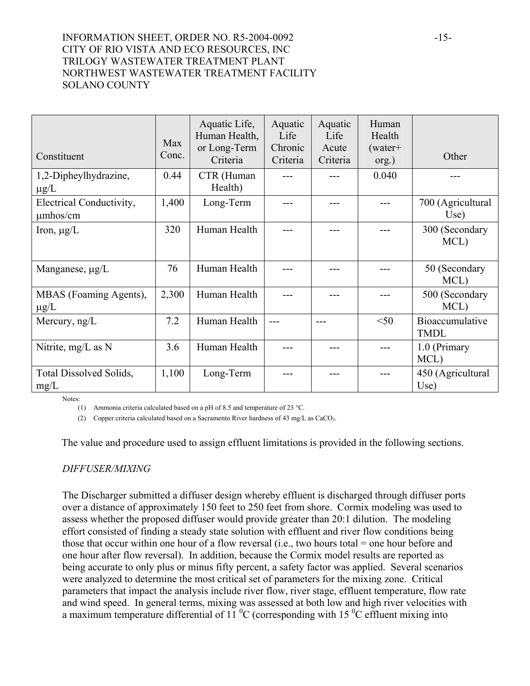## INFORMATION SHEET, ORDER NO. R5-2004-0092 -15-CITY OF RIO VISTA AND ECO RESOURCES, INC TRILOGY WASTEWATER TREATMENT PLANT NORTHWEST WASTEWATER TREATMENT FACILITY SOLANO COUNTY

| Constituent                               | Max<br>Conc. | Aquatic Life,<br>Human Health,<br>or Long-Term<br>Criteria | Aquatic<br>Life<br>Chronic<br>Criteria | Aquatic<br>Life<br>Acute<br>Criteria | Human<br>Health<br>$(water+$<br>org.) | Other                          |
|-------------------------------------------|--------------|------------------------------------------------------------|----------------------------------------|--------------------------------------|---------------------------------------|--------------------------------|
| 1,2-Dipheylhydrazine,<br>$\mu$ g/L        | 0.44         | CTR (Human<br>Health)                                      |                                        |                                      | 0.040                                 |                                |
| Electrical Conductivity,<br>$\mu$ mhos/cm | 1,400        | Long-Term                                                  |                                        |                                      |                                       | 700 (Agricultural<br>Use)      |
| Iron, $\mu g/L$                           | 320          | Human Health                                               |                                        |                                      |                                       | 300 (Secondary<br>MCL)         |
| Manganese, $\mu$ g/L                      | 76           | Human Health                                               |                                        |                                      |                                       | 50 (Secondary<br>MCL)          |
| MBAS (Foaming Agents),<br>$\mu$ g/L       | 2,300        | Human Health                                               |                                        |                                      |                                       | 500 (Secondary<br>MCL)         |
| Mercury, ng/L                             | 7.2          | Human Health                                               |                                        |                                      | $<$ 50                                | Bioaccumulative<br><b>TMDL</b> |
| Nitrite, mg/L as N                        | 3.6          | Human Health                                               |                                        |                                      | $---$                                 | 1.0 (Primary<br>MCL)           |
| <b>Total Dissolved Solids,</b><br>mg/L    | 1,100        | Long-Term                                                  |                                        |                                      |                                       | 450 (Agricultural<br>Use)      |

Notes:

(1) Ammonia criteria calculated based on a pH of 8.5 and temperature of 23 °C.

(2) Copper criteria calculated based on a Sacramento River hardness of 43 mg/L as CaCO3.

The value and procedure used to assign effluent limitations is provided in the following sections.

#### *DIFFUSER/MIXING*

The Discharger submitted a diffuser design whereby effluent is discharged through diffuser ports over a distance of approximately 150 feet to 250 feet from shore. Cormix modeling was used to assess whether the proposed diffuser would provide greater than 20:1 dilution. The modeling effort consisted of finding a steady state solution with effluent and river flow conditions being those that occur within one hour of a flow reversal (i.e., two hours total = one hour before and one hour after flow reversal). In addition, because the Cormix model results are reported as being accurate to only plus or minus fifty percent, a safety factor was applied. Several scenarios were analyzed to determine the most critical set of parameters for the mixing zone. Critical parameters that impact the analysis include river flow, river stage, effluent temperature, flow rate and wind speed. In general terms, mixing was assessed at both low and high river velocities with a maximum temperature differential of 11<sup> $\,^0$ </sup>C (corresponding with 15<sup> $\,^0$ </sup>C effluent mixing into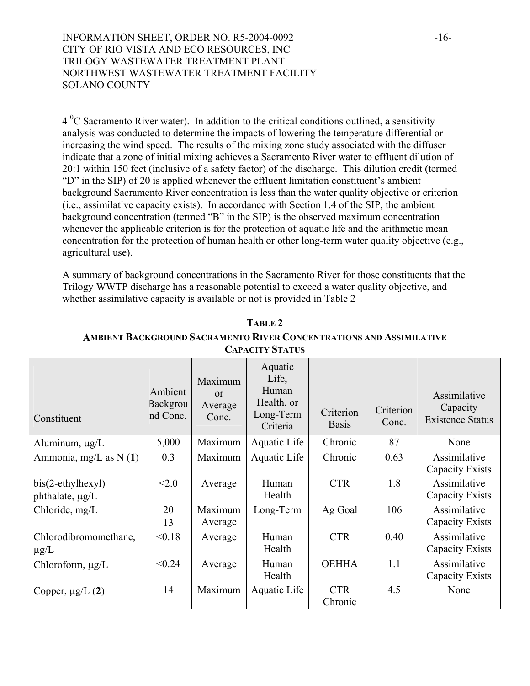## INFORMATION SHEET, ORDER NO. R5-2004-0092 -16-CITY OF RIO VISTA AND ECO RESOURCES, INC TRILOGY WASTEWATER TREATMENT PLANT NORTHWEST WASTEWATER TREATMENT FACILITY SOLANO COUNTY

 $4<sup>0</sup>C$  Sacramento River water). In addition to the critical conditions outlined, a sensitivity analysis was conducted to determine the impacts of lowering the temperature differential or increasing the wind speed. The results of the mixing zone study associated with the diffuser indicate that a zone of initial mixing achieves a Sacramento River water to effluent dilution of 20:1 within 150 feet (inclusive of a safety factor) of the discharge. This dilution credit (termed "D" in the SIP) of 20 is applied whenever the effluent limitation constituent's ambient background Sacramento River concentration is less than the water quality objective or criterion (i.e., assimilative capacity exists). In accordance with Section 1.4 of the SIP, the ambient background concentration (termed "B" in the SIP) is the observed maximum concentration whenever the applicable criterion is for the protection of aquatic life and the arithmetic mean concentration for the protection of human health or other long-term water quality objective (e.g., agricultural use).

A summary of background concentrations in the Sacramento River for those constituents that the Trilogy WWTP discharge has a reasonable potential to exceed a water quality objective, and whether assimilative capacity is available or not is provided in Table 2

| Constituent                            | Ambient<br>Backgrou<br>nd Conc. | Maximum<br>$\alpha$<br>Average<br>Conc. | Aquatic<br>Life,<br>Human<br>Health, or<br>Long-Term<br>Criteria | Criterion<br><b>Basis</b> | Criterion<br>Conc. | Assimilative<br>Capacity<br><b>Existence Status</b> |
|----------------------------------------|---------------------------------|-----------------------------------------|------------------------------------------------------------------|---------------------------|--------------------|-----------------------------------------------------|
| Aluminum, $\mu g/L$                    | 5,000                           | Maximum                                 | Aquatic Life                                                     | Chronic                   | 87                 | None                                                |
| Ammonia, mg/L as N $(1)$               | 0.3                             | Maximum                                 | Aquatic Life                                                     | Chronic                   | 0.63               | Assimilative<br>Capacity Exists                     |
| $bis(2-ethylhexyl)$<br>phthalate, µg/L | < 2.0                           | Average                                 | Human<br>Health                                                  | <b>CTR</b>                | 1.8                | Assimilative<br>Capacity Exists                     |
| Chloride, mg/L                         | 20<br>13                        | Maximum<br>Average                      | Long-Term                                                        | Ag Goal                   | 106                | Assimilative<br>Capacity Exists                     |
| Chlorodibromomethane,<br>$\mu$ g/L     | < 0.18                          | Average                                 | Human<br>Health                                                  | <b>CTR</b>                | 0.40               | Assimilative<br>Capacity Exists                     |
| Chloroform, µg/L                       | < 0.24                          | Average                                 | Human<br>Health                                                  | <b>OEHHA</b>              | 1.1                | Assimilative<br>Capacity Exists                     |
| Copper, $\mu$ g/L $(2)$                | 14                              | Maximum                                 | Aquatic Life                                                     | <b>CTR</b><br>Chronic     | 4.5                | None                                                |

**TABLE 2** 

## **AMBIENT BACKGROUND SACRAMENTO RIVER CONCENTRATIONS AND ASSIMILATIVE CAPACITY STATUS**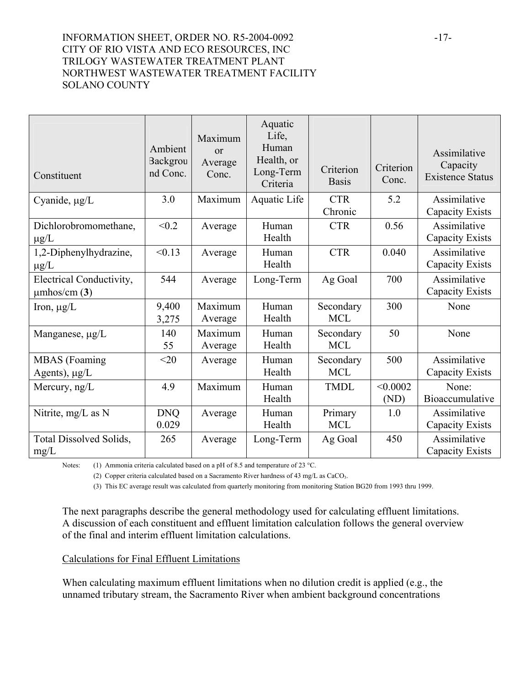## INFORMATION SHEET, ORDER NO. R5-2004-0092 -17-CITY OF RIO VISTA AND ECO RESOURCES, INC TRILOGY WASTEWATER TREATMENT PLANT NORTHWEST WASTEWATER TREATMENT FACILITY SOLANO COUNTY

| Constituent                                     | Ambient<br>Backgrou<br>nd Conc. | Maximum<br>$\alpha$<br>Average<br>Conc. | Aquatic<br>Life,<br>Human<br>Health, or<br>Long-Term<br>Criteria | Criterion<br><b>Basis</b> | Criterion<br>Conc. | Assimilative<br>Capacity<br><b>Existence Status</b> |
|-------------------------------------------------|---------------------------------|-----------------------------------------|------------------------------------------------------------------|---------------------------|--------------------|-----------------------------------------------------|
| Cyanide, $\mu g/L$                              | 3.0                             | Maximum                                 | Aquatic Life                                                     | <b>CTR</b><br>Chronic     | 5.2                | Assimilative<br>Capacity Exists                     |
| Dichlorobromomethane,<br>$\mu$ g/L              | < 0.2                           | Average                                 | Human<br>Health                                                  | <b>CTR</b>                | 0.56               | Assimilative<br><b>Capacity Exists</b>              |
| 1,2-Diphenylhydrazine,<br>$\mu$ g/L             | < 0.13                          | Average                                 | Human<br>Health                                                  | <b>CTR</b>                | 0.040              | Assimilative<br>Capacity Exists                     |
| Electrical Conductivity,<br>$\mu$ mhos/cm $(3)$ | 544                             | Average                                 | Long-Term                                                        | Ag Goal                   | 700                | Assimilative<br>Capacity Exists                     |
| Iron, $\mu g/L$                                 | 9,400<br>3,275                  | Maximum<br>Average                      | Human<br>Health                                                  | Secondary<br><b>MCL</b>   | 300                | None                                                |
| Manganese, µg/L                                 | 140<br>55                       | Maximum<br>Average                      | Human<br>Health                                                  | Secondary<br><b>MCL</b>   | 50                 | None                                                |
| <b>MBAS</b> (Foaming<br>Agents), $\mu g/L$      | $<$ 20                          | Average                                 | Human<br>Health                                                  | Secondary<br><b>MCL</b>   | 500                | Assimilative<br>Capacity Exists                     |
| Mercury, ng/L                                   | 4.9                             | Maximum                                 | Human<br>Health                                                  | <b>TMDL</b>               | < 0.0002<br>(ND)   | None:<br>Bioaccumulative                            |
| Nitrite, mg/L as N                              | <b>DNQ</b><br>0.029             | Average                                 | Human<br>Health                                                  | Primary<br><b>MCL</b>     | 1.0                | Assimilative<br>Capacity Exists                     |
| Total Dissolved Solids,<br>mg/L                 | 265                             | Average                                 | Long-Term                                                        | Ag Goal                   | 450                | Assimilative<br>Capacity Exists                     |

Notes: (1) Ammonia criteria calculated based on a pH of 8.5 and temperature of 23 °C.

(2) Copper criteria calculated based on a Sacramento River hardness of 43 mg/L as CaCO<sub>3</sub>.

(3) This EC average result was calculated from quarterly monitoring from monitoring Station BG20 from 1993 thru 1999.

The next paragraphs describe the general methodology used for calculating effluent limitations. A discussion of each constituent and effluent limitation calculation follows the general overview of the final and interim effluent limitation calculations.

#### Calculations for Final Effluent Limitations

When calculating maximum effluent limitations when no dilution credit is applied (e.g., the unnamed tributary stream, the Sacramento River when ambient background concentrations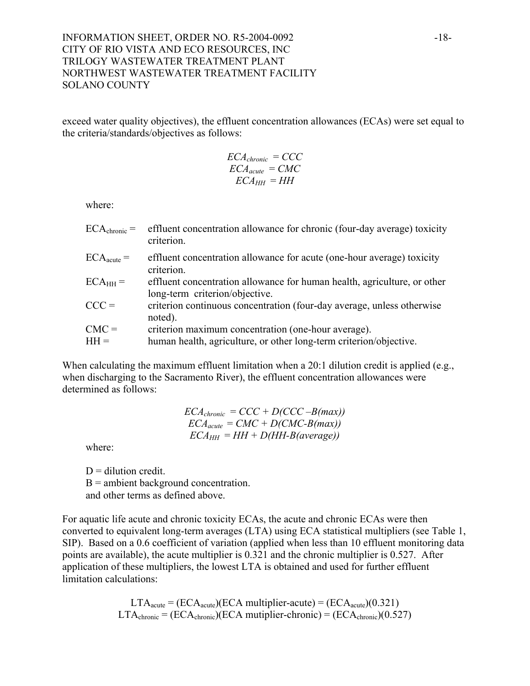## INFORMATION SHEET, ORDER NO. R5-2004-0092 -18-CITY OF RIO VISTA AND ECO RESOURCES, INC TRILOGY WASTEWATER TREATMENT PLANT NORTHWEST WASTEWATER TREATMENT FACILITY SOLANO COUNTY

exceed water quality objectives), the effluent concentration allowances (ECAs) were set equal to the criteria/standards/objectives as follows:

$$
ECA_{chronic} = CCC
$$
  

$$
ECA_{acute} = CMC
$$
  

$$
ECA_{HH} = HH
$$

where:

| $ECA_{chronic} =$ | effluent concentration allowance for chronic (four-day average) toxicity<br>criterion.                     |
|-------------------|------------------------------------------------------------------------------------------------------------|
| $ECAacute =$      | effluent concentration allowance for acute (one-hour average) toxicity<br>criterion.                       |
| $ECAHH =$         | effluent concentration allowance for human health, agriculture, or other<br>long-term criterion/objective. |
| $CCC =$           | criterion continuous concentration (four-day average, unless otherwise<br>noted).                          |
| $CMC =$           | criterion maximum concentration (one-hour average).                                                        |
| $HH =$            | human health, agriculture, or other long-term criterion/objective.                                         |

When calculating the maximum effluent limitation when a 20:1 dilution credit is applied (e.g., when discharging to the Sacramento River), the effluent concentration allowances were determined as follows:

$$
ECA_{chronic} = CCC + D(CCC - B(max))
$$
  
\n
$$
ECA_{acute} = CMC + D(CMC - B(max))
$$
  
\n
$$
ECA_{HH} = HH + D(HH - B(average))
$$

where:

 $D =$  dilution credit.  $B =$  ambient background concentration. and other terms as defined above.

For aquatic life acute and chronic toxicity ECAs, the acute and chronic ECAs were then converted to equivalent long-term averages (LTA) using ECA statistical multipliers (see Table 1, SIP). Based on a 0.6 coefficient of variation (applied when less than 10 effluent monitoring data points are available), the acute multiplier is 0.321 and the chronic multiplier is 0.527. After application of these multipliers, the lowest LTA is obtained and used for further effluent limitation calculations:

> $LTA<sub>acute</sub> = (ECA<sub>acute</sub>)(ECA multiplier-acute) = (ECA<sub>acute</sub>)(0.321)$  $LTA_{\text{chronic}} = (ECA_{\text{chronic}})(ECA$  mutiplier-chronic) =  $(ECA_{\text{chronic}})(0.527)$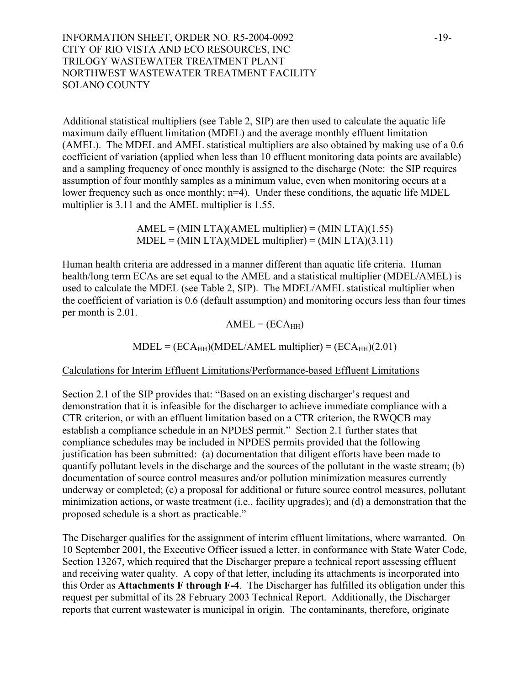INFORMATION SHEET, ORDER NO. R5-2004-0092 -19-CITY OF RIO VISTA AND ECO RESOURCES, INC TRILOGY WASTEWATER TREATMENT PLANT NORTHWEST WASTEWATER TREATMENT FACILITY SOLANO COUNTY

Additional statistical multipliers (see Table 2, SIP) are then used to calculate the aquatic life maximum daily effluent limitation (MDEL) and the average monthly effluent limitation (AMEL). The MDEL and AMEL statistical multipliers are also obtained by making use of a 0.6 coefficient of variation (applied when less than 10 effluent monitoring data points are available) and a sampling frequency of once monthly is assigned to the discharge (Note: the SIP requires assumption of four monthly samples as a minimum value, even when monitoring occurs at a lower frequency such as once monthly; n=4). Under these conditions, the aquatic life MDEL multiplier is 3.11 and the AMEL multiplier is 1.55.

> $AMEL = (MIN LTA)(AMEL multiplier) = (MIN LTA)(1.55)$  $MDEL = (MIN LTA)(MDEL multiplier) = (MIN LTA)(3.11)$

Human health criteria are addressed in a manner different than aquatic life criteria. Human health/long term ECAs are set equal to the AMEL and a statistical multiplier (MDEL/AMEL) is used to calculate the MDEL (see Table 2, SIP). The MDEL/AMEL statistical multiplier when the coefficient of variation is 0.6 (default assumption) and monitoring occurs less than four times per month is 2.01.

 $AMEL = (ECA<sub>HH</sub>)$ 

 $\text{MDEL} = (\text{ECA}_{\text{HH}})(\text{MDEL}/\text{AMEL} \text{ multiplier}) = (\text{ECA}_{\text{HH}})(2.01)$ 

Calculations for Interim Effluent Limitations/Performance-based Effluent Limitations

Section 2.1 of the SIP provides that: "Based on an existing discharger's request and demonstration that it is infeasible for the discharger to achieve immediate compliance with a CTR criterion, or with an effluent limitation based on a CTR criterion, the RWQCB may establish a compliance schedule in an NPDES permit." Section 2.1 further states that compliance schedules may be included in NPDES permits provided that the following justification has been submitted: (a) documentation that diligent efforts have been made to quantify pollutant levels in the discharge and the sources of the pollutant in the waste stream; (b) documentation of source control measures and/or pollution minimization measures currently underway or completed; (c) a proposal for additional or future source control measures, pollutant minimization actions, or waste treatment (i.e., facility upgrades); and (d) a demonstration that the proposed schedule is a short as practicable."

The Discharger qualifies for the assignment of interim effluent limitations, where warranted. On 10 September 2001, the Executive Officer issued a letter, in conformance with State Water Code, Section 13267, which required that the Discharger prepare a technical report assessing effluent and receiving water quality. A copy of that letter, including its attachments is incorporated into this Order as **Attachments F through F-4**. The Discharger has fulfilled its obligation under this request per submittal of its 28 February 2003 Technical Report. Additionally, the Discharger reports that current wastewater is municipal in origin. The contaminants, therefore, originate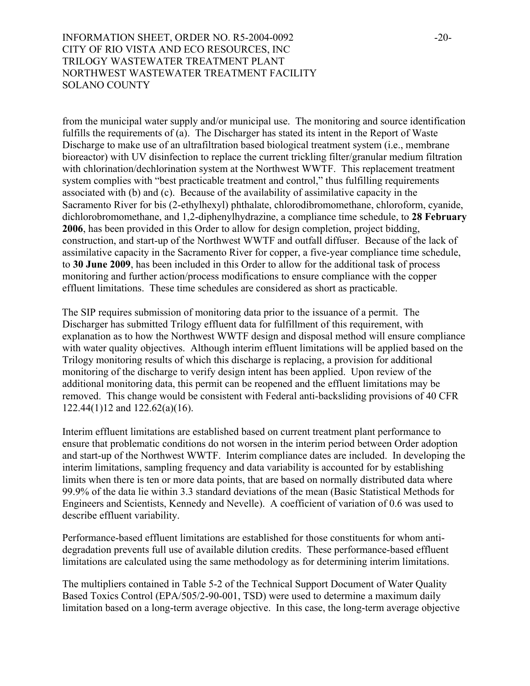# INFORMATION SHEET, ORDER NO. R5-2004-0092 -20-CITY OF RIO VISTA AND ECO RESOURCES, INC TRILOGY WASTEWATER TREATMENT PLANT NORTHWEST WASTEWATER TREATMENT FACILITY SOLANO COUNTY

from the municipal water supply and/or municipal use. The monitoring and source identification fulfills the requirements of (a). The Discharger has stated its intent in the Report of Waste Discharge to make use of an ultrafiltration based biological treatment system (i.e., membrane bioreactor) with UV disinfection to replace the current trickling filter/granular medium filtration with chlorination/dechlorination system at the Northwest WWTF. This replacement treatment system complies with "best practicable treatment and control," thus fulfilling requirements associated with (b) and (c). Because of the availability of assimilative capacity in the Sacramento River for bis (2-ethylhexyl) phthalate, chlorodibromomethane, chloroform, cyanide, dichlorobromomethane, and 1,2-diphenylhydrazine, a compliance time schedule, to **28 February 2006**, has been provided in this Order to allow for design completion, project bidding, construction, and start-up of the Northwest WWTF and outfall diffuser. Because of the lack of assimilative capacity in the Sacramento River for copper, a five-year compliance time schedule, to **30 June 2009**, has been included in this Order to allow for the additional task of process monitoring and further action/process modifications to ensure compliance with the copper effluent limitations. These time schedules are considered as short as practicable.

The SIP requires submission of monitoring data prior to the issuance of a permit. The Discharger has submitted Trilogy effluent data for fulfillment of this requirement, with explanation as to how the Northwest WWTF design and disposal method will ensure compliance with water quality objectives. Although interim effluent limitations will be applied based on the Trilogy monitoring results of which this discharge is replacing, a provision for additional monitoring of the discharge to verify design intent has been applied. Upon review of the additional monitoring data, this permit can be reopened and the effluent limitations may be removed. This change would be consistent with Federal anti-backsliding provisions of 40 CFR 122.44(1)12 and 122.62(a)(16).

Interim effluent limitations are established based on current treatment plant performance to ensure that problematic conditions do not worsen in the interim period between Order adoption and start-up of the Northwest WWTF. Interim compliance dates are included. In developing the interim limitations, sampling frequency and data variability is accounted for by establishing limits when there is ten or more data points, that are based on normally distributed data where 99.9% of the data lie within 3.3 standard deviations of the mean (Basic Statistical Methods for Engineers and Scientists, Kennedy and Nevelle). A coefficient of variation of 0.6 was used to describe effluent variability.

Performance-based effluent limitations are established for those constituents for whom antidegradation prevents full use of available dilution credits. These performance-based effluent limitations are calculated using the same methodology as for determining interim limitations.

The multipliers contained in Table 5-2 of the Technical Support Document of Water Quality Based Toxics Control (EPA/505/2-90-001, TSD) were used to determine a maximum daily limitation based on a long-term average objective. In this case, the long-term average objective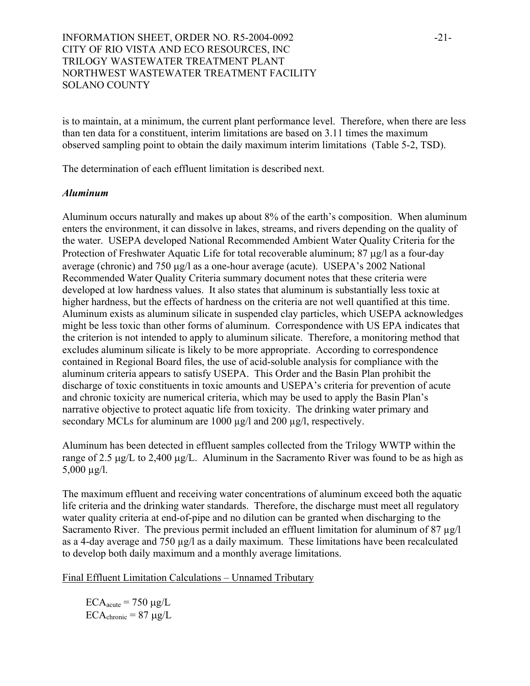# INFORMATION SHEET, ORDER NO. R5-2004-0092 -21-CITY OF RIO VISTA AND ECO RESOURCES, INC TRILOGY WASTEWATER TREATMENT PLANT NORTHWEST WASTEWATER TREATMENT FACILITY SOLANO COUNTY

is to maintain, at a minimum, the current plant performance level. Therefore, when there are less than ten data for a constituent, interim limitations are based on 3.11 times the maximum observed sampling point to obtain the daily maximum interim limitations (Table 5-2, TSD).

The determination of each effluent limitation is described next.

#### *Aluminum*

Aluminum occurs naturally and makes up about 8% of the earth's composition. When aluminum enters the environment, it can dissolve in lakes, streams, and rivers depending on the quality of the water. USEPA developed National Recommended Ambient Water Quality Criteria for the Protection of Freshwater Aquatic Life for total recoverable aluminum; 87 µg/l as a four-day average (chronic) and 750 µg/l as a one-hour average (acute). USEPA's 2002 National Recommended Water Quality Criteria summary document notes that these criteria were developed at low hardness values. It also states that aluminum is substantially less toxic at higher hardness, but the effects of hardness on the criteria are not well quantified at this time. Aluminum exists as aluminum silicate in suspended clay particles, which USEPA acknowledges might be less toxic than other forms of aluminum. Correspondence with US EPA indicates that the criterion is not intended to apply to aluminum silicate. Therefore, a monitoring method that excludes aluminum silicate is likely to be more appropriate. According to correspondence contained in Regional Board files, the use of acid-soluble analysis for compliance with the aluminum criteria appears to satisfy USEPA. This Order and the Basin Plan prohibit the discharge of toxic constituents in toxic amounts and USEPA's criteria for prevention of acute and chronic toxicity are numerical criteria, which may be used to apply the Basin Plan's narrative objective to protect aquatic life from toxicity. The drinking water primary and secondary MCLs for aluminum are 1000  $\mu$ g/l and 200  $\mu$ g/l, respectively.

Aluminum has been detected in effluent samples collected from the Trilogy WWTP within the range of 2.5 µg/L to 2,400 µg/L. Aluminum in the Sacramento River was found to be as high as  $5,000 \mu g/l$ .

The maximum effluent and receiving water concentrations of aluminum exceed both the aquatic life criteria and the drinking water standards. Therefore, the discharge must meet all regulatory water quality criteria at end-of-pipe and no dilution can be granted when discharging to the Sacramento River. The previous permit included an effluent limitation for aluminum of 87 µg/l as a 4-day average and 750 µg/l as a daily maximum. These limitations have been recalculated to develop both daily maximum and a monthly average limitations.

Final Effluent Limitation Calculations – Unnamed Tributary

 $ECA<sub>acute</sub> = 750 \mu g/L$  $ECA_{\text{chronic}} = 87 \mu g/L$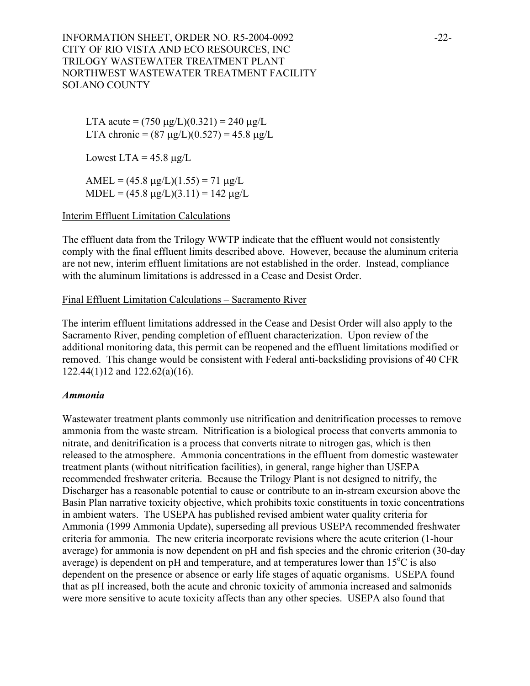INFORMATION SHEET, ORDER NO. R5-2004-0092 -22-CITY OF RIO VISTA AND ECO RESOURCES, INC TRILOGY WASTEWATER TREATMENT PLANT NORTHWEST WASTEWATER TREATMENT FACILITY SOLANO COUNTY

LTA acute =  $(750 \,\mu g/L)(0.321) = 240 \,\mu g/L$ LTA chronic =  $(87 \text{ µg/L})(0.527) = 45.8 \text{ µg/L}$ 

Lowest LTA =  $45.8 \mu g/L$ 

AMEL =  $(45.8 \text{ µg/L})(1.55) = 71 \text{ µg/L}$  $MDEL = (45.8 \text{ µg/L})(3.11) = 142 \text{ µg/L}$ 

## Interim Effluent Limitation Calculations

The effluent data from the Trilogy WWTP indicate that the effluent would not consistently comply with the final effluent limits described above. However, because the aluminum criteria are not new, interim effluent limitations are not established in the order. Instead, compliance with the aluminum limitations is addressed in a Cease and Desist Order.

#### Final Effluent Limitation Calculations – Sacramento River

The interim effluent limitations addressed in the Cease and Desist Order will also apply to the Sacramento River, pending completion of effluent characterization. Upon review of the additional monitoring data, this permit can be reopened and the effluent limitations modified or removed. This change would be consistent with Federal anti-backsliding provisions of 40 CFR 122.44(1)12 and 122.62(a)(16).

#### *Ammonia*

Wastewater treatment plants commonly use nitrification and denitrification processes to remove ammonia from the waste stream. Nitrification is a biological process that converts ammonia to nitrate, and denitrification is a process that converts nitrate to nitrogen gas, which is then released to the atmosphere. Ammonia concentrations in the effluent from domestic wastewater treatment plants (without nitrification facilities), in general, range higher than USEPA recommended freshwater criteria. Because the Trilogy Plant is not designed to nitrify, the Discharger has a reasonable potential to cause or contribute to an in-stream excursion above the Basin Plan narrative toxicity objective, which prohibits toxic constituents in toxic concentrations in ambient waters. The USEPA has published revised ambient water quality criteria for Ammonia (1999 Ammonia Update), superseding all previous USEPA recommended freshwater criteria for ammonia. The new criteria incorporate revisions where the acute criterion (1-hour average) for ammonia is now dependent on pH and fish species and the chronic criterion (30-day average) is dependent on pH and temperature, and at temperatures lower than  $15^{\circ}$ C is also dependent on the presence or absence or early life stages of aquatic organisms. USEPA found that as pH increased, both the acute and chronic toxicity of ammonia increased and salmonids were more sensitive to acute toxicity affects than any other species. USEPA also found that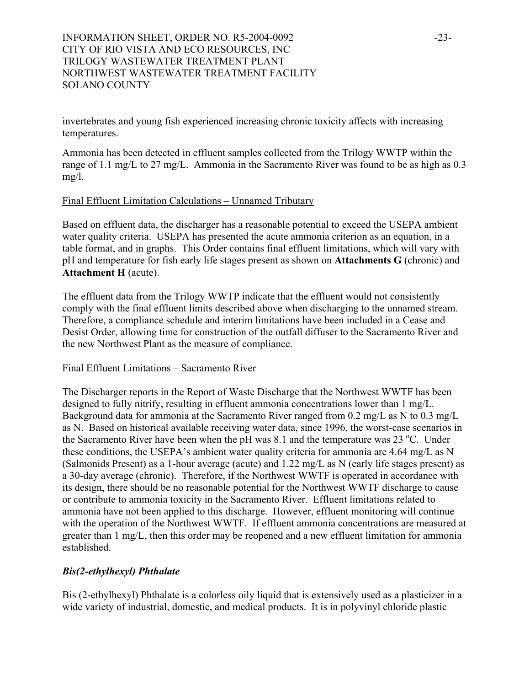# INFORMATION SHEET, ORDER NO. R5-2004-0092 -23-CITY OF RIO VISTA AND ECO RESOURCES, INC TRILOGY WASTEWATER TREATMENT PLANT NORTHWEST WASTEWATER TREATMENT FACILITY SOLANO COUNTY

invertebrates and young fish experienced increasing chronic toxicity affects with increasing temperatures.

Ammonia has been detected in effluent samples collected from the Trilogy WWTP within the range of 1.1 mg/L to 27 mg/L. Ammonia in the Sacramento River was found to be as high as 0.3 mg/l.

### Final Effluent Limitation Calculations – Unnamed Tributary

Based on effluent data, the discharger has a reasonable potential to exceed the USEPA ambient water quality criteria. USEPA has presented the acute ammonia criterion as an equation, in a table format, and in graphs. This Order contains final effluent limitations, which will vary with pH and temperature for fish early life stages present as shown on **Attachments G** (chronic) and **Attachment H** (acute).

The effluent data from the Trilogy WWTP indicate that the effluent would not consistently comply with the final effluent limits described above when discharging to the unnamed stream. Therefore, a compliance schedule and interim limitations have been included in a Cease and Desist Order, allowing time for construction of the outfall diffuser to the Sacramento River and the new Northwest Plant as the measure of compliance.

### Final Effluent Limitations – Sacramento River

The Discharger reports in the Report of Waste Discharge that the Northwest WWTF has been designed to fully nitrify, resulting in effluent ammonia concentrations lower than 1 mg/L. Background data for ammonia at the Sacramento River ranged from 0.2 mg/L as N to 0.3 mg/L as N. Based on historical available receiving water data, since 1996, the worst-case scenarios in the Sacramento River have been when the pH was 8.1 and the temperature was 23  $^{\circ}$ C. Under these conditions, the USEPA's ambient water quality criteria for ammonia are 4.64 mg/L as N (Salmonids Present) as a 1-hour average (acute) and 1.22 mg/L as N (early life stages present) as a 30-day average (chronic). Therefore, if the Northwest WWTF is operated in accordance with its design, there should be no reasonable potential for the Northwest WWTF discharge to cause or contribute to ammonia toxicity in the Sacramento River. Effluent limitations related to ammonia have not been applied to this discharge. However, effluent monitoring will continue with the operation of the Northwest WWTF. If effluent ammonia concentrations are measured at greater than 1 mg/L, then this order may be reopened and a new effluent limitation for ammonia established.

### *Bis(2-ethylhexyl) Phthalate*

Bis (2-ethylhexyl) Phthalate is a colorless oily liquid that is extensively used as a plasticizer in a wide variety of industrial, domestic, and medical products. It is in polyvinyl chloride plastic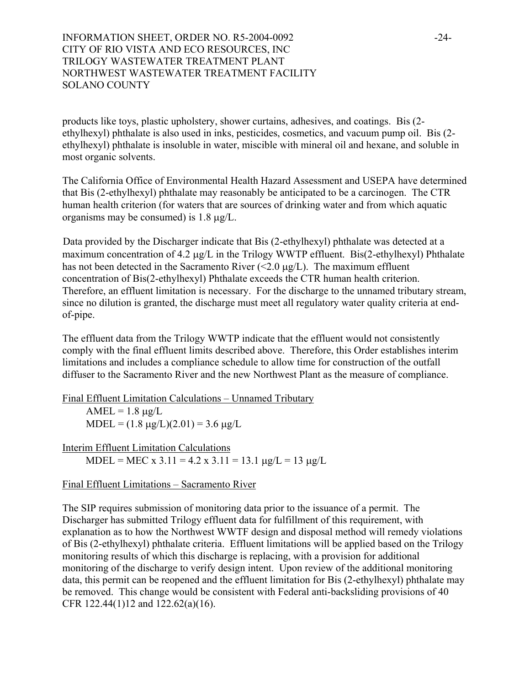# INFORMATION SHEET, ORDER NO. R5-2004-0092 -24-CITY OF RIO VISTA AND ECO RESOURCES, INC TRILOGY WASTEWATER TREATMENT PLANT NORTHWEST WASTEWATER TREATMENT FACILITY SOLANO COUNTY

products like toys, plastic upholstery, shower curtains, adhesives, and coatings. Bis (2 ethylhexyl) phthalate is also used in inks, pesticides, cosmetics, and vacuum pump oil. Bis (2 ethylhexyl) phthalate is insoluble in water, miscible with mineral oil and hexane, and soluble in most organic solvents.

The California Office of Environmental Health Hazard Assessment and USEPA have determined that Bis (2-ethylhexyl) phthalate may reasonably be anticipated to be a carcinogen. The CTR human health criterion (for waters that are sources of drinking water and from which aquatic organisms may be consumed) is 1.8 µg/L.

Data provided by the Discharger indicate that Bis (2-ethylhexyl) phthalate was detected at a maximum concentration of 4.2 µg/L in the Trilogy WWTP effluent. Bis(2-ethylhexyl) Phthalate has not been detected in the Sacramento River  $\ll 2.0 \mu g/L$ ). The maximum effluent concentration of Bis(2-ethylhexyl) Phthalate exceeds the CTR human health criterion. Therefore, an effluent limitation is necessary. For the discharge to the unnamed tributary stream, since no dilution is granted, the discharge must meet all regulatory water quality criteria at endof-pipe.

The effluent data from the Trilogy WWTP indicate that the effluent would not consistently comply with the final effluent limits described above. Therefore, this Order establishes interim limitations and includes a compliance schedule to allow time for construction of the outfall diffuser to the Sacramento River and the new Northwest Plant as the measure of compliance.

Final Effluent Limitation Calculations – Unnamed Tributary  $AMEL = 1.8 \mu g/L$  $MDEL = (1.8 \mu g/L)(2.01) = 3.6 \mu g/L$ 

Interim Effluent Limitation Calculations MDEL = MEC x 3.11 = 4.2 x 3.11 = 13.1  $\mu$ g/L = 13  $\mu$ g/L

Final Effluent Limitations – Sacramento River

The SIP requires submission of monitoring data prior to the issuance of a permit. The Discharger has submitted Trilogy effluent data for fulfillment of this requirement, with explanation as to how the Northwest WWTF design and disposal method will remedy violations of Bis (2-ethylhexyl) phthalate criteria. Effluent limitations will be applied based on the Trilogy monitoring results of which this discharge is replacing, with a provision for additional monitoring of the discharge to verify design intent. Upon review of the additional monitoring data, this permit can be reopened and the effluent limitation for Bis (2-ethylhexyl) phthalate may be removed. This change would be consistent with Federal anti-backsliding provisions of 40 CFR 122.44(1)12 and 122.62(a)(16).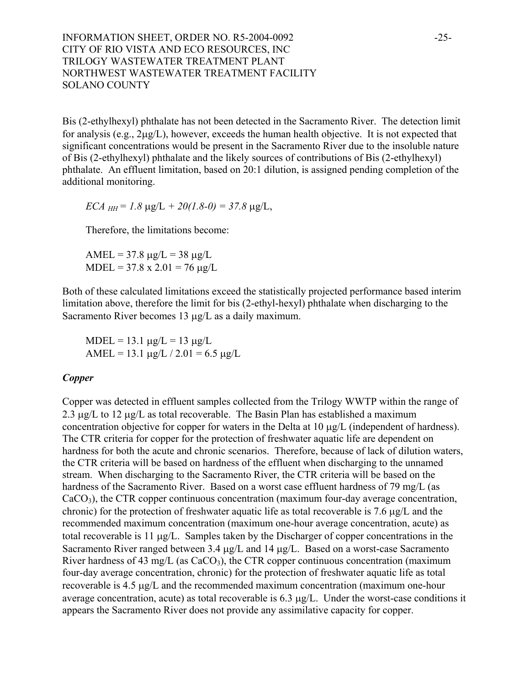INFORMATION SHEET, ORDER NO. R5-2004-0092 -25-CITY OF RIO VISTA AND ECO RESOURCES, INC TRILOGY WASTEWATER TREATMENT PLANT NORTHWEST WASTEWATER TREATMENT FACILITY SOLANO COUNTY

Bis (2-ethylhexyl) phthalate has not been detected in the Sacramento River. The detection limit for analysis (e.g., 2µg/L), however, exceeds the human health objective. It is not expected that significant concentrations would be present in the Sacramento River due to the insoluble nature of Bis (2-ethylhexyl) phthalate and the likely sources of contributions of Bis (2-ethylhexyl) phthalate. An effluent limitation, based on 20:1 dilution, is assigned pending completion of the additional monitoring.

*ECA*  $_{HH}$  = 1.8  $\mu$ g/L + 20(1.8-0) = 37.8  $\mu$ g/L,

Therefore, the limitations become:

AMEL =  $37.8 \mu g/L = 38 \mu g/L$  $MDEL = 37.8 \times 2.01 = 76 \mu g/L$ 

Both of these calculated limitations exceed the statistically projected performance based interim limitation above, therefore the limit for bis (2-ethyl-hexyl) phthalate when discharging to the Sacramento River becomes 13  $\mu$ g/L as a daily maximum.

 $MDEL = 13.1 \mu g/L = 13 \mu g/L$ AMEL = 13.1  $\mu$ g/L / 2.01 = 6.5  $\mu$ g/L

#### *Copper*

Copper was detected in effluent samples collected from the Trilogy WWTP within the range of 2.3  $\mu$ g/L to 12  $\mu$ g/L as total recoverable. The Basin Plan has established a maximum concentration objective for copper for waters in the Delta at 10 µg/L (independent of hardness). The CTR criteria for copper for the protection of freshwater aquatic life are dependent on hardness for both the acute and chronic scenarios. Therefore, because of lack of dilution waters, the CTR criteria will be based on hardness of the effluent when discharging to the unnamed stream. When discharging to the Sacramento River, the CTR criteria will be based on the hardness of the Sacramento River. Based on a worst case effluent hardness of 79 mg/L (as CaCO3), the CTR copper continuous concentration (maximum four-day average concentration, chronic) for the protection of freshwater aquatic life as total recoverable is 7.6 µg/L and the recommended maximum concentration (maximum one-hour average concentration, acute) as total recoverable is 11 µg/L. Samples taken by the Discharger of copper concentrations in the Sacramento River ranged between 3.4  $\mu$ g/L and 14  $\mu$ g/L. Based on a worst-case Sacramento River hardness of 43 mg/L (as  $CaCO<sub>3</sub>$ ), the CTR copper continuous concentration (maximum four-day average concentration, chronic) for the protection of freshwater aquatic life as total recoverable is 4.5 µg/L and the recommended maximum concentration (maximum one-hour average concentration, acute) as total recoverable is 6.3 µg/L. Under the worst-case conditions it appears the Sacramento River does not provide any assimilative capacity for copper.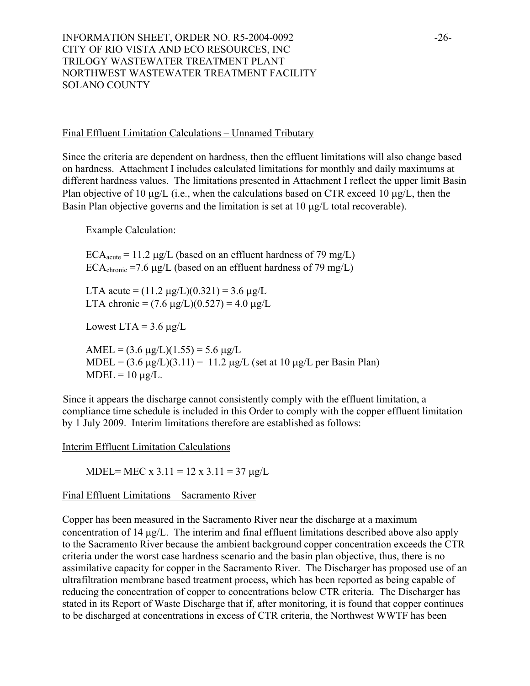INFORMATION SHEET, ORDER NO. R5-2004-0092 -26-CITY OF RIO VISTA AND ECO RESOURCES, INC TRILOGY WASTEWATER TREATMENT PLANT NORTHWEST WASTEWATER TREATMENT FACILITY SOLANO COUNTY

#### Final Effluent Limitation Calculations – Unnamed Tributary

Since the criteria are dependent on hardness, then the effluent limitations will also change based on hardness. Attachment I includes calculated limitations for monthly and daily maximums at different hardness values. The limitations presented in Attachment I reflect the upper limit Basin Plan objective of 10  $\mu$ g/L (i.e., when the calculations based on CTR exceed 10  $\mu$ g/L, then the Basin Plan objective governs and the limitation is set at 10  $\mu$ g/L total recoverable).

Example Calculation:

 $ECA<sub>acute</sub> = 11.2 \mu g/L$  (based on an effluent hardness of 79 mg/L) ECA<sub>chronic</sub> =7.6  $\mu$ g/L (based on an effluent hardness of 79 mg/L)

LTA acute =  $(11.2 \text{ µg/L})(0.321) = 3.6 \text{ µg/L}$ LTA chronic =  $(7.6 \text{ µg/L})(0.527) = 4.0 \text{ µg/L}$ 

Lowest LTA =  $3.6 \mu g/L$ 

AMEL =  $(3.6 \text{ µg/L})(1.55) = 5.6 \text{ µg/L}$ MDEL =  $(3.6 \mu g/L)(3.11) = 11.2 \mu g/L$  (set at 10  $\mu g/L$  per Basin Plan)  $MDEL = 10 \mu g/L$ .

Since it appears the discharge cannot consistently comply with the effluent limitation, a compliance time schedule is included in this Order to comply with the copper effluent limitation by 1 July 2009. Interim limitations therefore are established as follows:

Interim Effluent Limitation Calculations

MDEL= MEC x  $3.11 = 12$  x  $3.11 = 37$   $\mu$ g/L

### Final Effluent Limitations – Sacramento River

Copper has been measured in the Sacramento River near the discharge at a maximum concentration of 14 µg/L. The interim and final effluent limitations described above also apply to the Sacramento River because the ambient background copper concentration exceeds the CTR criteria under the worst case hardness scenario and the basin plan objective, thus, there is no assimilative capacity for copper in the Sacramento River. The Discharger has proposed use of an ultrafiltration membrane based treatment process, which has been reported as being capable of reducing the concentration of copper to concentrations below CTR criteria. The Discharger has stated in its Report of Waste Discharge that if, after monitoring, it is found that copper continues to be discharged at concentrations in excess of CTR criteria, the Northwest WWTF has been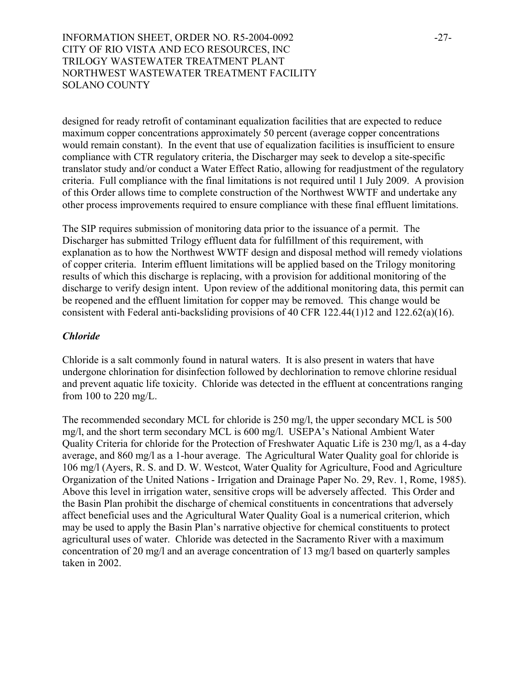INFORMATION SHEET, ORDER NO. R5-2004-0092 -27-CITY OF RIO VISTA AND ECO RESOURCES, INC TRILOGY WASTEWATER TREATMENT PLANT NORTHWEST WASTEWATER TREATMENT FACILITY SOLANO COUNTY

designed for ready retrofit of contaminant equalization facilities that are expected to reduce maximum copper concentrations approximately 50 percent (average copper concentrations would remain constant). In the event that use of equalization facilities is insufficient to ensure compliance with CTR regulatory criteria, the Discharger may seek to develop a site-specific translator study and/or conduct a Water Effect Ratio, allowing for readjustment of the regulatory criteria. Full compliance with the final limitations is not required until 1 July 2009. A provision of this Order allows time to complete construction of the Northwest WWTF and undertake any other process improvements required to ensure compliance with these final effluent limitations.

The SIP requires submission of monitoring data prior to the issuance of a permit. The Discharger has submitted Trilogy effluent data for fulfillment of this requirement, with explanation as to how the Northwest WWTF design and disposal method will remedy violations of copper criteria. Interim effluent limitations will be applied based on the Trilogy monitoring results of which this discharge is replacing, with a provision for additional monitoring of the discharge to verify design intent. Upon review of the additional monitoring data, this permit can be reopened and the effluent limitation for copper may be removed. This change would be consistent with Federal anti-backsliding provisions of 40 CFR 122.44(1)12 and 122.62(a)(16).

#### *Chloride*

Chloride is a salt commonly found in natural waters. It is also present in waters that have undergone chlorination for disinfection followed by dechlorination to remove chlorine residual and prevent aquatic life toxicity. Chloride was detected in the effluent at concentrations ranging from 100 to 220 mg/L.

The recommended secondary MCL for chloride is 250 mg/l, the upper secondary MCL is 500 mg/l, and the short term secondary MCL is 600 mg/l. USEPA's National Ambient Water Quality Criteria for chloride for the Protection of Freshwater Aquatic Life is 230 mg/l, as a 4-day average, and 860 mg/l as a 1-hour average. The Agricultural Water Quality goal for chloride is 106 mg/l (Ayers, R. S. and D. W. Westcot, Water Quality for Agriculture, Food and Agriculture Organization of the United Nations - Irrigation and Drainage Paper No. 29, Rev. 1, Rome, 1985). Above this level in irrigation water, sensitive crops will be adversely affected. This Order and the Basin Plan prohibit the discharge of chemical constituents in concentrations that adversely affect beneficial uses and the Agricultural Water Quality Goal is a numerical criterion, which may be used to apply the Basin Plan's narrative objective for chemical constituents to protect agricultural uses of water. Chloride was detected in the Sacramento River with a maximum concentration of 20 mg/l and an average concentration of 13 mg/l based on quarterly samples taken in 2002.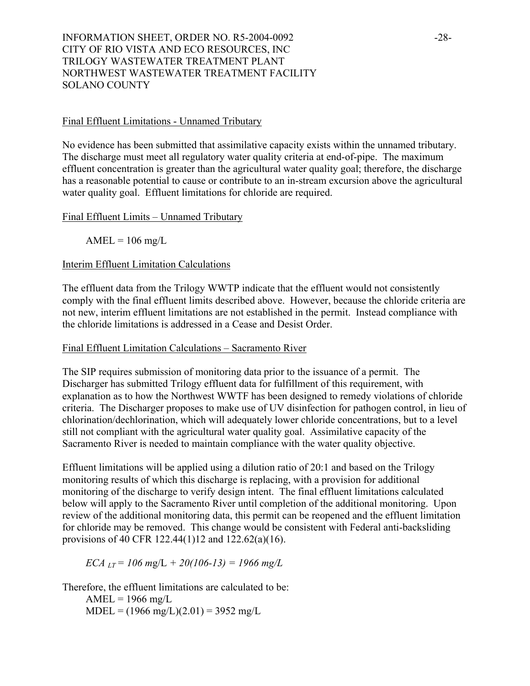INFORMATION SHEET, ORDER NO. R5-2004-0092 -28-CITY OF RIO VISTA AND ECO RESOURCES, INC TRILOGY WASTEWATER TREATMENT PLANT NORTHWEST WASTEWATER TREATMENT FACILITY SOLANO COUNTY

#### Final Effluent Limitations - Unnamed Tributary

No evidence has been submitted that assimilative capacity exists within the unnamed tributary. The discharge must meet all regulatory water quality criteria at end-of-pipe. The maximum effluent concentration is greater than the agricultural water quality goal; therefore, the discharge has a reasonable potential to cause or contribute to an in-stream excursion above the agricultural water quality goal. Effluent limitations for chloride are required.

Final Effluent Limits – Unnamed Tributary

 $AMEL = 106$  mg/L

### Interim Effluent Limitation Calculations

The effluent data from the Trilogy WWTP indicate that the effluent would not consistently comply with the final effluent limits described above. However, because the chloride criteria are not new, interim effluent limitations are not established in the permit. Instead compliance with the chloride limitations is addressed in a Cease and Desist Order.

#### Final Effluent Limitation Calculations – Sacramento River

The SIP requires submission of monitoring data prior to the issuance of a permit. The Discharger has submitted Trilogy effluent data for fulfillment of this requirement, with explanation as to how the Northwest WWTF has been designed to remedy violations of chloride criteria. The Discharger proposes to make use of UV disinfection for pathogen control, in lieu of chlorination/dechlorination, which will adequately lower chloride concentrations, but to a level still not compliant with the agricultural water quality goal. Assimilative capacity of the Sacramento River is needed to maintain compliance with the water quality objective.

Effluent limitations will be applied using a dilution ratio of 20:1 and based on the Trilogy monitoring results of which this discharge is replacing, with a provision for additional monitoring of the discharge to verify design intent. The final effluent limitations calculated below will apply to the Sacramento River until completion of the additional monitoring. Upon review of the additional monitoring data, this permit can be reopened and the effluent limitation for chloride may be removed. This change would be consistent with Federal anti-backsliding provisions of 40 CFR 122.44(1)12 and 122.62(a)(16).

*ECA LT = 106 m*g/L *+ 20(106-13) = 1966 mg/L* 

Therefore, the effluent limitations are calculated to be:

 $AMEL = 1966$  mg/L  $MDEL = (1966 mg/L)(2.01) = 3952 mg/L$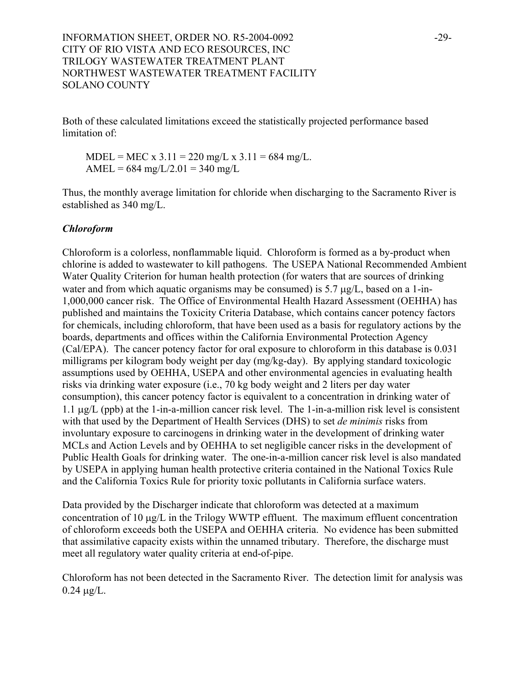Both of these calculated limitations exceed the statistically projected performance based limitation of

 $MDEL = MEC \times 3.11 = 220$  mg/L  $\times 3.11 = 684$  mg/L. AMEL =  $684 \text{ mg/L}/2.01 = 340 \text{ mg/L}$ 

Thus, the monthly average limitation for chloride when discharging to the Sacramento River is established as 340 mg/L.

# *Chloroform*

Chloroform is a colorless, nonflammable liquid. Chloroform is formed as a by-product when chlorine is added to wastewater to kill pathogens. The USEPA National Recommended Ambient Water Quality Criterion for human health protection (for waters that are sources of drinking water and from which aquatic organisms may be consumed) is 5.7  $\mu$ g/L, based on a 1-in-1,000,000 cancer risk. The Office of Environmental Health Hazard Assessment (OEHHA) has published and maintains the Toxicity Criteria Database, which contains cancer potency factors for chemicals, including chloroform, that have been used as a basis for regulatory actions by the boards, departments and offices within the California Environmental Protection Agency (Cal/EPA). The cancer potency factor for oral exposure to chloroform in this database is 0.031 milligrams per kilogram body weight per day (mg/kg-day). By applying standard toxicologic assumptions used by OEHHA, USEPA and other environmental agencies in evaluating health risks via drinking water exposure (i.e., 70 kg body weight and 2 liters per day water consumption), this cancer potency factor is equivalent to a concentration in drinking water of 1.1 µg/L (ppb) at the 1-in-a-million cancer risk level. The 1-in-a-million risk level is consistent with that used by the Department of Health Services (DHS) to set *de minimis* risks from involuntary exposure to carcinogens in drinking water in the development of drinking water MCLs and Action Levels and by OEHHA to set negligible cancer risks in the development of Public Health Goals for drinking water. The one-in-a-million cancer risk level is also mandated by USEPA in applying human health protective criteria contained in the National Toxics Rule and the California Toxics Rule for priority toxic pollutants in California surface waters.

Data provided by the Discharger indicate that chloroform was detected at a maximum concentration of 10 µg/L in the Trilogy WWTP effluent. The maximum effluent concentration of chloroform exceeds both the USEPA and OEHHA criteria. No evidence has been submitted that assimilative capacity exists within the unnamed tributary. Therefore, the discharge must meet all regulatory water quality criteria at end-of-pipe.

Chloroform has not been detected in the Sacramento River. The detection limit for analysis was  $0.24 \mu g/L$ .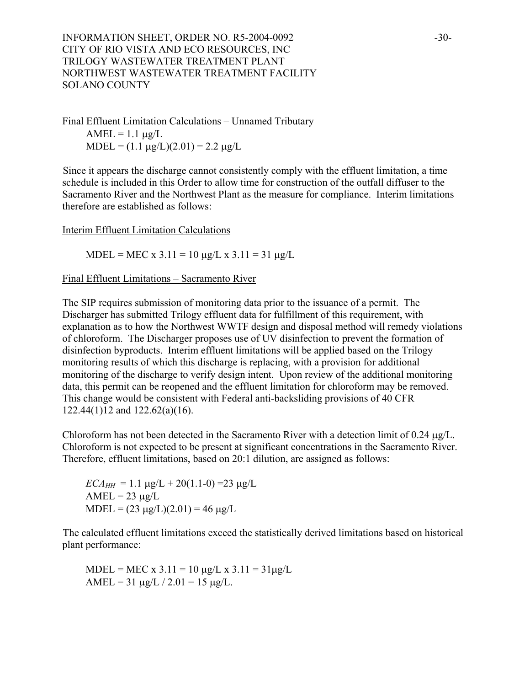INFORMATION SHEET, ORDER NO. R5-2004-0092 -30-CITY OF RIO VISTA AND ECO RESOURCES, INC TRILOGY WASTEWATER TREATMENT PLANT NORTHWEST WASTEWATER TREATMENT FACILITY SOLANO COUNTY

Final Effluent Limitation Calculations – Unnamed Tributary  $AMEL = 1.1 \mu g/L$  $MDEL = (1.1 \mu g/L)(2.01) = 2.2 \mu g/L$ 

Since it appears the discharge cannot consistently comply with the effluent limitation, a time schedule is included in this Order to allow time for construction of the outfall diffuser to the Sacramento River and the Northwest Plant as the measure for compliance. Interim limitations therefore are established as follows:

Interim Effluent Limitation Calculations

MDEL = MEC x 3.11 = 10  $\mu$ g/L x 3.11 = 31  $\mu$ g/L

#### Final Effluent Limitations – Sacramento River

The SIP requires submission of monitoring data prior to the issuance of a permit. The Discharger has submitted Trilogy effluent data for fulfillment of this requirement, with explanation as to how the Northwest WWTF design and disposal method will remedy violations of chloroform. The Discharger proposes use of UV disinfection to prevent the formation of disinfection byproducts. Interim effluent limitations will be applied based on the Trilogy monitoring results of which this discharge is replacing, with a provision for additional monitoring of the discharge to verify design intent. Upon review of the additional monitoring data, this permit can be reopened and the effluent limitation for chloroform may be removed. This change would be consistent with Federal anti-backsliding provisions of 40 CFR 122.44(1)12 and 122.62(a)(16).

Chloroform has not been detected in the Sacramento River with a detection limit of 0.24  $\mu$ g/L. Chloroform is not expected to be present at significant concentrations in the Sacramento River. Therefore, effluent limitations, based on 20:1 dilution, are assigned as follows:

 $ECA_{HH} = 1.1 \mu g/L + 20(1.1-0) = 23 \mu g/L$  $AMEL = 23 \mu g/L$  $MDEL = (23 \mu g/L)(2.01) = 46 \mu g/L$ 

The calculated effluent limitations exceed the statistically derived limitations based on historical plant performance:

MDEL = MEC x  $3.11 = 10 \mu g/L$  x  $3.11 = 31 \mu g/L$ AMEL = 31  $\mu$ g/L / 2.01 = 15  $\mu$ g/L.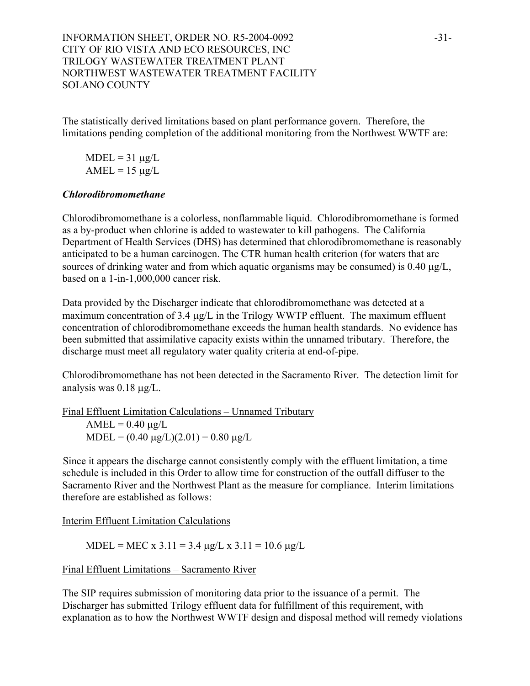# INFORMATION SHEET, ORDER NO. R5-2004-0092 -31-CITY OF RIO VISTA AND ECO RESOURCES, INC TRILOGY WASTEWATER TREATMENT PLANT NORTHWEST WASTEWATER TREATMENT FACILITY SOLANO COUNTY

The statistically derived limitations based on plant performance govern. Therefore, the limitations pending completion of the additional monitoring from the Northwest WWTF are:

 $MDEL = 31 \mu g/L$  $AMEL = 15 \mu g/L$ 

### *Chlorodibromomethane*

Chlorodibromomethane is a colorless, nonflammable liquid. Chlorodibromomethane is formed as a by-product when chlorine is added to wastewater to kill pathogens. The California Department of Health Services (DHS) has determined that chlorodibromomethane is reasonably anticipated to be a human carcinogen. The CTR human health criterion (for waters that are sources of drinking water and from which aquatic organisms may be consumed) is 0.40  $\mu$ g/L, based on a 1-in-1,000,000 cancer risk.

Data provided by the Discharger indicate that chlorodibromomethane was detected at a maximum concentration of 3.4  $\mu$ g/L in the Trilogy WWTP effluent. The maximum effluent concentration of chlorodibromomethane exceeds the human health standards. No evidence has been submitted that assimilative capacity exists within the unnamed tributary. Therefore, the discharge must meet all regulatory water quality criteria at end-of-pipe.

Chlorodibromomethane has not been detected in the Sacramento River. The detection limit for analysis was 0.18 µg/L.

Final Effluent Limitation Calculations – Unnamed Tributary  $AMEL = 0.40 \mu g/L$  $MDEL = (0.40 \mu g/L)(2.01) = 0.80 \mu g/L$ 

Since it appears the discharge cannot consistently comply with the effluent limitation, a time schedule is included in this Order to allow time for construction of the outfall diffuser to the Sacramento River and the Northwest Plant as the measure for compliance. Interim limitations therefore are established as follows:

Interim Effluent Limitation Calculations

MDEL = MEC x 3.11 = 3.4  $\mu$ g/L x 3.11 = 10.6  $\mu$ g/L

Final Effluent Limitations – Sacramento River

The SIP requires submission of monitoring data prior to the issuance of a permit. The Discharger has submitted Trilogy effluent data for fulfillment of this requirement, with explanation as to how the Northwest WWTF design and disposal method will remedy violations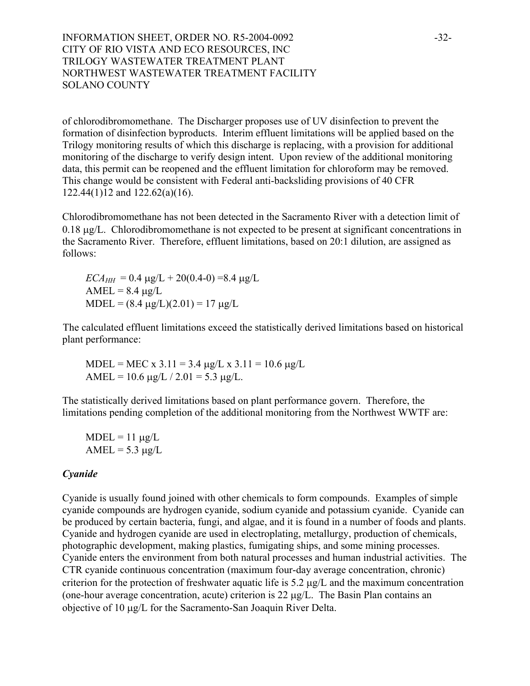INFORMATION SHEET, ORDER NO. R5-2004-0092 -32-CITY OF RIO VISTA AND ECO RESOURCES, INC TRILOGY WASTEWATER TREATMENT PLANT NORTHWEST WASTEWATER TREATMENT FACILITY SOLANO COUNTY

of chlorodibromomethane. The Discharger proposes use of UV disinfection to prevent the formation of disinfection byproducts. Interim effluent limitations will be applied based on the Trilogy monitoring results of which this discharge is replacing, with a provision for additional monitoring of the discharge to verify design intent. Upon review of the additional monitoring data, this permit can be reopened and the effluent limitation for chloroform may be removed. This change would be consistent with Federal anti-backsliding provisions of 40 CFR 122.44(1)12 and 122.62(a)(16).

Chlorodibromomethane has not been detected in the Sacramento River with a detection limit of 0.18 µg/L. Chlorodibromomethane is not expected to be present at significant concentrations in the Sacramento River. Therefore, effluent limitations, based on 20:1 dilution, are assigned as follows:

 $ECA_{HH} = 0.4 \mu g/L + 20(0.4-0) = 8.4 \mu g/L$  $AMEL = 8.4 \mu g/L$  $MDEL = (8.4 \text{ µg/L})(2.01) = 17 \text{ µg/L}$ 

The calculated effluent limitations exceed the statistically derived limitations based on historical plant performance:

MDEL = MEC x 3.11 = 3.4  $\mu$ g/L x 3.11 = 10.6  $\mu$ g/L AMEL =  $10.6 \mu g/L / 2.01 = 5.3 \mu g/L$ .

The statistically derived limitations based on plant performance govern. Therefore, the limitations pending completion of the additional monitoring from the Northwest WWTF are:

 $MDEL = 11 \mu g/L$  $AMEL = 5.3 \mu g/L$ 

### *Cyanide*

Cyanide is usually found joined with other chemicals to form compounds. Examples of simple cyanide compounds are hydrogen cyanide, sodium cyanide and potassium cyanide. Cyanide can be produced by certain bacteria, fungi, and algae, and it is found in a number of foods and plants. Cyanide and hydrogen cyanide are used in electroplating, metallurgy, production of chemicals, photographic development, making plastics, fumigating ships, and some mining processes. Cyanide enters the environment from both natural processes and human industrial activities. The CTR cyanide continuous concentration (maximum four-day average concentration, chronic) criterion for the protection of freshwater aquatic life is 5.2 µg/L and the maximum concentration (one-hour average concentration, acute) criterion is 22 µg/L. The Basin Plan contains an objective of 10 µg/L for the Sacramento-San Joaquin River Delta.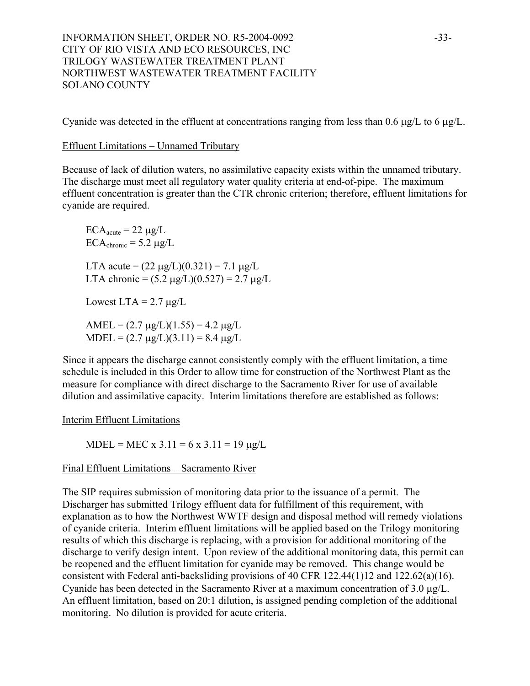Cyanide was detected in the effluent at concentrations ranging from less than 0.6 µg/L to 6 µg/L.

# Effluent Limitations – Unnamed Tributary

Because of lack of dilution waters, no assimilative capacity exists within the unnamed tributary. The discharge must meet all regulatory water quality criteria at end-of-pipe. The maximum effluent concentration is greater than the CTR chronic criterion; therefore, effluent limitations for cyanide are required.

 $ECA<sub>acute</sub> = 22 \mu g/L$  $ECA_{\text{chronic}} = 5.2 \mu g/L$ LTA acute =  $(22 \mu g/L)(0.321) = 7.1 \mu g/L$ LTA chronic =  $(5.2 \text{ µg/L})(0.527) = 2.7 \text{ µg/L}$ 

Lowest LTA =  $2.7 \mu g/L$ 

AMEL =  $(2.7 \text{ µg/L})(1.55) = 4.2 \text{ µg/L}$  $MDEL = (2.7 \mu g/L)(3.11) = 8.4 \mu g/L$ 

Since it appears the discharge cannot consistently comply with the effluent limitation, a time schedule is included in this Order to allow time for construction of the Northwest Plant as the measure for compliance with direct discharge to the Sacramento River for use of available dilution and assimilative capacity. Interim limitations therefore are established as follows:

Interim Effluent Limitations

MDEL = MEC x  $3.11 = 6$  x  $3.11 = 19$   $\mu$ g/L

# Final Effluent Limitations – Sacramento River

The SIP requires submission of monitoring data prior to the issuance of a permit. The Discharger has submitted Trilogy effluent data for fulfillment of this requirement, with explanation as to how the Northwest WWTF design and disposal method will remedy violations of cyanide criteria. Interim effluent limitations will be applied based on the Trilogy monitoring results of which this discharge is replacing, with a provision for additional monitoring of the discharge to verify design intent. Upon review of the additional monitoring data, this permit can be reopened and the effluent limitation for cyanide may be removed. This change would be consistent with Federal anti-backsliding provisions of 40 CFR 122.44(1)12 and 122.62(a)(16). Cyanide has been detected in the Sacramento River at a maximum concentration of 3.0 µg/L. An effluent limitation, based on 20:1 dilution, is assigned pending completion of the additional monitoring. No dilution is provided for acute criteria.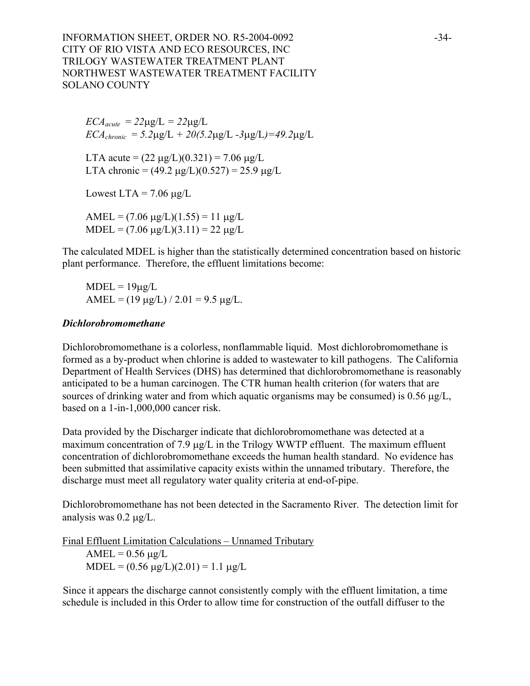INFORMATION SHEET, ORDER NO. R5-2004-0092 -34-CITY OF RIO VISTA AND ECO RESOURCES, INC TRILOGY WASTEWATER TREATMENT PLANT NORTHWEST WASTEWATER TREATMENT FACILITY SOLANO COUNTY

 $ECA_{acute} = 22\mu g/L = 22\mu g/L$  $ECA_{chronic} = 5.2 \mu g/L + 20(5.2 \mu g/L - 3 \mu g/L) = 49.2 \mu g/L$ 

LTA acute =  $(22 \mu g/L)(0.321) = 7.06 \mu g/L$ LTA chronic =  $(49.2 \text{ µg/L})(0.527) = 25.9 \text{ µg/L}$ 

Lowest LTA =  $7.06 \mu g/L$ 

AMEL =  $(7.06 \text{ µg/L})(1.55) = 11 \text{ µg/L}$ MDEL =  $(7.06 \text{ µg/L})(3.11) = 22 \text{ µg/L}$ 

The calculated MDEL is higher than the statistically determined concentration based on historic plant performance. Therefore, the effluent limitations become:

 $MDEL = 19\mu g/L$ AMEL =  $(19 \mu g/L) / 2.01 = 9.5 \mu g/L$ .

#### *Dichlorobromomethane*

Dichlorobromomethane is a colorless, nonflammable liquid. Most dichlorobromomethane is formed as a by-product when chlorine is added to wastewater to kill pathogens. The California Department of Health Services (DHS) has determined that dichlorobromomethane is reasonably anticipated to be a human carcinogen. The CTR human health criterion (for waters that are sources of drinking water and from which aquatic organisms may be consumed) is  $0.56 \mu g/L$ , based on a 1-in-1,000,000 cancer risk.

Data provided by the Discharger indicate that dichlorobromomethane was detected at a maximum concentration of 7.9  $\mu$ g/L in the Trilogy WWTP effluent. The maximum effluent concentration of dichlorobromomethane exceeds the human health standard. No evidence has been submitted that assimilative capacity exists within the unnamed tributary. Therefore, the discharge must meet all regulatory water quality criteria at end-of-pipe.

Dichlorobromomethane has not been detected in the Sacramento River. The detection limit for analysis was 0.2 µg/L.

Final Effluent Limitation Calculations – Unnamed Tributary  $AMEL = 0.56 \mu g/L$  $MDEL = (0.56 \mu g/L)(2.01) = 1.1 \mu g/L$ 

Since it appears the discharge cannot consistently comply with the effluent limitation, a time schedule is included in this Order to allow time for construction of the outfall diffuser to the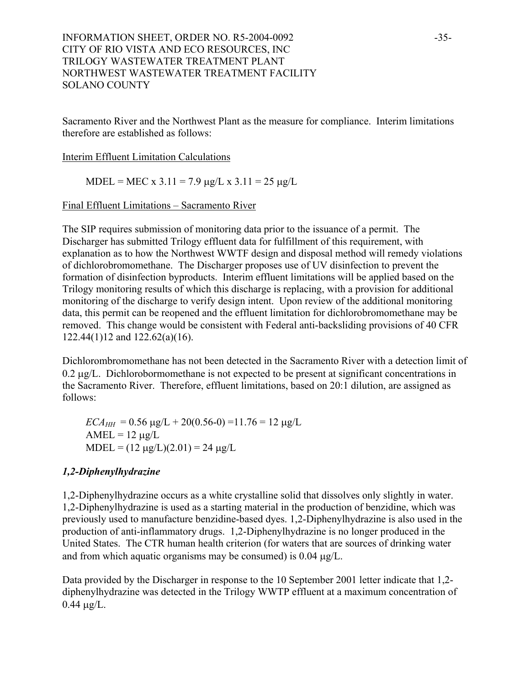# INFORMATION SHEET, ORDER NO. R5-2004-0092 -35-CITY OF RIO VISTA AND ECO RESOURCES, INC TRILOGY WASTEWATER TREATMENT PLANT NORTHWEST WASTEWATER TREATMENT FACILITY SOLANO COUNTY

Sacramento River and the Northwest Plant as the measure for compliance. Interim limitations therefore are established as follows:

### Interim Effluent Limitation Calculations

MDEL = MEC x  $3.11 = 7.9 \text{ µg/L x } 3.11 = 25 \text{ µg/L}$ 

# Final Effluent Limitations – Sacramento River

The SIP requires submission of monitoring data prior to the issuance of a permit. The Discharger has submitted Trilogy effluent data for fulfillment of this requirement, with explanation as to how the Northwest WWTF design and disposal method will remedy violations of dichlorobromomethane. The Discharger proposes use of UV disinfection to prevent the formation of disinfection byproducts. Interim effluent limitations will be applied based on the Trilogy monitoring results of which this discharge is replacing, with a provision for additional monitoring of the discharge to verify design intent. Upon review of the additional monitoring data, this permit can be reopened and the effluent limitation for dichlorobromomethane may be removed. This change would be consistent with Federal anti-backsliding provisions of 40 CFR 122.44(1)12 and 122.62(a)(16).

Dichlorombromomethane has not been detected in the Sacramento River with a detection limit of 0.2 µg/L. Dichlorobormomethane is not expected to be present at significant concentrations in the Sacramento River. Therefore, effluent limitations, based on 20:1 dilution, are assigned as follows:

 $ECA_{HH} = 0.56 \mu g/L + 20(0.56-0) = 11.76 = 12 \mu g/L$  $AMEL = 12 \mu g/L$  $MDEL = (12 \mu g/L)(2.01) = 24 \mu g/L$ 

# *1,2-Diphenylhydrazine*

1,2-Diphenylhydrazine occurs as a white crystalline solid that dissolves only slightly in water. 1,2-Diphenylhydrazine is used as a starting material in the production of benzidine, which was previously used to manufacture benzidine-based dyes. 1,2-Diphenylhydrazine is also used in the production of anti-inflammatory drugs. 1,2-Diphenylhydrazine is no longer produced in the United States. The CTR human health criterion (for waters that are sources of drinking water and from which aquatic organisms may be consumed) is  $0.04 \mu g/L$ .

Data provided by the Discharger in response to the 10 September 2001 letter indicate that 1,2 diphenylhydrazine was detected in the Trilogy WWTP effluent at a maximum concentration of  $0.44 \mu g/L$ .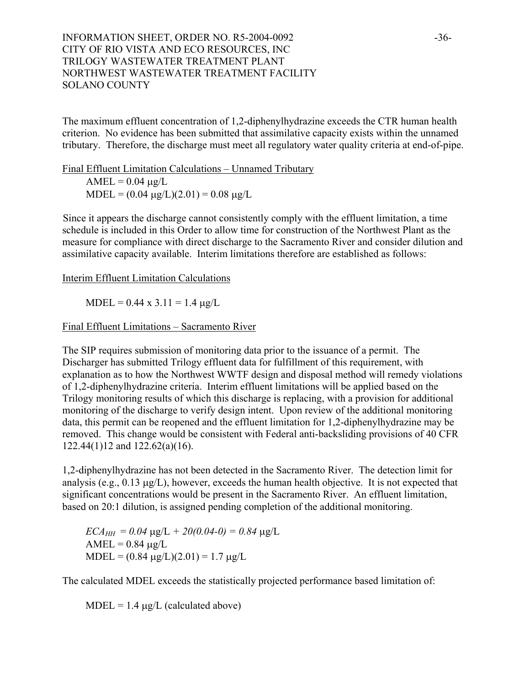# INFORMATION SHEET, ORDER NO. R5-2004-0092 -36-CITY OF RIO VISTA AND ECO RESOURCES, INC TRILOGY WASTEWATER TREATMENT PLANT NORTHWEST WASTEWATER TREATMENT FACILITY SOLANO COUNTY

The maximum effluent concentration of 1,2-diphenylhydrazine exceeds the CTR human health criterion. No evidence has been submitted that assimilative capacity exists within the unnamed tributary. Therefore, the discharge must meet all regulatory water quality criteria at end-of-pipe.

Final Effluent Limitation Calculations – Unnamed Tributary  $AMEL = 0.04 \mu g/L$  $MDEL = (0.04 \text{ µg/L})(2.01) = 0.08 \text{ µg/L}$ 

Since it appears the discharge cannot consistently comply with the effluent limitation, a time schedule is included in this Order to allow time for construction of the Northwest Plant as the measure for compliance with direct discharge to the Sacramento River and consider dilution and assimilative capacity available. Interim limitations therefore are established as follows:

Interim Effluent Limitation Calculations

 $MDEL = 0.44 \times 3.11 = 1.4 \mu g/L$ 

Final Effluent Limitations – Sacramento River

The SIP requires submission of monitoring data prior to the issuance of a permit. The Discharger has submitted Trilogy effluent data for fulfillment of this requirement, with explanation as to how the Northwest WWTF design and disposal method will remedy violations of 1,2-diphenylhydrazine criteria. Interim effluent limitations will be applied based on the Trilogy monitoring results of which this discharge is replacing, with a provision for additional monitoring of the discharge to verify design intent. Upon review of the additional monitoring data, this permit can be reopened and the effluent limitation for 1,2-diphenylhydrazine may be removed. This change would be consistent with Federal anti-backsliding provisions of 40 CFR 122.44(1)12 and 122.62(a)(16).

1,2-diphenylhydrazine has not been detected in the Sacramento River. The detection limit for analysis (e.g., 0.13 µg/L), however, exceeds the human health objective. It is not expected that significant concentrations would be present in the Sacramento River. An effluent limitation, based on 20:1 dilution, is assigned pending completion of the additional monitoring.

 $ECA_{HH} = 0.04 \mu g/L + 20(0.04-0) = 0.84 \mu g/L$  $AMEL = 0.84 \text{ µg}/L$  $MDEL = (0.84 \text{ µg/L})(2.01) = 1.7 \text{ µg/L}$ 

The calculated MDEL exceeds the statistically projected performance based limitation of:

 $MDEL = 1.4 \mu g/L$  (calculated above)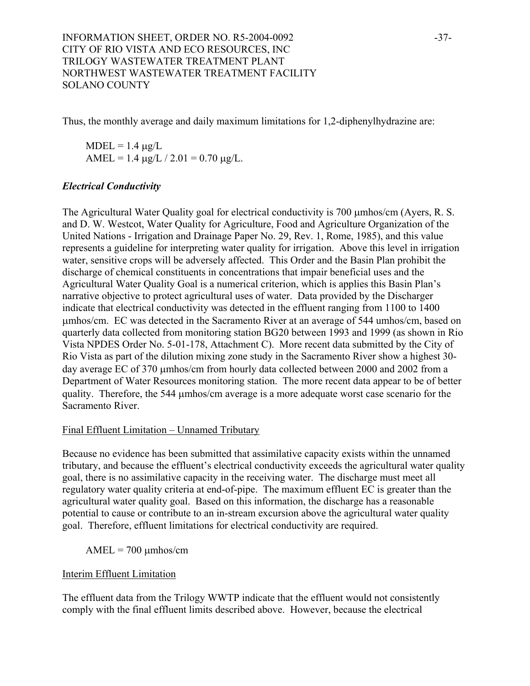Thus, the monthly average and daily maximum limitations for 1,2-diphenylhydrazine are:

 $MDEL = 1.4 \mu g/L$ AMEL = 1.4  $\mu$ g/L / 2.01 = 0.70  $\mu$ g/L.

# *Electrical Conductivity*

The Agricultural Water Quality goal for electrical conductivity is 700 µmhos/cm (Ayers, R. S. and D. W. Westcot, Water Quality for Agriculture, Food and Agriculture Organization of the United Nations - Irrigation and Drainage Paper No. 29, Rev. 1, Rome, 1985), and this value represents a guideline for interpreting water quality for irrigation. Above this level in irrigation water, sensitive crops will be adversely affected. This Order and the Basin Plan prohibit the discharge of chemical constituents in concentrations that impair beneficial uses and the Agricultural Water Quality Goal is a numerical criterion, which is applies this Basin Plan's narrative objective to protect agricultural uses of water. Data provided by the Discharger indicate that electrical conductivity was detected in the effluent ranging from 1100 to 1400 µmhos/cm. EC was detected in the Sacramento River at an average of 544 umhos/cm, based on quarterly data collected from monitoring station BG20 between 1993 and 1999 (as shown in Rio Vista NPDES Order No. 5-01-178, Attachment C). More recent data submitted by the City of Rio Vista as part of the dilution mixing zone study in the Sacramento River show a highest 30 day average EC of 370 µmhos/cm from hourly data collected between 2000 and 2002 from a Department of Water Resources monitoring station. The more recent data appear to be of better quality. Therefore, the 544 µmhos/cm average is a more adequate worst case scenario for the Sacramento River.

### Final Effluent Limitation – Unnamed Tributary

Because no evidence has been submitted that assimilative capacity exists within the unnamed tributary, and because the effluent's electrical conductivity exceeds the agricultural water quality goal, there is no assimilative capacity in the receiving water. The discharge must meet all regulatory water quality criteria at end-of-pipe. The maximum effluent EC is greater than the agricultural water quality goal. Based on this information, the discharge has a reasonable potential to cause or contribute to an in-stream excursion above the agricultural water quality goal. Therefore, effluent limitations for electrical conductivity are required.

 $AMEL = 700 \mu m \text{h} \text{os}/\text{cm}$ 

### Interim Effluent Limitation

The effluent data from the Trilogy WWTP indicate that the effluent would not consistently comply with the final effluent limits described above. However, because the electrical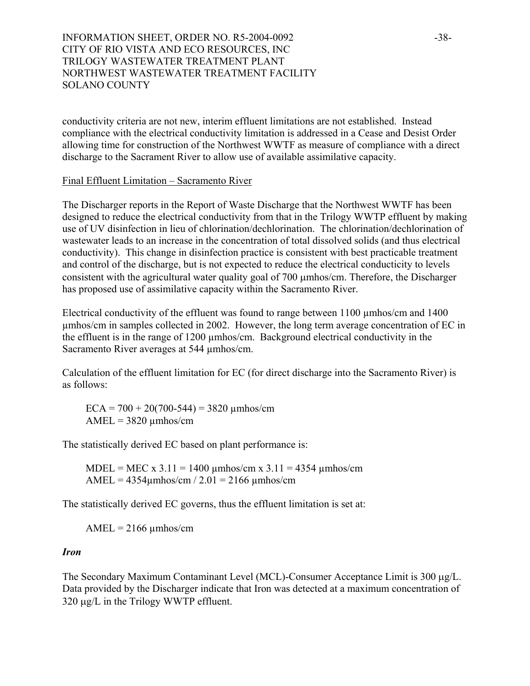# INFORMATION SHEET, ORDER NO. R5-2004-0092 -38-CITY OF RIO VISTA AND ECO RESOURCES, INC TRILOGY WASTEWATER TREATMENT PLANT NORTHWEST WASTEWATER TREATMENT FACILITY SOLANO COUNTY

conductivity criteria are not new, interim effluent limitations are not established. Instead compliance with the electrical conductivity limitation is addressed in a Cease and Desist Order allowing time for construction of the Northwest WWTF as measure of compliance with a direct discharge to the Sacrament River to allow use of available assimilative capacity.

#### Final Effluent Limitation – Sacramento River

The Discharger reports in the Report of Waste Discharge that the Northwest WWTF has been designed to reduce the electrical conductivity from that in the Trilogy WWTP effluent by making use of UV disinfection in lieu of chlorination/dechlorination. The chlorination/dechlorination of wastewater leads to an increase in the concentration of total dissolved solids (and thus electrical conductivity). This change in disinfection practice is consistent with best practicable treatment and control of the discharge, but is not expected to reduce the electrical conducticity to levels consistent with the agricultural water quality goal of 700 µmhos/cm. Therefore, the Discharger has proposed use of assimilative capacity within the Sacramento River.

Electrical conductivity of the effluent was found to range between 1100 µmhos/cm and 1400 µmhos/cm in samples collected in 2002. However, the long term average concentration of EC in the effluent is in the range of 1200 µmhos/cm. Background electrical conductivity in the Sacramento River averages at 544 umhos/cm.

Calculation of the effluent limitation for EC (for direct discharge into the Sacramento River) is as follows:

 $ECA = 700 + 20(700-544) = 3820 \text{ \mu}m\text{hos/cm}$  $AMEL = 3820 \text{ \mu mhos/cm}$ 

The statistically derived EC based on plant performance is:

MDEL = MEC x  $3.11 = 1400 \text{ \mu m}$ hos/cm x  $3.11 = 4354 \text{ \mu m}$ hos/cm AMEL =  $4354\mu$ mhos/cm / 2.01 = 2166  $\mu$ mhos/cm

The statistically derived EC governs, thus the effluent limitation is set at:

 $AMEL = 2166 \mu m \text{h} \text{cos}/\text{cm}$ 

### *Iron*

The Secondary Maximum Contaminant Level (MCL)-Consumer Acceptance Limit is 300 µg/L. Data provided by the Discharger indicate that Iron was detected at a maximum concentration of 320  $\mu$ g/L in the Trilogy WWTP effluent.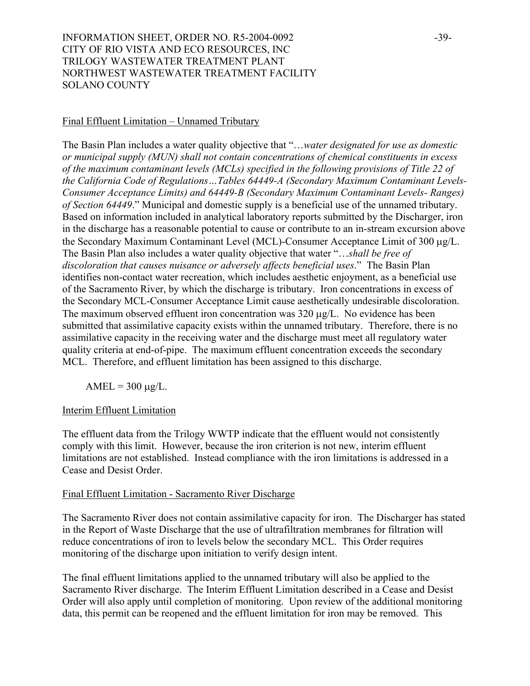# INFORMATION SHEET, ORDER NO. R5-2004-0092 -39-CITY OF RIO VISTA AND ECO RESOURCES, INC TRILOGY WASTEWATER TREATMENT PLANT NORTHWEST WASTEWATER TREATMENT FACILITY SOLANO COUNTY

#### Final Effluent Limitation – Unnamed Tributary

The Basin Plan includes a water quality objective that "…*water designated for use as domestic or municipal supply (MUN) shall not contain concentrations of chemical constituents in excess of the maximum contaminant levels (MCLs) specified in the following provisions of Title 22 of the California Code of Regulations…Tables 64449-A (Secondary Maximum Contaminant Levels-Consumer Acceptance Limits) and 64449-B (Secondary Maximum Contaminant Levels- Ranges) of Section 64449*." Municipal and domestic supply is a beneficial use of the unnamed tributary. Based on information included in analytical laboratory reports submitted by the Discharger, iron in the discharge has a reasonable potential to cause or contribute to an in-stream excursion above the Secondary Maximum Contaminant Level (MCL)-Consumer Acceptance Limit of 300 µg/L. The Basin Plan also includes a water quality objective that water "…*shall be free of discoloration that causes nuisance or adversely affects beneficial uses*." The Basin Plan identifies non-contact water recreation, which includes aesthetic enjoyment, as a beneficial use of the Sacramento River, by which the discharge is tributary. Iron concentrations in excess of the Secondary MCL-Consumer Acceptance Limit cause aesthetically undesirable discoloration. The maximum observed effluent iron concentration was 320  $\mu$ g/L. No evidence has been submitted that assimilative capacity exists within the unnamed tributary. Therefore, there is no assimilative capacity in the receiving water and the discharge must meet all regulatory water quality criteria at end-of-pipe. The maximum effluent concentration exceeds the secondary MCL. Therefore, and effluent limitation has been assigned to this discharge.

 $AMEL = 300 \mu g/L$ .

### Interim Effluent Limitation

The effluent data from the Trilogy WWTP indicate that the effluent would not consistently comply with this limit. However, because the iron criterion is not new, interim effluent limitations are not established. Instead compliance with the iron limitations is addressed in a Cease and Desist Order.

#### Final Effluent Limitation - Sacramento River Discharge

The Sacramento River does not contain assimilative capacity for iron. The Discharger has stated in the Report of Waste Discharge that the use of ultrafiltration membranes for filtration will reduce concentrations of iron to levels below the secondary MCL. This Order requires monitoring of the discharge upon initiation to verify design intent.

The final effluent limitations applied to the unnamed tributary will also be applied to the Sacramento River discharge. The Interim Effluent Limitation described in a Cease and Desist Order will also apply until completion of monitoring. Upon review of the additional monitoring data, this permit can be reopened and the effluent limitation for iron may be removed. This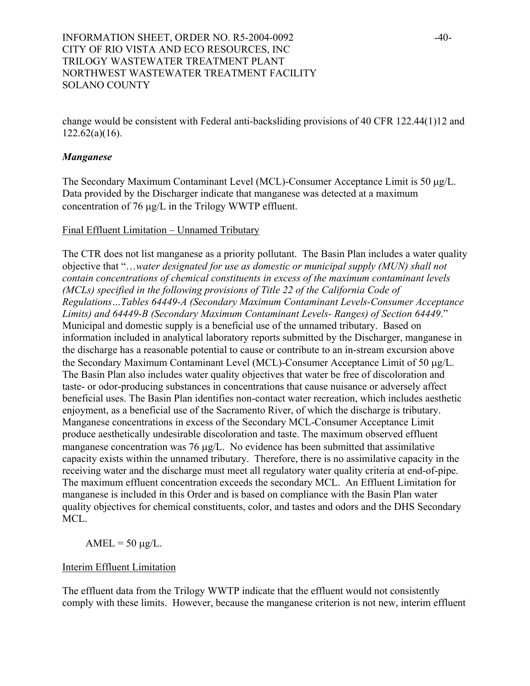change would be consistent with Federal anti-backsliding provisions of 40 CFR 122.44(1)12 and 122.62(a)(16).

#### *Manganese*

The Secondary Maximum Contaminant Level (MCL)-Consumer Acceptance Limit is 50 µg/L. Data provided by the Discharger indicate that manganese was detected at a maximum concentration of 76 µg/L in the Trilogy WWTP effluent.

#### Final Effluent Limitation – Unnamed Tributary

The CTR does not list manganese as a priority pollutant. The Basin Plan includes a water quality objective that "…*water designated for use as domestic or municipal supply (MUN) shall not contain concentrations of chemical constituents in excess of the maximum contaminant levels (MCLs) specified in the following provisions of Title 22 of the California Code of Regulations…Tables 64449-A (Secondary Maximum Contaminant Levels-Consumer Acceptance Limits) and 64449-B (Secondary Maximum Contaminant Levels- Ranges) of Section 64449*." Municipal and domestic supply is a beneficial use of the unnamed tributary. Based on information included in analytical laboratory reports submitted by the Discharger, manganese in the discharge has a reasonable potential to cause or contribute to an in-stream excursion above the Secondary Maximum Contaminant Level (MCL)-Consumer Acceptance Limit of 50 µg/L. The Basin Plan also includes water quality objectives that water be free of discoloration and taste- or odor-producing substances in concentrations that cause nuisance or adversely affect beneficial uses. The Basin Plan identifies non-contact water recreation, which includes aesthetic enjoyment, as a beneficial use of the Sacramento River, of which the discharge is tributary. Manganese concentrations in excess of the Secondary MCL-Consumer Acceptance Limit produce aesthetically undesirable discoloration and taste. The maximum observed effluent manganese concentration was 76 µg/L. No evidence has been submitted that assimilative capacity exists within the unnamed tributary. Therefore, there is no assimilative capacity in the receiving water and the discharge must meet all regulatory water quality criteria at end-of-pipe. The maximum effluent concentration exceeds the secondary MCL. An Effluent Limitation for manganese is included in this Order and is based on compliance with the Basin Plan water quality objectives for chemical constituents, color, and tastes and odors and the DHS Secondary MCL.

 $AMEL = 50 \mu g/L$ .

#### Interim Effluent Limitation

The effluent data from the Trilogy WWTP indicate that the effluent would not consistently comply with these limits. However, because the manganese criterion is not new, interim effluent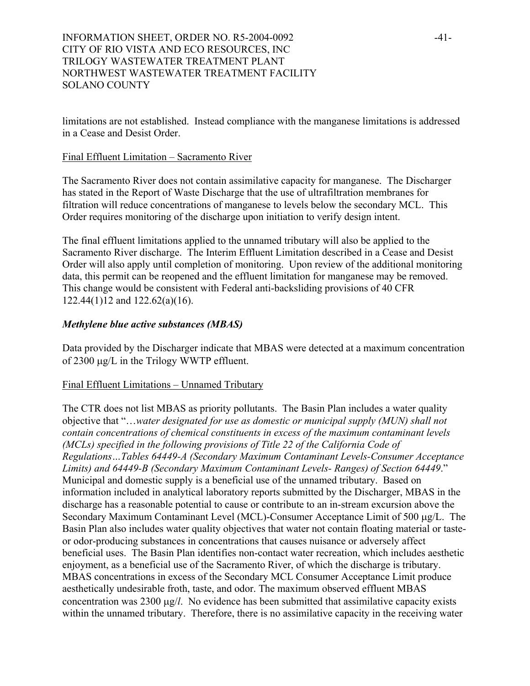# INFORMATION SHEET, ORDER NO. R5-2004-0092 -41-CITY OF RIO VISTA AND ECO RESOURCES, INC TRILOGY WASTEWATER TREATMENT PLANT NORTHWEST WASTEWATER TREATMENT FACILITY SOLANO COUNTY

limitations are not established. Instead compliance with the manganese limitations is addressed in a Cease and Desist Order.

### Final Effluent Limitation – Sacramento River

The Sacramento River does not contain assimilative capacity for manganese. The Discharger has stated in the Report of Waste Discharge that the use of ultrafiltration membranes for filtration will reduce concentrations of manganese to levels below the secondary MCL. This Order requires monitoring of the discharge upon initiation to verify design intent.

The final effluent limitations applied to the unnamed tributary will also be applied to the Sacramento River discharge. The Interim Effluent Limitation described in a Cease and Desist Order will also apply until completion of monitoring. Upon review of the additional monitoring data, this permit can be reopened and the effluent limitation for manganese may be removed. This change would be consistent with Federal anti-backsliding provisions of 40 CFR 122.44(1)12 and 122.62(a)(16).

### *Methylene blue active substances (MBAS)*

Data provided by the Discharger indicate that MBAS were detected at a maximum concentration of 2300 µg/L in the Trilogy WWTP effluent.

### Final Effluent Limitations – Unnamed Tributary

The CTR does not list MBAS as priority pollutants. The Basin Plan includes a water quality objective that "…*water designated for use as domestic or municipal supply (MUN) shall not contain concentrations of chemical constituents in excess of the maximum contaminant levels (MCLs) specified in the following provisions of Title 22 of the California Code of Regulations…Tables 64449-A (Secondary Maximum Contaminant Levels-Consumer Acceptance Limits) and 64449-B (Secondary Maximum Contaminant Levels- Ranges) of Section 64449*." Municipal and domestic supply is a beneficial use of the unnamed tributary. Based on information included in analytical laboratory reports submitted by the Discharger, MBAS in the discharge has a reasonable potential to cause or contribute to an in-stream excursion above the Secondary Maximum Contaminant Level (MCL)-Consumer Acceptance Limit of 500 µg/L. The Basin Plan also includes water quality objectives that water not contain floating material or tasteor odor-producing substances in concentrations that causes nuisance or adversely affect beneficial uses. The Basin Plan identifies non-contact water recreation, which includes aesthetic enjoyment, as a beneficial use of the Sacramento River, of which the discharge is tributary. MBAS concentrations in excess of the Secondary MCL Consumer Acceptance Limit produce aesthetically undesirable froth, taste, and odor. The maximum observed effluent MBAS concentration was 2300 µg/*l*. No evidence has been submitted that assimilative capacity exists within the unnamed tributary. Therefore, there is no assimilative capacity in the receiving water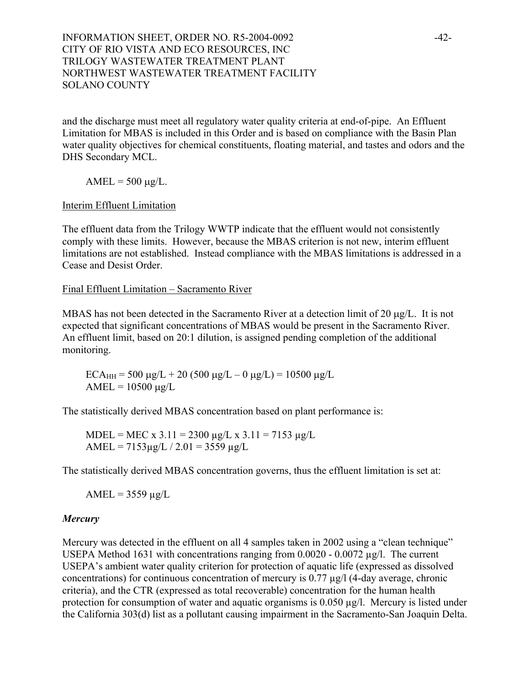# INFORMATION SHEET, ORDER NO. R5-2004-0092 -42-CITY OF RIO VISTA AND ECO RESOURCES, INC TRILOGY WASTEWATER TREATMENT PLANT NORTHWEST WASTEWATER TREATMENT FACILITY SOLANO COUNTY

and the discharge must meet all regulatory water quality criteria at end-of-pipe. An Effluent Limitation for MBAS is included in this Order and is based on compliance with the Basin Plan water quality objectives for chemical constituents, floating material, and tastes and odors and the DHS Secondary MCL.

 $AMEL = 500 \mu g/L$ .

# Interim Effluent Limitation

The effluent data from the Trilogy WWTP indicate that the effluent would not consistently comply with these limits. However, because the MBAS criterion is not new, interim effluent limitations are not established. Instead compliance with the MBAS limitations is addressed in a Cease and Desist Order.

Final Effluent Limitation – Sacramento River

MBAS has not been detected in the Sacramento River at a detection limit of 20  $\mu$ g/L. It is not expected that significant concentrations of MBAS would be present in the Sacramento River. An effluent limit, based on 20:1 dilution, is assigned pending completion of the additional monitoring.

 $ECA_{HH} = 500 \mu g/L + 20 (500 \mu g/L - 0 \mu g/L) = 10500 \mu g/L$  $AMEL = 10500 \mu g/L$ 

The statistically derived MBAS concentration based on plant performance is:

MDEL = MEC x 3.11 = 2300  $\mu$ g/L x 3.11 = 7153  $\mu$ g/L AMEL =  $7153\mu$ g/L /  $2.01 = 3559 \mu$ g/L

The statistically derived MBAS concentration governs, thus the effluent limitation is set at:

 $AMEL = 3559 \mu g/L$ 

### *Mercury*

Mercury was detected in the effluent on all 4 samples taken in 2002 using a "clean technique" USEPA Method 1631 with concentrations ranging from 0.0020 - 0.0072 µg/l. The current USEPA's ambient water quality criterion for protection of aquatic life (expressed as dissolved concentrations) for continuous concentration of mercury is 0.77 µg/l (4-day average, chronic criteria), and the CTR (expressed as total recoverable) concentration for the human health protection for consumption of water and aquatic organisms is 0.050 µg/l. Mercury is listed under the California 303(d) list as a pollutant causing impairment in the Sacramento-San Joaquin Delta.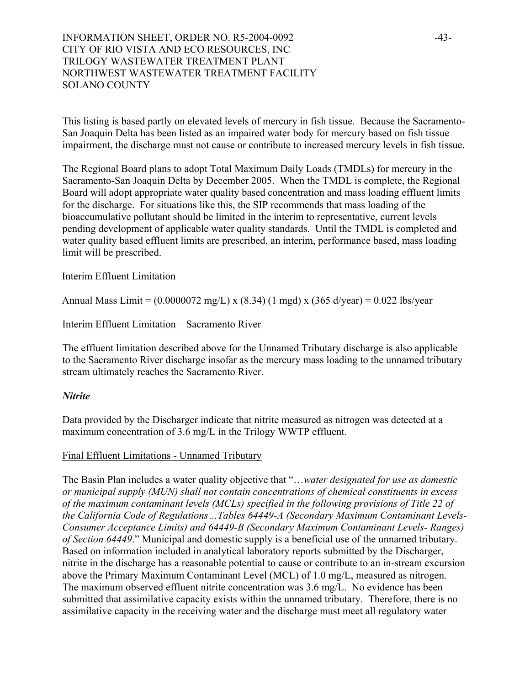# INFORMATION SHEET, ORDER NO. R5-2004-0092 -43-CITY OF RIO VISTA AND ECO RESOURCES, INC TRILOGY WASTEWATER TREATMENT PLANT NORTHWEST WASTEWATER TREATMENT FACILITY SOLANO COUNTY

This listing is based partly on elevated levels of mercury in fish tissue. Because the Sacramento-San Joaquin Delta has been listed as an impaired water body for mercury based on fish tissue impairment, the discharge must not cause or contribute to increased mercury levels in fish tissue.

The Regional Board plans to adopt Total Maximum Daily Loads (TMDLs) for mercury in the Sacramento-San Joaquin Delta by December 2005. When the TMDL is complete, the Regional Board will adopt appropriate water quality based concentration and mass loading effluent limits for the discharge. For situations like this, the SIP recommends that mass loading of the bioaccumulative pollutant should be limited in the interim to representative, current levels pending development of applicable water quality standards. Until the TMDL is completed and water quality based effluent limits are prescribed, an interim, performance based, mass loading limit will be prescribed.

#### Interim Effluent Limitation

Annual Mass Limit =  $(0.0000072 \text{ mg/L}) \times (8.34)$  (1 mgd) x (365 d/year) = 0.022 lbs/year

#### Interim Effluent Limitation – Sacramento River

The effluent limitation described above for the Unnamed Tributary discharge is also applicable to the Sacramento River discharge insofar as the mercury mass loading to the unnamed tributary stream ultimately reaches the Sacramento River.

#### *Nitrite*

Data provided by the Discharger indicate that nitrite measured as nitrogen was detected at a maximum concentration of 3.6 mg/L in the Trilogy WWTP effluent.

#### Final Effluent Limitations - Unnamed Tributary

The Basin Plan includes a water quality objective that "…*water designated for use as domestic or municipal supply (MUN) shall not contain concentrations of chemical constituents in excess of the maximum contaminant levels (MCLs) specified in the following provisions of Title 22 of the California Code of Regulations…Tables 64449-A (Secondary Maximum Contaminant Levels-Consumer Acceptance Limits) and 64449-B (Secondary Maximum Contaminant Levels- Ranges) of Section 64449*." Municipal and domestic supply is a beneficial use of the unnamed tributary. Based on information included in analytical laboratory reports submitted by the Discharger, nitrite in the discharge has a reasonable potential to cause or contribute to an in-stream excursion above the Primary Maximum Contaminant Level (MCL) of 1.0 mg/L, measured as nitrogen. The maximum observed effluent nitrite concentration was 3.6 mg/L. No evidence has been submitted that assimilative capacity exists within the unnamed tributary. Therefore, there is no assimilative capacity in the receiving water and the discharge must meet all regulatory water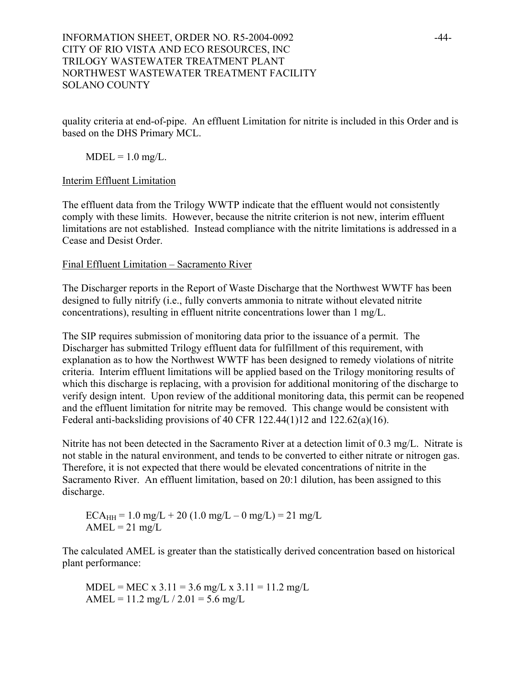# INFORMATION SHEET, ORDER NO. R5-2004-0092 -44-CITY OF RIO VISTA AND ECO RESOURCES, INC TRILOGY WASTEWATER TREATMENT PLANT NORTHWEST WASTEWATER TREATMENT FACILITY SOLANO COUNTY

quality criteria at end-of-pipe. An effluent Limitation for nitrite is included in this Order and is based on the DHS Primary MCL.

 $MDEL = 1.0$  mg/L.

### Interim Effluent Limitation

The effluent data from the Trilogy WWTP indicate that the effluent would not consistently comply with these limits. However, because the nitrite criterion is not new, interim effluent limitations are not established. Instead compliance with the nitrite limitations is addressed in a Cease and Desist Order.

# Final Effluent Limitation – Sacramento River

The Discharger reports in the Report of Waste Discharge that the Northwest WWTF has been designed to fully nitrify (i.e., fully converts ammonia to nitrate without elevated nitrite concentrations), resulting in effluent nitrite concentrations lower than 1 mg/L.

The SIP requires submission of monitoring data prior to the issuance of a permit. The Discharger has submitted Trilogy effluent data for fulfillment of this requirement, with explanation as to how the Northwest WWTF has been designed to remedy violations of nitrite criteria. Interim effluent limitations will be applied based on the Trilogy monitoring results of which this discharge is replacing, with a provision for additional monitoring of the discharge to verify design intent. Upon review of the additional monitoring data, this permit can be reopened and the effluent limitation for nitrite may be removed. This change would be consistent with Federal anti-backsliding provisions of 40 CFR 122.44(1)12 and 122.62(a)(16).

Nitrite has not been detected in the Sacramento River at a detection limit of 0.3 mg/L. Nitrate is not stable in the natural environment, and tends to be converted to either nitrate or nitrogen gas. Therefore, it is not expected that there would be elevated concentrations of nitrite in the Sacramento River. An effluent limitation, based on 20:1 dilution, has been assigned to this discharge.

 $ECA_{HH} = 1.0$  mg/L + 20 (1.0 mg/L – 0 mg/L) = 21 mg/L  $AMEL = 21$  mg/L

The calculated AMEL is greater than the statistically derived concentration based on historical plant performance:

 $MDEL = MEC \times 3.11 = 3.6$  mg/L  $\times 3.11 = 11.2$  mg/L AMEL =  $11.2$  mg/L  $/ 2.01 = 5.6$  mg/L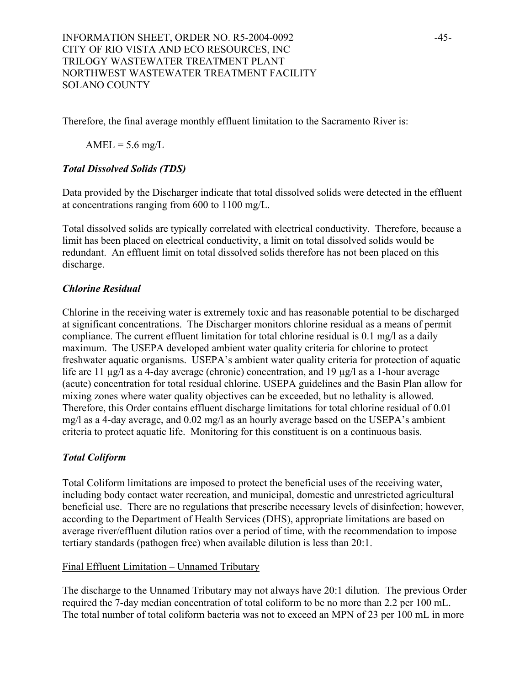Therefore, the final average monthly effluent limitation to the Sacramento River is:

 $AMEL = 5.6$  mg/L

# *Total Dissolved Solids (TDS)*

Data provided by the Discharger indicate that total dissolved solids were detected in the effluent at concentrations ranging from 600 to 1100 mg/L.

Total dissolved solids are typically correlated with electrical conductivity. Therefore, because a limit has been placed on electrical conductivity, a limit on total dissolved solids would be redundant. An effluent limit on total dissolved solids therefore has not been placed on this discharge.

# *Chlorine Residual*

Chlorine in the receiving water is extremely toxic and has reasonable potential to be discharged at significant concentrations. The Discharger monitors chlorine residual as a means of permit compliance. The current effluent limitation for total chlorine residual is 0.1 mg/l as a daily maximum. The USEPA developed ambient water quality criteria for chlorine to protect freshwater aquatic organisms. USEPA's ambient water quality criteria for protection of aquatic life are 11 µg/l as a 4-day average (chronic) concentration, and 19 µg/l as a 1-hour average (acute) concentration for total residual chlorine. USEPA guidelines and the Basin Plan allow for mixing zones where water quality objectives can be exceeded, but no lethality is allowed. Therefore, this Order contains effluent discharge limitations for total chlorine residual of 0.01 mg/l as a 4-day average, and 0.02 mg/l as an hourly average based on the USEPA's ambient criteria to protect aquatic life. Monitoring for this constituent is on a continuous basis.

# *Total Coliform*

Total Coliform limitations are imposed to protect the beneficial uses of the receiving water, including body contact water recreation, and municipal, domestic and unrestricted agricultural beneficial use. There are no regulations that prescribe necessary levels of disinfection; however, according to the Department of Health Services (DHS), appropriate limitations are based on average river/effluent dilution ratios over a period of time, with the recommendation to impose tertiary standards (pathogen free) when available dilution is less than 20:1.

### Final Effluent Limitation – Unnamed Tributary

The discharge to the Unnamed Tributary may not always have 20:1 dilution. The previous Order required the 7-day median concentration of total coliform to be no more than 2.2 per 100 mL. The total number of total coliform bacteria was not to exceed an MPN of 23 per 100 mL in more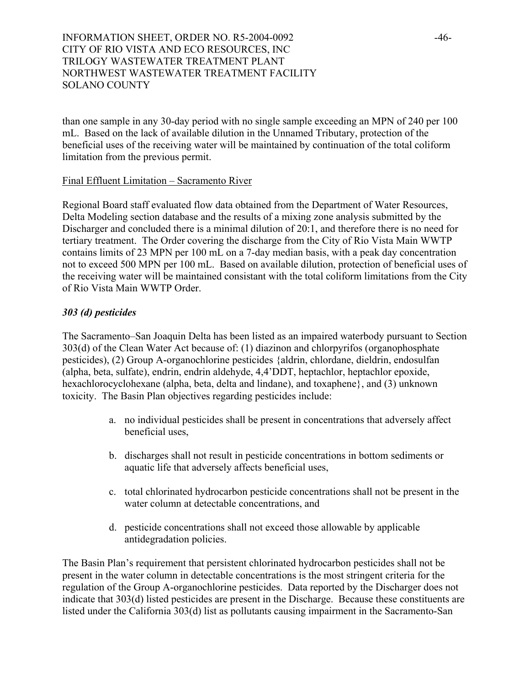# INFORMATION SHEET, ORDER NO. R5-2004-0092 -46-CITY OF RIO VISTA AND ECO RESOURCES, INC TRILOGY WASTEWATER TREATMENT PLANT NORTHWEST WASTEWATER TREATMENT FACILITY SOLANO COUNTY

than one sample in any 30-day period with no single sample exceeding an MPN of 240 per 100 mL. Based on the lack of available dilution in the Unnamed Tributary, protection of the beneficial uses of the receiving water will be maintained by continuation of the total coliform limitation from the previous permit.

#### Final Effluent Limitation – Sacramento River

Regional Board staff evaluated flow data obtained from the Department of Water Resources, Delta Modeling section database and the results of a mixing zone analysis submitted by the Discharger and concluded there is a minimal dilution of 20:1, and therefore there is no need for tertiary treatment. The Order covering the discharge from the City of Rio Vista Main WWTP contains limits of 23 MPN per 100 mL on a 7-day median basis, with a peak day concentration not to exceed 500 MPN per 100 mL. Based on available dilution, protection of beneficial uses of the receiving water will be maintained consistant with the total coliform limitations from the City of Rio Vista Main WWTP Order.

### *303 (d) pesticides*

The Sacramento–San Joaquin Delta has been listed as an impaired waterbody pursuant to Section 303(d) of the Clean Water Act because of: (1) diazinon and chlorpyrifos (organophosphate pesticides), (2) Group A-organochlorine pesticides {aldrin, chlordane, dieldrin, endosulfan (alpha, beta, sulfate), endrin, endrin aldehyde, 4,4'DDT, heptachlor, heptachlor epoxide, hexachlorocyclohexane (alpha, beta, delta and lindane), and toxaphene}, and (3) unknown toxicity. The Basin Plan objectives regarding pesticides include:

- a. no individual pesticides shall be present in concentrations that adversely affect beneficial uses,
- b. discharges shall not result in pesticide concentrations in bottom sediments or aquatic life that adversely affects beneficial uses,
- c. total chlorinated hydrocarbon pesticide concentrations shall not be present in the water column at detectable concentrations, and
- d. pesticide concentrations shall not exceed those allowable by applicable antidegradation policies.

The Basin Plan's requirement that persistent chlorinated hydrocarbon pesticides shall not be present in the water column in detectable concentrations is the most stringent criteria for the regulation of the Group A-organochlorine pesticides. Data reported by the Discharger does not indicate that 303(d) listed pesticides are present in the Discharge. Because these constituents are listed under the California 303(d) list as pollutants causing impairment in the Sacramento-San